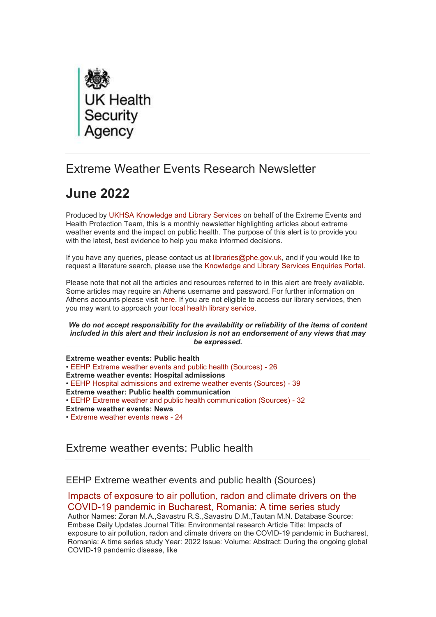

# Extreme Weather Events Research Newsletter

# **June 2022**

Produced by [UKHSA Knowledge and Library Services](https://eur01.safelinks.protection.outlook.com/?url=http%3A%2F%2Ftransit.linexsystems.com%2Ftrack%2Fclick%2F30370861%2Fukhsalibrary.koha-ptfs.co.uk%3Fp%3DeyJzIjoiWVlMcGhyQUtFdFVYTWsxc252TzhGbnEzUXU4IiwidiI6MSwicCI6IntcInVcIjozMDM3MDg2MSxcInZcIjoxLFwidXJsXCI6XCJodHRwczpcXFwvXFxcL3VraHNhbGlicmFyeS5rb2hhLXB0ZnMuY28udWtcXFwvXCIsXCJpZFwiOlwiYzFmN2RjMjM2YmUwNGI2NGJlN2EzYWI0NDJiODFmNmVcIixcInVybF9pZHNcIjpbXCIwNGZmMmI1OWRjMGJmNTJjMmYxOGIzZmUzZGNmZTBlMGQ5ZGNkZGJkXCJdfSJ9&data=05%7C01%7Ccaroline.debrun%40phe.gov.uk%7Ca6f00f6bef614d07b97908da43b32f98%7Cee4e14994a354b2ead475f3cf9de8666%7C0%7C0%7C637896735148889983%7CUnknown%7CTWFpbGZsb3d8eyJWIjoiMC4wLjAwMDAiLCJQIjoiV2luMzIiLCJBTiI6Ik1haWwiLCJXVCI6Mn0%3D%7C3000%7C%7C%7C&sdata=IB2%2FyMkabSBvGKzAiqzeyUX7iy7pYZS32%2FODrKiUOeE%3D&reserved=0) on behalf of the Extreme Events and Health Protection Team, this is a monthly newsletter highlighting articles about extreme weather events and the impact on public health. The purpose of this alert is to provide you with the latest, best evidence to help you make informed decisions.

If you have any queries, please contact us at [libraries@phe.gov.uk,](mailto:libraries@phe.gov.uk?subject=Library%20enquiry) and if you would like to request a literature search, please use the [Knowledge and Library Services Enquiries Portal.](https://eur01.safelinks.protection.outlook.com/?url=http%3A%2F%2Ftransit.linexsystems.com%2Ftrack%2Fclick%2F30370861%2Fphelibrary.koha-ptfs.co.uk%3Fp%3DeyJzIjoiZ1JTODV4dFhPaHNIWG1zN2duQ1FFakZOZjQwIiwidiI6MSwicCI6IntcInVcIjozMDM3MDg2MSxcInZcIjoxLFwidXJsXCI6XCJodHRwczpcXFwvXFxcL3BoZWxpYnJhcnkua29oYS1wdGZzLmNvLnVrXFxcL2xpdHNlYXJjaFxcXC9cXHUyMDBiXCIsXCJpZFwiOlwiYzFmN2RjMjM2YmUwNGI2NGJlN2EzYWI0NDJiODFmNmVcIixcInVybF9pZHNcIjpbXCJiNzcxYWJiM2E2ZDEzYmNjZmQyNDkyNDQ3MDdhMDRmMDEwOGRjMzdmXCJdfSJ9&data=05%7C01%7Ccaroline.debrun%40phe.gov.uk%7Ca6f00f6bef614d07b97908da43b32f98%7Cee4e14994a354b2ead475f3cf9de8666%7C0%7C0%7C637896735148889983%7CUnknown%7CTWFpbGZsb3d8eyJWIjoiMC4wLjAwMDAiLCJQIjoiV2luMzIiLCJBTiI6Ik1haWwiLCJXVCI6Mn0%3D%7C3000%7C%7C%7C&sdata=wiB%2Fd1gez7GPWw4wecfbVrEV5jvOhNWONzTwQoFsm9U%3D&reserved=0)

Please note that not all the articles and resources referred to in this alert are freely available. Some articles may require an Athens username and password. For further information on Athens accounts please visit [here.](https://eur01.safelinks.protection.outlook.com/?url=http%3A%2F%2Ftransit.linexsystems.com%2Ftrack%2Fclick%2F30370861%2Fukhsalibrary.koha-ptfs.co.uk%3Fp%3DeyJzIjoiTWU2X1VoUjdoYWpJdkV2SmNmd0JQTmxjNUlzIiwidiI6MSwicCI6IntcInVcIjozMDM3MDg2MSxcInZcIjoxLFwidXJsXCI6XCJodHRwczpcXFwvXFxcL3VraHNhbGlicmFyeS5rb2hhLXB0ZnMuY28udWtcXFwvb3BlbmF0aGVuc1xcXC9cIixcImlkXCI6XCJjMWY3ZGMyMzZiZTA0YjY0YmU3YTNhYjQ0MmI4MWY2ZVwiLFwidXJsX2lkc1wiOltcIjE5ZTRiMDYwYWM5NjQ5ODJkYjFlMzRiMGU0MmE2MWQ1MGFiZDA2NmZcIl19In0&data=05%7C01%7Ccaroline.debrun%40phe.gov.uk%7Ca6f00f6bef614d07b97908da43b32f98%7Cee4e14994a354b2ead475f3cf9de8666%7C0%7C0%7C637896735148889983%7CUnknown%7CTWFpbGZsb3d8eyJWIjoiMC4wLjAwMDAiLCJQIjoiV2luMzIiLCJBTiI6Ik1haWwiLCJXVCI6Mn0%3D%7C3000%7C%7C%7C&sdata=HMyF1Sl%2BjBb0zErmMAc%2Fwp1dqy4c0P7GrcmFv0X73rE%3D&reserved=0) If you are not eligible to access our library services, then you may want to approach your [local health library service.](https://eur01.safelinks.protection.outlook.com/?url=http%3A%2F%2Ftransit.linexsystems.com%2Ftrack%2Fclick%2F30370861%2Fwww.hlisd.org%3Fp%3DeyJzIjoiUnUxajhMb2dZTUh3VGRYS0dHX0RtcVQ3Zl9zIiwidiI6MSwicCI6IntcInVcIjozMDM3MDg2MSxcInZcIjoxLFwidXJsXCI6XCJodHRwczpcXFwvXFxcL3d3dy5obGlzZC5vcmdcXFwvXCIsXCJpZFwiOlwiYzFmN2RjMjM2YmUwNGI2NGJlN2EzYWI0NDJiODFmNmVcIixcInVybF9pZHNcIjpbXCIxYmFkZWVhOWQ0NGY0NWE1YzY4Yzg2N2Y4OTk4YzkwMGU2YjU2MWQ2XCJdfSJ9&data=05%7C01%7Ccaroline.debrun%40phe.gov.uk%7Ca6f00f6bef614d07b97908da43b32f98%7Cee4e14994a354b2ead475f3cf9de8666%7C0%7C0%7C637896735148889983%7CUnknown%7CTWFpbGZsb3d8eyJWIjoiMC4wLjAwMDAiLCJQIjoiV2luMzIiLCJBTiI6Ik1haWwiLCJXVCI6Mn0%3D%7C3000%7C%7C%7C&sdata=Gg5Thjg%2FB1xDcpmiSbwaeNePEqPF5eXiG5GZOwictr8%3D&reserved=0)

*We do not accept responsibility for the availability or reliability of the items of content included in this alert and their inclusion is not an endorsement of any views that may be expressed.*

**[Extreme weather events: Public health](#page-0-0)** • [EEHP Extreme weather events and public health \(Sources\) -](#page-0-1) 26 **[Extreme weather events: Hospital admissions](#page-4-0)** • [EEHP Hospital admissions and extreme weather events \(Sources\) -](#page-4-1) 39 **[Extreme weather: Public health communication](#page-9-0)** • [EEHP Extreme weather and public health communication \(Sources\) -](#page-9-1) 32 **[Extreme weather events: News](#page-13-0)** • [Extreme weather events news -](#page-13-1) 24

# <span id="page-0-0"></span>Extreme weather events: Public health

<span id="page-0-1"></span>EEHP Extreme weather events and public health (Sources)

[Impacts of exposure to air pollution, radon and climate drivers on the](https://eur01.safelinks.protection.outlook.com/?url=http%3A%2F%2Ftransit.linexsystems.com%2Ftrack%2Fclick%2F30370861%2Fca.linexsystems.com%3Fp%3DeyJzIjoiN2RSTW1PRU82MFozQzRnMUZ5R01WQmZHUUNvIiwidiI6MSwicCI6IntcInVcIjozMDM3MDg2MSxcInZcIjoxLFwidXJsXCI6XCJodHRwOlxcXC9cXFwvY2EubGluZXhzeXN0ZW1zLmNvbVxcXC9jb250ZW50c1xcXC90cmFuc2l0XFxcLzM3ODMxNzgwNTg_dXNlcl9pZD00NDM1MTUmbG9nPWY5N2ViNmUzMjE5YTcyMWVlZDE3NTIyOTNmZmJlY2E3JnA9OTU5Njc2NDgmbT0xJnM9Mzk5MDUzJm9yZ19pZD0yNjI4NzVcIixcImlkXCI6XCJjMWY3ZGMyMzZiZTA0YjY0YmU3YTNhYjQ0MmI4MWY2ZVwiLFwidXJsX2lkc1wiOltcIjA1ZTliM2YxZjk4OTA1NGZlM2JjODI0YWQ4ZmExYjhmMWYyMzVkMTNcIl19In0&data=05%7C01%7Ccaroline.debrun%40phe.gov.uk%7Ca6f00f6bef614d07b97908da43b32f98%7Cee4e14994a354b2ead475f3cf9de8666%7C0%7C0%7C637896735148889983%7CUnknown%7CTWFpbGZsb3d8eyJWIjoiMC4wLjAwMDAiLCJQIjoiV2luMzIiLCJBTiI6Ik1haWwiLCJXVCI6Mn0%3D%7C3000%7C%7C%7C&sdata=v9rxQ5Tfqba%2Byj4xEDPbMlwdsz6RUemUSv6fT1moGGE%3D&reserved=0)  [COVID-19 pandemic in Bucharest, Romania: A time series study](https://eur01.safelinks.protection.outlook.com/?url=http%3A%2F%2Ftransit.linexsystems.com%2Ftrack%2Fclick%2F30370861%2Fca.linexsystems.com%3Fp%3DeyJzIjoiN2RSTW1PRU82MFozQzRnMUZ5R01WQmZHUUNvIiwidiI6MSwicCI6IntcInVcIjozMDM3MDg2MSxcInZcIjoxLFwidXJsXCI6XCJodHRwOlxcXC9cXFwvY2EubGluZXhzeXN0ZW1zLmNvbVxcXC9jb250ZW50c1xcXC90cmFuc2l0XFxcLzM3ODMxNzgwNTg_dXNlcl9pZD00NDM1MTUmbG9nPWY5N2ViNmUzMjE5YTcyMWVlZDE3NTIyOTNmZmJlY2E3JnA9OTU5Njc2NDgmbT0xJnM9Mzk5MDUzJm9yZ19pZD0yNjI4NzVcIixcImlkXCI6XCJjMWY3ZGMyMzZiZTA0YjY0YmU3YTNhYjQ0MmI4MWY2ZVwiLFwidXJsX2lkc1wiOltcIjA1ZTliM2YxZjk4OTA1NGZlM2JjODI0YWQ4ZmExYjhmMWYyMzVkMTNcIl19In0&data=05%7C01%7Ccaroline.debrun%40phe.gov.uk%7Ca6f00f6bef614d07b97908da43b32f98%7Cee4e14994a354b2ead475f3cf9de8666%7C0%7C0%7C637896735148889983%7CUnknown%7CTWFpbGZsb3d8eyJWIjoiMC4wLjAwMDAiLCJQIjoiV2luMzIiLCJBTiI6Ik1haWwiLCJXVCI6Mn0%3D%7C3000%7C%7C%7C&sdata=v9rxQ5Tfqba%2Byj4xEDPbMlwdsz6RUemUSv6fT1moGGE%3D&reserved=0)

Author Names: Zoran M.A.,Savastru R.S.,Savastru D.M.,Tautan M.N. Database Source: Embase Daily Updates Journal Title: Environmental research Article Title: Impacts of exposure to air pollution, radon and climate drivers on the COVID-19 pandemic in Bucharest, Romania: A time series study Year: 2022 Issue: Volume: Abstract: During the ongoing global COVID-19 pandemic disease, like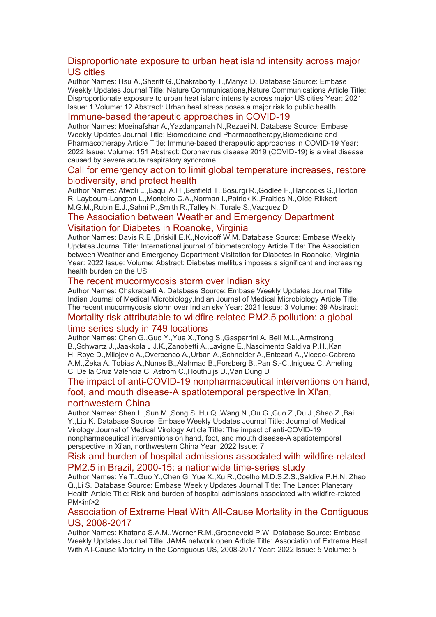#### [Disproportionate exposure to urban heat island intensity across major](https://eur01.safelinks.protection.outlook.com/?url=http%3A%2F%2Ftransit.linexsystems.com%2Ftrack%2Fclick%2F30370861%2Fca.linexsystems.com%3Fp%3DeyJzIjoiWWJaNkw4VzU0QUFYTFpCY1dXOVhOLWpXVkJVIiwidiI6MSwicCI6IntcInVcIjozMDM3MDg2MSxcInZcIjoxLFwidXJsXCI6XCJodHRwOlxcXC9cXFwvY2EubGluZXhzeXN0ZW1zLmNvbVxcXC9jb250ZW50c1xcXC90cmFuc2l0XFxcLzM3ODMxNzgwNTk_dXNlcl9pZD00NDM1MTUmbG9nPWY5N2ViNmUzMjE5YTcyMWVlZDE3NTIyOTNmZmJlY2E3JnA9OTU5Njc2NDgmbT0xJnM9Mzk5MDUzJm9yZ19pZD0yNjI4NzVcIixcImlkXCI6XCJjMWY3ZGMyMzZiZTA0YjY0YmU3YTNhYjQ0MmI4MWY2ZVwiLFwidXJsX2lkc1wiOltcIjA1ZTliM2YxZjk4OTA1NGZlM2JjODI0YWQ4ZmExYjhmMWYyMzVkMTNcIl19In0&data=05%7C01%7Ccaroline.debrun%40phe.gov.uk%7Ca6f00f6bef614d07b97908da43b32f98%7Cee4e14994a354b2ead475f3cf9de8666%7C0%7C0%7C637896735148889983%7CUnknown%7CTWFpbGZsb3d8eyJWIjoiMC4wLjAwMDAiLCJQIjoiV2luMzIiLCJBTiI6Ik1haWwiLCJXVCI6Mn0%3D%7C3000%7C%7C%7C&sdata=aX1PLiDIEf%2FIDeABbBmjj0%2FuDwLBff%2BANz4HZhyOFmQ%3D&reserved=0)  [US cities](https://eur01.safelinks.protection.outlook.com/?url=http%3A%2F%2Ftransit.linexsystems.com%2Ftrack%2Fclick%2F30370861%2Fca.linexsystems.com%3Fp%3DeyJzIjoiWWJaNkw4VzU0QUFYTFpCY1dXOVhOLWpXVkJVIiwidiI6MSwicCI6IntcInVcIjozMDM3MDg2MSxcInZcIjoxLFwidXJsXCI6XCJodHRwOlxcXC9cXFwvY2EubGluZXhzeXN0ZW1zLmNvbVxcXC9jb250ZW50c1xcXC90cmFuc2l0XFxcLzM3ODMxNzgwNTk_dXNlcl9pZD00NDM1MTUmbG9nPWY5N2ViNmUzMjE5YTcyMWVlZDE3NTIyOTNmZmJlY2E3JnA9OTU5Njc2NDgmbT0xJnM9Mzk5MDUzJm9yZ19pZD0yNjI4NzVcIixcImlkXCI6XCJjMWY3ZGMyMzZiZTA0YjY0YmU3YTNhYjQ0MmI4MWY2ZVwiLFwidXJsX2lkc1wiOltcIjA1ZTliM2YxZjk4OTA1NGZlM2JjODI0YWQ4ZmExYjhmMWYyMzVkMTNcIl19In0&data=05%7C01%7Ccaroline.debrun%40phe.gov.uk%7Ca6f00f6bef614d07b97908da43b32f98%7Cee4e14994a354b2ead475f3cf9de8666%7C0%7C0%7C637896735148889983%7CUnknown%7CTWFpbGZsb3d8eyJWIjoiMC4wLjAwMDAiLCJQIjoiV2luMzIiLCJBTiI6Ik1haWwiLCJXVCI6Mn0%3D%7C3000%7C%7C%7C&sdata=aX1PLiDIEf%2FIDeABbBmjj0%2FuDwLBff%2BANz4HZhyOFmQ%3D&reserved=0)

Author Names: Hsu A.,Sheriff G.,Chakraborty T.,Manya D. Database Source: Embase Weekly Updates Journal Title: Nature Communications,Nature Communications Article Title: Disproportionate exposure to urban heat island intensity across major US cities Year: 2021 Issue: 1 Volume: 12 Abstract: Urban heat stress poses a major risk to public health

#### [Immune-based therapeutic approaches in COVID-19](https://eur01.safelinks.protection.outlook.com/?url=http%3A%2F%2Ftransit.linexsystems.com%2Ftrack%2Fclick%2F30370861%2Fca.linexsystems.com%3Fp%3DeyJzIjoiQ0lObmhnb00xV1YxdmVlSmdUeWYwZFduZGRJIiwidiI6MSwicCI6IntcInVcIjozMDM3MDg2MSxcInZcIjoxLFwidXJsXCI6XCJodHRwOlxcXC9cXFwvY2EubGluZXhzeXN0ZW1zLmNvbVxcXC9jb250ZW50c1xcXC90cmFuc2l0XFxcLzM3ODMxNzgzNTU_dXNlcl9pZD00NDM1MTUmbG9nPWY5N2ViNmUzMjE5YTcyMWVlZDE3NTIyOTNmZmJlY2E3JnA9OTU5Njc2NDgmbT0xJnM9Mzk5MDUzJm9yZ19pZD0yNjI4NzVcIixcImlkXCI6XCJjMWY3ZGMyMzZiZTA0YjY0YmU3YTNhYjQ0MmI4MWY2ZVwiLFwidXJsX2lkc1wiOltcIjA1ZTliM2YxZjk4OTA1NGZlM2JjODI0YWQ4ZmExYjhmMWYyMzVkMTNcIl19In0&data=05%7C01%7Ccaroline.debrun%40phe.gov.uk%7Ca6f00f6bef614d07b97908da43b32f98%7Cee4e14994a354b2ead475f3cf9de8666%7C0%7C0%7C637896735148889983%7CUnknown%7CTWFpbGZsb3d8eyJWIjoiMC4wLjAwMDAiLCJQIjoiV2luMzIiLCJBTiI6Ik1haWwiLCJXVCI6Mn0%3D%7C3000%7C%7C%7C&sdata=Em0gq4TodouAo9FQPcHYHVCRbLnMcen9GZGn1D4WPnM%3D&reserved=0)

Author Names: Moeinafshar A.,Yazdanpanah N.,Rezaei N. Database Source: Embase Weekly Updates Journal Title: Biomedicine and Pharmacotherapy,Biomedicine and Pharmacotherapy Article Title: Immune-based therapeutic approaches in COVID-19 Year: 2022 Issue: Volume: 151 Abstract: Coronavirus disease 2019 (COVID-19) is a viral disease caused by severe acute respiratory syndrome

#### [Call for emergency action to limit global temperature increases, restore](https://eur01.safelinks.protection.outlook.com/?url=http%3A%2F%2Ftransit.linexsystems.com%2Ftrack%2Fclick%2F30370861%2Fca.linexsystems.com%3Fp%3DeyJzIjoiWDdRaFhEYlJRdUc0MXZSZGRwbEdJWmdKNUdBIiwidiI6MSwicCI6IntcInVcIjozMDM3MDg2MSxcInZcIjoxLFwidXJsXCI6XCJodHRwOlxcXC9cXFwvY2EubGluZXhzeXN0ZW1zLmNvbVxcXC9jb250ZW50c1xcXC90cmFuc2l0XFxcLzM3ODMxNzgzNTY_dXNlcl9pZD00NDM1MTUmbG9nPWY5N2ViNmUzMjE5YTcyMWVlZDE3NTIyOTNmZmJlY2E3JnA9OTU5Njc2NDgmbT0xJnM9Mzk5MDUzJm9yZ19pZD0yNjI4NzVcIixcImlkXCI6XCJjMWY3ZGMyMzZiZTA0YjY0YmU3YTNhYjQ0MmI4MWY2ZVwiLFwidXJsX2lkc1wiOltcIjA1ZTliM2YxZjk4OTA1NGZlM2JjODI0YWQ4ZmExYjhmMWYyMzVkMTNcIl19In0&data=05%7C01%7Ccaroline.debrun%40phe.gov.uk%7Ca6f00f6bef614d07b97908da43b32f98%7Cee4e14994a354b2ead475f3cf9de8666%7C0%7C0%7C637896735148889983%7CUnknown%7CTWFpbGZsb3d8eyJWIjoiMC4wLjAwMDAiLCJQIjoiV2luMzIiLCJBTiI6Ik1haWwiLCJXVCI6Mn0%3D%7C3000%7C%7C%7C&sdata=FS4IeeTj1hU0Cca6rUH%2FS3QcCNEaOyVux%2BEehFOb9B4%3D&reserved=0)  [biodiversity, and protect health](https://eur01.safelinks.protection.outlook.com/?url=http%3A%2F%2Ftransit.linexsystems.com%2Ftrack%2Fclick%2F30370861%2Fca.linexsystems.com%3Fp%3DeyJzIjoiWDdRaFhEYlJRdUc0MXZSZGRwbEdJWmdKNUdBIiwidiI6MSwicCI6IntcInVcIjozMDM3MDg2MSxcInZcIjoxLFwidXJsXCI6XCJodHRwOlxcXC9cXFwvY2EubGluZXhzeXN0ZW1zLmNvbVxcXC9jb250ZW50c1xcXC90cmFuc2l0XFxcLzM3ODMxNzgzNTY_dXNlcl9pZD00NDM1MTUmbG9nPWY5N2ViNmUzMjE5YTcyMWVlZDE3NTIyOTNmZmJlY2E3JnA9OTU5Njc2NDgmbT0xJnM9Mzk5MDUzJm9yZ19pZD0yNjI4NzVcIixcImlkXCI6XCJjMWY3ZGMyMzZiZTA0YjY0YmU3YTNhYjQ0MmI4MWY2ZVwiLFwidXJsX2lkc1wiOltcIjA1ZTliM2YxZjk4OTA1NGZlM2JjODI0YWQ4ZmExYjhmMWYyMzVkMTNcIl19In0&data=05%7C01%7Ccaroline.debrun%40phe.gov.uk%7Ca6f00f6bef614d07b97908da43b32f98%7Cee4e14994a354b2ead475f3cf9de8666%7C0%7C0%7C637896735148889983%7CUnknown%7CTWFpbGZsb3d8eyJWIjoiMC4wLjAwMDAiLCJQIjoiV2luMzIiLCJBTiI6Ik1haWwiLCJXVCI6Mn0%3D%7C3000%7C%7C%7C&sdata=FS4IeeTj1hU0Cca6rUH%2FS3QcCNEaOyVux%2BEehFOb9B4%3D&reserved=0)

Author Names: Atwoli L.,Baqui A.H.,Benfield T.,Bosurgi R.,Godlee F.,Hancocks S.,Horton R.,Laybourn-Langton L.,Monteiro C.A.,Norman I.,Patrick K.,Praities N.,Olde Rikkert M.G.M.,Rubin E.J.,Sahni P.,Smith R.,Talley N.,Turale S.,Vazquez D

#### [The Association between Weather and Emergency Department](https://eur01.safelinks.protection.outlook.com/?url=http%3A%2F%2Ftransit.linexsystems.com%2Ftrack%2Fclick%2F30370861%2Fca.linexsystems.com%3Fp%3DeyJzIjoiVnpma3ZMTHNrdzUxMlppNDlCMTR1OWxrZmc4IiwidiI6MSwicCI6IntcInVcIjozMDM3MDg2MSxcInZcIjoxLFwidXJsXCI6XCJodHRwOlxcXC9cXFwvY2EubGluZXhzeXN0ZW1zLmNvbVxcXC9jb250ZW50c1xcXC90cmFuc2l0XFxcLzM3ODMxODAyOTc_dXNlcl9pZD00NDM1MTUmbG9nPWY5N2ViNmUzMjE5YTcyMWVlZDE3NTIyOTNmZmJlY2E3JnA9OTU5Njc2NDgmbT0xJnM9Mzk5MDUzJm9yZ19pZD0yNjI4NzVcIixcImlkXCI6XCJjMWY3ZGMyMzZiZTA0YjY0YmU3YTNhYjQ0MmI4MWY2ZVwiLFwidXJsX2lkc1wiOltcIjA1ZTliM2YxZjk4OTA1NGZlM2JjODI0YWQ4ZmExYjhmMWYyMzVkMTNcIl19In0&data=05%7C01%7Ccaroline.debrun%40phe.gov.uk%7Ca6f00f6bef614d07b97908da43b32f98%7Cee4e14994a354b2ead475f3cf9de8666%7C0%7C0%7C637896735148889983%7CUnknown%7CTWFpbGZsb3d8eyJWIjoiMC4wLjAwMDAiLCJQIjoiV2luMzIiLCJBTiI6Ik1haWwiLCJXVCI6Mn0%3D%7C3000%7C%7C%7C&sdata=7fNG13cGMWV4XLBET28tllNpxLOMZ%2BRR%2FaeoaVvDtjk%3D&reserved=0)  [Visitation for Diabetes in Roanoke, Virginia](https://eur01.safelinks.protection.outlook.com/?url=http%3A%2F%2Ftransit.linexsystems.com%2Ftrack%2Fclick%2F30370861%2Fca.linexsystems.com%3Fp%3DeyJzIjoiVnpma3ZMTHNrdzUxMlppNDlCMTR1OWxrZmc4IiwidiI6MSwicCI6IntcInVcIjozMDM3MDg2MSxcInZcIjoxLFwidXJsXCI6XCJodHRwOlxcXC9cXFwvY2EubGluZXhzeXN0ZW1zLmNvbVxcXC9jb250ZW50c1xcXC90cmFuc2l0XFxcLzM3ODMxODAyOTc_dXNlcl9pZD00NDM1MTUmbG9nPWY5N2ViNmUzMjE5YTcyMWVlZDE3NTIyOTNmZmJlY2E3JnA9OTU5Njc2NDgmbT0xJnM9Mzk5MDUzJm9yZ19pZD0yNjI4NzVcIixcImlkXCI6XCJjMWY3ZGMyMzZiZTA0YjY0YmU3YTNhYjQ0MmI4MWY2ZVwiLFwidXJsX2lkc1wiOltcIjA1ZTliM2YxZjk4OTA1NGZlM2JjODI0YWQ4ZmExYjhmMWYyMzVkMTNcIl19In0&data=05%7C01%7Ccaroline.debrun%40phe.gov.uk%7Ca6f00f6bef614d07b97908da43b32f98%7Cee4e14994a354b2ead475f3cf9de8666%7C0%7C0%7C637896735148889983%7CUnknown%7CTWFpbGZsb3d8eyJWIjoiMC4wLjAwMDAiLCJQIjoiV2luMzIiLCJBTiI6Ik1haWwiLCJXVCI6Mn0%3D%7C3000%7C%7C%7C&sdata=7fNG13cGMWV4XLBET28tllNpxLOMZ%2BRR%2FaeoaVvDtjk%3D&reserved=0)

Author Names: Davis R.E.,Driskill E.K.,Novicoff W.M. Database Source: Embase Weekly Updates Journal Title: International journal of biometeorology Article Title: The Association between Weather and Emergency Department Visitation for Diabetes in Roanoke, Virginia Year: 2022 Issue: Volume: Abstract: Diabetes mellitus imposes a significant and increasing health burden on the US

#### [The recent mucormycosis storm over Indian sky](https://eur01.safelinks.protection.outlook.com/?url=http%3A%2F%2Ftransit.linexsystems.com%2Ftrack%2Fclick%2F30370861%2Fca.linexsystems.com%3Fp%3DeyJzIjoiTWVwbWVqLTlrZERURndPNXRka3VBdm50azI4IiwidiI6MSwicCI6IntcInVcIjozMDM3MDg2MSxcInZcIjoxLFwidXJsXCI6XCJodHRwOlxcXC9cXFwvY2EubGluZXhzeXN0ZW1zLmNvbVxcXC9jb250ZW50c1xcXC90cmFuc2l0XFxcLzM3ODMxODAyOTg_dXNlcl9pZD00NDM1MTUmbG9nPWY5N2ViNmUzMjE5YTcyMWVlZDE3NTIyOTNmZmJlY2E3JnA9OTU5Njc2NDgmbT0xJnM9Mzk5MDUzJm9yZ19pZD0yNjI4NzVcIixcImlkXCI6XCJjMWY3ZGMyMzZiZTA0YjY0YmU3YTNhYjQ0MmI4MWY2ZVwiLFwidXJsX2lkc1wiOltcIjA1ZTliM2YxZjk4OTA1NGZlM2JjODI0YWQ4ZmExYjhmMWYyMzVkMTNcIl19In0&data=05%7C01%7Ccaroline.debrun%40phe.gov.uk%7Ca6f00f6bef614d07b97908da43b32f98%7Cee4e14994a354b2ead475f3cf9de8666%7C0%7C0%7C637896735148889983%7CUnknown%7CTWFpbGZsb3d8eyJWIjoiMC4wLjAwMDAiLCJQIjoiV2luMzIiLCJBTiI6Ik1haWwiLCJXVCI6Mn0%3D%7C3000%7C%7C%7C&sdata=i7CZZKcglzV%2F%2Bm8IAnn%2BU%2BYFDS1hp22FjreH7vOxZB4%3D&reserved=0)

Author Names: Chakrabarti A. Database Source: Embase Weekly Updates Journal Title: Indian Journal of Medical Microbiology,Indian Journal of Medical Microbiology Article Title: The recent mucormycosis storm over Indian sky Year: 2021 Issue: 3 Volume: 39 Abstract:

#### [Mortality risk attributable to wildfire-related PM2.5 pollution: a global](https://eur01.safelinks.protection.outlook.com/?url=http%3A%2F%2Ftransit.linexsystems.com%2Ftrack%2Fclick%2F30370861%2Fca.linexsystems.com%3Fp%3DeyJzIjoiS0JmT1lsS0E3UnVpbGZueXBubkN6LXNwS3lrIiwidiI6MSwicCI6IntcInVcIjozMDM3MDg2MSxcInZcIjoxLFwidXJsXCI6XCJodHRwOlxcXC9cXFwvY2EubGluZXhzeXN0ZW1zLmNvbVxcXC9jb250ZW50c1xcXC90cmFuc2l0XFxcLzM3ODMxODAyOTk_dXNlcl9pZD00NDM1MTUmbG9nPWY5N2ViNmUzMjE5YTcyMWVlZDE3NTIyOTNmZmJlY2E3JnA9OTU5Njc2NDgmbT0xJnM9Mzk5MDUzJm9yZ19pZD0yNjI4NzVcIixcImlkXCI6XCJjMWY3ZGMyMzZiZTA0YjY0YmU3YTNhYjQ0MmI4MWY2ZVwiLFwidXJsX2lkc1wiOltcIjA1ZTliM2YxZjk4OTA1NGZlM2JjODI0YWQ4ZmExYjhmMWYyMzVkMTNcIl19In0&data=05%7C01%7Ccaroline.debrun%40phe.gov.uk%7Ca6f00f6bef614d07b97908da43b32f98%7Cee4e14994a354b2ead475f3cf9de8666%7C0%7C0%7C637896735148889983%7CUnknown%7CTWFpbGZsb3d8eyJWIjoiMC4wLjAwMDAiLCJQIjoiV2luMzIiLCJBTiI6Ik1haWwiLCJXVCI6Mn0%3D%7C3000%7C%7C%7C&sdata=SMOVMqhGlzo81Iwv67p%2Bi3zBeN58uf5e8%2B2gFebcIPc%3D&reserved=0)

#### [time series study in 749 locations](https://eur01.safelinks.protection.outlook.com/?url=http%3A%2F%2Ftransit.linexsystems.com%2Ftrack%2Fclick%2F30370861%2Fca.linexsystems.com%3Fp%3DeyJzIjoiS0JmT1lsS0E3UnVpbGZueXBubkN6LXNwS3lrIiwidiI6MSwicCI6IntcInVcIjozMDM3MDg2MSxcInZcIjoxLFwidXJsXCI6XCJodHRwOlxcXC9cXFwvY2EubGluZXhzeXN0ZW1zLmNvbVxcXC9jb250ZW50c1xcXC90cmFuc2l0XFxcLzM3ODMxODAyOTk_dXNlcl9pZD00NDM1MTUmbG9nPWY5N2ViNmUzMjE5YTcyMWVlZDE3NTIyOTNmZmJlY2E3JnA9OTU5Njc2NDgmbT0xJnM9Mzk5MDUzJm9yZ19pZD0yNjI4NzVcIixcImlkXCI6XCJjMWY3ZGMyMzZiZTA0YjY0YmU3YTNhYjQ0MmI4MWY2ZVwiLFwidXJsX2lkc1wiOltcIjA1ZTliM2YxZjk4OTA1NGZlM2JjODI0YWQ4ZmExYjhmMWYyMzVkMTNcIl19In0&data=05%7C01%7Ccaroline.debrun%40phe.gov.uk%7Ca6f00f6bef614d07b97908da43b32f98%7Cee4e14994a354b2ead475f3cf9de8666%7C0%7C0%7C637896735148889983%7CUnknown%7CTWFpbGZsb3d8eyJWIjoiMC4wLjAwMDAiLCJQIjoiV2luMzIiLCJBTiI6Ik1haWwiLCJXVCI6Mn0%3D%7C3000%7C%7C%7C&sdata=SMOVMqhGlzo81Iwv67p%2Bi3zBeN58uf5e8%2B2gFebcIPc%3D&reserved=0)

Author Names: Chen G.,Guo Y.,Yue X.,Tong S.,Gasparrini A.,Bell M.L.,Armstrong B.,Schwartz J.,Jaakkola J.J.K.,Zanobetti A.,Lavigne E.,Nascimento Saldiva P.H.,Kan H.,Roye D.,Milojevic A.,Overcenco A.,Urban A.,Schneider A.,Entezari A.,Vicedo-Cabrera A.M.,Zeka A.,Tobias A.,Nunes B.,Alahmad B.,Forsberg B.,Pan S.-C.,Iniguez C.,Ameling C.,De la Cruz Valencia C.,Astrom C.,Houthuijs D.,Van Dung D

#### [The impact of anti-COVID-19 nonpharmaceutical interventions on hand,](https://eur01.safelinks.protection.outlook.com/?url=http%3A%2F%2Ftransit.linexsystems.com%2Ftrack%2Fclick%2F30370861%2Fca.linexsystems.com%3Fp%3DeyJzIjoieVJuZlAwOUM4VVNEWWx6VHNVVjY5N0Vvc0lzIiwidiI6MSwicCI6IntcInVcIjozMDM3MDg2MSxcInZcIjoxLFwidXJsXCI6XCJodHRwOlxcXC9cXFwvY2EubGluZXhzeXN0ZW1zLmNvbVxcXC9jb250ZW50c1xcXC90cmFuc2l0XFxcLzM3ODMxODA1MjU_dXNlcl9pZD00NDM1MTUmbG9nPWY5N2ViNmUzMjE5YTcyMWVlZDE3NTIyOTNmZmJlY2E3JnA9OTU5Njc2NDgmbT0xJnM9Mzk5MDUzJm9yZ19pZD0yNjI4NzVcIixcImlkXCI6XCJjMWY3ZGMyMzZiZTA0YjY0YmU3YTNhYjQ0MmI4MWY2ZVwiLFwidXJsX2lkc1wiOltcIjA1ZTliM2YxZjk4OTA1NGZlM2JjODI0YWQ4ZmExYjhmMWYyMzVkMTNcIl19In0&data=05%7C01%7Ccaroline.debrun%40phe.gov.uk%7Ca6f00f6bef614d07b97908da43b32f98%7Cee4e14994a354b2ead475f3cf9de8666%7C0%7C0%7C637896735148889983%7CUnknown%7CTWFpbGZsb3d8eyJWIjoiMC4wLjAwMDAiLCJQIjoiV2luMzIiLCJBTiI6Ik1haWwiLCJXVCI6Mn0%3D%7C3000%7C%7C%7C&sdata=sP6OhjObmC28XsVE%2BsBzYZf4TlWYMMc63pW919IMPOQ%3D&reserved=0)  [foot, and mouth disease-A spatiotemporal perspective in Xi'an,](https://eur01.safelinks.protection.outlook.com/?url=http%3A%2F%2Ftransit.linexsystems.com%2Ftrack%2Fclick%2F30370861%2Fca.linexsystems.com%3Fp%3DeyJzIjoieVJuZlAwOUM4VVNEWWx6VHNVVjY5N0Vvc0lzIiwidiI6MSwicCI6IntcInVcIjozMDM3MDg2MSxcInZcIjoxLFwidXJsXCI6XCJodHRwOlxcXC9cXFwvY2EubGluZXhzeXN0ZW1zLmNvbVxcXC9jb250ZW50c1xcXC90cmFuc2l0XFxcLzM3ODMxODA1MjU_dXNlcl9pZD00NDM1MTUmbG9nPWY5N2ViNmUzMjE5YTcyMWVlZDE3NTIyOTNmZmJlY2E3JnA9OTU5Njc2NDgmbT0xJnM9Mzk5MDUzJm9yZ19pZD0yNjI4NzVcIixcImlkXCI6XCJjMWY3ZGMyMzZiZTA0YjY0YmU3YTNhYjQ0MmI4MWY2ZVwiLFwidXJsX2lkc1wiOltcIjA1ZTliM2YxZjk4OTA1NGZlM2JjODI0YWQ4ZmExYjhmMWYyMzVkMTNcIl19In0&data=05%7C01%7Ccaroline.debrun%40phe.gov.uk%7Ca6f00f6bef614d07b97908da43b32f98%7Cee4e14994a354b2ead475f3cf9de8666%7C0%7C0%7C637896735148889983%7CUnknown%7CTWFpbGZsb3d8eyJWIjoiMC4wLjAwMDAiLCJQIjoiV2luMzIiLCJBTiI6Ik1haWwiLCJXVCI6Mn0%3D%7C3000%7C%7C%7C&sdata=sP6OhjObmC28XsVE%2BsBzYZf4TlWYMMc63pW919IMPOQ%3D&reserved=0)  [northwestern China](https://eur01.safelinks.protection.outlook.com/?url=http%3A%2F%2Ftransit.linexsystems.com%2Ftrack%2Fclick%2F30370861%2Fca.linexsystems.com%3Fp%3DeyJzIjoieVJuZlAwOUM4VVNEWWx6VHNVVjY5N0Vvc0lzIiwidiI6MSwicCI6IntcInVcIjozMDM3MDg2MSxcInZcIjoxLFwidXJsXCI6XCJodHRwOlxcXC9cXFwvY2EubGluZXhzeXN0ZW1zLmNvbVxcXC9jb250ZW50c1xcXC90cmFuc2l0XFxcLzM3ODMxODA1MjU_dXNlcl9pZD00NDM1MTUmbG9nPWY5N2ViNmUzMjE5YTcyMWVlZDE3NTIyOTNmZmJlY2E3JnA9OTU5Njc2NDgmbT0xJnM9Mzk5MDUzJm9yZ19pZD0yNjI4NzVcIixcImlkXCI6XCJjMWY3ZGMyMzZiZTA0YjY0YmU3YTNhYjQ0MmI4MWY2ZVwiLFwidXJsX2lkc1wiOltcIjA1ZTliM2YxZjk4OTA1NGZlM2JjODI0YWQ4ZmExYjhmMWYyMzVkMTNcIl19In0&data=05%7C01%7Ccaroline.debrun%40phe.gov.uk%7Ca6f00f6bef614d07b97908da43b32f98%7Cee4e14994a354b2ead475f3cf9de8666%7C0%7C0%7C637896735148889983%7CUnknown%7CTWFpbGZsb3d8eyJWIjoiMC4wLjAwMDAiLCJQIjoiV2luMzIiLCJBTiI6Ik1haWwiLCJXVCI6Mn0%3D%7C3000%7C%7C%7C&sdata=sP6OhjObmC28XsVE%2BsBzYZf4TlWYMMc63pW919IMPOQ%3D&reserved=0)

Author Names: Shen L.,Sun M.,Song S.,Hu Q.,Wang N.,Ou G.,Guo Z.,Du J.,Shao Z.,Bai Y.,Liu K. Database Source: Embase Weekly Updates Journal Title: Journal of Medical Virology,Journal of Medical Virology Article Title: The impact of anti-COVID-19 nonpharmaceutical interventions on hand, foot, and mouth disease-A spatiotemporal perspective in Xi'an, northwestern China Year: 2022 Issue: 7

#### [Risk and burden of hospital admissions associated with wildfire-related](https://eur01.safelinks.protection.outlook.com/?url=http%3A%2F%2Ftransit.linexsystems.com%2Ftrack%2Fclick%2F30370861%2Fca.linexsystems.com%3Fp%3DeyJzIjoiSVdFSzNjaUxDT0pCRUNOeVY5NHlYU0g0eEVJIiwidiI6MSwicCI6IntcInVcIjozMDM3MDg2MSxcInZcIjoxLFwidXJsXCI6XCJodHRwOlxcXC9cXFwvY2EubGluZXhzeXN0ZW1zLmNvbVxcXC9jb250ZW50c1xcXC90cmFuc2l0XFxcLzM3ODMxODA1MjY_dXNlcl9pZD00NDM1MTUmbG9nPWY5N2ViNmUzMjE5YTcyMWVlZDE3NTIyOTNmZmJlY2E3JnA9OTU5Njc2NDgmbT0xJnM9Mzk5MDUzJm9yZ19pZD0yNjI4NzVcIixcImlkXCI6XCJjMWY3ZGMyMzZiZTA0YjY0YmU3YTNhYjQ0MmI4MWY2ZVwiLFwidXJsX2lkc1wiOltcIjA1ZTliM2YxZjk4OTA1NGZlM2JjODI0YWQ4ZmExYjhmMWYyMzVkMTNcIl19In0&data=05%7C01%7Ccaroline.debrun%40phe.gov.uk%7Ca6f00f6bef614d07b97908da43b32f98%7Cee4e14994a354b2ead475f3cf9de8666%7C0%7C0%7C637896735148889983%7CUnknown%7CTWFpbGZsb3d8eyJWIjoiMC4wLjAwMDAiLCJQIjoiV2luMzIiLCJBTiI6Ik1haWwiLCJXVCI6Mn0%3D%7C3000%7C%7C%7C&sdata=JZwAsOObz8R02n97QETfjdAzLY4qiSS1PF8MbSRk%2BLk%3D&reserved=0)  [PM2.5 in Brazil, 2000-15: a nationwide time-series study](https://eur01.safelinks.protection.outlook.com/?url=http%3A%2F%2Ftransit.linexsystems.com%2Ftrack%2Fclick%2F30370861%2Fca.linexsystems.com%3Fp%3DeyJzIjoiSVdFSzNjaUxDT0pCRUNOeVY5NHlYU0g0eEVJIiwidiI6MSwicCI6IntcInVcIjozMDM3MDg2MSxcInZcIjoxLFwidXJsXCI6XCJodHRwOlxcXC9cXFwvY2EubGluZXhzeXN0ZW1zLmNvbVxcXC9jb250ZW50c1xcXC90cmFuc2l0XFxcLzM3ODMxODA1MjY_dXNlcl9pZD00NDM1MTUmbG9nPWY5N2ViNmUzMjE5YTcyMWVlZDE3NTIyOTNmZmJlY2E3JnA9OTU5Njc2NDgmbT0xJnM9Mzk5MDUzJm9yZ19pZD0yNjI4NzVcIixcImlkXCI6XCJjMWY3ZGMyMzZiZTA0YjY0YmU3YTNhYjQ0MmI4MWY2ZVwiLFwidXJsX2lkc1wiOltcIjA1ZTliM2YxZjk4OTA1NGZlM2JjODI0YWQ4ZmExYjhmMWYyMzVkMTNcIl19In0&data=05%7C01%7Ccaroline.debrun%40phe.gov.uk%7Ca6f00f6bef614d07b97908da43b32f98%7Cee4e14994a354b2ead475f3cf9de8666%7C0%7C0%7C637896735148889983%7CUnknown%7CTWFpbGZsb3d8eyJWIjoiMC4wLjAwMDAiLCJQIjoiV2luMzIiLCJBTiI6Ik1haWwiLCJXVCI6Mn0%3D%7C3000%7C%7C%7C&sdata=JZwAsOObz8R02n97QETfjdAzLY4qiSS1PF8MbSRk%2BLk%3D&reserved=0)

Author Names: Ye T.,Guo Y.,Chen G.,Yue X.,Xu R.,Coelho M.D.S.Z.S.,Saldiva P.H.N.,Zhao Q.,Li S. Database Source: Embase Weekly Updates Journal Title: The Lancet Planetary Health Article Title: Risk and burden of hospital admissions associated with wildfire-related PM<inf>2

#### [Association of Extreme Heat With All-Cause Mortality in the Contiguous](https://eur01.safelinks.protection.outlook.com/?url=http%3A%2F%2Ftransit.linexsystems.com%2Ftrack%2Fclick%2F30370861%2Fca.linexsystems.com%3Fp%3DeyJzIjoiOU1MWWNJaEhQaVNQYlEtQVhYLTJXcERtbVNNIiwidiI6MSwicCI6IntcInVcIjozMDM3MDg2MSxcInZcIjoxLFwidXJsXCI6XCJodHRwOlxcXC9cXFwvY2EubGluZXhzeXN0ZW1zLmNvbVxcXC9jb250ZW50c1xcXC90cmFuc2l0XFxcLzM3ODMxODI1ODI_dXNlcl9pZD00NDM1MTUmbG9nPWY5N2ViNmUzMjE5YTcyMWVlZDE3NTIyOTNmZmJlY2E3JnA9OTU5Njc2NDgmbT0xJnM9Mzk5MDUzJm9yZ19pZD0yNjI4NzVcIixcImlkXCI6XCJjMWY3ZGMyMzZiZTA0YjY0YmU3YTNhYjQ0MmI4MWY2ZVwiLFwidXJsX2lkc1wiOltcIjA1ZTliM2YxZjk4OTA1NGZlM2JjODI0YWQ4ZmExYjhmMWYyMzVkMTNcIl19In0&data=05%7C01%7Ccaroline.debrun%40phe.gov.uk%7Ca6f00f6bef614d07b97908da43b32f98%7Cee4e14994a354b2ead475f3cf9de8666%7C0%7C0%7C637896735148889983%7CUnknown%7CTWFpbGZsb3d8eyJWIjoiMC4wLjAwMDAiLCJQIjoiV2luMzIiLCJBTiI6Ik1haWwiLCJXVCI6Mn0%3D%7C3000%7C%7C%7C&sdata=Rvb5QqCVwkguGUTRJwNCjcNGGGU8dU6UBidonYPvWsc%3D&reserved=0)  [US, 2008-2017](https://eur01.safelinks.protection.outlook.com/?url=http%3A%2F%2Ftransit.linexsystems.com%2Ftrack%2Fclick%2F30370861%2Fca.linexsystems.com%3Fp%3DeyJzIjoiOU1MWWNJaEhQaVNQYlEtQVhYLTJXcERtbVNNIiwidiI6MSwicCI6IntcInVcIjozMDM3MDg2MSxcInZcIjoxLFwidXJsXCI6XCJodHRwOlxcXC9cXFwvY2EubGluZXhzeXN0ZW1zLmNvbVxcXC9jb250ZW50c1xcXC90cmFuc2l0XFxcLzM3ODMxODI1ODI_dXNlcl9pZD00NDM1MTUmbG9nPWY5N2ViNmUzMjE5YTcyMWVlZDE3NTIyOTNmZmJlY2E3JnA9OTU5Njc2NDgmbT0xJnM9Mzk5MDUzJm9yZ19pZD0yNjI4NzVcIixcImlkXCI6XCJjMWY3ZGMyMzZiZTA0YjY0YmU3YTNhYjQ0MmI4MWY2ZVwiLFwidXJsX2lkc1wiOltcIjA1ZTliM2YxZjk4OTA1NGZlM2JjODI0YWQ4ZmExYjhmMWYyMzVkMTNcIl19In0&data=05%7C01%7Ccaroline.debrun%40phe.gov.uk%7Ca6f00f6bef614d07b97908da43b32f98%7Cee4e14994a354b2ead475f3cf9de8666%7C0%7C0%7C637896735148889983%7CUnknown%7CTWFpbGZsb3d8eyJWIjoiMC4wLjAwMDAiLCJQIjoiV2luMzIiLCJBTiI6Ik1haWwiLCJXVCI6Mn0%3D%7C3000%7C%7C%7C&sdata=Rvb5QqCVwkguGUTRJwNCjcNGGGU8dU6UBidonYPvWsc%3D&reserved=0)

Author Names: Khatana S.A.M.,Werner R.M.,Groeneveld P.W. Database Source: Embase Weekly Updates Journal Title: JAMA network open Article Title: Association of Extreme Heat With All-Cause Mortality in the Contiguous US, 2008-2017 Year: 2022 Issue: 5 Volume: 5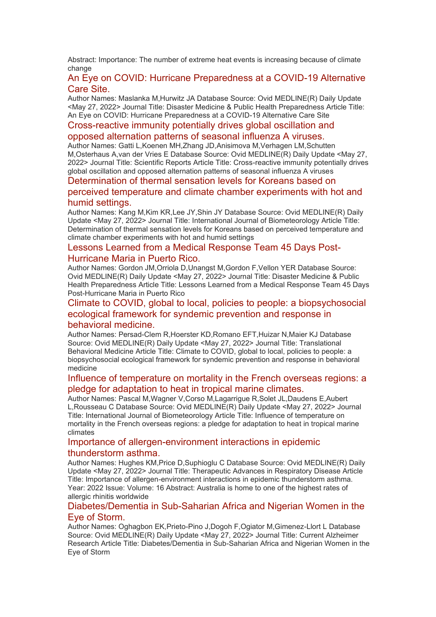Abstract: Importance: The number of extreme heat events is increasing because of climate change

#### [An Eye on COVID: Hurricane Preparedness at a COVID-19 Alternative](https://eur01.safelinks.protection.outlook.com/?url=http%3A%2F%2Ftransit.linexsystems.com%2Ftrack%2Fclick%2F30370861%2Fca.linexsystems.com%3Fp%3DeyJzIjoiX0l5NkJERy1zeXF4dGZpOWU4YzdQRHBSbWRJIiwidiI6MSwicCI6IntcInVcIjozMDM3MDg2MSxcInZcIjoxLFwidXJsXCI6XCJodHRwOlxcXC9cXFwvY2EubGluZXhzeXN0ZW1zLmNvbVxcXC9jb250ZW50c1xcXC90cmFuc2l0XFxcLzM3ODMxNzgxODI_dXNlcl9pZD00NDM1MTUmbG9nPWY5N2ViNmUzMjE5YTcyMWVlZDE3NTIyOTNmZmJlY2E3JnA9OTU5Njc2NDgmbT0xJnM9Mzk5MDUzJm9yZ19pZD0yNjI4NzVcIixcImlkXCI6XCJjMWY3ZGMyMzZiZTA0YjY0YmU3YTNhYjQ0MmI4MWY2ZVwiLFwidXJsX2lkc1wiOltcIjA1ZTliM2YxZjk4OTA1NGZlM2JjODI0YWQ4ZmExYjhmMWYyMzVkMTNcIl19In0&data=05%7C01%7Ccaroline.debrun%40phe.gov.uk%7Ca6f00f6bef614d07b97908da43b32f98%7Cee4e14994a354b2ead475f3cf9de8666%7C0%7C0%7C637896735148889983%7CUnknown%7CTWFpbGZsb3d8eyJWIjoiMC4wLjAwMDAiLCJQIjoiV2luMzIiLCJBTiI6Ik1haWwiLCJXVCI6Mn0%3D%7C3000%7C%7C%7C&sdata=c4eJkG%2Fap1O07lGuVi00CG7uyHIF9h%2FG%2FcMkduabnaM%3D&reserved=0)  [Care Site.](https://eur01.safelinks.protection.outlook.com/?url=http%3A%2F%2Ftransit.linexsystems.com%2Ftrack%2Fclick%2F30370861%2Fca.linexsystems.com%3Fp%3DeyJzIjoiX0l5NkJERy1zeXF4dGZpOWU4YzdQRHBSbWRJIiwidiI6MSwicCI6IntcInVcIjozMDM3MDg2MSxcInZcIjoxLFwidXJsXCI6XCJodHRwOlxcXC9cXFwvY2EubGluZXhzeXN0ZW1zLmNvbVxcXC9jb250ZW50c1xcXC90cmFuc2l0XFxcLzM3ODMxNzgxODI_dXNlcl9pZD00NDM1MTUmbG9nPWY5N2ViNmUzMjE5YTcyMWVlZDE3NTIyOTNmZmJlY2E3JnA9OTU5Njc2NDgmbT0xJnM9Mzk5MDUzJm9yZ19pZD0yNjI4NzVcIixcImlkXCI6XCJjMWY3ZGMyMzZiZTA0YjY0YmU3YTNhYjQ0MmI4MWY2ZVwiLFwidXJsX2lkc1wiOltcIjA1ZTliM2YxZjk4OTA1NGZlM2JjODI0YWQ4ZmExYjhmMWYyMzVkMTNcIl19In0&data=05%7C01%7Ccaroline.debrun%40phe.gov.uk%7Ca6f00f6bef614d07b97908da43b32f98%7Cee4e14994a354b2ead475f3cf9de8666%7C0%7C0%7C637896735148889983%7CUnknown%7CTWFpbGZsb3d8eyJWIjoiMC4wLjAwMDAiLCJQIjoiV2luMzIiLCJBTiI6Ik1haWwiLCJXVCI6Mn0%3D%7C3000%7C%7C%7C&sdata=c4eJkG%2Fap1O07lGuVi00CG7uyHIF9h%2FG%2FcMkduabnaM%3D&reserved=0)

Author Names: Maslanka M,Hurwitz JA Database Source: Ovid MEDLINE(R) Daily Update <May 27, 2022> Journal Title: Disaster Medicine & Public Health Preparedness Article Title: An Eye on COVID: Hurricane Preparedness at a COVID-19 Alternative Care Site

#### [Cross-reactive immunity potentially drives global oscillation and](https://eur01.safelinks.protection.outlook.com/?url=http%3A%2F%2Ftransit.linexsystems.com%2Ftrack%2Fclick%2F30370861%2Fca.linexsystems.com%3Fp%3DeyJzIjoiZ1pURFlMRWtDTDlmUFgxODNfb0lIVjBkaGtBIiwidiI6MSwicCI6IntcInVcIjozMDM3MDg2MSxcInZcIjoxLFwidXJsXCI6XCJodHRwOlxcXC9cXFwvY2EubGluZXhzeXN0ZW1zLmNvbVxcXC9jb250ZW50c1xcXC90cmFuc2l0XFxcLzM3ODMxNzgxODM_dXNlcl9pZD00NDM1MTUmbG9nPWY5N2ViNmUzMjE5YTcyMWVlZDE3NTIyOTNmZmJlY2E3JnA9OTU5Njc2NDgmbT0xJnM9Mzk5MDUzJm9yZ19pZD0yNjI4NzVcIixcImlkXCI6XCJjMWY3ZGMyMzZiZTA0YjY0YmU3YTNhYjQ0MmI4MWY2ZVwiLFwidXJsX2lkc1wiOltcIjA1ZTliM2YxZjk4OTA1NGZlM2JjODI0YWQ4ZmExYjhmMWYyMzVkMTNcIl19In0&data=05%7C01%7Ccaroline.debrun%40phe.gov.uk%7Ca6f00f6bef614d07b97908da43b32f98%7Cee4e14994a354b2ead475f3cf9de8666%7C0%7C0%7C637896735148889983%7CUnknown%7CTWFpbGZsb3d8eyJWIjoiMC4wLjAwMDAiLCJQIjoiV2luMzIiLCJBTiI6Ik1haWwiLCJXVCI6Mn0%3D%7C3000%7C%7C%7C&sdata=PLEWzPxy%2F%2Bxb%2F%2FemckNitMPxooaaNiONcHpBrmE%2BvHA%3D&reserved=0)

#### [opposed alternation patterns of seasonal influenza A viruses.](https://eur01.safelinks.protection.outlook.com/?url=http%3A%2F%2Ftransit.linexsystems.com%2Ftrack%2Fclick%2F30370861%2Fca.linexsystems.com%3Fp%3DeyJzIjoiZ1pURFlMRWtDTDlmUFgxODNfb0lIVjBkaGtBIiwidiI6MSwicCI6IntcInVcIjozMDM3MDg2MSxcInZcIjoxLFwidXJsXCI6XCJodHRwOlxcXC9cXFwvY2EubGluZXhzeXN0ZW1zLmNvbVxcXC9jb250ZW50c1xcXC90cmFuc2l0XFxcLzM3ODMxNzgxODM_dXNlcl9pZD00NDM1MTUmbG9nPWY5N2ViNmUzMjE5YTcyMWVlZDE3NTIyOTNmZmJlY2E3JnA9OTU5Njc2NDgmbT0xJnM9Mzk5MDUzJm9yZ19pZD0yNjI4NzVcIixcImlkXCI6XCJjMWY3ZGMyMzZiZTA0YjY0YmU3YTNhYjQ0MmI4MWY2ZVwiLFwidXJsX2lkc1wiOltcIjA1ZTliM2YxZjk4OTA1NGZlM2JjODI0YWQ4ZmExYjhmMWYyMzVkMTNcIl19In0&data=05%7C01%7Ccaroline.debrun%40phe.gov.uk%7Ca6f00f6bef614d07b97908da43b32f98%7Cee4e14994a354b2ead475f3cf9de8666%7C0%7C0%7C637896735148889983%7CUnknown%7CTWFpbGZsb3d8eyJWIjoiMC4wLjAwMDAiLCJQIjoiV2luMzIiLCJBTiI6Ik1haWwiLCJXVCI6Mn0%3D%7C3000%7C%7C%7C&sdata=PLEWzPxy%2F%2Bxb%2F%2FemckNitMPxooaaNiONcHpBrmE%2BvHA%3D&reserved=0)

Author Names: Gatti L,Koenen MH,Zhang JD,Anisimova M,Verhagen LM,Schutten M,Osterhaus A,van der Vries E Database Source: Ovid MEDLINE(R) Daily Update <May 27, 2022> Journal Title: Scientific Reports Article Title: Cross-reactive immunity potentially drives global oscillation and opposed alternation patterns of seasonal influenza A viruses

#### [Determination of thermal sensation levels for Koreans based on](https://eur01.safelinks.protection.outlook.com/?url=http%3A%2F%2Ftransit.linexsystems.com%2Ftrack%2Fclick%2F30370861%2Fca.linexsystems.com%3Fp%3DeyJzIjoiYW1BSXVlZzhkMk9kTTQyaFBTYnIyeUVTUmJRIiwidiI6MSwicCI6IntcInVcIjozMDM3MDg2MSxcInZcIjoxLFwidXJsXCI6XCJodHRwOlxcXC9cXFwvY2EubGluZXhzeXN0ZW1zLmNvbVxcXC9jb250ZW50c1xcXC90cmFuc2l0XFxcLzM3ODMxNzgxODQ_dXNlcl9pZD00NDM1MTUmbG9nPWY5N2ViNmUzMjE5YTcyMWVlZDE3NTIyOTNmZmJlY2E3JnA9OTU5Njc2NDgmbT0xJnM9Mzk5MDUzJm9yZ19pZD0yNjI4NzVcIixcImlkXCI6XCJjMWY3ZGMyMzZiZTA0YjY0YmU3YTNhYjQ0MmI4MWY2ZVwiLFwidXJsX2lkc1wiOltcIjA1ZTliM2YxZjk4OTA1NGZlM2JjODI0YWQ4ZmExYjhmMWYyMzVkMTNcIl19In0&data=05%7C01%7Ccaroline.debrun%40phe.gov.uk%7Ca6f00f6bef614d07b97908da43b32f98%7Cee4e14994a354b2ead475f3cf9de8666%7C0%7C0%7C637896735148889983%7CUnknown%7CTWFpbGZsb3d8eyJWIjoiMC4wLjAwMDAiLCJQIjoiV2luMzIiLCJBTiI6Ik1haWwiLCJXVCI6Mn0%3D%7C3000%7C%7C%7C&sdata=bNXqfiBkETaBx2k47qR3wki8glA6Uv%2Foo68%2F1dzTlb8%3D&reserved=0)

#### [perceived temperature and climate chamber experiments with hot and](https://eur01.safelinks.protection.outlook.com/?url=http%3A%2F%2Ftransit.linexsystems.com%2Ftrack%2Fclick%2F30370861%2Fca.linexsystems.com%3Fp%3DeyJzIjoiYW1BSXVlZzhkMk9kTTQyaFBTYnIyeUVTUmJRIiwidiI6MSwicCI6IntcInVcIjozMDM3MDg2MSxcInZcIjoxLFwidXJsXCI6XCJodHRwOlxcXC9cXFwvY2EubGluZXhzeXN0ZW1zLmNvbVxcXC9jb250ZW50c1xcXC90cmFuc2l0XFxcLzM3ODMxNzgxODQ_dXNlcl9pZD00NDM1MTUmbG9nPWY5N2ViNmUzMjE5YTcyMWVlZDE3NTIyOTNmZmJlY2E3JnA9OTU5Njc2NDgmbT0xJnM9Mzk5MDUzJm9yZ19pZD0yNjI4NzVcIixcImlkXCI6XCJjMWY3ZGMyMzZiZTA0YjY0YmU3YTNhYjQ0MmI4MWY2ZVwiLFwidXJsX2lkc1wiOltcIjA1ZTliM2YxZjk4OTA1NGZlM2JjODI0YWQ4ZmExYjhmMWYyMzVkMTNcIl19In0&data=05%7C01%7Ccaroline.debrun%40phe.gov.uk%7Ca6f00f6bef614d07b97908da43b32f98%7Cee4e14994a354b2ead475f3cf9de8666%7C0%7C0%7C637896735148889983%7CUnknown%7CTWFpbGZsb3d8eyJWIjoiMC4wLjAwMDAiLCJQIjoiV2luMzIiLCJBTiI6Ik1haWwiLCJXVCI6Mn0%3D%7C3000%7C%7C%7C&sdata=bNXqfiBkETaBx2k47qR3wki8glA6Uv%2Foo68%2F1dzTlb8%3D&reserved=0)  [humid settings.](https://eur01.safelinks.protection.outlook.com/?url=http%3A%2F%2Ftransit.linexsystems.com%2Ftrack%2Fclick%2F30370861%2Fca.linexsystems.com%3Fp%3DeyJzIjoiYW1BSXVlZzhkMk9kTTQyaFBTYnIyeUVTUmJRIiwidiI6MSwicCI6IntcInVcIjozMDM3MDg2MSxcInZcIjoxLFwidXJsXCI6XCJodHRwOlxcXC9cXFwvY2EubGluZXhzeXN0ZW1zLmNvbVxcXC9jb250ZW50c1xcXC90cmFuc2l0XFxcLzM3ODMxNzgxODQ_dXNlcl9pZD00NDM1MTUmbG9nPWY5N2ViNmUzMjE5YTcyMWVlZDE3NTIyOTNmZmJlY2E3JnA9OTU5Njc2NDgmbT0xJnM9Mzk5MDUzJm9yZ19pZD0yNjI4NzVcIixcImlkXCI6XCJjMWY3ZGMyMzZiZTA0YjY0YmU3YTNhYjQ0MmI4MWY2ZVwiLFwidXJsX2lkc1wiOltcIjA1ZTliM2YxZjk4OTA1NGZlM2JjODI0YWQ4ZmExYjhmMWYyMzVkMTNcIl19In0&data=05%7C01%7Ccaroline.debrun%40phe.gov.uk%7Ca6f00f6bef614d07b97908da43b32f98%7Cee4e14994a354b2ead475f3cf9de8666%7C0%7C0%7C637896735148889983%7CUnknown%7CTWFpbGZsb3d8eyJWIjoiMC4wLjAwMDAiLCJQIjoiV2luMzIiLCJBTiI6Ik1haWwiLCJXVCI6Mn0%3D%7C3000%7C%7C%7C&sdata=bNXqfiBkETaBx2k47qR3wki8glA6Uv%2Foo68%2F1dzTlb8%3D&reserved=0)

Author Names: Kang M,Kim KR,Lee JY,Shin JY Database Source: Ovid MEDLINE(R) Daily Update <May 27, 2022> Journal Title: International Journal of Biometeorology Article Title: Determination of thermal sensation levels for Koreans based on perceived temperature and climate chamber experiments with hot and humid settings

#### [Lessons Learned from a Medical Response Team 45 Days Post-](https://eur01.safelinks.protection.outlook.com/?url=http%3A%2F%2Ftransit.linexsystems.com%2Ftrack%2Fclick%2F30370861%2Fca.linexsystems.com%3Fp%3DeyJzIjoiS1R3dHBDVDVQaWVmTEJkbUxYZldaZnBfTUVFIiwidiI6MSwicCI6IntcInVcIjozMDM3MDg2MSxcInZcIjoxLFwidXJsXCI6XCJodHRwOlxcXC9cXFwvY2EubGluZXhzeXN0ZW1zLmNvbVxcXC9jb250ZW50c1xcXC90cmFuc2l0XFxcLzM3ODMxNzg2MzQ_dXNlcl9pZD00NDM1MTUmbG9nPWY5N2ViNmUzMjE5YTcyMWVlZDE3NTIyOTNmZmJlY2E3JnA9OTU5Njc2NDgmbT0xJnM9Mzk5MDUzJm9yZ19pZD0yNjI4NzVcIixcImlkXCI6XCJjMWY3ZGMyMzZiZTA0YjY0YmU3YTNhYjQ0MmI4MWY2ZVwiLFwidXJsX2lkc1wiOltcIjA1ZTliM2YxZjk4OTA1NGZlM2JjODI0YWQ4ZmExYjhmMWYyMzVkMTNcIl19In0&data=05%7C01%7Ccaroline.debrun%40phe.gov.uk%7Ca6f00f6bef614d07b97908da43b32f98%7Cee4e14994a354b2ead475f3cf9de8666%7C0%7C0%7C637896735148889983%7CUnknown%7CTWFpbGZsb3d8eyJWIjoiMC4wLjAwMDAiLCJQIjoiV2luMzIiLCJBTiI6Ik1haWwiLCJXVCI6Mn0%3D%7C3000%7C%7C%7C&sdata=2fgR7plKJztWAdGbIMJmyYDG3Fasln%2FQABiWYT5Lsto%3D&reserved=0)[Hurricane Maria in Puerto Rico.](https://eur01.safelinks.protection.outlook.com/?url=http%3A%2F%2Ftransit.linexsystems.com%2Ftrack%2Fclick%2F30370861%2Fca.linexsystems.com%3Fp%3DeyJzIjoiS1R3dHBDVDVQaWVmTEJkbUxYZldaZnBfTUVFIiwidiI6MSwicCI6IntcInVcIjozMDM3MDg2MSxcInZcIjoxLFwidXJsXCI6XCJodHRwOlxcXC9cXFwvY2EubGluZXhzeXN0ZW1zLmNvbVxcXC9jb250ZW50c1xcXC90cmFuc2l0XFxcLzM3ODMxNzg2MzQ_dXNlcl9pZD00NDM1MTUmbG9nPWY5N2ViNmUzMjE5YTcyMWVlZDE3NTIyOTNmZmJlY2E3JnA9OTU5Njc2NDgmbT0xJnM9Mzk5MDUzJm9yZ19pZD0yNjI4NzVcIixcImlkXCI6XCJjMWY3ZGMyMzZiZTA0YjY0YmU3YTNhYjQ0MmI4MWY2ZVwiLFwidXJsX2lkc1wiOltcIjA1ZTliM2YxZjk4OTA1NGZlM2JjODI0YWQ4ZmExYjhmMWYyMzVkMTNcIl19In0&data=05%7C01%7Ccaroline.debrun%40phe.gov.uk%7Ca6f00f6bef614d07b97908da43b32f98%7Cee4e14994a354b2ead475f3cf9de8666%7C0%7C0%7C637896735148889983%7CUnknown%7CTWFpbGZsb3d8eyJWIjoiMC4wLjAwMDAiLCJQIjoiV2luMzIiLCJBTiI6Ik1haWwiLCJXVCI6Mn0%3D%7C3000%7C%7C%7C&sdata=2fgR7plKJztWAdGbIMJmyYDG3Fasln%2FQABiWYT5Lsto%3D&reserved=0)

Author Names: Gordon JM,Orriola D,Unangst M,Gordon F,Vellon YER Database Source: Ovid MEDLINE(R) Daily Update <May 27, 2022> Journal Title: Disaster Medicine & Public Health Preparedness Article Title: Lessons Learned from a Medical Response Team 45 Days Post-Hurricane Maria in Puerto Rico

#### [Climate to COVID, global to local, policies to people: a biopsychosocial](https://eur01.safelinks.protection.outlook.com/?url=http%3A%2F%2Ftransit.linexsystems.com%2Ftrack%2Fclick%2F30370861%2Fca.linexsystems.com%3Fp%3DeyJzIjoiQWF6amJlRFlyZFBIemxibmRsaXlnbFhKM3ZvIiwidiI6MSwicCI6IntcInVcIjozMDM3MDg2MSxcInZcIjoxLFwidXJsXCI6XCJodHRwOlxcXC9cXFwvY2EubGluZXhzeXN0ZW1zLmNvbVxcXC9jb250ZW50c1xcXC90cmFuc2l0XFxcLzM3ODMxNzg2MzY_dXNlcl9pZD00NDM1MTUmbG9nPWY5N2ViNmUzMjE5YTcyMWVlZDE3NTIyOTNmZmJlY2E3JnA9OTU5Njc2NDgmbT0xJnM9Mzk5MDUzJm9yZ19pZD0yNjI4NzVcIixcImlkXCI6XCJjMWY3ZGMyMzZiZTA0YjY0YmU3YTNhYjQ0MmI4MWY2ZVwiLFwidXJsX2lkc1wiOltcIjA1ZTliM2YxZjk4OTA1NGZlM2JjODI0YWQ4ZmExYjhmMWYyMzVkMTNcIl19In0&data=05%7C01%7Ccaroline.debrun%40phe.gov.uk%7Ca6f00f6bef614d07b97908da43b32f98%7Cee4e14994a354b2ead475f3cf9de8666%7C0%7C0%7C637896735149046574%7CUnknown%7CTWFpbGZsb3d8eyJWIjoiMC4wLjAwMDAiLCJQIjoiV2luMzIiLCJBTiI6Ik1haWwiLCJXVCI6Mn0%3D%7C3000%7C%7C%7C&sdata=5m%2B0bC1YbQnNj57ITjZaj0b1HPBeIMs%2FrIZKnxvroog%3D&reserved=0)  [ecological framework for syndemic prevention and response in](https://eur01.safelinks.protection.outlook.com/?url=http%3A%2F%2Ftransit.linexsystems.com%2Ftrack%2Fclick%2F30370861%2Fca.linexsystems.com%3Fp%3DeyJzIjoiQWF6amJlRFlyZFBIemxibmRsaXlnbFhKM3ZvIiwidiI6MSwicCI6IntcInVcIjozMDM3MDg2MSxcInZcIjoxLFwidXJsXCI6XCJodHRwOlxcXC9cXFwvY2EubGluZXhzeXN0ZW1zLmNvbVxcXC9jb250ZW50c1xcXC90cmFuc2l0XFxcLzM3ODMxNzg2MzY_dXNlcl9pZD00NDM1MTUmbG9nPWY5N2ViNmUzMjE5YTcyMWVlZDE3NTIyOTNmZmJlY2E3JnA9OTU5Njc2NDgmbT0xJnM9Mzk5MDUzJm9yZ19pZD0yNjI4NzVcIixcImlkXCI6XCJjMWY3ZGMyMzZiZTA0YjY0YmU3YTNhYjQ0MmI4MWY2ZVwiLFwidXJsX2lkc1wiOltcIjA1ZTliM2YxZjk4OTA1NGZlM2JjODI0YWQ4ZmExYjhmMWYyMzVkMTNcIl19In0&data=05%7C01%7Ccaroline.debrun%40phe.gov.uk%7Ca6f00f6bef614d07b97908da43b32f98%7Cee4e14994a354b2ead475f3cf9de8666%7C0%7C0%7C637896735149046574%7CUnknown%7CTWFpbGZsb3d8eyJWIjoiMC4wLjAwMDAiLCJQIjoiV2luMzIiLCJBTiI6Ik1haWwiLCJXVCI6Mn0%3D%7C3000%7C%7C%7C&sdata=5m%2B0bC1YbQnNj57ITjZaj0b1HPBeIMs%2FrIZKnxvroog%3D&reserved=0)  [behavioral medicine.](https://eur01.safelinks.protection.outlook.com/?url=http%3A%2F%2Ftransit.linexsystems.com%2Ftrack%2Fclick%2F30370861%2Fca.linexsystems.com%3Fp%3DeyJzIjoiQWF6amJlRFlyZFBIemxibmRsaXlnbFhKM3ZvIiwidiI6MSwicCI6IntcInVcIjozMDM3MDg2MSxcInZcIjoxLFwidXJsXCI6XCJodHRwOlxcXC9cXFwvY2EubGluZXhzeXN0ZW1zLmNvbVxcXC9jb250ZW50c1xcXC90cmFuc2l0XFxcLzM3ODMxNzg2MzY_dXNlcl9pZD00NDM1MTUmbG9nPWY5N2ViNmUzMjE5YTcyMWVlZDE3NTIyOTNmZmJlY2E3JnA9OTU5Njc2NDgmbT0xJnM9Mzk5MDUzJm9yZ19pZD0yNjI4NzVcIixcImlkXCI6XCJjMWY3ZGMyMzZiZTA0YjY0YmU3YTNhYjQ0MmI4MWY2ZVwiLFwidXJsX2lkc1wiOltcIjA1ZTliM2YxZjk4OTA1NGZlM2JjODI0YWQ4ZmExYjhmMWYyMzVkMTNcIl19In0&data=05%7C01%7Ccaroline.debrun%40phe.gov.uk%7Ca6f00f6bef614d07b97908da43b32f98%7Cee4e14994a354b2ead475f3cf9de8666%7C0%7C0%7C637896735149046574%7CUnknown%7CTWFpbGZsb3d8eyJWIjoiMC4wLjAwMDAiLCJQIjoiV2luMzIiLCJBTiI6Ik1haWwiLCJXVCI6Mn0%3D%7C3000%7C%7C%7C&sdata=5m%2B0bC1YbQnNj57ITjZaj0b1HPBeIMs%2FrIZKnxvroog%3D&reserved=0)

Author Names: Persad-Clem R,Hoerster KD,Romano EFT,Huizar N,Maier KJ Database Source: Ovid MEDLINE(R) Daily Update <May 27, 2022> Journal Title: Translational Behavioral Medicine Article Title: Climate to COVID, global to local, policies to people: a biopsychosocial ecological framework for syndemic prevention and response in behavioral medicine

#### [Influence of temperature on mortality in the French overseas regions: a](https://eur01.safelinks.protection.outlook.com/?url=http%3A%2F%2Ftransit.linexsystems.com%2Ftrack%2Fclick%2F30370861%2Fca.linexsystems.com%3Fp%3DeyJzIjoibS1veDM5bU9qUHhSTGRzbXB2YWl3VWE3SEk4IiwidiI6MSwicCI6IntcInVcIjozMDM3MDg2MSxcInZcIjoxLFwidXJsXCI6XCJodHRwOlxcXC9cXFwvY2EubGluZXhzeXN0ZW1zLmNvbVxcXC9jb250ZW50c1xcXC90cmFuc2l0XFxcLzM3ODMxNzg2Mzg_dXNlcl9pZD00NDM1MTUmbG9nPWY5N2ViNmUzMjE5YTcyMWVlZDE3NTIyOTNmZmJlY2E3JnA9OTU5Njc2NDgmbT0xJnM9Mzk5MDUzJm9yZ19pZD0yNjI4NzVcIixcImlkXCI6XCJjMWY3ZGMyMzZiZTA0YjY0YmU3YTNhYjQ0MmI4MWY2ZVwiLFwidXJsX2lkc1wiOltcIjA1ZTliM2YxZjk4OTA1NGZlM2JjODI0YWQ4ZmExYjhmMWYyMzVkMTNcIl19In0&data=05%7C01%7Ccaroline.debrun%40phe.gov.uk%7Ca6f00f6bef614d07b97908da43b32f98%7Cee4e14994a354b2ead475f3cf9de8666%7C0%7C0%7C637896735149046574%7CUnknown%7CTWFpbGZsb3d8eyJWIjoiMC4wLjAwMDAiLCJQIjoiV2luMzIiLCJBTiI6Ik1haWwiLCJXVCI6Mn0%3D%7C3000%7C%7C%7C&sdata=e8yC9e76vRtlLpvN9Tg%2F2fevW2s9BAFBxZMFzofZ128%3D&reserved=0)  [pledge for adaptation to heat in tropical marine climates.](https://eur01.safelinks.protection.outlook.com/?url=http%3A%2F%2Ftransit.linexsystems.com%2Ftrack%2Fclick%2F30370861%2Fca.linexsystems.com%3Fp%3DeyJzIjoibS1veDM5bU9qUHhSTGRzbXB2YWl3VWE3SEk4IiwidiI6MSwicCI6IntcInVcIjozMDM3MDg2MSxcInZcIjoxLFwidXJsXCI6XCJodHRwOlxcXC9cXFwvY2EubGluZXhzeXN0ZW1zLmNvbVxcXC9jb250ZW50c1xcXC90cmFuc2l0XFxcLzM3ODMxNzg2Mzg_dXNlcl9pZD00NDM1MTUmbG9nPWY5N2ViNmUzMjE5YTcyMWVlZDE3NTIyOTNmZmJlY2E3JnA9OTU5Njc2NDgmbT0xJnM9Mzk5MDUzJm9yZ19pZD0yNjI4NzVcIixcImlkXCI6XCJjMWY3ZGMyMzZiZTA0YjY0YmU3YTNhYjQ0MmI4MWY2ZVwiLFwidXJsX2lkc1wiOltcIjA1ZTliM2YxZjk4OTA1NGZlM2JjODI0YWQ4ZmExYjhmMWYyMzVkMTNcIl19In0&data=05%7C01%7Ccaroline.debrun%40phe.gov.uk%7Ca6f00f6bef614d07b97908da43b32f98%7Cee4e14994a354b2ead475f3cf9de8666%7C0%7C0%7C637896735149046574%7CUnknown%7CTWFpbGZsb3d8eyJWIjoiMC4wLjAwMDAiLCJQIjoiV2luMzIiLCJBTiI6Ik1haWwiLCJXVCI6Mn0%3D%7C3000%7C%7C%7C&sdata=e8yC9e76vRtlLpvN9Tg%2F2fevW2s9BAFBxZMFzofZ128%3D&reserved=0)

Author Names: Pascal M,Wagner V,Corso M,Lagarrigue R,Solet JL,Daudens E,Aubert L,Rousseau C Database Source: Ovid MEDLINE(R) Daily Update <May 27, 2022> Journal Title: International Journal of Biometeorology Article Title: Influence of temperature on mortality in the French overseas regions: a pledge for adaptation to heat in tropical marine climates

#### [Importance of allergen-environment interactions in epidemic](https://eur01.safelinks.protection.outlook.com/?url=http%3A%2F%2Ftransit.linexsystems.com%2Ftrack%2Fclick%2F30370861%2Fca.linexsystems.com%3Fp%3DeyJzIjoidC1qWl8xRHpGdGtON1B5SVIyc3Z5T29lRU84IiwidiI6MSwicCI6IntcInVcIjozMDM3MDg2MSxcInZcIjoxLFwidXJsXCI6XCJodHRwOlxcXC9cXFwvY2EubGluZXhzeXN0ZW1zLmNvbVxcXC9jb250ZW50c1xcXC90cmFuc2l0XFxcLzM3ODMxODA0NTI_dXNlcl9pZD00NDM1MTUmbG9nPWY5N2ViNmUzMjE5YTcyMWVlZDE3NTIyOTNmZmJlY2E3JnA9OTU5Njc2NDgmbT0xJnM9Mzk5MDUzJm9yZ19pZD0yNjI4NzVcIixcImlkXCI6XCJjMWY3ZGMyMzZiZTA0YjY0YmU3YTNhYjQ0MmI4MWY2ZVwiLFwidXJsX2lkc1wiOltcIjA1ZTliM2YxZjk4OTA1NGZlM2JjODI0YWQ4ZmExYjhmMWYyMzVkMTNcIl19In0&data=05%7C01%7Ccaroline.debrun%40phe.gov.uk%7Ca6f00f6bef614d07b97908da43b32f98%7Cee4e14994a354b2ead475f3cf9de8666%7C0%7C0%7C637896735149046574%7CUnknown%7CTWFpbGZsb3d8eyJWIjoiMC4wLjAwMDAiLCJQIjoiV2luMzIiLCJBTiI6Ik1haWwiLCJXVCI6Mn0%3D%7C3000%7C%7C%7C&sdata=oNjSGeWBYj3wKLjP447Ie4Y%2Fn72Fr2GJSz8EY5Bk3wo%3D&reserved=0)  [thunderstorm asthma.](https://eur01.safelinks.protection.outlook.com/?url=http%3A%2F%2Ftransit.linexsystems.com%2Ftrack%2Fclick%2F30370861%2Fca.linexsystems.com%3Fp%3DeyJzIjoidC1qWl8xRHpGdGtON1B5SVIyc3Z5T29lRU84IiwidiI6MSwicCI6IntcInVcIjozMDM3MDg2MSxcInZcIjoxLFwidXJsXCI6XCJodHRwOlxcXC9cXFwvY2EubGluZXhzeXN0ZW1zLmNvbVxcXC9jb250ZW50c1xcXC90cmFuc2l0XFxcLzM3ODMxODA0NTI_dXNlcl9pZD00NDM1MTUmbG9nPWY5N2ViNmUzMjE5YTcyMWVlZDE3NTIyOTNmZmJlY2E3JnA9OTU5Njc2NDgmbT0xJnM9Mzk5MDUzJm9yZ19pZD0yNjI4NzVcIixcImlkXCI6XCJjMWY3ZGMyMzZiZTA0YjY0YmU3YTNhYjQ0MmI4MWY2ZVwiLFwidXJsX2lkc1wiOltcIjA1ZTliM2YxZjk4OTA1NGZlM2JjODI0YWQ4ZmExYjhmMWYyMzVkMTNcIl19In0&data=05%7C01%7Ccaroline.debrun%40phe.gov.uk%7Ca6f00f6bef614d07b97908da43b32f98%7Cee4e14994a354b2ead475f3cf9de8666%7C0%7C0%7C637896735149046574%7CUnknown%7CTWFpbGZsb3d8eyJWIjoiMC4wLjAwMDAiLCJQIjoiV2luMzIiLCJBTiI6Ik1haWwiLCJXVCI6Mn0%3D%7C3000%7C%7C%7C&sdata=oNjSGeWBYj3wKLjP447Ie4Y%2Fn72Fr2GJSz8EY5Bk3wo%3D&reserved=0)

Author Names: Hughes KM,Price D,Suphioglu C Database Source: Ovid MEDLINE(R) Daily Update <May 27, 2022> Journal Title: Therapeutic Advances in Respiratory Disease Article Title: Importance of allergen-environment interactions in epidemic thunderstorm asthma. Year: 2022 Issue: Volume: 16 Abstract: Australia is home to one of the highest rates of allergic rhinitis worldwide

#### [Diabetes/Dementia in Sub-Saharian Africa and Nigerian Women in the](https://eur01.safelinks.protection.outlook.com/?url=http%3A%2F%2Ftransit.linexsystems.com%2Ftrack%2Fclick%2F30370861%2Fca.linexsystems.com%3Fp%3DeyJzIjoiS3ZrcXlPekhXcnUzRUxjLV9BTDQ5bWtXZXBrIiwidiI6MSwicCI6IntcInVcIjozMDM3MDg2MSxcInZcIjoxLFwidXJsXCI6XCJodHRwOlxcXC9cXFwvY2EubGluZXhzeXN0ZW1zLmNvbVxcXC9jb250ZW50c1xcXC90cmFuc2l0XFxcLzM3ODMxODA0NTM_dXNlcl9pZD00NDM1MTUmbG9nPWY5N2ViNmUzMjE5YTcyMWVlZDE3NTIyOTNmZmJlY2E3JnA9OTU5Njc2NDgmbT0xJnM9Mzk5MDUzJm9yZ19pZD0yNjI4NzVcIixcImlkXCI6XCJjMWY3ZGMyMzZiZTA0YjY0YmU3YTNhYjQ0MmI4MWY2ZVwiLFwidXJsX2lkc1wiOltcIjA1ZTliM2YxZjk4OTA1NGZlM2JjODI0YWQ4ZmExYjhmMWYyMzVkMTNcIl19In0&data=05%7C01%7Ccaroline.debrun%40phe.gov.uk%7Ca6f00f6bef614d07b97908da43b32f98%7Cee4e14994a354b2ead475f3cf9de8666%7C0%7C0%7C637896735149046574%7CUnknown%7CTWFpbGZsb3d8eyJWIjoiMC4wLjAwMDAiLCJQIjoiV2luMzIiLCJBTiI6Ik1haWwiLCJXVCI6Mn0%3D%7C3000%7C%7C%7C&sdata=lBVJO0qVOP3HDyb9q%2FfVgLGZ%2FsBTE%2BleaybyPwPU2bM%3D&reserved=0)  [Eye of Storm.](https://eur01.safelinks.protection.outlook.com/?url=http%3A%2F%2Ftransit.linexsystems.com%2Ftrack%2Fclick%2F30370861%2Fca.linexsystems.com%3Fp%3DeyJzIjoiS3ZrcXlPekhXcnUzRUxjLV9BTDQ5bWtXZXBrIiwidiI6MSwicCI6IntcInVcIjozMDM3MDg2MSxcInZcIjoxLFwidXJsXCI6XCJodHRwOlxcXC9cXFwvY2EubGluZXhzeXN0ZW1zLmNvbVxcXC9jb250ZW50c1xcXC90cmFuc2l0XFxcLzM3ODMxODA0NTM_dXNlcl9pZD00NDM1MTUmbG9nPWY5N2ViNmUzMjE5YTcyMWVlZDE3NTIyOTNmZmJlY2E3JnA9OTU5Njc2NDgmbT0xJnM9Mzk5MDUzJm9yZ19pZD0yNjI4NzVcIixcImlkXCI6XCJjMWY3ZGMyMzZiZTA0YjY0YmU3YTNhYjQ0MmI4MWY2ZVwiLFwidXJsX2lkc1wiOltcIjA1ZTliM2YxZjk4OTA1NGZlM2JjODI0YWQ4ZmExYjhmMWYyMzVkMTNcIl19In0&data=05%7C01%7Ccaroline.debrun%40phe.gov.uk%7Ca6f00f6bef614d07b97908da43b32f98%7Cee4e14994a354b2ead475f3cf9de8666%7C0%7C0%7C637896735149046574%7CUnknown%7CTWFpbGZsb3d8eyJWIjoiMC4wLjAwMDAiLCJQIjoiV2luMzIiLCJBTiI6Ik1haWwiLCJXVCI6Mn0%3D%7C3000%7C%7C%7C&sdata=lBVJO0qVOP3HDyb9q%2FfVgLGZ%2FsBTE%2BleaybyPwPU2bM%3D&reserved=0)

Author Names: Oghagbon EK,Prieto-Pino J,Dogoh F,Ogiator M,Gimenez-Llort L Database Source: Ovid MEDLINE(R) Daily Update <May 27, 2022> Journal Title: Current Alzheimer Research Article Title: Diabetes/Dementia in Sub-Saharian Africa and Nigerian Women in the Eye of Storm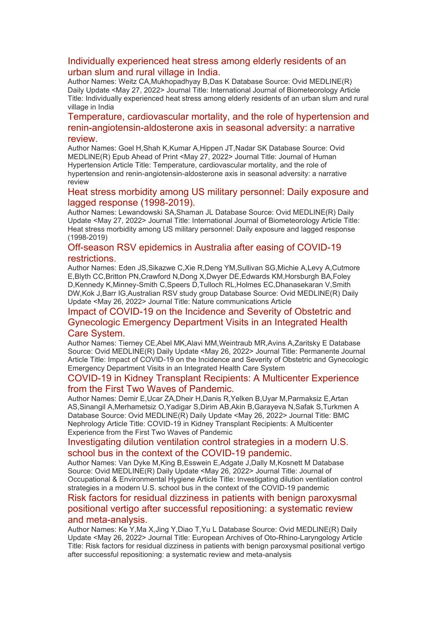#### [Individually experienced heat stress among elderly residents of an](https://eur01.safelinks.protection.outlook.com/?url=http%3A%2F%2Ftransit.linexsystems.com%2Ftrack%2Fclick%2F30370861%2Fca.linexsystems.com%3Fp%3DeyJzIjoiNm9Hc1p1U0dJd0lidHBQTHNheUVTdkY2TmJvIiwidiI6MSwicCI6IntcInVcIjozMDM3MDg2MSxcInZcIjoxLFwidXJsXCI6XCJodHRwOlxcXC9cXFwvY2EubGluZXhzeXN0ZW1zLmNvbVxcXC9jb250ZW50c1xcXC90cmFuc2l0XFxcLzM3ODMxODA3NjM_dXNlcl9pZD00NDM1MTUmbG9nPWY5N2ViNmUzMjE5YTcyMWVlZDE3NTIyOTNmZmJlY2E3JnA9OTU5Njc2NDgmbT0xJnM9Mzk5MDUzJm9yZ19pZD0yNjI4NzVcIixcImlkXCI6XCJjMWY3ZGMyMzZiZTA0YjY0YmU3YTNhYjQ0MmI4MWY2ZVwiLFwidXJsX2lkc1wiOltcIjA1ZTliM2YxZjk4OTA1NGZlM2JjODI0YWQ4ZmExYjhmMWYyMzVkMTNcIl19In0&data=05%7C01%7Ccaroline.debrun%40phe.gov.uk%7Ca6f00f6bef614d07b97908da43b32f98%7Cee4e14994a354b2ead475f3cf9de8666%7C0%7C0%7C637896735149046574%7CUnknown%7CTWFpbGZsb3d8eyJWIjoiMC4wLjAwMDAiLCJQIjoiV2luMzIiLCJBTiI6Ik1haWwiLCJXVCI6Mn0%3D%7C3000%7C%7C%7C&sdata=HWH5PhPvEyh7Wqeqrtv%2BtXwD6GYwir0Yfm0o9FF3TUk%3D&reserved=0)  [urban slum and rural village in India.](https://eur01.safelinks.protection.outlook.com/?url=http%3A%2F%2Ftransit.linexsystems.com%2Ftrack%2Fclick%2F30370861%2Fca.linexsystems.com%3Fp%3DeyJzIjoiNm9Hc1p1U0dJd0lidHBQTHNheUVTdkY2TmJvIiwidiI6MSwicCI6IntcInVcIjozMDM3MDg2MSxcInZcIjoxLFwidXJsXCI6XCJodHRwOlxcXC9cXFwvY2EubGluZXhzeXN0ZW1zLmNvbVxcXC9jb250ZW50c1xcXC90cmFuc2l0XFxcLzM3ODMxODA3NjM_dXNlcl9pZD00NDM1MTUmbG9nPWY5N2ViNmUzMjE5YTcyMWVlZDE3NTIyOTNmZmJlY2E3JnA9OTU5Njc2NDgmbT0xJnM9Mzk5MDUzJm9yZ19pZD0yNjI4NzVcIixcImlkXCI6XCJjMWY3ZGMyMzZiZTA0YjY0YmU3YTNhYjQ0MmI4MWY2ZVwiLFwidXJsX2lkc1wiOltcIjA1ZTliM2YxZjk4OTA1NGZlM2JjODI0YWQ4ZmExYjhmMWYyMzVkMTNcIl19In0&data=05%7C01%7Ccaroline.debrun%40phe.gov.uk%7Ca6f00f6bef614d07b97908da43b32f98%7Cee4e14994a354b2ead475f3cf9de8666%7C0%7C0%7C637896735149046574%7CUnknown%7CTWFpbGZsb3d8eyJWIjoiMC4wLjAwMDAiLCJQIjoiV2luMzIiLCJBTiI6Ik1haWwiLCJXVCI6Mn0%3D%7C3000%7C%7C%7C&sdata=HWH5PhPvEyh7Wqeqrtv%2BtXwD6GYwir0Yfm0o9FF3TUk%3D&reserved=0)

Author Names: Weitz CA,Mukhopadhyay B,Das K Database Source: Ovid MEDLINE(R) Daily Update <May 27, 2022> Journal Title: International Journal of Biometeorology Article Title: Individually experienced heat stress among elderly residents of an urban slum and rural village in India

#### [Temperature, cardiovascular mortality, and the role of hypertension and](https://eur01.safelinks.protection.outlook.com/?url=http%3A%2F%2Ftransit.linexsystems.com%2Ftrack%2Fclick%2F30370861%2Fca.linexsystems.com%3Fp%3DeyJzIjoieXVYbC00cVNOSFBTTkhvOWNGQXZaODAwWC1BIiwidiI6MSwicCI6IntcInVcIjozMDM3MDg2MSxcInZcIjoxLFwidXJsXCI6XCJodHRwOlxcXC9cXFwvY2EubGluZXhzeXN0ZW1zLmNvbVxcXC9jb250ZW50c1xcXC90cmFuc2l0XFxcLzM3ODMxODI3MDM_dXNlcl9pZD00NDM1MTUmbG9nPWY5N2ViNmUzMjE5YTcyMWVlZDE3NTIyOTNmZmJlY2E3JnA9OTU5Njc2NDgmbT0xJnM9Mzk5MDUzJm9yZ19pZD0yNjI4NzVcIixcImlkXCI6XCJjMWY3ZGMyMzZiZTA0YjY0YmU3YTNhYjQ0MmI4MWY2ZVwiLFwidXJsX2lkc1wiOltcIjA1ZTliM2YxZjk4OTA1NGZlM2JjODI0YWQ4ZmExYjhmMWYyMzVkMTNcIl19In0&data=05%7C01%7Ccaroline.debrun%40phe.gov.uk%7Ca6f00f6bef614d07b97908da43b32f98%7Cee4e14994a354b2ead475f3cf9de8666%7C0%7C0%7C637896735149046574%7CUnknown%7CTWFpbGZsb3d8eyJWIjoiMC4wLjAwMDAiLCJQIjoiV2luMzIiLCJBTiI6Ik1haWwiLCJXVCI6Mn0%3D%7C3000%7C%7C%7C&sdata=m4D64AxVMfNbQ87ek1qjtazVBFptx%2F0LIFETVUnLYNI%3D&reserved=0)  [renin-angiotensin-aldosterone axis in seasonal adversity: a narrative](https://eur01.safelinks.protection.outlook.com/?url=http%3A%2F%2Ftransit.linexsystems.com%2Ftrack%2Fclick%2F30370861%2Fca.linexsystems.com%3Fp%3DeyJzIjoieXVYbC00cVNOSFBTTkhvOWNGQXZaODAwWC1BIiwidiI6MSwicCI6IntcInVcIjozMDM3MDg2MSxcInZcIjoxLFwidXJsXCI6XCJodHRwOlxcXC9cXFwvY2EubGluZXhzeXN0ZW1zLmNvbVxcXC9jb250ZW50c1xcXC90cmFuc2l0XFxcLzM3ODMxODI3MDM_dXNlcl9pZD00NDM1MTUmbG9nPWY5N2ViNmUzMjE5YTcyMWVlZDE3NTIyOTNmZmJlY2E3JnA9OTU5Njc2NDgmbT0xJnM9Mzk5MDUzJm9yZ19pZD0yNjI4NzVcIixcImlkXCI6XCJjMWY3ZGMyMzZiZTA0YjY0YmU3YTNhYjQ0MmI4MWY2ZVwiLFwidXJsX2lkc1wiOltcIjA1ZTliM2YxZjk4OTA1NGZlM2JjODI0YWQ4ZmExYjhmMWYyMzVkMTNcIl19In0&data=05%7C01%7Ccaroline.debrun%40phe.gov.uk%7Ca6f00f6bef614d07b97908da43b32f98%7Cee4e14994a354b2ead475f3cf9de8666%7C0%7C0%7C637896735149046574%7CUnknown%7CTWFpbGZsb3d8eyJWIjoiMC4wLjAwMDAiLCJQIjoiV2luMzIiLCJBTiI6Ik1haWwiLCJXVCI6Mn0%3D%7C3000%7C%7C%7C&sdata=m4D64AxVMfNbQ87ek1qjtazVBFptx%2F0LIFETVUnLYNI%3D&reserved=0)  [review.](https://eur01.safelinks.protection.outlook.com/?url=http%3A%2F%2Ftransit.linexsystems.com%2Ftrack%2Fclick%2F30370861%2Fca.linexsystems.com%3Fp%3DeyJzIjoieXVYbC00cVNOSFBTTkhvOWNGQXZaODAwWC1BIiwidiI6MSwicCI6IntcInVcIjozMDM3MDg2MSxcInZcIjoxLFwidXJsXCI6XCJodHRwOlxcXC9cXFwvY2EubGluZXhzeXN0ZW1zLmNvbVxcXC9jb250ZW50c1xcXC90cmFuc2l0XFxcLzM3ODMxODI3MDM_dXNlcl9pZD00NDM1MTUmbG9nPWY5N2ViNmUzMjE5YTcyMWVlZDE3NTIyOTNmZmJlY2E3JnA9OTU5Njc2NDgmbT0xJnM9Mzk5MDUzJm9yZ19pZD0yNjI4NzVcIixcImlkXCI6XCJjMWY3ZGMyMzZiZTA0YjY0YmU3YTNhYjQ0MmI4MWY2ZVwiLFwidXJsX2lkc1wiOltcIjA1ZTliM2YxZjk4OTA1NGZlM2JjODI0YWQ4ZmExYjhmMWYyMzVkMTNcIl19In0&data=05%7C01%7Ccaroline.debrun%40phe.gov.uk%7Ca6f00f6bef614d07b97908da43b32f98%7Cee4e14994a354b2ead475f3cf9de8666%7C0%7C0%7C637896735149046574%7CUnknown%7CTWFpbGZsb3d8eyJWIjoiMC4wLjAwMDAiLCJQIjoiV2luMzIiLCJBTiI6Ik1haWwiLCJXVCI6Mn0%3D%7C3000%7C%7C%7C&sdata=m4D64AxVMfNbQ87ek1qjtazVBFptx%2F0LIFETVUnLYNI%3D&reserved=0)

Author Names: Goel H,Shah K,Kumar A,Hippen JT,Nadar SK Database Source: Ovid MEDLINE(R) Epub Ahead of Print <May 27, 2022> Journal Title: Journal of Human Hypertension Article Title: Temperature, cardiovascular mortality, and the role of hypertension and renin-angiotensin-aldosterone axis in seasonal adversity: a narrative review

#### [Heat stress morbidity among US military personnel: Daily exposure and](https://eur01.safelinks.protection.outlook.com/?url=http%3A%2F%2Ftransit.linexsystems.com%2Ftrack%2Fclick%2F30370861%2Fca.linexsystems.com%3Fp%3DeyJzIjoiTlRRZng2VmZoSllXZ0Y4UjBpSGRSWW5ZX2RnIiwidiI6MSwicCI6IntcInVcIjozMDM3MDg2MSxcInZcIjoxLFwidXJsXCI6XCJodHRwOlxcXC9cXFwvY2EubGluZXhzeXN0ZW1zLmNvbVxcXC9jb250ZW50c1xcXC90cmFuc2l0XFxcLzM3ODMxODI3MDQ_dXNlcl9pZD00NDM1MTUmbG9nPWY5N2ViNmUzMjE5YTcyMWVlZDE3NTIyOTNmZmJlY2E3JnA9OTU5Njc2NDgmbT0xJnM9Mzk5MDUzJm9yZ19pZD0yNjI4NzVcIixcImlkXCI6XCJjMWY3ZGMyMzZiZTA0YjY0YmU3YTNhYjQ0MmI4MWY2ZVwiLFwidXJsX2lkc1wiOltcIjA1ZTliM2YxZjk4OTA1NGZlM2JjODI0YWQ4ZmExYjhmMWYyMzVkMTNcIl19In0&data=05%7C01%7Ccaroline.debrun%40phe.gov.uk%7Ca6f00f6bef614d07b97908da43b32f98%7Cee4e14994a354b2ead475f3cf9de8666%7C0%7C0%7C637896735149046574%7CUnknown%7CTWFpbGZsb3d8eyJWIjoiMC4wLjAwMDAiLCJQIjoiV2luMzIiLCJBTiI6Ik1haWwiLCJXVCI6Mn0%3D%7C3000%7C%7C%7C&sdata=vV7n0t2HXKej0icSMBIdhC7nCx269Ha0syJF280qPjM%3D&reserved=0)  [lagged response \(1998-2019\).](https://eur01.safelinks.protection.outlook.com/?url=http%3A%2F%2Ftransit.linexsystems.com%2Ftrack%2Fclick%2F30370861%2Fca.linexsystems.com%3Fp%3DeyJzIjoiTlRRZng2VmZoSllXZ0Y4UjBpSGRSWW5ZX2RnIiwidiI6MSwicCI6IntcInVcIjozMDM3MDg2MSxcInZcIjoxLFwidXJsXCI6XCJodHRwOlxcXC9cXFwvY2EubGluZXhzeXN0ZW1zLmNvbVxcXC9jb250ZW50c1xcXC90cmFuc2l0XFxcLzM3ODMxODI3MDQ_dXNlcl9pZD00NDM1MTUmbG9nPWY5N2ViNmUzMjE5YTcyMWVlZDE3NTIyOTNmZmJlY2E3JnA9OTU5Njc2NDgmbT0xJnM9Mzk5MDUzJm9yZ19pZD0yNjI4NzVcIixcImlkXCI6XCJjMWY3ZGMyMzZiZTA0YjY0YmU3YTNhYjQ0MmI4MWY2ZVwiLFwidXJsX2lkc1wiOltcIjA1ZTliM2YxZjk4OTA1NGZlM2JjODI0YWQ4ZmExYjhmMWYyMzVkMTNcIl19In0&data=05%7C01%7Ccaroline.debrun%40phe.gov.uk%7Ca6f00f6bef614d07b97908da43b32f98%7Cee4e14994a354b2ead475f3cf9de8666%7C0%7C0%7C637896735149046574%7CUnknown%7CTWFpbGZsb3d8eyJWIjoiMC4wLjAwMDAiLCJQIjoiV2luMzIiLCJBTiI6Ik1haWwiLCJXVCI6Mn0%3D%7C3000%7C%7C%7C&sdata=vV7n0t2HXKej0icSMBIdhC7nCx269Ha0syJF280qPjM%3D&reserved=0)

Author Names: Lewandowski SA,Shaman JL Database Source: Ovid MEDLINE(R) Daily Update <May 27, 2022> Journal Title: International Journal of Biometeorology Article Title: Heat stress morbidity among US military personnel: Daily exposure and lagged response (1998-2019)

#### [Off-season RSV epidemics in Australia after easing of COVID-19](https://eur01.safelinks.protection.outlook.com/?url=http%3A%2F%2Ftransit.linexsystems.com%2Ftrack%2Fclick%2F30370861%2Fca.linexsystems.com%3Fp%3DeyJzIjoiMzN5bGladm10cUdSNDBlN2tEa1cyOXJGUEwwIiwidiI6MSwicCI6IntcInVcIjozMDM3MDg2MSxcInZcIjoxLFwidXJsXCI6XCJodHRwOlxcXC9cXFwvY2EubGluZXhzeXN0ZW1zLmNvbVxcXC9jb250ZW50c1xcXC90cmFuc2l0XFxcLzM3ODMxMDMwMzA_dXNlcl9pZD00NDM1MTUmbG9nPWY5N2ViNmUzMjE5YTcyMWVlZDE3NTIyOTNmZmJlY2E3JnA9OTU5Njc2NDgmbT0xJnM9Mzk5MDUzJm9yZ19pZD0yNjI4NzVcIixcImlkXCI6XCJjMWY3ZGMyMzZiZTA0YjY0YmU3YTNhYjQ0MmI4MWY2ZVwiLFwidXJsX2lkc1wiOltcIjA1ZTliM2YxZjk4OTA1NGZlM2JjODI0YWQ4ZmExYjhmMWYyMzVkMTNcIl19In0&data=05%7C01%7Ccaroline.debrun%40phe.gov.uk%7Ca6f00f6bef614d07b97908da43b32f98%7Cee4e14994a354b2ead475f3cf9de8666%7C0%7C0%7C637896735149046574%7CUnknown%7CTWFpbGZsb3d8eyJWIjoiMC4wLjAwMDAiLCJQIjoiV2luMzIiLCJBTiI6Ik1haWwiLCJXVCI6Mn0%3D%7C3000%7C%7C%7C&sdata=5A4ifHZrrimR6aGylqhv4XsEHp0rMv4Nd641mT1NoSE%3D&reserved=0)  [restrictions.](https://eur01.safelinks.protection.outlook.com/?url=http%3A%2F%2Ftransit.linexsystems.com%2Ftrack%2Fclick%2F30370861%2Fca.linexsystems.com%3Fp%3DeyJzIjoiMzN5bGladm10cUdSNDBlN2tEa1cyOXJGUEwwIiwidiI6MSwicCI6IntcInVcIjozMDM3MDg2MSxcInZcIjoxLFwidXJsXCI6XCJodHRwOlxcXC9cXFwvY2EubGluZXhzeXN0ZW1zLmNvbVxcXC9jb250ZW50c1xcXC90cmFuc2l0XFxcLzM3ODMxMDMwMzA_dXNlcl9pZD00NDM1MTUmbG9nPWY5N2ViNmUzMjE5YTcyMWVlZDE3NTIyOTNmZmJlY2E3JnA9OTU5Njc2NDgmbT0xJnM9Mzk5MDUzJm9yZ19pZD0yNjI4NzVcIixcImlkXCI6XCJjMWY3ZGMyMzZiZTA0YjY0YmU3YTNhYjQ0MmI4MWY2ZVwiLFwidXJsX2lkc1wiOltcIjA1ZTliM2YxZjk4OTA1NGZlM2JjODI0YWQ4ZmExYjhmMWYyMzVkMTNcIl19In0&data=05%7C01%7Ccaroline.debrun%40phe.gov.uk%7Ca6f00f6bef614d07b97908da43b32f98%7Cee4e14994a354b2ead475f3cf9de8666%7C0%7C0%7C637896735149046574%7CUnknown%7CTWFpbGZsb3d8eyJWIjoiMC4wLjAwMDAiLCJQIjoiV2luMzIiLCJBTiI6Ik1haWwiLCJXVCI6Mn0%3D%7C3000%7C%7C%7C&sdata=5A4ifHZrrimR6aGylqhv4XsEHp0rMv4Nd641mT1NoSE%3D&reserved=0)

Author Names: Eden JS,Sikazwe C,Xie R,Deng YM,Sullivan SG,Michie A,Levy A,Cutmore E,Blyth CC,Britton PN,Crawford N,Dong X,Dwyer DE,Edwards KM,Horsburgh BA,Foley D,Kennedy K,Minney-Smith C,Speers D,Tulloch RL,Holmes EC,Dhanasekaran V,Smith DW,Kok J,Barr IG,Australian RSV study group Database Source: Ovid MEDLINE(R) Daily Update <May 26, 2022> Journal Title: Nature communications Article

## [Impact of COVID-19 on the Incidence and Severity of Obstetric and](https://eur01.safelinks.protection.outlook.com/?url=http%3A%2F%2Ftransit.linexsystems.com%2Ftrack%2Fclick%2F30370861%2Fca.linexsystems.com%3Fp%3DeyJzIjoiYjh3NS1ZR1JUVlBQdVdjTnhrVGpGUllFSGhFIiwidiI6MSwicCI6IntcInVcIjozMDM3MDg2MSxcInZcIjoxLFwidXJsXCI6XCJodHRwOlxcXC9cXFwvY2EubGluZXhzeXN0ZW1zLmNvbVxcXC9jb250ZW50c1xcXC90cmFuc2l0XFxcLzM3ODMxMDMxOTA_dXNlcl9pZD00NDM1MTUmbG9nPWY5N2ViNmUzMjE5YTcyMWVlZDE3NTIyOTNmZmJlY2E3JnA9OTU5Njc2NDgmbT0xJnM9Mzk5MDUzJm9yZ19pZD0yNjI4NzVcIixcImlkXCI6XCJjMWY3ZGMyMzZiZTA0YjY0YmU3YTNhYjQ0MmI4MWY2ZVwiLFwidXJsX2lkc1wiOltcIjA1ZTliM2YxZjk4OTA1NGZlM2JjODI0YWQ4ZmExYjhmMWYyMzVkMTNcIl19In0&data=05%7C01%7Ccaroline.debrun%40phe.gov.uk%7Ca6f00f6bef614d07b97908da43b32f98%7Cee4e14994a354b2ead475f3cf9de8666%7C0%7C0%7C637896735149046574%7CUnknown%7CTWFpbGZsb3d8eyJWIjoiMC4wLjAwMDAiLCJQIjoiV2luMzIiLCJBTiI6Ik1haWwiLCJXVCI6Mn0%3D%7C3000%7C%7C%7C&sdata=7DkVXoP9C7cwLE9ycSSPEPmtVrxrQJ4Mxcl2HDqpFrA%3D&reserved=0)  [Gynecologic Emergency Department Visits in an Integrated Health](https://eur01.safelinks.protection.outlook.com/?url=http%3A%2F%2Ftransit.linexsystems.com%2Ftrack%2Fclick%2F30370861%2Fca.linexsystems.com%3Fp%3DeyJzIjoiYjh3NS1ZR1JUVlBQdVdjTnhrVGpGUllFSGhFIiwidiI6MSwicCI6IntcInVcIjozMDM3MDg2MSxcInZcIjoxLFwidXJsXCI6XCJodHRwOlxcXC9cXFwvY2EubGluZXhzeXN0ZW1zLmNvbVxcXC9jb250ZW50c1xcXC90cmFuc2l0XFxcLzM3ODMxMDMxOTA_dXNlcl9pZD00NDM1MTUmbG9nPWY5N2ViNmUzMjE5YTcyMWVlZDE3NTIyOTNmZmJlY2E3JnA9OTU5Njc2NDgmbT0xJnM9Mzk5MDUzJm9yZ19pZD0yNjI4NzVcIixcImlkXCI6XCJjMWY3ZGMyMzZiZTA0YjY0YmU3YTNhYjQ0MmI4MWY2ZVwiLFwidXJsX2lkc1wiOltcIjA1ZTliM2YxZjk4OTA1NGZlM2JjODI0YWQ4ZmExYjhmMWYyMzVkMTNcIl19In0&data=05%7C01%7Ccaroline.debrun%40phe.gov.uk%7Ca6f00f6bef614d07b97908da43b32f98%7Cee4e14994a354b2ead475f3cf9de8666%7C0%7C0%7C637896735149046574%7CUnknown%7CTWFpbGZsb3d8eyJWIjoiMC4wLjAwMDAiLCJQIjoiV2luMzIiLCJBTiI6Ik1haWwiLCJXVCI6Mn0%3D%7C3000%7C%7C%7C&sdata=7DkVXoP9C7cwLE9ycSSPEPmtVrxrQJ4Mxcl2HDqpFrA%3D&reserved=0)  [Care System.](https://eur01.safelinks.protection.outlook.com/?url=http%3A%2F%2Ftransit.linexsystems.com%2Ftrack%2Fclick%2F30370861%2Fca.linexsystems.com%3Fp%3DeyJzIjoiYjh3NS1ZR1JUVlBQdVdjTnhrVGpGUllFSGhFIiwidiI6MSwicCI6IntcInVcIjozMDM3MDg2MSxcInZcIjoxLFwidXJsXCI6XCJodHRwOlxcXC9cXFwvY2EubGluZXhzeXN0ZW1zLmNvbVxcXC9jb250ZW50c1xcXC90cmFuc2l0XFxcLzM3ODMxMDMxOTA_dXNlcl9pZD00NDM1MTUmbG9nPWY5N2ViNmUzMjE5YTcyMWVlZDE3NTIyOTNmZmJlY2E3JnA9OTU5Njc2NDgmbT0xJnM9Mzk5MDUzJm9yZ19pZD0yNjI4NzVcIixcImlkXCI6XCJjMWY3ZGMyMzZiZTA0YjY0YmU3YTNhYjQ0MmI4MWY2ZVwiLFwidXJsX2lkc1wiOltcIjA1ZTliM2YxZjk4OTA1NGZlM2JjODI0YWQ4ZmExYjhmMWYyMzVkMTNcIl19In0&data=05%7C01%7Ccaroline.debrun%40phe.gov.uk%7Ca6f00f6bef614d07b97908da43b32f98%7Cee4e14994a354b2ead475f3cf9de8666%7C0%7C0%7C637896735149046574%7CUnknown%7CTWFpbGZsb3d8eyJWIjoiMC4wLjAwMDAiLCJQIjoiV2luMzIiLCJBTiI6Ik1haWwiLCJXVCI6Mn0%3D%7C3000%7C%7C%7C&sdata=7DkVXoP9C7cwLE9ycSSPEPmtVrxrQJ4Mxcl2HDqpFrA%3D&reserved=0)

Author Names: Tierney CE,Abel MK,Alavi MM,Weintraub MR,Avins A,Zaritsky E Database Source: Ovid MEDLINE(R) Daily Update <May 26, 2022> Journal Title: Permanente Journal Article Title: Impact of COVID-19 on the Incidence and Severity of Obstetric and Gynecologic Emergency Department Visits in an Integrated Health Care System

#### [COVID-19 in Kidney Transplant Recipients: A Multicenter Experience](https://eur01.safelinks.protection.outlook.com/?url=http%3A%2F%2Ftransit.linexsystems.com%2Ftrack%2Fclick%2F30370861%2Fca.linexsystems.com%3Fp%3DeyJzIjoiQ0c4RzNtU1NjbkhseGdFQ2JaZDhCR0lDcS1zIiwidiI6MSwicCI6IntcInVcIjozMDM3MDg2MSxcInZcIjoxLFwidXJsXCI6XCJodHRwOlxcXC9cXFwvY2EubGluZXhzeXN0ZW1zLmNvbVxcXC9jb250ZW50c1xcXC90cmFuc2l0XFxcLzM3ODMxMDM0MTA_dXNlcl9pZD00NDM1MTUmbG9nPWY5N2ViNmUzMjE5YTcyMWVlZDE3NTIyOTNmZmJlY2E3JnA9OTU5Njc2NDgmbT0xJnM9Mzk5MDUzJm9yZ19pZD0yNjI4NzVcIixcImlkXCI6XCJjMWY3ZGMyMzZiZTA0YjY0YmU3YTNhYjQ0MmI4MWY2ZVwiLFwidXJsX2lkc1wiOltcIjA1ZTliM2YxZjk4OTA1NGZlM2JjODI0YWQ4ZmExYjhmMWYyMzVkMTNcIl19In0&data=05%7C01%7Ccaroline.debrun%40phe.gov.uk%7Ca6f00f6bef614d07b97908da43b32f98%7Cee4e14994a354b2ead475f3cf9de8666%7C0%7C0%7C637896735149046574%7CUnknown%7CTWFpbGZsb3d8eyJWIjoiMC4wLjAwMDAiLCJQIjoiV2luMzIiLCJBTiI6Ik1haWwiLCJXVCI6Mn0%3D%7C3000%7C%7C%7C&sdata=0VYPDvEJ8ebqSBa4vZUjKHq1vRjx6zE8ZR%2BWUIWglrg%3D&reserved=0)  from [the First Two Waves of Pandemic.](https://eur01.safelinks.protection.outlook.com/?url=http%3A%2F%2Ftransit.linexsystems.com%2Ftrack%2Fclick%2F30370861%2Fca.linexsystems.com%3Fp%3DeyJzIjoiQ0c4RzNtU1NjbkhseGdFQ2JaZDhCR0lDcS1zIiwidiI6MSwicCI6IntcInVcIjozMDM3MDg2MSxcInZcIjoxLFwidXJsXCI6XCJodHRwOlxcXC9cXFwvY2EubGluZXhzeXN0ZW1zLmNvbVxcXC9jb250ZW50c1xcXC90cmFuc2l0XFxcLzM3ODMxMDM0MTA_dXNlcl9pZD00NDM1MTUmbG9nPWY5N2ViNmUzMjE5YTcyMWVlZDE3NTIyOTNmZmJlY2E3JnA9OTU5Njc2NDgmbT0xJnM9Mzk5MDUzJm9yZ19pZD0yNjI4NzVcIixcImlkXCI6XCJjMWY3ZGMyMzZiZTA0YjY0YmU3YTNhYjQ0MmI4MWY2ZVwiLFwidXJsX2lkc1wiOltcIjA1ZTliM2YxZjk4OTA1NGZlM2JjODI0YWQ4ZmExYjhmMWYyMzVkMTNcIl19In0&data=05%7C01%7Ccaroline.debrun%40phe.gov.uk%7Ca6f00f6bef614d07b97908da43b32f98%7Cee4e14994a354b2ead475f3cf9de8666%7C0%7C0%7C637896735149046574%7CUnknown%7CTWFpbGZsb3d8eyJWIjoiMC4wLjAwMDAiLCJQIjoiV2luMzIiLCJBTiI6Ik1haWwiLCJXVCI6Mn0%3D%7C3000%7C%7C%7C&sdata=0VYPDvEJ8ebqSBa4vZUjKHq1vRjx6zE8ZR%2BWUIWglrg%3D&reserved=0)

Author Names: Demir E,Ucar ZA,Dheir H,Danis R,Yelken B,Uyar M,Parmaksiz E,Artan AS,Sinangil A,Merhametsiz O,Yadigar S,Dirim AB,Akin B,Garayeva N,Safak S,Turkmen A Database Source: Ovid MEDLINE(R) Daily Update <May 26, 2022> Journal Title: BMC Nephrology Article Title: COVID-19 in Kidney Transplant Recipients: A Multicenter Experience from the First Two Waves of Pandemic

#### [Investigating dilution ventilation control strategies in a modern U.S.](https://eur01.safelinks.protection.outlook.com/?url=http%3A%2F%2Ftransit.linexsystems.com%2Ftrack%2Fclick%2F30370861%2Fca.linexsystems.com%3Fp%3DeyJzIjoibEJYeHRuekNfRDV5eXZQejIxdmwzTEZDM3gwIiwidiI6MSwicCI6IntcInVcIjozMDM3MDg2MSxcInZcIjoxLFwidXJsXCI6XCJodHRwOlxcXC9cXFwvY2EubGluZXhzeXN0ZW1zLmNvbVxcXC9jb250ZW50c1xcXC90cmFuc2l0XFxcLzM3ODMxMDM1OTM_dXNlcl9pZD00NDM1MTUmbG9nPWY5N2ViNmUzMjE5YTcyMWVlZDE3NTIyOTNmZmJlY2E3JnA9OTU5Njc2NDgmbT0xJnM9Mzk5MDUzJm9yZ19pZD0yNjI4NzVcIixcImlkXCI6XCJjMWY3ZGMyMzZiZTA0YjY0YmU3YTNhYjQ0MmI4MWY2ZVwiLFwidXJsX2lkc1wiOltcIjA1ZTliM2YxZjk4OTA1NGZlM2JjODI0YWQ4ZmExYjhmMWYyMzVkMTNcIl19In0&data=05%7C01%7Ccaroline.debrun%40phe.gov.uk%7Ca6f00f6bef614d07b97908da43b32f98%7Cee4e14994a354b2ead475f3cf9de8666%7C0%7C0%7C637896735149046574%7CUnknown%7CTWFpbGZsb3d8eyJWIjoiMC4wLjAwMDAiLCJQIjoiV2luMzIiLCJBTiI6Ik1haWwiLCJXVCI6Mn0%3D%7C3000%7C%7C%7C&sdata=degE%2FHktC%2B4x5qLu7xoUxmBU%2BWaVquY%2FNxQvDEcIbls%3D&reserved=0)  [school bus in the context of the COVID-19 pandemic.](https://eur01.safelinks.protection.outlook.com/?url=http%3A%2F%2Ftransit.linexsystems.com%2Ftrack%2Fclick%2F30370861%2Fca.linexsystems.com%3Fp%3DeyJzIjoibEJYeHRuekNfRDV5eXZQejIxdmwzTEZDM3gwIiwidiI6MSwicCI6IntcInVcIjozMDM3MDg2MSxcInZcIjoxLFwidXJsXCI6XCJodHRwOlxcXC9cXFwvY2EubGluZXhzeXN0ZW1zLmNvbVxcXC9jb250ZW50c1xcXC90cmFuc2l0XFxcLzM3ODMxMDM1OTM_dXNlcl9pZD00NDM1MTUmbG9nPWY5N2ViNmUzMjE5YTcyMWVlZDE3NTIyOTNmZmJlY2E3JnA9OTU5Njc2NDgmbT0xJnM9Mzk5MDUzJm9yZ19pZD0yNjI4NzVcIixcImlkXCI6XCJjMWY3ZGMyMzZiZTA0YjY0YmU3YTNhYjQ0MmI4MWY2ZVwiLFwidXJsX2lkc1wiOltcIjA1ZTliM2YxZjk4OTA1NGZlM2JjODI0YWQ4ZmExYjhmMWYyMzVkMTNcIl19In0&data=05%7C01%7Ccaroline.debrun%40phe.gov.uk%7Ca6f00f6bef614d07b97908da43b32f98%7Cee4e14994a354b2ead475f3cf9de8666%7C0%7C0%7C637896735149046574%7CUnknown%7CTWFpbGZsb3d8eyJWIjoiMC4wLjAwMDAiLCJQIjoiV2luMzIiLCJBTiI6Ik1haWwiLCJXVCI6Mn0%3D%7C3000%7C%7C%7C&sdata=degE%2FHktC%2B4x5qLu7xoUxmBU%2BWaVquY%2FNxQvDEcIbls%3D&reserved=0)

Author Names: Van Dyke M,King B,Esswein E,Adgate J,Dally M,Kosnett M Database Source: Ovid MEDLINE(R) Daily Update <May 26, 2022> Journal Title: Journal of Occupational & Environmental Hygiene Article Title: Investigating dilution ventilation control strategies in a modern U.S. school bus in the context of the COVID-19 pandemic

#### [Risk factors for residual dizziness in patients with benign paroxysmal](https://eur01.safelinks.protection.outlook.com/?url=http%3A%2F%2Ftransit.linexsystems.com%2Ftrack%2Fclick%2F30370861%2Fca.linexsystems.com%3Fp%3DeyJzIjoidGduQmdJWjBxS2ZXVlZzSFg1cFdxRWkwN1hZIiwidiI6MSwicCI6IntcInVcIjozMDM3MDg2MSxcInZcIjoxLFwidXJsXCI6XCJodHRwOlxcXC9cXFwvY2EubGluZXhzeXN0ZW1zLmNvbVxcXC9jb250ZW50c1xcXC90cmFuc2l0XFxcLzM3ODMxMDM4MTI_dXNlcl9pZD00NDM1MTUmbG9nPWY5N2ViNmUzMjE5YTcyMWVlZDE3NTIyOTNmZmJlY2E3JnA9OTU5Njc2NDgmbT0xJnM9Mzk5MDUzJm9yZ19pZD0yNjI4NzVcIixcImlkXCI6XCJjMWY3ZGMyMzZiZTA0YjY0YmU3YTNhYjQ0MmI4MWY2ZVwiLFwidXJsX2lkc1wiOltcIjA1ZTliM2YxZjk4OTA1NGZlM2JjODI0YWQ4ZmExYjhmMWYyMzVkMTNcIl19In0&data=05%7C01%7Ccaroline.debrun%40phe.gov.uk%7Ca6f00f6bef614d07b97908da43b32f98%7Cee4e14994a354b2ead475f3cf9de8666%7C0%7C0%7C637896735149046574%7CUnknown%7CTWFpbGZsb3d8eyJWIjoiMC4wLjAwMDAiLCJQIjoiV2luMzIiLCJBTiI6Ik1haWwiLCJXVCI6Mn0%3D%7C3000%7C%7C%7C&sdata=Kfl%2FJdCIRQZeova%2FpRhsRk6Ebg8qoOW8UI4zTO5uiOE%3D&reserved=0)  [positional vertigo after successful repositioning: a systematic review](https://eur01.safelinks.protection.outlook.com/?url=http%3A%2F%2Ftransit.linexsystems.com%2Ftrack%2Fclick%2F30370861%2Fca.linexsystems.com%3Fp%3DeyJzIjoidGduQmdJWjBxS2ZXVlZzSFg1cFdxRWkwN1hZIiwidiI6MSwicCI6IntcInVcIjozMDM3MDg2MSxcInZcIjoxLFwidXJsXCI6XCJodHRwOlxcXC9cXFwvY2EubGluZXhzeXN0ZW1zLmNvbVxcXC9jb250ZW50c1xcXC90cmFuc2l0XFxcLzM3ODMxMDM4MTI_dXNlcl9pZD00NDM1MTUmbG9nPWY5N2ViNmUzMjE5YTcyMWVlZDE3NTIyOTNmZmJlY2E3JnA9OTU5Njc2NDgmbT0xJnM9Mzk5MDUzJm9yZ19pZD0yNjI4NzVcIixcImlkXCI6XCJjMWY3ZGMyMzZiZTA0YjY0YmU3YTNhYjQ0MmI4MWY2ZVwiLFwidXJsX2lkc1wiOltcIjA1ZTliM2YxZjk4OTA1NGZlM2JjODI0YWQ4ZmExYjhmMWYyMzVkMTNcIl19In0&data=05%7C01%7Ccaroline.debrun%40phe.gov.uk%7Ca6f00f6bef614d07b97908da43b32f98%7Cee4e14994a354b2ead475f3cf9de8666%7C0%7C0%7C637896735149046574%7CUnknown%7CTWFpbGZsb3d8eyJWIjoiMC4wLjAwMDAiLCJQIjoiV2luMzIiLCJBTiI6Ik1haWwiLCJXVCI6Mn0%3D%7C3000%7C%7C%7C&sdata=Kfl%2FJdCIRQZeova%2FpRhsRk6Ebg8qoOW8UI4zTO5uiOE%3D&reserved=0)  [and meta-analysis.](https://eur01.safelinks.protection.outlook.com/?url=http%3A%2F%2Ftransit.linexsystems.com%2Ftrack%2Fclick%2F30370861%2Fca.linexsystems.com%3Fp%3DeyJzIjoidGduQmdJWjBxS2ZXVlZzSFg1cFdxRWkwN1hZIiwidiI6MSwicCI6IntcInVcIjozMDM3MDg2MSxcInZcIjoxLFwidXJsXCI6XCJodHRwOlxcXC9cXFwvY2EubGluZXhzeXN0ZW1zLmNvbVxcXC9jb250ZW50c1xcXC90cmFuc2l0XFxcLzM3ODMxMDM4MTI_dXNlcl9pZD00NDM1MTUmbG9nPWY5N2ViNmUzMjE5YTcyMWVlZDE3NTIyOTNmZmJlY2E3JnA9OTU5Njc2NDgmbT0xJnM9Mzk5MDUzJm9yZ19pZD0yNjI4NzVcIixcImlkXCI6XCJjMWY3ZGMyMzZiZTA0YjY0YmU3YTNhYjQ0MmI4MWY2ZVwiLFwidXJsX2lkc1wiOltcIjA1ZTliM2YxZjk4OTA1NGZlM2JjODI0YWQ4ZmExYjhmMWYyMzVkMTNcIl19In0&data=05%7C01%7Ccaroline.debrun%40phe.gov.uk%7Ca6f00f6bef614d07b97908da43b32f98%7Cee4e14994a354b2ead475f3cf9de8666%7C0%7C0%7C637896735149046574%7CUnknown%7CTWFpbGZsb3d8eyJWIjoiMC4wLjAwMDAiLCJQIjoiV2luMzIiLCJBTiI6Ik1haWwiLCJXVCI6Mn0%3D%7C3000%7C%7C%7C&sdata=Kfl%2FJdCIRQZeova%2FpRhsRk6Ebg8qoOW8UI4zTO5uiOE%3D&reserved=0)

Author Names: Ke Y,Ma X,Jing Y,Diao T,Yu L Database Source: Ovid MEDLINE(R) Daily Update <May 26, 2022> Journal Title: European Archives of Oto-Rhino-Laryngology Article Title: Risk factors for residual dizziness in patients with benign paroxysmal positional vertigo after successful repositioning: a systematic review and meta-analysis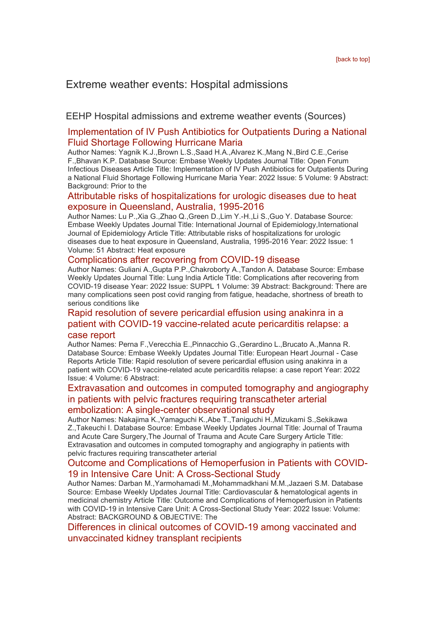# <span id="page-4-0"></span>Extreme weather events: Hospital admissions

#### <span id="page-4-1"></span>EEHP Hospital admissions and extreme weather events (Sources)

#### [Implementation of IV Push Antibiotics for Outpatients During a National](https://eur01.safelinks.protection.outlook.com/?url=http%3A%2F%2Ftransit.linexsystems.com%2Ftrack%2Fclick%2F30370861%2Fca.linexsystems.com%3Fp%3DeyJzIjoiZ1lodFVmbHJZakw2dm1YRHpvalFVd1BYd0d3IiwidiI6MSwicCI6IntcInVcIjozMDM3MDg2MSxcInZcIjoxLFwidXJsXCI6XCJodHRwOlxcXC9cXFwvY2EubGluZXhzeXN0ZW1zLmNvbVxcXC9jb250ZW50c1xcXC90cmFuc2l0XFxcLzM3ODMxNzgwMjU_dXNlcl9pZD00NDM1MTUmbG9nPWY5N2ViNmUzMjE5YTcyMWVlZDE3NTIyOTNmZmJlY2E3JnA9OTU5Njc2NDgmbT0xJnM9Mzk5MDU0Jm9yZ19pZD0yNjI4NzVcIixcImlkXCI6XCJjMWY3ZGMyMzZiZTA0YjY0YmU3YTNhYjQ0MmI4MWY2ZVwiLFwidXJsX2lkc1wiOltcIjA1ZTliM2YxZjk4OTA1NGZlM2JjODI0YWQ4ZmExYjhmMWYyMzVkMTNcIl19In0&data=05%7C01%7Ccaroline.debrun%40phe.gov.uk%7Ca6f00f6bef614d07b97908da43b32f98%7Cee4e14994a354b2ead475f3cf9de8666%7C0%7C0%7C637896735149046574%7CUnknown%7CTWFpbGZsb3d8eyJWIjoiMC4wLjAwMDAiLCJQIjoiV2luMzIiLCJBTiI6Ik1haWwiLCJXVCI6Mn0%3D%7C3000%7C%7C%7C&sdata=D8KBzz6RgSErLhFK%2BhWEEAxQhhMKGu1HXMhd6CX7%2BDM%3D&reserved=0)  [Fluid Shortage Following Hurricane Maria](https://eur01.safelinks.protection.outlook.com/?url=http%3A%2F%2Ftransit.linexsystems.com%2Ftrack%2Fclick%2F30370861%2Fca.linexsystems.com%3Fp%3DeyJzIjoiZ1lodFVmbHJZakw2dm1YRHpvalFVd1BYd0d3IiwidiI6MSwicCI6IntcInVcIjozMDM3MDg2MSxcInZcIjoxLFwidXJsXCI6XCJodHRwOlxcXC9cXFwvY2EubGluZXhzeXN0ZW1zLmNvbVxcXC9jb250ZW50c1xcXC90cmFuc2l0XFxcLzM3ODMxNzgwMjU_dXNlcl9pZD00NDM1MTUmbG9nPWY5N2ViNmUzMjE5YTcyMWVlZDE3NTIyOTNmZmJlY2E3JnA9OTU5Njc2NDgmbT0xJnM9Mzk5MDU0Jm9yZ19pZD0yNjI4NzVcIixcImlkXCI6XCJjMWY3ZGMyMzZiZTA0YjY0YmU3YTNhYjQ0MmI4MWY2ZVwiLFwidXJsX2lkc1wiOltcIjA1ZTliM2YxZjk4OTA1NGZlM2JjODI0YWQ4ZmExYjhmMWYyMzVkMTNcIl19In0&data=05%7C01%7Ccaroline.debrun%40phe.gov.uk%7Ca6f00f6bef614d07b97908da43b32f98%7Cee4e14994a354b2ead475f3cf9de8666%7C0%7C0%7C637896735149046574%7CUnknown%7CTWFpbGZsb3d8eyJWIjoiMC4wLjAwMDAiLCJQIjoiV2luMzIiLCJBTiI6Ik1haWwiLCJXVCI6Mn0%3D%7C3000%7C%7C%7C&sdata=D8KBzz6RgSErLhFK%2BhWEEAxQhhMKGu1HXMhd6CX7%2BDM%3D&reserved=0)

Author Names: Yagnik K.J.,Brown L.S.,Saad H.A.,Alvarez K.,Mang N.,Bird C.E.,Cerise F.,Bhavan K.P. Database Source: Embase Weekly Updates Journal Title: Open Forum Infectious Diseases Article Title: Implementation of IV Push Antibiotics for Outpatients During a National Fluid Shortage Following Hurricane Maria Year: 2022 Issue: 5 Volume: 9 Abstract: Background: Prior to the

#### [Attributable risks of hospitalizations for urologic diseases due to heat](https://eur01.safelinks.protection.outlook.com/?url=http%3A%2F%2Ftransit.linexsystems.com%2Ftrack%2Fclick%2F30370861%2Fca.linexsystems.com%3Fp%3DeyJzIjoiQTFKWnVUNlNMNllBU2hpa09pbldZZkdtQUJBIiwidiI6MSwicCI6IntcInVcIjozMDM3MDg2MSxcInZcIjoxLFwidXJsXCI6XCJodHRwOlxcXC9cXFwvY2EubGluZXhzeXN0ZW1zLmNvbVxcXC9jb250ZW50c1xcXC90cmFuc2l0XFxcLzM3ODMxNzgwMjY_dXNlcl9pZD00NDM1MTUmbG9nPWY5N2ViNmUzMjE5YTcyMWVlZDE3NTIyOTNmZmJlY2E3JnA9OTU5Njc2NDgmbT0xJnM9Mzk5MDU0Jm9yZ19pZD0yNjI4NzVcIixcImlkXCI6XCJjMWY3ZGMyMzZiZTA0YjY0YmU3YTNhYjQ0MmI4MWY2ZVwiLFwidXJsX2lkc1wiOltcIjA1ZTliM2YxZjk4OTA1NGZlM2JjODI0YWQ4ZmExYjhmMWYyMzVkMTNcIl19In0&data=05%7C01%7Ccaroline.debrun%40phe.gov.uk%7Ca6f00f6bef614d07b97908da43b32f98%7Cee4e14994a354b2ead475f3cf9de8666%7C0%7C0%7C637896735149046574%7CUnknown%7CTWFpbGZsb3d8eyJWIjoiMC4wLjAwMDAiLCJQIjoiV2luMzIiLCJBTiI6Ik1haWwiLCJXVCI6Mn0%3D%7C3000%7C%7C%7C&sdata=o4qwDxnNXnFLjD1PVNoRAHYr%2Fylv3fzJbMJ9O2fnS8w%3D&reserved=0)  [exposure in Queensland, Australia, 1995-2016](https://eur01.safelinks.protection.outlook.com/?url=http%3A%2F%2Ftransit.linexsystems.com%2Ftrack%2Fclick%2F30370861%2Fca.linexsystems.com%3Fp%3DeyJzIjoiQTFKWnVUNlNMNllBU2hpa09pbldZZkdtQUJBIiwidiI6MSwicCI6IntcInVcIjozMDM3MDg2MSxcInZcIjoxLFwidXJsXCI6XCJodHRwOlxcXC9cXFwvY2EubGluZXhzeXN0ZW1zLmNvbVxcXC9jb250ZW50c1xcXC90cmFuc2l0XFxcLzM3ODMxNzgwMjY_dXNlcl9pZD00NDM1MTUmbG9nPWY5N2ViNmUzMjE5YTcyMWVlZDE3NTIyOTNmZmJlY2E3JnA9OTU5Njc2NDgmbT0xJnM9Mzk5MDU0Jm9yZ19pZD0yNjI4NzVcIixcImlkXCI6XCJjMWY3ZGMyMzZiZTA0YjY0YmU3YTNhYjQ0MmI4MWY2ZVwiLFwidXJsX2lkc1wiOltcIjA1ZTliM2YxZjk4OTA1NGZlM2JjODI0YWQ4ZmExYjhmMWYyMzVkMTNcIl19In0&data=05%7C01%7Ccaroline.debrun%40phe.gov.uk%7Ca6f00f6bef614d07b97908da43b32f98%7Cee4e14994a354b2ead475f3cf9de8666%7C0%7C0%7C637896735149046574%7CUnknown%7CTWFpbGZsb3d8eyJWIjoiMC4wLjAwMDAiLCJQIjoiV2luMzIiLCJBTiI6Ik1haWwiLCJXVCI6Mn0%3D%7C3000%7C%7C%7C&sdata=o4qwDxnNXnFLjD1PVNoRAHYr%2Fylv3fzJbMJ9O2fnS8w%3D&reserved=0)

Author Names: Lu P.,Xia G.,Zhao Q.,Green D.,Lim Y.-H.,Li S.,Guo Y. Database Source: Embase Weekly Updates Journal Title: International Journal of Epidemiology,International Journal of Epidemiology Article Title: Attributable risks of hospitalizations for urologic diseases due to heat exposure in Queensland, Australia, 1995-2016 Year: 2022 Issue: 1 Volume: 51 Abstract: Heat exposure

#### [Complications after recovering from COVID-19 disease](https://eur01.safelinks.protection.outlook.com/?url=http%3A%2F%2Ftransit.linexsystems.com%2Ftrack%2Fclick%2F30370861%2Fca.linexsystems.com%3Fp%3DeyJzIjoiMEQtWXlrV0R6SHE5cXFlZW9kakY1cmJia0hNIiwidiI6MSwicCI6IntcInVcIjozMDM3MDg2MSxcInZcIjoxLFwidXJsXCI6XCJodHRwOlxcXC9cXFwvY2EubGluZXhzeXN0ZW1zLmNvbVxcXC9jb250ZW50c1xcXC90cmFuc2l0XFxcLzM3ODMxNzgwMjc_dXNlcl9pZD00NDM1MTUmbG9nPWY5N2ViNmUzMjE5YTcyMWVlZDE3NTIyOTNmZmJlY2E3JnA9OTU5Njc2NDgmbT0xJnM9Mzk5MDU0Jm9yZ19pZD0yNjI4NzVcIixcImlkXCI6XCJjMWY3ZGMyMzZiZTA0YjY0YmU3YTNhYjQ0MmI4MWY2ZVwiLFwidXJsX2lkc1wiOltcIjA1ZTliM2YxZjk4OTA1NGZlM2JjODI0YWQ4ZmExYjhmMWYyMzVkMTNcIl19In0&data=05%7C01%7Ccaroline.debrun%40phe.gov.uk%7Ca6f00f6bef614d07b97908da43b32f98%7Cee4e14994a354b2ead475f3cf9de8666%7C0%7C0%7C637896735149046574%7CUnknown%7CTWFpbGZsb3d8eyJWIjoiMC4wLjAwMDAiLCJQIjoiV2luMzIiLCJBTiI6Ik1haWwiLCJXVCI6Mn0%3D%7C3000%7C%7C%7C&sdata=WTAcDT2NzcVRLtGopMR0khrXKmb%2BCgd%2F7Sy%2BiwYFiHc%3D&reserved=0)

Author Names: Guliani A.,Gupta P.P.,Chakroborty A.,Tandon A. Database Source: Embase Weekly Updates Journal Title: Lung India Article Title: Complications after recovering from COVID-19 disease Year: 2022 Issue: SUPPL 1 Volume: 39 Abstract: Background: There are many complications seen post covid ranging from fatigue, headache, shortness of breath to serious conditions like

#### [Rapid resolution of severe pericardial effusion using anakinra in a](https://eur01.safelinks.protection.outlook.com/?url=http%3A%2F%2Ftransit.linexsystems.com%2Ftrack%2Fclick%2F30370861%2Fca.linexsystems.com%3Fp%3DeyJzIjoiUnRCczNaTXl0bjE4NFhudjREeTMtODdsRVNNIiwidiI6MSwicCI6IntcInVcIjozMDM3MDg2MSxcInZcIjoxLFwidXJsXCI6XCJodHRwOlxcXC9cXFwvY2EubGluZXhzeXN0ZW1zLmNvbVxcXC9jb250ZW50c1xcXC90cmFuc2l0XFxcLzM3ODMxNzgwMjk_dXNlcl9pZD00NDM1MTUmbG9nPWY5N2ViNmUzMjE5YTcyMWVlZDE3NTIyOTNmZmJlY2E3JnA9OTU5Njc2NDgmbT0xJnM9Mzk5MDU0Jm9yZ19pZD0yNjI4NzVcIixcImlkXCI6XCJjMWY3ZGMyMzZiZTA0YjY0YmU3YTNhYjQ0MmI4MWY2ZVwiLFwidXJsX2lkc1wiOltcIjA1ZTliM2YxZjk4OTA1NGZlM2JjODI0YWQ4ZmExYjhmMWYyMzVkMTNcIl19In0&data=05%7C01%7Ccaroline.debrun%40phe.gov.uk%7Ca6f00f6bef614d07b97908da43b32f98%7Cee4e14994a354b2ead475f3cf9de8666%7C0%7C0%7C637896735149046574%7CUnknown%7CTWFpbGZsb3d8eyJWIjoiMC4wLjAwMDAiLCJQIjoiV2luMzIiLCJBTiI6Ik1haWwiLCJXVCI6Mn0%3D%7C3000%7C%7C%7C&sdata=aFuuXznVRBNdRmEOf8CjoiNrKMgY2tlvYPzh9C3LoQU%3D&reserved=0)  [patient with COVID-19 vaccine-related acute pericarditis relapse: a](https://eur01.safelinks.protection.outlook.com/?url=http%3A%2F%2Ftransit.linexsystems.com%2Ftrack%2Fclick%2F30370861%2Fca.linexsystems.com%3Fp%3DeyJzIjoiUnRCczNaTXl0bjE4NFhudjREeTMtODdsRVNNIiwidiI6MSwicCI6IntcInVcIjozMDM3MDg2MSxcInZcIjoxLFwidXJsXCI6XCJodHRwOlxcXC9cXFwvY2EubGluZXhzeXN0ZW1zLmNvbVxcXC9jb250ZW50c1xcXC90cmFuc2l0XFxcLzM3ODMxNzgwMjk_dXNlcl9pZD00NDM1MTUmbG9nPWY5N2ViNmUzMjE5YTcyMWVlZDE3NTIyOTNmZmJlY2E3JnA9OTU5Njc2NDgmbT0xJnM9Mzk5MDU0Jm9yZ19pZD0yNjI4NzVcIixcImlkXCI6XCJjMWY3ZGMyMzZiZTA0YjY0YmU3YTNhYjQ0MmI4MWY2ZVwiLFwidXJsX2lkc1wiOltcIjA1ZTliM2YxZjk4OTA1NGZlM2JjODI0YWQ4ZmExYjhmMWYyMzVkMTNcIl19In0&data=05%7C01%7Ccaroline.debrun%40phe.gov.uk%7Ca6f00f6bef614d07b97908da43b32f98%7Cee4e14994a354b2ead475f3cf9de8666%7C0%7C0%7C637896735149046574%7CUnknown%7CTWFpbGZsb3d8eyJWIjoiMC4wLjAwMDAiLCJQIjoiV2luMzIiLCJBTiI6Ik1haWwiLCJXVCI6Mn0%3D%7C3000%7C%7C%7C&sdata=aFuuXznVRBNdRmEOf8CjoiNrKMgY2tlvYPzh9C3LoQU%3D&reserved=0)  [case report](https://eur01.safelinks.protection.outlook.com/?url=http%3A%2F%2Ftransit.linexsystems.com%2Ftrack%2Fclick%2F30370861%2Fca.linexsystems.com%3Fp%3DeyJzIjoiUnRCczNaTXl0bjE4NFhudjREeTMtODdsRVNNIiwidiI6MSwicCI6IntcInVcIjozMDM3MDg2MSxcInZcIjoxLFwidXJsXCI6XCJodHRwOlxcXC9cXFwvY2EubGluZXhzeXN0ZW1zLmNvbVxcXC9jb250ZW50c1xcXC90cmFuc2l0XFxcLzM3ODMxNzgwMjk_dXNlcl9pZD00NDM1MTUmbG9nPWY5N2ViNmUzMjE5YTcyMWVlZDE3NTIyOTNmZmJlY2E3JnA9OTU5Njc2NDgmbT0xJnM9Mzk5MDU0Jm9yZ19pZD0yNjI4NzVcIixcImlkXCI6XCJjMWY3ZGMyMzZiZTA0YjY0YmU3YTNhYjQ0MmI4MWY2ZVwiLFwidXJsX2lkc1wiOltcIjA1ZTliM2YxZjk4OTA1NGZlM2JjODI0YWQ4ZmExYjhmMWYyMzVkMTNcIl19In0&data=05%7C01%7Ccaroline.debrun%40phe.gov.uk%7Ca6f00f6bef614d07b97908da43b32f98%7Cee4e14994a354b2ead475f3cf9de8666%7C0%7C0%7C637896735149046574%7CUnknown%7CTWFpbGZsb3d8eyJWIjoiMC4wLjAwMDAiLCJQIjoiV2luMzIiLCJBTiI6Ik1haWwiLCJXVCI6Mn0%3D%7C3000%7C%7C%7C&sdata=aFuuXznVRBNdRmEOf8CjoiNrKMgY2tlvYPzh9C3LoQU%3D&reserved=0)

#### Author Names: Perna F.,Verecchia E.,Pinnacchio G.,Gerardino L.,Brucato A.,Manna R. Database Source: Embase Weekly Updates Journal Title: European Heart Journal - Case Reports Article Title: Rapid resolution of severe pericardial effusion using anakinra in a patient with COVID-19 vaccine-related acute pericarditis relapse: a case report Year: 2022 Issue: 4 Volume: 6 Abstract:

#### [Extravasation and outcomes in computed tomography and angiography](https://eur01.safelinks.protection.outlook.com/?url=http%3A%2F%2Ftransit.linexsystems.com%2Ftrack%2Fclick%2F30370861%2Fca.linexsystems.com%3Fp%3DeyJzIjoiWnZqM05Icm1kc0VQeGxMb3VoT21PNEM0M0NvIiwidiI6MSwicCI6IntcInVcIjozMDM3MDg2MSxcInZcIjoxLFwidXJsXCI6XCJodHRwOlxcXC9cXFwvY2EubGluZXhzeXN0ZW1zLmNvbVxcXC9jb250ZW50c1xcXC90cmFuc2l0XFxcLzM3ODMxNzgwMzA_dXNlcl9pZD00NDM1MTUmbG9nPWY5N2ViNmUzMjE5YTcyMWVlZDE3NTIyOTNmZmJlY2E3JnA9OTU5Njc2NDgmbT0xJnM9Mzk5MDU0Jm9yZ19pZD0yNjI4NzVcIixcImlkXCI6XCJjMWY3ZGMyMzZiZTA0YjY0YmU3YTNhYjQ0MmI4MWY2ZVwiLFwidXJsX2lkc1wiOltcIjA1ZTliM2YxZjk4OTA1NGZlM2JjODI0YWQ4ZmExYjhmMWYyMzVkMTNcIl19In0&data=05%7C01%7Ccaroline.debrun%40phe.gov.uk%7Ca6f00f6bef614d07b97908da43b32f98%7Cee4e14994a354b2ead475f3cf9de8666%7C0%7C0%7C637896735149046574%7CUnknown%7CTWFpbGZsb3d8eyJWIjoiMC4wLjAwMDAiLCJQIjoiV2luMzIiLCJBTiI6Ik1haWwiLCJXVCI6Mn0%3D%7C3000%7C%7C%7C&sdata=LHrJDDOh%2FgrUmQByFPwUxBZ3qjwhUuMCUq8aXnG0rGA%3D&reserved=0)  [in patients with pelvic fractures requiring transcatheter arterial](https://eur01.safelinks.protection.outlook.com/?url=http%3A%2F%2Ftransit.linexsystems.com%2Ftrack%2Fclick%2F30370861%2Fca.linexsystems.com%3Fp%3DeyJzIjoiWnZqM05Icm1kc0VQeGxMb3VoT21PNEM0M0NvIiwidiI6MSwicCI6IntcInVcIjozMDM3MDg2MSxcInZcIjoxLFwidXJsXCI6XCJodHRwOlxcXC9cXFwvY2EubGluZXhzeXN0ZW1zLmNvbVxcXC9jb250ZW50c1xcXC90cmFuc2l0XFxcLzM3ODMxNzgwMzA_dXNlcl9pZD00NDM1MTUmbG9nPWY5N2ViNmUzMjE5YTcyMWVlZDE3NTIyOTNmZmJlY2E3JnA9OTU5Njc2NDgmbT0xJnM9Mzk5MDU0Jm9yZ19pZD0yNjI4NzVcIixcImlkXCI6XCJjMWY3ZGMyMzZiZTA0YjY0YmU3YTNhYjQ0MmI4MWY2ZVwiLFwidXJsX2lkc1wiOltcIjA1ZTliM2YxZjk4OTA1NGZlM2JjODI0YWQ4ZmExYjhmMWYyMzVkMTNcIl19In0&data=05%7C01%7Ccaroline.debrun%40phe.gov.uk%7Ca6f00f6bef614d07b97908da43b32f98%7Cee4e14994a354b2ead475f3cf9de8666%7C0%7C0%7C637896735149046574%7CUnknown%7CTWFpbGZsb3d8eyJWIjoiMC4wLjAwMDAiLCJQIjoiV2luMzIiLCJBTiI6Ik1haWwiLCJXVCI6Mn0%3D%7C3000%7C%7C%7C&sdata=LHrJDDOh%2FgrUmQByFPwUxBZ3qjwhUuMCUq8aXnG0rGA%3D&reserved=0)  [embolization: A single-center observational study](https://eur01.safelinks.protection.outlook.com/?url=http%3A%2F%2Ftransit.linexsystems.com%2Ftrack%2Fclick%2F30370861%2Fca.linexsystems.com%3Fp%3DeyJzIjoiWnZqM05Icm1kc0VQeGxMb3VoT21PNEM0M0NvIiwidiI6MSwicCI6IntcInVcIjozMDM3MDg2MSxcInZcIjoxLFwidXJsXCI6XCJodHRwOlxcXC9cXFwvY2EubGluZXhzeXN0ZW1zLmNvbVxcXC9jb250ZW50c1xcXC90cmFuc2l0XFxcLzM3ODMxNzgwMzA_dXNlcl9pZD00NDM1MTUmbG9nPWY5N2ViNmUzMjE5YTcyMWVlZDE3NTIyOTNmZmJlY2E3JnA9OTU5Njc2NDgmbT0xJnM9Mzk5MDU0Jm9yZ19pZD0yNjI4NzVcIixcImlkXCI6XCJjMWY3ZGMyMzZiZTA0YjY0YmU3YTNhYjQ0MmI4MWY2ZVwiLFwidXJsX2lkc1wiOltcIjA1ZTliM2YxZjk4OTA1NGZlM2JjODI0YWQ4ZmExYjhmMWYyMzVkMTNcIl19In0&data=05%7C01%7Ccaroline.debrun%40phe.gov.uk%7Ca6f00f6bef614d07b97908da43b32f98%7Cee4e14994a354b2ead475f3cf9de8666%7C0%7C0%7C637896735149046574%7CUnknown%7CTWFpbGZsb3d8eyJWIjoiMC4wLjAwMDAiLCJQIjoiV2luMzIiLCJBTiI6Ik1haWwiLCJXVCI6Mn0%3D%7C3000%7C%7C%7C&sdata=LHrJDDOh%2FgrUmQByFPwUxBZ3qjwhUuMCUq8aXnG0rGA%3D&reserved=0)

Author Names: Nakajima K.,Yamaguchi K.,Abe T.,Taniguchi H.,Mizukami S.,Sekikawa Z.,Takeuchi I. Database Source: Embase Weekly Updates Journal Title: Journal of Trauma and Acute Care Surgery,The Journal of Trauma and Acute Care Surgery Article Title: Extravasation and outcomes in computed tomography and angiography in patients with pelvic fractures requiring transcatheter arterial

#### [Outcome and Complications of Hemoperfusion in Patients with COVID-](https://eur01.safelinks.protection.outlook.com/?url=http%3A%2F%2Ftransit.linexsystems.com%2Ftrack%2Fclick%2F30370861%2Fca.linexsystems.com%3Fp%3DeyJzIjoia3dkZHg1QXY2N2J5VktVbW96QnpHaGhTWmVrIiwidiI6MSwicCI6IntcInVcIjozMDM3MDg2MSxcInZcIjoxLFwidXJsXCI6XCJodHRwOlxcXC9cXFwvY2EubGluZXhzeXN0ZW1zLmNvbVxcXC9jb250ZW50c1xcXC90cmFuc2l0XFxcLzM3ODMxNzgwMzE_dXNlcl9pZD00NDM1MTUmbG9nPWY5N2ViNmUzMjE5YTcyMWVlZDE3NTIyOTNmZmJlY2E3JnA9OTU5Njc2NDgmbT0xJnM9Mzk5MDU0Jm9yZ19pZD0yNjI4NzVcIixcImlkXCI6XCJjMWY3ZGMyMzZiZTA0YjY0YmU3YTNhYjQ0MmI4MWY2ZVwiLFwidXJsX2lkc1wiOltcIjA1ZTliM2YxZjk4OTA1NGZlM2JjODI0YWQ4ZmExYjhmMWYyMzVkMTNcIl19In0&data=05%7C01%7Ccaroline.debrun%40phe.gov.uk%7Ca6f00f6bef614d07b97908da43b32f98%7Cee4e14994a354b2ead475f3cf9de8666%7C0%7C0%7C637896735149046574%7CUnknown%7CTWFpbGZsb3d8eyJWIjoiMC4wLjAwMDAiLCJQIjoiV2luMzIiLCJBTiI6Ik1haWwiLCJXVCI6Mn0%3D%7C3000%7C%7C%7C&sdata=vDzMMhACqXGu6ifQzbW7hBCHl8OhEhcyIErebrNvmXw%3D&reserved=0)[19 in Intensive Care Unit: A Cross-Sectional Study](https://eur01.safelinks.protection.outlook.com/?url=http%3A%2F%2Ftransit.linexsystems.com%2Ftrack%2Fclick%2F30370861%2Fca.linexsystems.com%3Fp%3DeyJzIjoia3dkZHg1QXY2N2J5VktVbW96QnpHaGhTWmVrIiwidiI6MSwicCI6IntcInVcIjozMDM3MDg2MSxcInZcIjoxLFwidXJsXCI6XCJodHRwOlxcXC9cXFwvY2EubGluZXhzeXN0ZW1zLmNvbVxcXC9jb250ZW50c1xcXC90cmFuc2l0XFxcLzM3ODMxNzgwMzE_dXNlcl9pZD00NDM1MTUmbG9nPWY5N2ViNmUzMjE5YTcyMWVlZDE3NTIyOTNmZmJlY2E3JnA9OTU5Njc2NDgmbT0xJnM9Mzk5MDU0Jm9yZ19pZD0yNjI4NzVcIixcImlkXCI6XCJjMWY3ZGMyMzZiZTA0YjY0YmU3YTNhYjQ0MmI4MWY2ZVwiLFwidXJsX2lkc1wiOltcIjA1ZTliM2YxZjk4OTA1NGZlM2JjODI0YWQ4ZmExYjhmMWYyMzVkMTNcIl19In0&data=05%7C01%7Ccaroline.debrun%40phe.gov.uk%7Ca6f00f6bef614d07b97908da43b32f98%7Cee4e14994a354b2ead475f3cf9de8666%7C0%7C0%7C637896735149046574%7CUnknown%7CTWFpbGZsb3d8eyJWIjoiMC4wLjAwMDAiLCJQIjoiV2luMzIiLCJBTiI6Ik1haWwiLCJXVCI6Mn0%3D%7C3000%7C%7C%7C&sdata=vDzMMhACqXGu6ifQzbW7hBCHl8OhEhcyIErebrNvmXw%3D&reserved=0)

Author Names: Darban M.,Yarmohamadi M.,Mohammadkhani M.M.,Jazaeri S.M. Database Source: Embase Weekly Updates Journal Title: Cardiovascular & hematological agents in medicinal chemistry Article Title: Outcome and Complications of Hemoperfusion in Patients with COVID-19 in Intensive Care Unit: A Cross-Sectional Study Year: 2022 Issue: Volume: Abstract: BACKGROUND & OBJECTIVE: The

#### [Differences in clinical outcomes of COVID-19 among vaccinated and](https://eur01.safelinks.protection.outlook.com/?url=http%3A%2F%2Ftransit.linexsystems.com%2Ftrack%2Fclick%2F30370861%2Fca.linexsystems.com%3Fp%3DeyJzIjoiWXZ2LVlGZEVDV0JLZXBnS3M0VnlsM1JYUk1rIiwidiI6MSwicCI6IntcInVcIjozMDM3MDg2MSxcInZcIjoxLFwidXJsXCI6XCJodHRwOlxcXC9cXFwvY2EubGluZXhzeXN0ZW1zLmNvbVxcXC9jb250ZW50c1xcXC90cmFuc2l0XFxcLzM3ODMxNzgwMzI_dXNlcl9pZD00NDM1MTUmbG9nPWY5N2ViNmUzMjE5YTcyMWVlZDE3NTIyOTNmZmJlY2E3JnA9OTU5Njc2NDgmbT0xJnM9Mzk5MDU0Jm9yZ19pZD0yNjI4NzVcIixcImlkXCI6XCJjMWY3ZGMyMzZiZTA0YjY0YmU3YTNhYjQ0MmI4MWY2ZVwiLFwidXJsX2lkc1wiOltcIjA1ZTliM2YxZjk4OTA1NGZlM2JjODI0YWQ4ZmExYjhmMWYyMzVkMTNcIl19In0&data=05%7C01%7Ccaroline.debrun%40phe.gov.uk%7Ca6f00f6bef614d07b97908da43b32f98%7Cee4e14994a354b2ead475f3cf9de8666%7C0%7C0%7C637896735149046574%7CUnknown%7CTWFpbGZsb3d8eyJWIjoiMC4wLjAwMDAiLCJQIjoiV2luMzIiLCJBTiI6Ik1haWwiLCJXVCI6Mn0%3D%7C3000%7C%7C%7C&sdata=%2Bm3CwIL4%2BjWC0TGtexQjXKcmb6k3icPwjU%2FNlJaECME%3D&reserved=0)  [unvaccinated kidney transplant recipients](https://eur01.safelinks.protection.outlook.com/?url=http%3A%2F%2Ftransit.linexsystems.com%2Ftrack%2Fclick%2F30370861%2Fca.linexsystems.com%3Fp%3DeyJzIjoiWXZ2LVlGZEVDV0JLZXBnS3M0VnlsM1JYUk1rIiwidiI6MSwicCI6IntcInVcIjozMDM3MDg2MSxcInZcIjoxLFwidXJsXCI6XCJodHRwOlxcXC9cXFwvY2EubGluZXhzeXN0ZW1zLmNvbVxcXC9jb250ZW50c1xcXC90cmFuc2l0XFxcLzM3ODMxNzgwMzI_dXNlcl9pZD00NDM1MTUmbG9nPWY5N2ViNmUzMjE5YTcyMWVlZDE3NTIyOTNmZmJlY2E3JnA9OTU5Njc2NDgmbT0xJnM9Mzk5MDU0Jm9yZ19pZD0yNjI4NzVcIixcImlkXCI6XCJjMWY3ZGMyMzZiZTA0YjY0YmU3YTNhYjQ0MmI4MWY2ZVwiLFwidXJsX2lkc1wiOltcIjA1ZTliM2YxZjk4OTA1NGZlM2JjODI0YWQ4ZmExYjhmMWYyMzVkMTNcIl19In0&data=05%7C01%7Ccaroline.debrun%40phe.gov.uk%7Ca6f00f6bef614d07b97908da43b32f98%7Cee4e14994a354b2ead475f3cf9de8666%7C0%7C0%7C637896735149046574%7CUnknown%7CTWFpbGZsb3d8eyJWIjoiMC4wLjAwMDAiLCJQIjoiV2luMzIiLCJBTiI6Ik1haWwiLCJXVCI6Mn0%3D%7C3000%7C%7C%7C&sdata=%2Bm3CwIL4%2BjWC0TGtexQjXKcmb6k3icPwjU%2FNlJaECME%3D&reserved=0)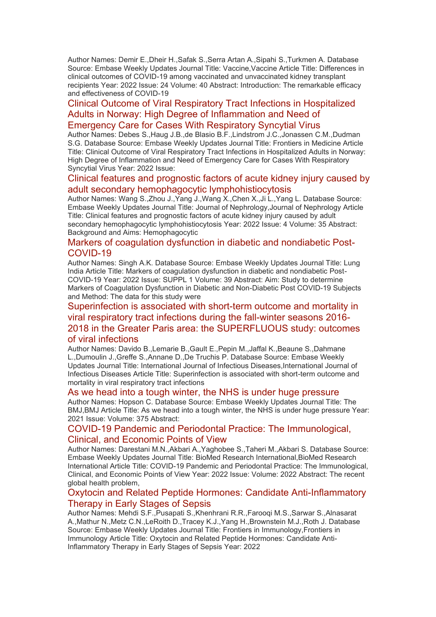Author Names: Demir E.,Dheir H.,Safak S.,Serra Artan A.,Sipahi S.,Turkmen A. Database Source: Embase Weekly Updates Journal Title: Vaccine,Vaccine Article Title: Differences in clinical outcomes of COVID-19 among vaccinated and unvaccinated kidney transplant recipients Year: 2022 Issue: 24 Volume: 40 Abstract: Introduction: The remarkable efficacy and effectiveness of COVID-19

### [Clinical Outcome of Viral Respiratory Tract Infections in Hospitalized](https://eur01.safelinks.protection.outlook.com/?url=http%3A%2F%2Ftransit.linexsystems.com%2Ftrack%2Fclick%2F30370861%2Fca.linexsystems.com%3Fp%3DeyJzIjoiczE5N0FneHFPWkl4a0hoNnA1U2ZpV2NtVUg0IiwidiI6MSwicCI6IntcInVcIjozMDM3MDg2MSxcInZcIjoxLFwidXJsXCI6XCJodHRwOlxcXC9cXFwvY2EubGluZXhzeXN0ZW1zLmNvbVxcXC9jb250ZW50c1xcXC90cmFuc2l0XFxcLzM3ODMxNzgyMzI_dXNlcl9pZD00NDM1MTUmbG9nPWY5N2ViNmUzMjE5YTcyMWVlZDE3NTIyOTNmZmJlY2E3JnA9OTU5Njc2NDgmbT0xJnM9Mzk5MDU0Jm9yZ19pZD0yNjI4NzVcIixcImlkXCI6XCJjMWY3ZGMyMzZiZTA0YjY0YmU3YTNhYjQ0MmI4MWY2ZVwiLFwidXJsX2lkc1wiOltcIjA1ZTliM2YxZjk4OTA1NGZlM2JjODI0YWQ4ZmExYjhmMWYyMzVkMTNcIl19In0&data=05%7C01%7Ccaroline.debrun%40phe.gov.uk%7Ca6f00f6bef614d07b97908da43b32f98%7Cee4e14994a354b2ead475f3cf9de8666%7C0%7C0%7C637896735149046574%7CUnknown%7CTWFpbGZsb3d8eyJWIjoiMC4wLjAwMDAiLCJQIjoiV2luMzIiLCJBTiI6Ik1haWwiLCJXVCI6Mn0%3D%7C3000%7C%7C%7C&sdata=DP40PgzT1m87PTABp%2B4%2BmlGtqlQHryA3PCYAwOMAdGk%3D&reserved=0)  [Adults in Norway: High Degree of Inflammation and Need of](https://eur01.safelinks.protection.outlook.com/?url=http%3A%2F%2Ftransit.linexsystems.com%2Ftrack%2Fclick%2F30370861%2Fca.linexsystems.com%3Fp%3DeyJzIjoiczE5N0FneHFPWkl4a0hoNnA1U2ZpV2NtVUg0IiwidiI6MSwicCI6IntcInVcIjozMDM3MDg2MSxcInZcIjoxLFwidXJsXCI6XCJodHRwOlxcXC9cXFwvY2EubGluZXhzeXN0ZW1zLmNvbVxcXC9jb250ZW50c1xcXC90cmFuc2l0XFxcLzM3ODMxNzgyMzI_dXNlcl9pZD00NDM1MTUmbG9nPWY5N2ViNmUzMjE5YTcyMWVlZDE3NTIyOTNmZmJlY2E3JnA9OTU5Njc2NDgmbT0xJnM9Mzk5MDU0Jm9yZ19pZD0yNjI4NzVcIixcImlkXCI6XCJjMWY3ZGMyMzZiZTA0YjY0YmU3YTNhYjQ0MmI4MWY2ZVwiLFwidXJsX2lkc1wiOltcIjA1ZTliM2YxZjk4OTA1NGZlM2JjODI0YWQ4ZmExYjhmMWYyMzVkMTNcIl19In0&data=05%7C01%7Ccaroline.debrun%40phe.gov.uk%7Ca6f00f6bef614d07b97908da43b32f98%7Cee4e14994a354b2ead475f3cf9de8666%7C0%7C0%7C637896735149046574%7CUnknown%7CTWFpbGZsb3d8eyJWIjoiMC4wLjAwMDAiLCJQIjoiV2luMzIiLCJBTiI6Ik1haWwiLCJXVCI6Mn0%3D%7C3000%7C%7C%7C&sdata=DP40PgzT1m87PTABp%2B4%2BmlGtqlQHryA3PCYAwOMAdGk%3D&reserved=0)  [Emergency Care for Cases With Respiratory Syncytial Virus](https://eur01.safelinks.protection.outlook.com/?url=http%3A%2F%2Ftransit.linexsystems.com%2Ftrack%2Fclick%2F30370861%2Fca.linexsystems.com%3Fp%3DeyJzIjoiczE5N0FneHFPWkl4a0hoNnA1U2ZpV2NtVUg0IiwidiI6MSwicCI6IntcInVcIjozMDM3MDg2MSxcInZcIjoxLFwidXJsXCI6XCJodHRwOlxcXC9cXFwvY2EubGluZXhzeXN0ZW1zLmNvbVxcXC9jb250ZW50c1xcXC90cmFuc2l0XFxcLzM3ODMxNzgyMzI_dXNlcl9pZD00NDM1MTUmbG9nPWY5N2ViNmUzMjE5YTcyMWVlZDE3NTIyOTNmZmJlY2E3JnA9OTU5Njc2NDgmbT0xJnM9Mzk5MDU0Jm9yZ19pZD0yNjI4NzVcIixcImlkXCI6XCJjMWY3ZGMyMzZiZTA0YjY0YmU3YTNhYjQ0MmI4MWY2ZVwiLFwidXJsX2lkc1wiOltcIjA1ZTliM2YxZjk4OTA1NGZlM2JjODI0YWQ4ZmExYjhmMWYyMzVkMTNcIl19In0&data=05%7C01%7Ccaroline.debrun%40phe.gov.uk%7Ca6f00f6bef614d07b97908da43b32f98%7Cee4e14994a354b2ead475f3cf9de8666%7C0%7C0%7C637896735149046574%7CUnknown%7CTWFpbGZsb3d8eyJWIjoiMC4wLjAwMDAiLCJQIjoiV2luMzIiLCJBTiI6Ik1haWwiLCJXVCI6Mn0%3D%7C3000%7C%7C%7C&sdata=DP40PgzT1m87PTABp%2B4%2BmlGtqlQHryA3PCYAwOMAdGk%3D&reserved=0)

Author Names: Debes S.,Haug J.B.,de Blasio B.F.,Lindstrom J.C.,Jonassen C.M.,Dudman S.G. Database Source: Embase Weekly Updates Journal Title: Frontiers in Medicine Article Title: Clinical Outcome of Viral Respiratory Tract Infections in Hospitalized Adults in Norway: High Degree of Inflammation and Need of Emergency Care for Cases With Respiratory Syncytial Virus Year: 2022 Issue:

#### [Clinical features and prognostic factors of acute kidney injury caused by](https://eur01.safelinks.protection.outlook.com/?url=http%3A%2F%2Ftransit.linexsystems.com%2Ftrack%2Fclick%2F30370861%2Fca.linexsystems.com%3Fp%3DeyJzIjoic3M3cG51U0xXdGhUSzJ6V3U5VmZzdjJFajdrIiwidiI6MSwicCI6IntcInVcIjozMDM3MDg2MSxcInZcIjoxLFwidXJsXCI6XCJodHRwOlxcXC9cXFwvY2EubGluZXhzeXN0ZW1zLmNvbVxcXC9jb250ZW50c1xcXC90cmFuc2l0XFxcLzM3ODMxNzgyMzM_dXNlcl9pZD00NDM1MTUmbG9nPWY5N2ViNmUzMjE5YTcyMWVlZDE3NTIyOTNmZmJlY2E3JnA9OTU5Njc2NDgmbT0xJnM9Mzk5MDU0Jm9yZ19pZD0yNjI4NzVcIixcImlkXCI6XCJjMWY3ZGMyMzZiZTA0YjY0YmU3YTNhYjQ0MmI4MWY2ZVwiLFwidXJsX2lkc1wiOltcIjA1ZTliM2YxZjk4OTA1NGZlM2JjODI0YWQ4ZmExYjhmMWYyMzVkMTNcIl19In0&data=05%7C01%7Ccaroline.debrun%40phe.gov.uk%7Ca6f00f6bef614d07b97908da43b32f98%7Cee4e14994a354b2ead475f3cf9de8666%7C0%7C0%7C637896735149046574%7CUnknown%7CTWFpbGZsb3d8eyJWIjoiMC4wLjAwMDAiLCJQIjoiV2luMzIiLCJBTiI6Ik1haWwiLCJXVCI6Mn0%3D%7C3000%7C%7C%7C&sdata=HOfoxG9s4T%2B9q3niZwSqurQN5fxx6DeOaeOtWiHKo84%3D&reserved=0)  [adult secondary hemophagocytic lymphohistiocytosis](https://eur01.safelinks.protection.outlook.com/?url=http%3A%2F%2Ftransit.linexsystems.com%2Ftrack%2Fclick%2F30370861%2Fca.linexsystems.com%3Fp%3DeyJzIjoic3M3cG51U0xXdGhUSzJ6V3U5VmZzdjJFajdrIiwidiI6MSwicCI6IntcInVcIjozMDM3MDg2MSxcInZcIjoxLFwidXJsXCI6XCJodHRwOlxcXC9cXFwvY2EubGluZXhzeXN0ZW1zLmNvbVxcXC9jb250ZW50c1xcXC90cmFuc2l0XFxcLzM3ODMxNzgyMzM_dXNlcl9pZD00NDM1MTUmbG9nPWY5N2ViNmUzMjE5YTcyMWVlZDE3NTIyOTNmZmJlY2E3JnA9OTU5Njc2NDgmbT0xJnM9Mzk5MDU0Jm9yZ19pZD0yNjI4NzVcIixcImlkXCI6XCJjMWY3ZGMyMzZiZTA0YjY0YmU3YTNhYjQ0MmI4MWY2ZVwiLFwidXJsX2lkc1wiOltcIjA1ZTliM2YxZjk4OTA1NGZlM2JjODI0YWQ4ZmExYjhmMWYyMzVkMTNcIl19In0&data=05%7C01%7Ccaroline.debrun%40phe.gov.uk%7Ca6f00f6bef614d07b97908da43b32f98%7Cee4e14994a354b2ead475f3cf9de8666%7C0%7C0%7C637896735149046574%7CUnknown%7CTWFpbGZsb3d8eyJWIjoiMC4wLjAwMDAiLCJQIjoiV2luMzIiLCJBTiI6Ik1haWwiLCJXVCI6Mn0%3D%7C3000%7C%7C%7C&sdata=HOfoxG9s4T%2B9q3niZwSqurQN5fxx6DeOaeOtWiHKo84%3D&reserved=0)

Author Names: Wang S.,Zhou J.,Yang J.,Wang X.,Chen X.,Ji L.,Yang L. Database Source: Embase Weekly Updates Journal Title: Journal of Nephrology,Journal of Nephrology Article Title: Clinical features and prognostic factors of acute kidney injury caused by adult secondary hemophagocytic lymphohistiocytosis Year: 2022 Issue: 4 Volume: 35 Abstract: Background and Aims: Hemophagocytic

#### [Markers of coagulation dysfunction in diabetic and nondiabetic Post-](https://eur01.safelinks.protection.outlook.com/?url=http%3A%2F%2Ftransit.linexsystems.com%2Ftrack%2Fclick%2F30370861%2Fca.linexsystems.com%3Fp%3DeyJzIjoiMkxQbTRNM05SOWMtZjVMeFZqR0cwckJsUGl3IiwidiI6MSwicCI6IntcInVcIjozMDM3MDg2MSxcInZcIjoxLFwidXJsXCI6XCJodHRwOlxcXC9cXFwvY2EubGluZXhzeXN0ZW1zLmNvbVxcXC9jb250ZW50c1xcXC90cmFuc2l0XFxcLzM3ODMxNzgyMzQ_dXNlcl9pZD00NDM1MTUmbG9nPWY5N2ViNmUzMjE5YTcyMWVlZDE3NTIyOTNmZmJlY2E3JnA9OTU5Njc2NDgmbT0xJnM9Mzk5MDU0Jm9yZ19pZD0yNjI4NzVcIixcImlkXCI6XCJjMWY3ZGMyMzZiZTA0YjY0YmU3YTNhYjQ0MmI4MWY2ZVwiLFwidXJsX2lkc1wiOltcIjA1ZTliM2YxZjk4OTA1NGZlM2JjODI0YWQ4ZmExYjhmMWYyMzVkMTNcIl19In0&data=05%7C01%7Ccaroline.debrun%40phe.gov.uk%7Ca6f00f6bef614d07b97908da43b32f98%7Cee4e14994a354b2ead475f3cf9de8666%7C0%7C0%7C637896735149046574%7CUnknown%7CTWFpbGZsb3d8eyJWIjoiMC4wLjAwMDAiLCJQIjoiV2luMzIiLCJBTiI6Ik1haWwiLCJXVCI6Mn0%3D%7C3000%7C%7C%7C&sdata=hv1aMhuVsPJHoo7%2Fbkz1%2F1I7SzE6L7XTUBlzPI3RzUE%3D&reserved=0)[COVID-19](https://eur01.safelinks.protection.outlook.com/?url=http%3A%2F%2Ftransit.linexsystems.com%2Ftrack%2Fclick%2F30370861%2Fca.linexsystems.com%3Fp%3DeyJzIjoiMkxQbTRNM05SOWMtZjVMeFZqR0cwckJsUGl3IiwidiI6MSwicCI6IntcInVcIjozMDM3MDg2MSxcInZcIjoxLFwidXJsXCI6XCJodHRwOlxcXC9cXFwvY2EubGluZXhzeXN0ZW1zLmNvbVxcXC9jb250ZW50c1xcXC90cmFuc2l0XFxcLzM3ODMxNzgyMzQ_dXNlcl9pZD00NDM1MTUmbG9nPWY5N2ViNmUzMjE5YTcyMWVlZDE3NTIyOTNmZmJlY2E3JnA9OTU5Njc2NDgmbT0xJnM9Mzk5MDU0Jm9yZ19pZD0yNjI4NzVcIixcImlkXCI6XCJjMWY3ZGMyMzZiZTA0YjY0YmU3YTNhYjQ0MmI4MWY2ZVwiLFwidXJsX2lkc1wiOltcIjA1ZTliM2YxZjk4OTA1NGZlM2JjODI0YWQ4ZmExYjhmMWYyMzVkMTNcIl19In0&data=05%7C01%7Ccaroline.debrun%40phe.gov.uk%7Ca6f00f6bef614d07b97908da43b32f98%7Cee4e14994a354b2ead475f3cf9de8666%7C0%7C0%7C637896735149046574%7CUnknown%7CTWFpbGZsb3d8eyJWIjoiMC4wLjAwMDAiLCJQIjoiV2luMzIiLCJBTiI6Ik1haWwiLCJXVCI6Mn0%3D%7C3000%7C%7C%7C&sdata=hv1aMhuVsPJHoo7%2Fbkz1%2F1I7SzE6L7XTUBlzPI3RzUE%3D&reserved=0)

Author Names: Singh A.K. Database Source: Embase Weekly Updates Journal Title: Lung India Article Title: Markers of coagulation dysfunction in diabetic and nondiabetic Post-COVID-19 Year: 2022 Issue: SUPPL 1 Volume: 39 Abstract: Aim: Study to determine Markers of Coagulation Dysfunction in Diabetic and Non-Diabetic Post COVID-19 Subjects and Method: The data for this study were

# [Superinfection is associated with short-term outcome and mortality in](https://eur01.safelinks.protection.outlook.com/?url=http%3A%2F%2Ftransit.linexsystems.com%2Ftrack%2Fclick%2F30370861%2Fca.linexsystems.com%3Fp%3DeyJzIjoiYzlPSklVUWlBOEJ1RnhHaFZEZzlPeFRhOFpNIiwidiI6MSwicCI6IntcInVcIjozMDM3MDg2MSxcInZcIjoxLFwidXJsXCI6XCJodHRwOlxcXC9cXFwvY2EubGluZXhzeXN0ZW1zLmNvbVxcXC9jb250ZW50c1xcXC90cmFuc2l0XFxcLzM3ODMxNzgyMzY_dXNlcl9pZD00NDM1MTUmbG9nPWY5N2ViNmUzMjE5YTcyMWVlZDE3NTIyOTNmZmJlY2E3JnA9OTU5Njc2NDgmbT0xJnM9Mzk5MDU0Jm9yZ19pZD0yNjI4NzVcIixcImlkXCI6XCJjMWY3ZGMyMzZiZTA0YjY0YmU3YTNhYjQ0MmI4MWY2ZVwiLFwidXJsX2lkc1wiOltcIjA1ZTliM2YxZjk4OTA1NGZlM2JjODI0YWQ4ZmExYjhmMWYyMzVkMTNcIl19In0&data=05%7C01%7Ccaroline.debrun%40phe.gov.uk%7Ca6f00f6bef614d07b97908da43b32f98%7Cee4e14994a354b2ead475f3cf9de8666%7C0%7C0%7C637896735149046574%7CUnknown%7CTWFpbGZsb3d8eyJWIjoiMC4wLjAwMDAiLCJQIjoiV2luMzIiLCJBTiI6Ik1haWwiLCJXVCI6Mn0%3D%7C3000%7C%7C%7C&sdata=bZOCB1bZ5%2FIhUCGVwBNOwp%2FPKOBHjsaQgbi%2Fy7RPZSA%3D&reserved=0)  [viral respiratory tract infections during the fall-winter seasons 2016-](https://eur01.safelinks.protection.outlook.com/?url=http%3A%2F%2Ftransit.linexsystems.com%2Ftrack%2Fclick%2F30370861%2Fca.linexsystems.com%3Fp%3DeyJzIjoiYzlPSklVUWlBOEJ1RnhHaFZEZzlPeFRhOFpNIiwidiI6MSwicCI6IntcInVcIjozMDM3MDg2MSxcInZcIjoxLFwidXJsXCI6XCJodHRwOlxcXC9cXFwvY2EubGluZXhzeXN0ZW1zLmNvbVxcXC9jb250ZW50c1xcXC90cmFuc2l0XFxcLzM3ODMxNzgyMzY_dXNlcl9pZD00NDM1MTUmbG9nPWY5N2ViNmUzMjE5YTcyMWVlZDE3NTIyOTNmZmJlY2E3JnA9OTU5Njc2NDgmbT0xJnM9Mzk5MDU0Jm9yZ19pZD0yNjI4NzVcIixcImlkXCI6XCJjMWY3ZGMyMzZiZTA0YjY0YmU3YTNhYjQ0MmI4MWY2ZVwiLFwidXJsX2lkc1wiOltcIjA1ZTliM2YxZjk4OTA1NGZlM2JjODI0YWQ4ZmExYjhmMWYyMzVkMTNcIl19In0&data=05%7C01%7Ccaroline.debrun%40phe.gov.uk%7Ca6f00f6bef614d07b97908da43b32f98%7Cee4e14994a354b2ead475f3cf9de8666%7C0%7C0%7C637896735149046574%7CUnknown%7CTWFpbGZsb3d8eyJWIjoiMC4wLjAwMDAiLCJQIjoiV2luMzIiLCJBTiI6Ik1haWwiLCJXVCI6Mn0%3D%7C3000%7C%7C%7C&sdata=bZOCB1bZ5%2FIhUCGVwBNOwp%2FPKOBHjsaQgbi%2Fy7RPZSA%3D&reserved=0) [2018 in the Greater Paris area: the SUPERFLUOUS study: outcomes](https://eur01.safelinks.protection.outlook.com/?url=http%3A%2F%2Ftransit.linexsystems.com%2Ftrack%2Fclick%2F30370861%2Fca.linexsystems.com%3Fp%3DeyJzIjoiYzlPSklVUWlBOEJ1RnhHaFZEZzlPeFRhOFpNIiwidiI6MSwicCI6IntcInVcIjozMDM3MDg2MSxcInZcIjoxLFwidXJsXCI6XCJodHRwOlxcXC9cXFwvY2EubGluZXhzeXN0ZW1zLmNvbVxcXC9jb250ZW50c1xcXC90cmFuc2l0XFxcLzM3ODMxNzgyMzY_dXNlcl9pZD00NDM1MTUmbG9nPWY5N2ViNmUzMjE5YTcyMWVlZDE3NTIyOTNmZmJlY2E3JnA9OTU5Njc2NDgmbT0xJnM9Mzk5MDU0Jm9yZ19pZD0yNjI4NzVcIixcImlkXCI6XCJjMWY3ZGMyMzZiZTA0YjY0YmU3YTNhYjQ0MmI4MWY2ZVwiLFwidXJsX2lkc1wiOltcIjA1ZTliM2YxZjk4OTA1NGZlM2JjODI0YWQ4ZmExYjhmMWYyMzVkMTNcIl19In0&data=05%7C01%7Ccaroline.debrun%40phe.gov.uk%7Ca6f00f6bef614d07b97908da43b32f98%7Cee4e14994a354b2ead475f3cf9de8666%7C0%7C0%7C637896735149046574%7CUnknown%7CTWFpbGZsb3d8eyJWIjoiMC4wLjAwMDAiLCJQIjoiV2luMzIiLCJBTiI6Ik1haWwiLCJXVCI6Mn0%3D%7C3000%7C%7C%7C&sdata=bZOCB1bZ5%2FIhUCGVwBNOwp%2FPKOBHjsaQgbi%2Fy7RPZSA%3D&reserved=0)  [of viral infections](https://eur01.safelinks.protection.outlook.com/?url=http%3A%2F%2Ftransit.linexsystems.com%2Ftrack%2Fclick%2F30370861%2Fca.linexsystems.com%3Fp%3DeyJzIjoiYzlPSklVUWlBOEJ1RnhHaFZEZzlPeFRhOFpNIiwidiI6MSwicCI6IntcInVcIjozMDM3MDg2MSxcInZcIjoxLFwidXJsXCI6XCJodHRwOlxcXC9cXFwvY2EubGluZXhzeXN0ZW1zLmNvbVxcXC9jb250ZW50c1xcXC90cmFuc2l0XFxcLzM3ODMxNzgyMzY_dXNlcl9pZD00NDM1MTUmbG9nPWY5N2ViNmUzMjE5YTcyMWVlZDE3NTIyOTNmZmJlY2E3JnA9OTU5Njc2NDgmbT0xJnM9Mzk5MDU0Jm9yZ19pZD0yNjI4NzVcIixcImlkXCI6XCJjMWY3ZGMyMzZiZTA0YjY0YmU3YTNhYjQ0MmI4MWY2ZVwiLFwidXJsX2lkc1wiOltcIjA1ZTliM2YxZjk4OTA1NGZlM2JjODI0YWQ4ZmExYjhmMWYyMzVkMTNcIl19In0&data=05%7C01%7Ccaroline.debrun%40phe.gov.uk%7Ca6f00f6bef614d07b97908da43b32f98%7Cee4e14994a354b2ead475f3cf9de8666%7C0%7C0%7C637896735149046574%7CUnknown%7CTWFpbGZsb3d8eyJWIjoiMC4wLjAwMDAiLCJQIjoiV2luMzIiLCJBTiI6Ik1haWwiLCJXVCI6Mn0%3D%7C3000%7C%7C%7C&sdata=bZOCB1bZ5%2FIhUCGVwBNOwp%2FPKOBHjsaQgbi%2Fy7RPZSA%3D&reserved=0)

Author Names: Davido B.,Lemarie B.,Gault E.,Pepin M.,Jaffal K.,Beaune S.,Dahmane L.,Dumoulin J.,Greffe S.,Annane D.,De Truchis P. Database Source: Embase Weekly Updates Journal Title: International Journal of Infectious Diseases,International Journal of Infectious Diseases Article Title: Superinfection is associated with short-term outcome and mortality in viral respiratory tract infections

#### [As we head into a tough winter, the NHS is under huge pressure](https://eur01.safelinks.protection.outlook.com/?url=http%3A%2F%2Ftransit.linexsystems.com%2Ftrack%2Fclick%2F30370861%2Fca.linexsystems.com%3Fp%3DeyJzIjoiOE9nZXZTcWV6c2NpV2JMSUl4Q3FWY2hmZGZZIiwidiI6MSwicCI6IntcInVcIjozMDM3MDg2MSxcInZcIjoxLFwidXJsXCI6XCJodHRwOlxcXC9cXFwvY2EubGluZXhzeXN0ZW1zLmNvbVxcXC9jb250ZW50c1xcXC90cmFuc2l0XFxcLzM3ODMxNzgyMzc_dXNlcl9pZD00NDM1MTUmbG9nPWY5N2ViNmUzMjE5YTcyMWVlZDE3NTIyOTNmZmJlY2E3JnA9OTU5Njc2NDgmbT0xJnM9Mzk5MDU0Jm9yZ19pZD0yNjI4NzVcIixcImlkXCI6XCJjMWY3ZGMyMzZiZTA0YjY0YmU3YTNhYjQ0MmI4MWY2ZVwiLFwidXJsX2lkc1wiOltcIjA1ZTliM2YxZjk4OTA1NGZlM2JjODI0YWQ4ZmExYjhmMWYyMzVkMTNcIl19In0&data=05%7C01%7Ccaroline.debrun%40phe.gov.uk%7Ca6f00f6bef614d07b97908da43b32f98%7Cee4e14994a354b2ead475f3cf9de8666%7C0%7C0%7C637896735149046574%7CUnknown%7CTWFpbGZsb3d8eyJWIjoiMC4wLjAwMDAiLCJQIjoiV2luMzIiLCJBTiI6Ik1haWwiLCJXVCI6Mn0%3D%7C3000%7C%7C%7C&sdata=QdGbQuAjIdIkqKN8jtXqmDvNGjEWWXWaQYQEanMFQKQ%3D&reserved=0)

Author Names: Hopson C. Database Source: Embase Weekly Updates Journal Title: The BMJ,BMJ Article Title: As we head into a tough winter, the NHS is under huge pressure Year: 2021 Issue: Volume: 375 Abstract:

#### [COVID-19 Pandemic and Periodontal Practice: The Immunological,](https://eur01.safelinks.protection.outlook.com/?url=http%3A%2F%2Ftransit.linexsystems.com%2Ftrack%2Fclick%2F30370861%2Fca.linexsystems.com%3Fp%3DeyJzIjoicnR1M0ppVzBHZVdkajI4azlqMUNpZjJaVy04IiwidiI6MSwicCI6IntcInVcIjozMDM3MDg2MSxcInZcIjoxLFwidXJsXCI6XCJodHRwOlxcXC9cXFwvY2EubGluZXhzeXN0ZW1zLmNvbVxcXC9jb250ZW50c1xcXC90cmFuc2l0XFxcLzM3ODMxNzgyMzg_dXNlcl9pZD00NDM1MTUmbG9nPWY5N2ViNmUzMjE5YTcyMWVlZDE3NTIyOTNmZmJlY2E3JnA9OTU5Njc2NDgmbT0xJnM9Mzk5MDU0Jm9yZ19pZD0yNjI4NzVcIixcImlkXCI6XCJjMWY3ZGMyMzZiZTA0YjY0YmU3YTNhYjQ0MmI4MWY2ZVwiLFwidXJsX2lkc1wiOltcIjA1ZTliM2YxZjk4OTA1NGZlM2JjODI0YWQ4ZmExYjhmMWYyMzVkMTNcIl19In0&data=05%7C01%7Ccaroline.debrun%40phe.gov.uk%7Ca6f00f6bef614d07b97908da43b32f98%7Cee4e14994a354b2ead475f3cf9de8666%7C0%7C0%7C637896735149046574%7CUnknown%7CTWFpbGZsb3d8eyJWIjoiMC4wLjAwMDAiLCJQIjoiV2luMzIiLCJBTiI6Ik1haWwiLCJXVCI6Mn0%3D%7C3000%7C%7C%7C&sdata=6%2F4Gq550en%2FVwprT0%2F7WHGF0vj3lLc2Q8OXbl%2FUElxo%3D&reserved=0)  [Clinical, and Economic Points of View](https://eur01.safelinks.protection.outlook.com/?url=http%3A%2F%2Ftransit.linexsystems.com%2Ftrack%2Fclick%2F30370861%2Fca.linexsystems.com%3Fp%3DeyJzIjoicnR1M0ppVzBHZVdkajI4azlqMUNpZjJaVy04IiwidiI6MSwicCI6IntcInVcIjozMDM3MDg2MSxcInZcIjoxLFwidXJsXCI6XCJodHRwOlxcXC9cXFwvY2EubGluZXhzeXN0ZW1zLmNvbVxcXC9jb250ZW50c1xcXC90cmFuc2l0XFxcLzM3ODMxNzgyMzg_dXNlcl9pZD00NDM1MTUmbG9nPWY5N2ViNmUzMjE5YTcyMWVlZDE3NTIyOTNmZmJlY2E3JnA9OTU5Njc2NDgmbT0xJnM9Mzk5MDU0Jm9yZ19pZD0yNjI4NzVcIixcImlkXCI6XCJjMWY3ZGMyMzZiZTA0YjY0YmU3YTNhYjQ0MmI4MWY2ZVwiLFwidXJsX2lkc1wiOltcIjA1ZTliM2YxZjk4OTA1NGZlM2JjODI0YWQ4ZmExYjhmMWYyMzVkMTNcIl19In0&data=05%7C01%7Ccaroline.debrun%40phe.gov.uk%7Ca6f00f6bef614d07b97908da43b32f98%7Cee4e14994a354b2ead475f3cf9de8666%7C0%7C0%7C637896735149046574%7CUnknown%7CTWFpbGZsb3d8eyJWIjoiMC4wLjAwMDAiLCJQIjoiV2luMzIiLCJBTiI6Ik1haWwiLCJXVCI6Mn0%3D%7C3000%7C%7C%7C&sdata=6%2F4Gq550en%2FVwprT0%2F7WHGF0vj3lLc2Q8OXbl%2FUElxo%3D&reserved=0)

Author Names: Darestani M.N.,Akbari A.,Yaghobee S.,Taheri M.,Akbari S. Database Source: Embase Weekly Updates Journal Title: BioMed Research International,BioMed Research International Article Title: COVID-19 Pandemic and Periodontal Practice: The Immunological, Clinical, and Economic Points of View Year: 2022 Issue: Volume: 2022 Abstract: The recent global health problem,

#### [Oxytocin and Related Peptide Hormones: Candidate Anti-Inflammatory](https://eur01.safelinks.protection.outlook.com/?url=http%3A%2F%2Ftransit.linexsystems.com%2Ftrack%2Fclick%2F30370861%2Fca.linexsystems.com%3Fp%3DeyJzIjoibldybHFZQUVDemVqenNYSzdVWlJzYTduMlZFIiwidiI6MSwicCI6IntcInVcIjozMDM3MDg2MSxcInZcIjoxLFwidXJsXCI6XCJodHRwOlxcXC9cXFwvY2EubGluZXhzeXN0ZW1zLmNvbVxcXC9jb250ZW50c1xcXC90cmFuc2l0XFxcLzM3ODMxODAyNjY_dXNlcl9pZD00NDM1MTUmbG9nPWY5N2ViNmUzMjE5YTcyMWVlZDE3NTIyOTNmZmJlY2E3JnA9OTU5Njc2NDgmbT0xJnM9Mzk5MDU0Jm9yZ19pZD0yNjI4NzVcIixcImlkXCI6XCJjMWY3ZGMyMzZiZTA0YjY0YmU3YTNhYjQ0MmI4MWY2ZVwiLFwidXJsX2lkc1wiOltcIjA1ZTliM2YxZjk4OTA1NGZlM2JjODI0YWQ4ZmExYjhmMWYyMzVkMTNcIl19In0&data=05%7C01%7Ccaroline.debrun%40phe.gov.uk%7Ca6f00f6bef614d07b97908da43b32f98%7Cee4e14994a354b2ead475f3cf9de8666%7C0%7C0%7C637896735149046574%7CUnknown%7CTWFpbGZsb3d8eyJWIjoiMC4wLjAwMDAiLCJQIjoiV2luMzIiLCJBTiI6Ik1haWwiLCJXVCI6Mn0%3D%7C3000%7C%7C%7C&sdata=sFNvFJa9TR4Zkz7LPl%2B4t%2BARqr60ghv4kdXda8dpAaQ%3D&reserved=0)  [Therapy in Early Stages of Sepsis](https://eur01.safelinks.protection.outlook.com/?url=http%3A%2F%2Ftransit.linexsystems.com%2Ftrack%2Fclick%2F30370861%2Fca.linexsystems.com%3Fp%3DeyJzIjoibldybHFZQUVDemVqenNYSzdVWlJzYTduMlZFIiwidiI6MSwicCI6IntcInVcIjozMDM3MDg2MSxcInZcIjoxLFwidXJsXCI6XCJodHRwOlxcXC9cXFwvY2EubGluZXhzeXN0ZW1zLmNvbVxcXC9jb250ZW50c1xcXC90cmFuc2l0XFxcLzM3ODMxODAyNjY_dXNlcl9pZD00NDM1MTUmbG9nPWY5N2ViNmUzMjE5YTcyMWVlZDE3NTIyOTNmZmJlY2E3JnA9OTU5Njc2NDgmbT0xJnM9Mzk5MDU0Jm9yZ19pZD0yNjI4NzVcIixcImlkXCI6XCJjMWY3ZGMyMzZiZTA0YjY0YmU3YTNhYjQ0MmI4MWY2ZVwiLFwidXJsX2lkc1wiOltcIjA1ZTliM2YxZjk4OTA1NGZlM2JjODI0YWQ4ZmExYjhmMWYyMzVkMTNcIl19In0&data=05%7C01%7Ccaroline.debrun%40phe.gov.uk%7Ca6f00f6bef614d07b97908da43b32f98%7Cee4e14994a354b2ead475f3cf9de8666%7C0%7C0%7C637896735149046574%7CUnknown%7CTWFpbGZsb3d8eyJWIjoiMC4wLjAwMDAiLCJQIjoiV2luMzIiLCJBTiI6Ik1haWwiLCJXVCI6Mn0%3D%7C3000%7C%7C%7C&sdata=sFNvFJa9TR4Zkz7LPl%2B4t%2BARqr60ghv4kdXda8dpAaQ%3D&reserved=0)

Author Names: Mehdi S.F.,Pusapati S.,Khenhrani R.R.,Farooqi M.S.,Sarwar S.,Alnasarat A.,Mathur N.,Metz C.N.,LeRoith D.,Tracey K.J.,Yang H.,Brownstein M.J.,Roth J. Database Source: Embase Weekly Updates Journal Title: Frontiers in Immunology,Frontiers in Immunology Article Title: Oxytocin and Related Peptide Hormones: Candidate Anti-Inflammatory Therapy in Early Stages of Sepsis Year: 2022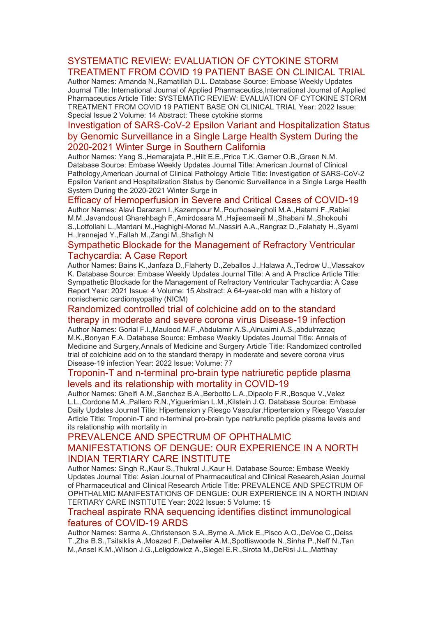# SYSTEMATIC REVIEW: EVALUATION OF CYTOKINE STORM [TREATMENT FROM COVID 19 PATIENT BASE ON CLINICAL TRIAL](https://eur01.safelinks.protection.outlook.com/?url=http%3A%2F%2Ftransit.linexsystems.com%2Ftrack%2Fclick%2F30370861%2Fca.linexsystems.com%3Fp%3DeyJzIjoiV00tWnl2SlJHZkpTdXBTblBRRXhwcGFyY2JzIiwidiI6MSwicCI6IntcInVcIjozMDM3MDg2MSxcInZcIjoxLFwidXJsXCI6XCJodHRwOlxcXC9cXFwvY2EubGluZXhzeXN0ZW1zLmNvbVxcXC9jb250ZW50c1xcXC90cmFuc2l0XFxcLzM3ODMxODAyNjc_dXNlcl9pZD00NDM1MTUmbG9nPWY5N2ViNmUzMjE5YTcyMWVlZDE3NTIyOTNmZmJlY2E3JnA9OTU5Njc2NDgmbT0xJnM9Mzk5MDU0Jm9yZ19pZD0yNjI4NzVcIixcImlkXCI6XCJjMWY3ZGMyMzZiZTA0YjY0YmU3YTNhYjQ0MmI4MWY2ZVwiLFwidXJsX2lkc1wiOltcIjA1ZTliM2YxZjk4OTA1NGZlM2JjODI0YWQ4ZmExYjhmMWYyMzVkMTNcIl19In0&data=05%7C01%7Ccaroline.debrun%40phe.gov.uk%7Ca6f00f6bef614d07b97908da43b32f98%7Cee4e14994a354b2ead475f3cf9de8666%7C0%7C0%7C637896735149046574%7CUnknown%7CTWFpbGZsb3d8eyJWIjoiMC4wLjAwMDAiLCJQIjoiV2luMzIiLCJBTiI6Ik1haWwiLCJXVCI6Mn0%3D%7C3000%7C%7C%7C&sdata=04eeRiHh0J01TjqZo%2BQk7R93P6v2Otj2RH88qhcambo%3D&reserved=0)

Author Names: Arnanda N.,Ramatillah D.L. Database Source: Embase Weekly Updates Journal Title: International Journal of Applied Pharmaceutics,International Journal of Applied Pharmaceutics Article Title: SYSTEMATIC REVIEW: EVALUATION OF CYTOKINE STORM TREATMENT FROM COVID 19 PATIENT BASE ON CLINICAL TRIAL Year: 2022 Issue: Special Issue 2 Volume: 14 Abstract: These cytokine storms

# [Investigation of SARS-CoV-2 Epsilon Variant and Hospitalization Status](https://eur01.safelinks.protection.outlook.com/?url=http%3A%2F%2Ftransit.linexsystems.com%2Ftrack%2Fclick%2F30370861%2Fca.linexsystems.com%3Fp%3DeyJzIjoiM1pRZlllSDlUUWM1RWZkRG5EVDBpOXdWZWp3IiwidiI6MSwicCI6IntcInVcIjozMDM3MDg2MSxcInZcIjoxLFwidXJsXCI6XCJodHRwOlxcXC9cXFwvY2EubGluZXhzeXN0ZW1zLmNvbVxcXC9jb250ZW50c1xcXC90cmFuc2l0XFxcLzM3ODMxODAyNjg_dXNlcl9pZD00NDM1MTUmbG9nPWY5N2ViNmUzMjE5YTcyMWVlZDE3NTIyOTNmZmJlY2E3JnA9OTU5Njc2NDgmbT0xJnM9Mzk5MDU0Jm9yZ19pZD0yNjI4NzVcIixcImlkXCI6XCJjMWY3ZGMyMzZiZTA0YjY0YmU3YTNhYjQ0MmI4MWY2ZVwiLFwidXJsX2lkc1wiOltcIjA1ZTliM2YxZjk4OTA1NGZlM2JjODI0YWQ4ZmExYjhmMWYyMzVkMTNcIl19In0&data=05%7C01%7Ccaroline.debrun%40phe.gov.uk%7Ca6f00f6bef614d07b97908da43b32f98%7Cee4e14994a354b2ead475f3cf9de8666%7C0%7C0%7C637896735149046574%7CUnknown%7CTWFpbGZsb3d8eyJWIjoiMC4wLjAwMDAiLCJQIjoiV2luMzIiLCJBTiI6Ik1haWwiLCJXVCI6Mn0%3D%7C3000%7C%7C%7C&sdata=3EyfzWUmk846qL9oa%2FXsekMT%2Bp4MHwdoE5Xlc%2BLshZ4%3D&reserved=0)  [by Genomic Surveillance in a Single Large Health System During the](https://eur01.safelinks.protection.outlook.com/?url=http%3A%2F%2Ftransit.linexsystems.com%2Ftrack%2Fclick%2F30370861%2Fca.linexsystems.com%3Fp%3DeyJzIjoiM1pRZlllSDlUUWM1RWZkRG5EVDBpOXdWZWp3IiwidiI6MSwicCI6IntcInVcIjozMDM3MDg2MSxcInZcIjoxLFwidXJsXCI6XCJodHRwOlxcXC9cXFwvY2EubGluZXhzeXN0ZW1zLmNvbVxcXC9jb250ZW50c1xcXC90cmFuc2l0XFxcLzM3ODMxODAyNjg_dXNlcl9pZD00NDM1MTUmbG9nPWY5N2ViNmUzMjE5YTcyMWVlZDE3NTIyOTNmZmJlY2E3JnA9OTU5Njc2NDgmbT0xJnM9Mzk5MDU0Jm9yZ19pZD0yNjI4NzVcIixcImlkXCI6XCJjMWY3ZGMyMzZiZTA0YjY0YmU3YTNhYjQ0MmI4MWY2ZVwiLFwidXJsX2lkc1wiOltcIjA1ZTliM2YxZjk4OTA1NGZlM2JjODI0YWQ4ZmExYjhmMWYyMzVkMTNcIl19In0&data=05%7C01%7Ccaroline.debrun%40phe.gov.uk%7Ca6f00f6bef614d07b97908da43b32f98%7Cee4e14994a354b2ead475f3cf9de8666%7C0%7C0%7C637896735149046574%7CUnknown%7CTWFpbGZsb3d8eyJWIjoiMC4wLjAwMDAiLCJQIjoiV2luMzIiLCJBTiI6Ik1haWwiLCJXVCI6Mn0%3D%7C3000%7C%7C%7C&sdata=3EyfzWUmk846qL9oa%2FXsekMT%2Bp4MHwdoE5Xlc%2BLshZ4%3D&reserved=0)  [2020-2021 Winter Surge in Southern California](https://eur01.safelinks.protection.outlook.com/?url=http%3A%2F%2Ftransit.linexsystems.com%2Ftrack%2Fclick%2F30370861%2Fca.linexsystems.com%3Fp%3DeyJzIjoiM1pRZlllSDlUUWM1RWZkRG5EVDBpOXdWZWp3IiwidiI6MSwicCI6IntcInVcIjozMDM3MDg2MSxcInZcIjoxLFwidXJsXCI6XCJodHRwOlxcXC9cXFwvY2EubGluZXhzeXN0ZW1zLmNvbVxcXC9jb250ZW50c1xcXC90cmFuc2l0XFxcLzM3ODMxODAyNjg_dXNlcl9pZD00NDM1MTUmbG9nPWY5N2ViNmUzMjE5YTcyMWVlZDE3NTIyOTNmZmJlY2E3JnA9OTU5Njc2NDgmbT0xJnM9Mzk5MDU0Jm9yZ19pZD0yNjI4NzVcIixcImlkXCI6XCJjMWY3ZGMyMzZiZTA0YjY0YmU3YTNhYjQ0MmI4MWY2ZVwiLFwidXJsX2lkc1wiOltcIjA1ZTliM2YxZjk4OTA1NGZlM2JjODI0YWQ4ZmExYjhmMWYyMzVkMTNcIl19In0&data=05%7C01%7Ccaroline.debrun%40phe.gov.uk%7Ca6f00f6bef614d07b97908da43b32f98%7Cee4e14994a354b2ead475f3cf9de8666%7C0%7C0%7C637896735149046574%7CUnknown%7CTWFpbGZsb3d8eyJWIjoiMC4wLjAwMDAiLCJQIjoiV2luMzIiLCJBTiI6Ik1haWwiLCJXVCI6Mn0%3D%7C3000%7C%7C%7C&sdata=3EyfzWUmk846qL9oa%2FXsekMT%2Bp4MHwdoE5Xlc%2BLshZ4%3D&reserved=0)

Author Names: Yang S.,Hemarajata P.,Hilt E.E.,Price T.K.,Garner O.B.,Green N.M. Database Source: Embase Weekly Updates Journal Title: American Journal of Clinical Pathology,American Journal of Clinical Pathology Article Title: Investigation of SARS-CoV-2 Epsilon Variant and Hospitalization Status by Genomic Surveillance in a Single Large Health System During the 2020-2021 Winter Surge in

#### [Efficacy of Hemoperfusion in Severe and Critical Cases of COVID-19](https://eur01.safelinks.protection.outlook.com/?url=http%3A%2F%2Ftransit.linexsystems.com%2Ftrack%2Fclick%2F30370861%2Fca.linexsystems.com%3Fp%3DeyJzIjoiVEdZaFdUV3JJXzNMdzdiVVpreWtmUWNpRTdNIiwidiI6MSwicCI6IntcInVcIjozMDM3MDg2MSxcInZcIjoxLFwidXJsXCI6XCJodHRwOlxcXC9cXFwvY2EubGluZXhzeXN0ZW1zLmNvbVxcXC9jb250ZW50c1xcXC90cmFuc2l0XFxcLzM3ODMxODAyNjk_dXNlcl9pZD00NDM1MTUmbG9nPWY5N2ViNmUzMjE5YTcyMWVlZDE3NTIyOTNmZmJlY2E3JnA9OTU5Njc2NDgmbT0xJnM9Mzk5MDU0Jm9yZ19pZD0yNjI4NzVcIixcImlkXCI6XCJjMWY3ZGMyMzZiZTA0YjY0YmU3YTNhYjQ0MmI4MWY2ZVwiLFwidXJsX2lkc1wiOltcIjA1ZTliM2YxZjk4OTA1NGZlM2JjODI0YWQ4ZmExYjhmMWYyMzVkMTNcIl19In0&data=05%7C01%7Ccaroline.debrun%40phe.gov.uk%7Ca6f00f6bef614d07b97908da43b32f98%7Cee4e14994a354b2ead475f3cf9de8666%7C0%7C0%7C637896735149046574%7CUnknown%7CTWFpbGZsb3d8eyJWIjoiMC4wLjAwMDAiLCJQIjoiV2luMzIiLCJBTiI6Ik1haWwiLCJXVCI6Mn0%3D%7C3000%7C%7C%7C&sdata=tVcIx4AWMHPc5gkxDrWv%2FXPg%2FcvEPeIR7HaI6TJ0O3A%3D&reserved=0)

Author Names: Alavi Darazam I.,Kazempour M.,Pourhoseingholi M.A.,Hatami F.,Rabiei M.M.,Javandoust Gharehbagh F.,Amirdosara M.,Hajiesmaeili M.,Shabani M.,Shokouhi S.,Lotfollahi L.,Mardani M.,Haghighi-Morad M.,Nassiri A.A.,Rangraz D.,Falahaty H.,Syami H.,Irannejad Y.,Fallah M.,Zangi M.,Shafigh N

#### [Sympathetic Blockade for the Management of Refractory Ventricular](https://eur01.safelinks.protection.outlook.com/?url=http%3A%2F%2Ftransit.linexsystems.com%2Ftrack%2Fclick%2F30370861%2Fca.linexsystems.com%3Fp%3DeyJzIjoieU5Vc1hqSkpYZ1NpcHJpUEkzMnlnMkY4Y21rIiwidiI6MSwicCI6IntcInVcIjozMDM3MDg2MSxcInZcIjoxLFwidXJsXCI6XCJodHRwOlxcXC9cXFwvY2EubGluZXhzeXN0ZW1zLmNvbVxcXC9jb250ZW50c1xcXC90cmFuc2l0XFxcLzM3ODMxODAyNzA_dXNlcl9pZD00NDM1MTUmbG9nPWY5N2ViNmUzMjE5YTcyMWVlZDE3NTIyOTNmZmJlY2E3JnA9OTU5Njc2NDgmbT0xJnM9Mzk5MDU0Jm9yZ19pZD0yNjI4NzVcIixcImlkXCI6XCJjMWY3ZGMyMzZiZTA0YjY0YmU3YTNhYjQ0MmI4MWY2ZVwiLFwidXJsX2lkc1wiOltcIjA1ZTliM2YxZjk4OTA1NGZlM2JjODI0YWQ4ZmExYjhmMWYyMzVkMTNcIl19In0&data=05%7C01%7Ccaroline.debrun%40phe.gov.uk%7Ca6f00f6bef614d07b97908da43b32f98%7Cee4e14994a354b2ead475f3cf9de8666%7C0%7C0%7C637896735149046574%7CUnknown%7CTWFpbGZsb3d8eyJWIjoiMC4wLjAwMDAiLCJQIjoiV2luMzIiLCJBTiI6Ik1haWwiLCJXVCI6Mn0%3D%7C3000%7C%7C%7C&sdata=5kedObYm0WzHYpcPmlUAykYK1MDrNWZW%2BaqFwjtIuL8%3D&reserved=0)  [Tachycardia: A Case Report](https://eur01.safelinks.protection.outlook.com/?url=http%3A%2F%2Ftransit.linexsystems.com%2Ftrack%2Fclick%2F30370861%2Fca.linexsystems.com%3Fp%3DeyJzIjoieU5Vc1hqSkpYZ1NpcHJpUEkzMnlnMkY4Y21rIiwidiI6MSwicCI6IntcInVcIjozMDM3MDg2MSxcInZcIjoxLFwidXJsXCI6XCJodHRwOlxcXC9cXFwvY2EubGluZXhzeXN0ZW1zLmNvbVxcXC9jb250ZW50c1xcXC90cmFuc2l0XFxcLzM3ODMxODAyNzA_dXNlcl9pZD00NDM1MTUmbG9nPWY5N2ViNmUzMjE5YTcyMWVlZDE3NTIyOTNmZmJlY2E3JnA9OTU5Njc2NDgmbT0xJnM9Mzk5MDU0Jm9yZ19pZD0yNjI4NzVcIixcImlkXCI6XCJjMWY3ZGMyMzZiZTA0YjY0YmU3YTNhYjQ0MmI4MWY2ZVwiLFwidXJsX2lkc1wiOltcIjA1ZTliM2YxZjk4OTA1NGZlM2JjODI0YWQ4ZmExYjhmMWYyMzVkMTNcIl19In0&data=05%7C01%7Ccaroline.debrun%40phe.gov.uk%7Ca6f00f6bef614d07b97908da43b32f98%7Cee4e14994a354b2ead475f3cf9de8666%7C0%7C0%7C637896735149046574%7CUnknown%7CTWFpbGZsb3d8eyJWIjoiMC4wLjAwMDAiLCJQIjoiV2luMzIiLCJBTiI6Ik1haWwiLCJXVCI6Mn0%3D%7C3000%7C%7C%7C&sdata=5kedObYm0WzHYpcPmlUAykYK1MDrNWZW%2BaqFwjtIuL8%3D&reserved=0)

Author Names: Bains K.,Janfaza D.,Flaherty D.,Zeballos J.,Halawa A.,Tedrow U.,Vlassakov K. Database Source: Embase Weekly Updates Journal Title: A and A Practice Article Title: Sympathetic Blockade for the Management of Refractory Ventricular Tachycardia: A Case Report Year: 2021 Issue: 4 Volume: 15 Abstract: A 64-year-old man with a history of nonischemic cardiomyopathy (NICM)

#### [Randomized controlled trial of colchicine add on to the standard](https://eur01.safelinks.protection.outlook.com/?url=http%3A%2F%2Ftransit.linexsystems.com%2Ftrack%2Fclick%2F30370861%2Fca.linexsystems.com%3Fp%3DeyJzIjoiNllHYnF0RVZLYUQzR0g3MzFMZGk1Zk1yOXdRIiwidiI6MSwicCI6IntcInVcIjozMDM3MDg2MSxcInZcIjoxLFwidXJsXCI6XCJodHRwOlxcXC9cXFwvY2EubGluZXhzeXN0ZW1zLmNvbVxcXC9jb250ZW50c1xcXC90cmFuc2l0XFxcLzM3ODMxODAyNzE_dXNlcl9pZD00NDM1MTUmbG9nPWY5N2ViNmUzMjE5YTcyMWVlZDE3NTIyOTNmZmJlY2E3JnA9OTU5Njc2NDgmbT0xJnM9Mzk5MDU0Jm9yZ19pZD0yNjI4NzVcIixcImlkXCI6XCJjMWY3ZGMyMzZiZTA0YjY0YmU3YTNhYjQ0MmI4MWY2ZVwiLFwidXJsX2lkc1wiOltcIjA1ZTliM2YxZjk4OTA1NGZlM2JjODI0YWQ4ZmExYjhmMWYyMzVkMTNcIl19In0&data=05%7C01%7Ccaroline.debrun%40phe.gov.uk%7Ca6f00f6bef614d07b97908da43b32f98%7Cee4e14994a354b2ead475f3cf9de8666%7C0%7C0%7C637896735149046574%7CUnknown%7CTWFpbGZsb3d8eyJWIjoiMC4wLjAwMDAiLCJQIjoiV2luMzIiLCJBTiI6Ik1haWwiLCJXVCI6Mn0%3D%7C3000%7C%7C%7C&sdata=9EPIQugTtNfurbLxPSGkDEf%2FQ%2BNAfdm8OR7idd99viM%3D&reserved=0)

[therapy in moderate and severe corona virus Disease-19 infection](https://eur01.safelinks.protection.outlook.com/?url=http%3A%2F%2Ftransit.linexsystems.com%2Ftrack%2Fclick%2F30370861%2Fca.linexsystems.com%3Fp%3DeyJzIjoiNllHYnF0RVZLYUQzR0g3MzFMZGk1Zk1yOXdRIiwidiI6MSwicCI6IntcInVcIjozMDM3MDg2MSxcInZcIjoxLFwidXJsXCI6XCJodHRwOlxcXC9cXFwvY2EubGluZXhzeXN0ZW1zLmNvbVxcXC9jb250ZW50c1xcXC90cmFuc2l0XFxcLzM3ODMxODAyNzE_dXNlcl9pZD00NDM1MTUmbG9nPWY5N2ViNmUzMjE5YTcyMWVlZDE3NTIyOTNmZmJlY2E3JnA9OTU5Njc2NDgmbT0xJnM9Mzk5MDU0Jm9yZ19pZD0yNjI4NzVcIixcImlkXCI6XCJjMWY3ZGMyMzZiZTA0YjY0YmU3YTNhYjQ0MmI4MWY2ZVwiLFwidXJsX2lkc1wiOltcIjA1ZTliM2YxZjk4OTA1NGZlM2JjODI0YWQ4ZmExYjhmMWYyMzVkMTNcIl19In0&data=05%7C01%7Ccaroline.debrun%40phe.gov.uk%7Ca6f00f6bef614d07b97908da43b32f98%7Cee4e14994a354b2ead475f3cf9de8666%7C0%7C0%7C637896735149046574%7CUnknown%7CTWFpbGZsb3d8eyJWIjoiMC4wLjAwMDAiLCJQIjoiV2luMzIiLCJBTiI6Ik1haWwiLCJXVCI6Mn0%3D%7C3000%7C%7C%7C&sdata=9EPIQugTtNfurbLxPSGkDEf%2FQ%2BNAfdm8OR7idd99viM%3D&reserved=0)

Author Names: Gorial F.I.,Maulood M.F.,Abdulamir A.S.,Alnuaimi A.S.,abdulrrazaq M.K.,Bonyan F.A. Database Source: Embase Weekly Updates Journal Title: Annals of Medicine and Surgery,Annals of Medicine and Surgery Article Title: Randomized controlled trial of colchicine add on to the standard therapy in moderate and severe corona virus Disease-19 infection Year: 2022 Issue: Volume: 77

#### [Troponin-T and n-terminal pro-brain type natriuretic peptide plasma](https://eur01.safelinks.protection.outlook.com/?url=http%3A%2F%2Ftransit.linexsystems.com%2Ftrack%2Fclick%2F30370861%2Fca.linexsystems.com%3Fp%3DeyJzIjoiMjBjdHYta3d4dER2cXBDSzlxSllRYnFpSXowIiwidiI6MSwicCI6IntcInVcIjozMDM3MDg2MSxcInZcIjoxLFwidXJsXCI6XCJodHRwOlxcXC9cXFwvY2EubGluZXhzeXN0ZW1zLmNvbVxcXC9jb250ZW50c1xcXC90cmFuc2l0XFxcLzM3ODMxODAzOTM_dXNlcl9pZD00NDM1MTUmbG9nPWY5N2ViNmUzMjE5YTcyMWVlZDE3NTIyOTNmZmJlY2E3JnA9OTU5Njc2NDgmbT0xJnM9Mzk5MDU0Jm9yZ19pZD0yNjI4NzVcIixcImlkXCI6XCJjMWY3ZGMyMzZiZTA0YjY0YmU3YTNhYjQ0MmI4MWY2ZVwiLFwidXJsX2lkc1wiOltcIjA1ZTliM2YxZjk4OTA1NGZlM2JjODI0YWQ4ZmExYjhmMWYyMzVkMTNcIl19In0&data=05%7C01%7Ccaroline.debrun%40phe.gov.uk%7Ca6f00f6bef614d07b97908da43b32f98%7Cee4e14994a354b2ead475f3cf9de8666%7C0%7C0%7C637896735149046574%7CUnknown%7CTWFpbGZsb3d8eyJWIjoiMC4wLjAwMDAiLCJQIjoiV2luMzIiLCJBTiI6Ik1haWwiLCJXVCI6Mn0%3D%7C3000%7C%7C%7C&sdata=bY0zdfhE7OYcItcq3HVVlyVLIR1GZBbn71cZpSs0L1U%3D&reserved=0)  [levels and its relationship with mortality in COVID-19](https://eur01.safelinks.protection.outlook.com/?url=http%3A%2F%2Ftransit.linexsystems.com%2Ftrack%2Fclick%2F30370861%2Fca.linexsystems.com%3Fp%3DeyJzIjoiMjBjdHYta3d4dER2cXBDSzlxSllRYnFpSXowIiwidiI6MSwicCI6IntcInVcIjozMDM3MDg2MSxcInZcIjoxLFwidXJsXCI6XCJodHRwOlxcXC9cXFwvY2EubGluZXhzeXN0ZW1zLmNvbVxcXC9jb250ZW50c1xcXC90cmFuc2l0XFxcLzM3ODMxODAzOTM_dXNlcl9pZD00NDM1MTUmbG9nPWY5N2ViNmUzMjE5YTcyMWVlZDE3NTIyOTNmZmJlY2E3JnA9OTU5Njc2NDgmbT0xJnM9Mzk5MDU0Jm9yZ19pZD0yNjI4NzVcIixcImlkXCI6XCJjMWY3ZGMyMzZiZTA0YjY0YmU3YTNhYjQ0MmI4MWY2ZVwiLFwidXJsX2lkc1wiOltcIjA1ZTliM2YxZjk4OTA1NGZlM2JjODI0YWQ4ZmExYjhmMWYyMzVkMTNcIl19In0&data=05%7C01%7Ccaroline.debrun%40phe.gov.uk%7Ca6f00f6bef614d07b97908da43b32f98%7Cee4e14994a354b2ead475f3cf9de8666%7C0%7C0%7C637896735149046574%7CUnknown%7CTWFpbGZsb3d8eyJWIjoiMC4wLjAwMDAiLCJQIjoiV2luMzIiLCJBTiI6Ik1haWwiLCJXVCI6Mn0%3D%7C3000%7C%7C%7C&sdata=bY0zdfhE7OYcItcq3HVVlyVLIR1GZBbn71cZpSs0L1U%3D&reserved=0)

Author Names: Ghelfi A.M.,Sanchez B.A.,Berbotto L.A.,Dipaolo F.R.,Bosque V.,Velez L.L.,Cordone M.A.,Pallero R.N.,Yiguerimian L.M.,Kilstein J.G. Database Source: Embase Daily Updates Journal Title: Hipertension y Riesgo Vascular,Hipertension y Riesgo Vascular Article Title: Troponin-T and n-terminal pro-brain type natriuretic peptide plasma levels and its relationship with mortality in

# [PREVALENCE AND SPECTRUM OF OPHTHALMIC](https://eur01.safelinks.protection.outlook.com/?url=http%3A%2F%2Ftransit.linexsystems.com%2Ftrack%2Fclick%2F30370861%2Fca.linexsystems.com%3Fp%3DeyJzIjoiWE5iaEhrNDZwX3B6MERTYjFfbTZVLW9nSWpJIiwidiI6MSwicCI6IntcInVcIjozMDM3MDg2MSxcInZcIjoxLFwidXJsXCI6XCJodHRwOlxcXC9cXFwvY2EubGluZXhzeXN0ZW1zLmNvbVxcXC9jb250ZW50c1xcXC90cmFuc2l0XFxcLzM3ODMxODAzOTQ_dXNlcl9pZD00NDM1MTUmbG9nPWY5N2ViNmUzMjE5YTcyMWVlZDE3NTIyOTNmZmJlY2E3JnA9OTU5Njc2NDgmbT0xJnM9Mzk5MDU0Jm9yZ19pZD0yNjI4NzVcIixcImlkXCI6XCJjMWY3ZGMyMzZiZTA0YjY0YmU3YTNhYjQ0MmI4MWY2ZVwiLFwidXJsX2lkc1wiOltcIjA1ZTliM2YxZjk4OTA1NGZlM2JjODI0YWQ4ZmExYjhmMWYyMzVkMTNcIl19In0&data=05%7C01%7Ccaroline.debrun%40phe.gov.uk%7Ca6f00f6bef614d07b97908da43b32f98%7Cee4e14994a354b2ead475f3cf9de8666%7C0%7C0%7C637896735149046574%7CUnknown%7CTWFpbGZsb3d8eyJWIjoiMC4wLjAwMDAiLCJQIjoiV2luMzIiLCJBTiI6Ik1haWwiLCJXVCI6Mn0%3D%7C3000%7C%7C%7C&sdata=ZRHqriLcTjmx4EPgIhmzTBoEeKGcCQVipXtjuSsXQwk%3D&reserved=0)  [MANIFESTATIONS OF DENGUE: OUR EXPERIENCE IN A NORTH](https://eur01.safelinks.protection.outlook.com/?url=http%3A%2F%2Ftransit.linexsystems.com%2Ftrack%2Fclick%2F30370861%2Fca.linexsystems.com%3Fp%3DeyJzIjoiWE5iaEhrNDZwX3B6MERTYjFfbTZVLW9nSWpJIiwidiI6MSwicCI6IntcInVcIjozMDM3MDg2MSxcInZcIjoxLFwidXJsXCI6XCJodHRwOlxcXC9cXFwvY2EubGluZXhzeXN0ZW1zLmNvbVxcXC9jb250ZW50c1xcXC90cmFuc2l0XFxcLzM3ODMxODAzOTQ_dXNlcl9pZD00NDM1MTUmbG9nPWY5N2ViNmUzMjE5YTcyMWVlZDE3NTIyOTNmZmJlY2E3JnA9OTU5Njc2NDgmbT0xJnM9Mzk5MDU0Jm9yZ19pZD0yNjI4NzVcIixcImlkXCI6XCJjMWY3ZGMyMzZiZTA0YjY0YmU3YTNhYjQ0MmI4MWY2ZVwiLFwidXJsX2lkc1wiOltcIjA1ZTliM2YxZjk4OTA1NGZlM2JjODI0YWQ4ZmExYjhmMWYyMzVkMTNcIl19In0&data=05%7C01%7Ccaroline.debrun%40phe.gov.uk%7Ca6f00f6bef614d07b97908da43b32f98%7Cee4e14994a354b2ead475f3cf9de8666%7C0%7C0%7C637896735149046574%7CUnknown%7CTWFpbGZsb3d8eyJWIjoiMC4wLjAwMDAiLCJQIjoiV2luMzIiLCJBTiI6Ik1haWwiLCJXVCI6Mn0%3D%7C3000%7C%7C%7C&sdata=ZRHqriLcTjmx4EPgIhmzTBoEeKGcCQVipXtjuSsXQwk%3D&reserved=0)  [INDIAN TERTIARY CARE INSTITUTE](https://eur01.safelinks.protection.outlook.com/?url=http%3A%2F%2Ftransit.linexsystems.com%2Ftrack%2Fclick%2F30370861%2Fca.linexsystems.com%3Fp%3DeyJzIjoiWE5iaEhrNDZwX3B6MERTYjFfbTZVLW9nSWpJIiwidiI6MSwicCI6IntcInVcIjozMDM3MDg2MSxcInZcIjoxLFwidXJsXCI6XCJodHRwOlxcXC9cXFwvY2EubGluZXhzeXN0ZW1zLmNvbVxcXC9jb250ZW50c1xcXC90cmFuc2l0XFxcLzM3ODMxODAzOTQ_dXNlcl9pZD00NDM1MTUmbG9nPWY5N2ViNmUzMjE5YTcyMWVlZDE3NTIyOTNmZmJlY2E3JnA9OTU5Njc2NDgmbT0xJnM9Mzk5MDU0Jm9yZ19pZD0yNjI4NzVcIixcImlkXCI6XCJjMWY3ZGMyMzZiZTA0YjY0YmU3YTNhYjQ0MmI4MWY2ZVwiLFwidXJsX2lkc1wiOltcIjA1ZTliM2YxZjk4OTA1NGZlM2JjODI0YWQ4ZmExYjhmMWYyMzVkMTNcIl19In0&data=05%7C01%7Ccaroline.debrun%40phe.gov.uk%7Ca6f00f6bef614d07b97908da43b32f98%7Cee4e14994a354b2ead475f3cf9de8666%7C0%7C0%7C637896735149046574%7CUnknown%7CTWFpbGZsb3d8eyJWIjoiMC4wLjAwMDAiLCJQIjoiV2luMzIiLCJBTiI6Ik1haWwiLCJXVCI6Mn0%3D%7C3000%7C%7C%7C&sdata=ZRHqriLcTjmx4EPgIhmzTBoEeKGcCQVipXtjuSsXQwk%3D&reserved=0)

Author Names: Singh R.,Kaur S.,Thukral J.,Kaur H. Database Source: Embase Weekly Updates Journal Title: Asian Journal of Pharmaceutical and Clinical Research,Asian Journal of Pharmaceutical and Clinical Research Article Title: PREVALENCE AND SPECTRUM OF OPHTHALMIC MANIFESTATIONS OF DENGUE: OUR EXPERIENCE IN A NORTH INDIAN TERTIARY CARE INSTITUTE Year: 2022 Issue: 5 Volume: 15

#### [Tracheal aspirate RNA sequencing identifies distinct immunological](https://eur01.safelinks.protection.outlook.com/?url=http%3A%2F%2Ftransit.linexsystems.com%2Ftrack%2Fclick%2F30370861%2Fca.linexsystems.com%3Fp%3DeyJzIjoiWm02bXlPbGJSME1WemhEUHdkSm5WZUtsdThrIiwidiI6MSwicCI6IntcInVcIjozMDM3MDg2MSxcInZcIjoxLFwidXJsXCI6XCJodHRwOlxcXC9cXFwvY2EubGluZXhzeXN0ZW1zLmNvbVxcXC9jb250ZW50c1xcXC90cmFuc2l0XFxcLzM3ODMxODAzOTU_dXNlcl9pZD00NDM1MTUmbG9nPWY5N2ViNmUzMjE5YTcyMWVlZDE3NTIyOTNmZmJlY2E3JnA9OTU5Njc2NDgmbT0xJnM9Mzk5MDU0Jm9yZ19pZD0yNjI4NzVcIixcImlkXCI6XCJjMWY3ZGMyMzZiZTA0YjY0YmU3YTNhYjQ0MmI4MWY2ZVwiLFwidXJsX2lkc1wiOltcIjA1ZTliM2YxZjk4OTA1NGZlM2JjODI0YWQ4ZmExYjhmMWYyMzVkMTNcIl19In0&data=05%7C01%7Ccaroline.debrun%40phe.gov.uk%7Ca6f00f6bef614d07b97908da43b32f98%7Cee4e14994a354b2ead475f3cf9de8666%7C0%7C0%7C637896735149202359%7CUnknown%7CTWFpbGZsb3d8eyJWIjoiMC4wLjAwMDAiLCJQIjoiV2luMzIiLCJBTiI6Ik1haWwiLCJXVCI6Mn0%3D%7C3000%7C%7C%7C&sdata=HOq4Sc%2FTmbppjuMBbpROaEgxLVM88uFqNnqJHwO1lnQ%3D&reserved=0)  [features of COVID-19 ARDS](https://eur01.safelinks.protection.outlook.com/?url=http%3A%2F%2Ftransit.linexsystems.com%2Ftrack%2Fclick%2F30370861%2Fca.linexsystems.com%3Fp%3DeyJzIjoiWm02bXlPbGJSME1WemhEUHdkSm5WZUtsdThrIiwidiI6MSwicCI6IntcInVcIjozMDM3MDg2MSxcInZcIjoxLFwidXJsXCI6XCJodHRwOlxcXC9cXFwvY2EubGluZXhzeXN0ZW1zLmNvbVxcXC9jb250ZW50c1xcXC90cmFuc2l0XFxcLzM3ODMxODAzOTU_dXNlcl9pZD00NDM1MTUmbG9nPWY5N2ViNmUzMjE5YTcyMWVlZDE3NTIyOTNmZmJlY2E3JnA9OTU5Njc2NDgmbT0xJnM9Mzk5MDU0Jm9yZ19pZD0yNjI4NzVcIixcImlkXCI6XCJjMWY3ZGMyMzZiZTA0YjY0YmU3YTNhYjQ0MmI4MWY2ZVwiLFwidXJsX2lkc1wiOltcIjA1ZTliM2YxZjk4OTA1NGZlM2JjODI0YWQ4ZmExYjhmMWYyMzVkMTNcIl19In0&data=05%7C01%7Ccaroline.debrun%40phe.gov.uk%7Ca6f00f6bef614d07b97908da43b32f98%7Cee4e14994a354b2ead475f3cf9de8666%7C0%7C0%7C637896735149202359%7CUnknown%7CTWFpbGZsb3d8eyJWIjoiMC4wLjAwMDAiLCJQIjoiV2luMzIiLCJBTiI6Ik1haWwiLCJXVCI6Mn0%3D%7C3000%7C%7C%7C&sdata=HOq4Sc%2FTmbppjuMBbpROaEgxLVM88uFqNnqJHwO1lnQ%3D&reserved=0)

Author Names: Sarma A.,Christenson S.A.,Byrne A.,Mick E.,Pisco A.O.,DeVoe C.,Deiss T.,Zha B.S.,Tsitsiklis A.,Moazed F.,Detweiler A.M.,Spottiswoode N.,Sinha P.,Neff N.,Tan M.,Ansel K.M.,Wilson J.G.,Leligdowicz A.,Siegel E.R.,Sirota M.,DeRisi J.L.,Matthay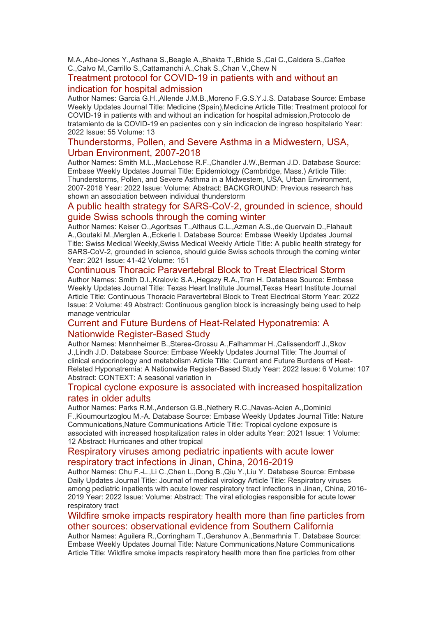M.A.,Abe-Jones Y.,Asthana S.,Beagle A.,Bhakta T.,Bhide S.,Cai C.,Caldera S.,Calfee C.,Calvo M.,Carrillo S.,Cattamanchi A.,Chak S.,Chan V.,Chew N

#### [Treatment protocol for COVID-19 in patients with and without an](https://eur01.safelinks.protection.outlook.com/?url=http%3A%2F%2Ftransit.linexsystems.com%2Ftrack%2Fclick%2F30370861%2Fca.linexsystems.com%3Fp%3DeyJzIjoiTVlzUXl0S2JuQVMzNU5pSC1yeFVnRmZjMlZZIiwidiI6MSwicCI6IntcInVcIjozMDM3MDg2MSxcInZcIjoxLFwidXJsXCI6XCJodHRwOlxcXC9cXFwvY2EubGluZXhzeXN0ZW1zLmNvbVxcXC9jb250ZW50c1xcXC90cmFuc2l0XFxcLzM3ODMxODAzOTY_dXNlcl9pZD00NDM1MTUmbG9nPWY5N2ViNmUzMjE5YTcyMWVlZDE3NTIyOTNmZmJlY2E3JnA9OTU5Njc2NDgmbT0xJnM9Mzk5MDU0Jm9yZ19pZD0yNjI4NzVcIixcImlkXCI6XCJjMWY3ZGMyMzZiZTA0YjY0YmU3YTNhYjQ0MmI4MWY2ZVwiLFwidXJsX2lkc1wiOltcIjA1ZTliM2YxZjk4OTA1NGZlM2JjODI0YWQ4ZmExYjhmMWYyMzVkMTNcIl19In0&data=05%7C01%7Ccaroline.debrun%40phe.gov.uk%7Ca6f00f6bef614d07b97908da43b32f98%7Cee4e14994a354b2ead475f3cf9de8666%7C0%7C0%7C637896735149202359%7CUnknown%7CTWFpbGZsb3d8eyJWIjoiMC4wLjAwMDAiLCJQIjoiV2luMzIiLCJBTiI6Ik1haWwiLCJXVCI6Mn0%3D%7C3000%7C%7C%7C&sdata=rzsHKGhN%2FvGaSYd1azaijK7pH%2FEDYWbVtG7IeyHq%2FOc%3D&reserved=0)  [indication for hospital admission](https://eur01.safelinks.protection.outlook.com/?url=http%3A%2F%2Ftransit.linexsystems.com%2Ftrack%2Fclick%2F30370861%2Fca.linexsystems.com%3Fp%3DeyJzIjoiTVlzUXl0S2JuQVMzNU5pSC1yeFVnRmZjMlZZIiwidiI6MSwicCI6IntcInVcIjozMDM3MDg2MSxcInZcIjoxLFwidXJsXCI6XCJodHRwOlxcXC9cXFwvY2EubGluZXhzeXN0ZW1zLmNvbVxcXC9jb250ZW50c1xcXC90cmFuc2l0XFxcLzM3ODMxODAzOTY_dXNlcl9pZD00NDM1MTUmbG9nPWY5N2ViNmUzMjE5YTcyMWVlZDE3NTIyOTNmZmJlY2E3JnA9OTU5Njc2NDgmbT0xJnM9Mzk5MDU0Jm9yZ19pZD0yNjI4NzVcIixcImlkXCI6XCJjMWY3ZGMyMzZiZTA0YjY0YmU3YTNhYjQ0MmI4MWY2ZVwiLFwidXJsX2lkc1wiOltcIjA1ZTliM2YxZjk4OTA1NGZlM2JjODI0YWQ4ZmExYjhmMWYyMzVkMTNcIl19In0&data=05%7C01%7Ccaroline.debrun%40phe.gov.uk%7Ca6f00f6bef614d07b97908da43b32f98%7Cee4e14994a354b2ead475f3cf9de8666%7C0%7C0%7C637896735149202359%7CUnknown%7CTWFpbGZsb3d8eyJWIjoiMC4wLjAwMDAiLCJQIjoiV2luMzIiLCJBTiI6Ik1haWwiLCJXVCI6Mn0%3D%7C3000%7C%7C%7C&sdata=rzsHKGhN%2FvGaSYd1azaijK7pH%2FEDYWbVtG7IeyHq%2FOc%3D&reserved=0)

Author Names: Garcia G.H.,Allende J.M.B.,Moreno F.G.S.Y.J.S. Database Source: Embase Weekly Updates Journal Title: Medicine (Spain),Medicine Article Title: Treatment protocol for COVID-19 in patients with and without an indication for hospital admission,Protocolo de tratamiento de la COVID-19 en pacientes con y sin indicacion de ingreso hospitalario Year: 2022 Issue: 55 Volume: 13

#### [Thunderstorms, Pollen, and Severe Asthma in a Midwestern, USA,](https://eur01.safelinks.protection.outlook.com/?url=http%3A%2F%2Ftransit.linexsystems.com%2Ftrack%2Fclick%2F30370861%2Fca.linexsystems.com%3Fp%3DeyJzIjoiMGxUc3I3RkJHN3RvMjlJX09ZVjRVbUJFRW53IiwidiI6MSwicCI6IntcInVcIjozMDM3MDg2MSxcInZcIjoxLFwidXJsXCI6XCJodHRwOlxcXC9cXFwvY2EubGluZXhzeXN0ZW1zLmNvbVxcXC9jb250ZW50c1xcXC90cmFuc2l0XFxcLzM3ODMxODAzOTc_dXNlcl9pZD00NDM1MTUmbG9nPWY5N2ViNmUzMjE5YTcyMWVlZDE3NTIyOTNmZmJlY2E3JnA9OTU5Njc2NDgmbT0xJnM9Mzk5MDU0Jm9yZ19pZD0yNjI4NzVcIixcImlkXCI6XCJjMWY3ZGMyMzZiZTA0YjY0YmU3YTNhYjQ0MmI4MWY2ZVwiLFwidXJsX2lkc1wiOltcIjA1ZTliM2YxZjk4OTA1NGZlM2JjODI0YWQ4ZmExYjhmMWYyMzVkMTNcIl19In0&data=05%7C01%7Ccaroline.debrun%40phe.gov.uk%7Ca6f00f6bef614d07b97908da43b32f98%7Cee4e14994a354b2ead475f3cf9de8666%7C0%7C0%7C637896735149202359%7CUnknown%7CTWFpbGZsb3d8eyJWIjoiMC4wLjAwMDAiLCJQIjoiV2luMzIiLCJBTiI6Ik1haWwiLCJXVCI6Mn0%3D%7C3000%7C%7C%7C&sdata=RjlfO2MOoWRXGc5fz0lFzveiaEo6h0k1btDVEIzPyZo%3D&reserved=0)  [Urban Environment, 2007-2018](https://eur01.safelinks.protection.outlook.com/?url=http%3A%2F%2Ftransit.linexsystems.com%2Ftrack%2Fclick%2F30370861%2Fca.linexsystems.com%3Fp%3DeyJzIjoiMGxUc3I3RkJHN3RvMjlJX09ZVjRVbUJFRW53IiwidiI6MSwicCI6IntcInVcIjozMDM3MDg2MSxcInZcIjoxLFwidXJsXCI6XCJodHRwOlxcXC9cXFwvY2EubGluZXhzeXN0ZW1zLmNvbVxcXC9jb250ZW50c1xcXC90cmFuc2l0XFxcLzM3ODMxODAzOTc_dXNlcl9pZD00NDM1MTUmbG9nPWY5N2ViNmUzMjE5YTcyMWVlZDE3NTIyOTNmZmJlY2E3JnA9OTU5Njc2NDgmbT0xJnM9Mzk5MDU0Jm9yZ19pZD0yNjI4NzVcIixcImlkXCI6XCJjMWY3ZGMyMzZiZTA0YjY0YmU3YTNhYjQ0MmI4MWY2ZVwiLFwidXJsX2lkc1wiOltcIjA1ZTliM2YxZjk4OTA1NGZlM2JjODI0YWQ4ZmExYjhmMWYyMzVkMTNcIl19In0&data=05%7C01%7Ccaroline.debrun%40phe.gov.uk%7Ca6f00f6bef614d07b97908da43b32f98%7Cee4e14994a354b2ead475f3cf9de8666%7C0%7C0%7C637896735149202359%7CUnknown%7CTWFpbGZsb3d8eyJWIjoiMC4wLjAwMDAiLCJQIjoiV2luMzIiLCJBTiI6Ik1haWwiLCJXVCI6Mn0%3D%7C3000%7C%7C%7C&sdata=RjlfO2MOoWRXGc5fz0lFzveiaEo6h0k1btDVEIzPyZo%3D&reserved=0)

Author Names: Smith M.L.,MacLehose R.F.,Chandler J.W.,Berman J.D. Database Source: Embase Weekly Updates Journal Title: Epidemiology (Cambridge, Mass.) Article Title: Thunderstorms, Pollen, and Severe Asthma in a Midwestern, USA, Urban Environment, 2007-2018 Year: 2022 Issue: Volume: Abstract: BACKGROUND: Previous research has shown an association between individual thunderstorm

#### [A public health strategy for SARS-CoV-2, grounded in science, should](https://eur01.safelinks.protection.outlook.com/?url=http%3A%2F%2Ftransit.linexsystems.com%2Ftrack%2Fclick%2F30370861%2Fca.linexsystems.com%3Fp%3DeyJzIjoiNXExY0ZhdHdqdFJsMVJIOU1tVEpBcWd6SXBvIiwidiI6MSwicCI6IntcInVcIjozMDM3MDg2MSxcInZcIjoxLFwidXJsXCI6XCJodHRwOlxcXC9cXFwvY2EubGluZXhzeXN0ZW1zLmNvbVxcXC9jb250ZW50c1xcXC90cmFuc2l0XFxcLzM3ODMxODAzOTg_dXNlcl9pZD00NDM1MTUmbG9nPWY5N2ViNmUzMjE5YTcyMWVlZDE3NTIyOTNmZmJlY2E3JnA9OTU5Njc2NDgmbT0xJnM9Mzk5MDU0Jm9yZ19pZD0yNjI4NzVcIixcImlkXCI6XCJjMWY3ZGMyMzZiZTA0YjY0YmU3YTNhYjQ0MmI4MWY2ZVwiLFwidXJsX2lkc1wiOltcIjA1ZTliM2YxZjk4OTA1NGZlM2JjODI0YWQ4ZmExYjhmMWYyMzVkMTNcIl19In0&data=05%7C01%7Ccaroline.debrun%40phe.gov.uk%7Ca6f00f6bef614d07b97908da43b32f98%7Cee4e14994a354b2ead475f3cf9de8666%7C0%7C0%7C637896735149202359%7CUnknown%7CTWFpbGZsb3d8eyJWIjoiMC4wLjAwMDAiLCJQIjoiV2luMzIiLCJBTiI6Ik1haWwiLCJXVCI6Mn0%3D%7C3000%7C%7C%7C&sdata=HI9RmhV7tUyLCH5P%2FguiBnyUPBAGYiHZxfeB9sd1d3U%3D&reserved=0)  [guide Swiss schools through the coming winter](https://eur01.safelinks.protection.outlook.com/?url=http%3A%2F%2Ftransit.linexsystems.com%2Ftrack%2Fclick%2F30370861%2Fca.linexsystems.com%3Fp%3DeyJzIjoiNXExY0ZhdHdqdFJsMVJIOU1tVEpBcWd6SXBvIiwidiI6MSwicCI6IntcInVcIjozMDM3MDg2MSxcInZcIjoxLFwidXJsXCI6XCJodHRwOlxcXC9cXFwvY2EubGluZXhzeXN0ZW1zLmNvbVxcXC9jb250ZW50c1xcXC90cmFuc2l0XFxcLzM3ODMxODAzOTg_dXNlcl9pZD00NDM1MTUmbG9nPWY5N2ViNmUzMjE5YTcyMWVlZDE3NTIyOTNmZmJlY2E3JnA9OTU5Njc2NDgmbT0xJnM9Mzk5MDU0Jm9yZ19pZD0yNjI4NzVcIixcImlkXCI6XCJjMWY3ZGMyMzZiZTA0YjY0YmU3YTNhYjQ0MmI4MWY2ZVwiLFwidXJsX2lkc1wiOltcIjA1ZTliM2YxZjk4OTA1NGZlM2JjODI0YWQ4ZmExYjhmMWYyMzVkMTNcIl19In0&data=05%7C01%7Ccaroline.debrun%40phe.gov.uk%7Ca6f00f6bef614d07b97908da43b32f98%7Cee4e14994a354b2ead475f3cf9de8666%7C0%7C0%7C637896735149202359%7CUnknown%7CTWFpbGZsb3d8eyJWIjoiMC4wLjAwMDAiLCJQIjoiV2luMzIiLCJBTiI6Ik1haWwiLCJXVCI6Mn0%3D%7C3000%7C%7C%7C&sdata=HI9RmhV7tUyLCH5P%2FguiBnyUPBAGYiHZxfeB9sd1d3U%3D&reserved=0)

Author Names: Keiser O.,Agoritsas T.,Althaus C.L.,Azman A.S.,de Quervain D.,Flahault A.,Goutaki M.,Merglen A.,Eckerle I. Database Source: Embase Weekly Updates Journal Title: Swiss Medical Weekly,Swiss Medical Weekly Article Title: A public health strategy for SARS-CoV-2, grounded in science, should guide Swiss schools through the coming winter Year: 2021 Issue: 41-42 Volume: 151

#### [Continuous Thoracic Paravertebral Block to Treat Electrical Storm](https://eur01.safelinks.protection.outlook.com/?url=http%3A%2F%2Ftransit.linexsystems.com%2Ftrack%2Fclick%2F30370861%2Fca.linexsystems.com%3Fp%3DeyJzIjoibGlOZmtKLUd6MTJHZFZwYVRrV2xxdXI4eklvIiwidiI6MSwicCI6IntcInVcIjozMDM3MDg2MSxcInZcIjoxLFwidXJsXCI6XCJodHRwOlxcXC9cXFwvY2EubGluZXhzeXN0ZW1zLmNvbVxcXC9jb250ZW50c1xcXC90cmFuc2l0XFxcLzM3ODMxODAzOTk_dXNlcl9pZD00NDM1MTUmbG9nPWY5N2ViNmUzMjE5YTcyMWVlZDE3NTIyOTNmZmJlY2E3JnA9OTU5Njc2NDgmbT0xJnM9Mzk5MDU0Jm9yZ19pZD0yNjI4NzVcIixcImlkXCI6XCJjMWY3ZGMyMzZiZTA0YjY0YmU3YTNhYjQ0MmI4MWY2ZVwiLFwidXJsX2lkc1wiOltcIjA1ZTliM2YxZjk4OTA1NGZlM2JjODI0YWQ4ZmExYjhmMWYyMzVkMTNcIl19In0&data=05%7C01%7Ccaroline.debrun%40phe.gov.uk%7Ca6f00f6bef614d07b97908da43b32f98%7Cee4e14994a354b2ead475f3cf9de8666%7C0%7C0%7C637896735149202359%7CUnknown%7CTWFpbGZsb3d8eyJWIjoiMC4wLjAwMDAiLCJQIjoiV2luMzIiLCJBTiI6Ik1haWwiLCJXVCI6Mn0%3D%7C3000%7C%7C%7C&sdata=4xh8UcwJ5rv7zCYGETZ3ACyVh1mdOGq78laUskA1LRI%3D&reserved=0)

Author Names: Smith D.I.,Kralovic S.A.,Hegazy R.A.,Tran H. Database Source: Embase Weekly Updates Journal Title: Texas Heart Institute Journal,Texas Heart Institute Journal Article Title: Continuous Thoracic Paravertebral Block to Treat Electrical Storm Year: 2022 Issue: 2 Volume: 49 Abstract: Continuous ganglion block is increasingly being used to help manage ventricular

#### [Current and Future Burdens of Heat-Related Hyponatremia: A](https://eur01.safelinks.protection.outlook.com/?url=http%3A%2F%2Ftransit.linexsystems.com%2Ftrack%2Fclick%2F30370861%2Fca.linexsystems.com%3Fp%3DeyJzIjoiSTY5UENCMTEwOEJ3S1h2TlRFN0p5VlVhcTk4IiwidiI6MSwicCI6IntcInVcIjozMDM3MDg2MSxcInZcIjoxLFwidXJsXCI6XCJodHRwOlxcXC9cXFwvY2EubGluZXhzeXN0ZW1zLmNvbVxcXC9jb250ZW50c1xcXC90cmFuc2l0XFxcLzM3ODMxODI1NTE_dXNlcl9pZD00NDM1MTUmbG9nPWY5N2ViNmUzMjE5YTcyMWVlZDE3NTIyOTNmZmJlY2E3JnA9OTU5Njc2NDgmbT0xJnM9Mzk5MDU0Jm9yZ19pZD0yNjI4NzVcIixcImlkXCI6XCJjMWY3ZGMyMzZiZTA0YjY0YmU3YTNhYjQ0MmI4MWY2ZVwiLFwidXJsX2lkc1wiOltcIjA1ZTliM2YxZjk4OTA1NGZlM2JjODI0YWQ4ZmExYjhmMWYyMzVkMTNcIl19In0&data=05%7C01%7Ccaroline.debrun%40phe.gov.uk%7Ca6f00f6bef614d07b97908da43b32f98%7Cee4e14994a354b2ead475f3cf9de8666%7C0%7C0%7C637896735149202359%7CUnknown%7CTWFpbGZsb3d8eyJWIjoiMC4wLjAwMDAiLCJQIjoiV2luMzIiLCJBTiI6Ik1haWwiLCJXVCI6Mn0%3D%7C3000%7C%7C%7C&sdata=L53CY67fExeUBEJ0Cb%2FhlRvtg8bgWTjt778wEmZ4JRU%3D&reserved=0)  [Nationwide Register-Based Study](https://eur01.safelinks.protection.outlook.com/?url=http%3A%2F%2Ftransit.linexsystems.com%2Ftrack%2Fclick%2F30370861%2Fca.linexsystems.com%3Fp%3DeyJzIjoiSTY5UENCMTEwOEJ3S1h2TlRFN0p5VlVhcTk4IiwidiI6MSwicCI6IntcInVcIjozMDM3MDg2MSxcInZcIjoxLFwidXJsXCI6XCJodHRwOlxcXC9cXFwvY2EubGluZXhzeXN0ZW1zLmNvbVxcXC9jb250ZW50c1xcXC90cmFuc2l0XFxcLzM3ODMxODI1NTE_dXNlcl9pZD00NDM1MTUmbG9nPWY5N2ViNmUzMjE5YTcyMWVlZDE3NTIyOTNmZmJlY2E3JnA9OTU5Njc2NDgmbT0xJnM9Mzk5MDU0Jm9yZ19pZD0yNjI4NzVcIixcImlkXCI6XCJjMWY3ZGMyMzZiZTA0YjY0YmU3YTNhYjQ0MmI4MWY2ZVwiLFwidXJsX2lkc1wiOltcIjA1ZTliM2YxZjk4OTA1NGZlM2JjODI0YWQ4ZmExYjhmMWYyMzVkMTNcIl19In0&data=05%7C01%7Ccaroline.debrun%40phe.gov.uk%7Ca6f00f6bef614d07b97908da43b32f98%7Cee4e14994a354b2ead475f3cf9de8666%7C0%7C0%7C637896735149202359%7CUnknown%7CTWFpbGZsb3d8eyJWIjoiMC4wLjAwMDAiLCJQIjoiV2luMzIiLCJBTiI6Ik1haWwiLCJXVCI6Mn0%3D%7C3000%7C%7C%7C&sdata=L53CY67fExeUBEJ0Cb%2FhlRvtg8bgWTjt778wEmZ4JRU%3D&reserved=0)

Author Names: Mannheimer B.,Sterea-Grossu A.,Falhammar H.,Calissendorff J.,Skov J.,Lindh J.D. Database Source: Embase Weekly Updates Journal Title: The Journal of clinical endocrinology and metabolism Article Title: Current and Future Burdens of Heat-Related Hyponatremia: A Nationwide Register-Based Study Year: 2022 Issue: 6 Volume: 107 Abstract: CONTEXT: A seasonal variation in

#### [Tropical cyclone exposure is associated with increased hospitalization](https://eur01.safelinks.protection.outlook.com/?url=http%3A%2F%2Ftransit.linexsystems.com%2Ftrack%2Fclick%2F30370861%2Fca.linexsystems.com%3Fp%3DeyJzIjoiWTFwVURLS2tmeTdScmhaX3ZGVVRGaGJSTldJIiwidiI6MSwicCI6IntcInVcIjozMDM3MDg2MSxcInZcIjoxLFwidXJsXCI6XCJodHRwOlxcXC9cXFwvY2EubGluZXhzeXN0ZW1zLmNvbVxcXC9jb250ZW50c1xcXC90cmFuc2l0XFxcLzM3ODMxODI1NTI_dXNlcl9pZD00NDM1MTUmbG9nPWY5N2ViNmUzMjE5YTcyMWVlZDE3NTIyOTNmZmJlY2E3JnA9OTU5Njc2NDgmbT0xJnM9Mzk5MDU0Jm9yZ19pZD0yNjI4NzVcIixcImlkXCI6XCJjMWY3ZGMyMzZiZTA0YjY0YmU3YTNhYjQ0MmI4MWY2ZVwiLFwidXJsX2lkc1wiOltcIjA1ZTliM2YxZjk4OTA1NGZlM2JjODI0YWQ4ZmExYjhmMWYyMzVkMTNcIl19In0&data=05%7C01%7Ccaroline.debrun%40phe.gov.uk%7Ca6f00f6bef614d07b97908da43b32f98%7Cee4e14994a354b2ead475f3cf9de8666%7C0%7C0%7C637896735149202359%7CUnknown%7CTWFpbGZsb3d8eyJWIjoiMC4wLjAwMDAiLCJQIjoiV2luMzIiLCJBTiI6Ik1haWwiLCJXVCI6Mn0%3D%7C3000%7C%7C%7C&sdata=W7zEw86hI3wFGEraxyhTQbGhn43UUoQE0N%2Fk33%2BWJag%3D&reserved=0)  [rates in older adults](https://eur01.safelinks.protection.outlook.com/?url=http%3A%2F%2Ftransit.linexsystems.com%2Ftrack%2Fclick%2F30370861%2Fca.linexsystems.com%3Fp%3DeyJzIjoiWTFwVURLS2tmeTdScmhaX3ZGVVRGaGJSTldJIiwidiI6MSwicCI6IntcInVcIjozMDM3MDg2MSxcInZcIjoxLFwidXJsXCI6XCJodHRwOlxcXC9cXFwvY2EubGluZXhzeXN0ZW1zLmNvbVxcXC9jb250ZW50c1xcXC90cmFuc2l0XFxcLzM3ODMxODI1NTI_dXNlcl9pZD00NDM1MTUmbG9nPWY5N2ViNmUzMjE5YTcyMWVlZDE3NTIyOTNmZmJlY2E3JnA9OTU5Njc2NDgmbT0xJnM9Mzk5MDU0Jm9yZ19pZD0yNjI4NzVcIixcImlkXCI6XCJjMWY3ZGMyMzZiZTA0YjY0YmU3YTNhYjQ0MmI4MWY2ZVwiLFwidXJsX2lkc1wiOltcIjA1ZTliM2YxZjk4OTA1NGZlM2JjODI0YWQ4ZmExYjhmMWYyMzVkMTNcIl19In0&data=05%7C01%7Ccaroline.debrun%40phe.gov.uk%7Ca6f00f6bef614d07b97908da43b32f98%7Cee4e14994a354b2ead475f3cf9de8666%7C0%7C0%7C637896735149202359%7CUnknown%7CTWFpbGZsb3d8eyJWIjoiMC4wLjAwMDAiLCJQIjoiV2luMzIiLCJBTiI6Ik1haWwiLCJXVCI6Mn0%3D%7C3000%7C%7C%7C&sdata=W7zEw86hI3wFGEraxyhTQbGhn43UUoQE0N%2Fk33%2BWJag%3D&reserved=0)

Author Names: Parks R.M.,Anderson G.B.,Nethery R.C.,Navas-Acien A.,Dominici F.,Kioumourtzoglou M.-A. Database Source: Embase Weekly Updates Journal Title: Nature Communications,Nature Communications Article Title: Tropical cyclone exposure is associated with increased hospitalization rates in older adults Year: 2021 Issue: 1 Volume: 12 Abstract: Hurricanes and other tropical

#### [Respiratory viruses among pediatric inpatients with acute lower](https://eur01.safelinks.protection.outlook.com/?url=http%3A%2F%2Ftransit.linexsystems.com%2Ftrack%2Fclick%2F30370861%2Fca.linexsystems.com%3Fp%3DeyJzIjoiS2NDNTZ5cVZXOWQwYmRXdkxvYTUwcXZVZXFNIiwidiI6MSwicCI6IntcInVcIjozMDM3MDg2MSxcInZcIjoxLFwidXJsXCI6XCJodHRwOlxcXC9cXFwvY2EubGluZXhzeXN0ZW1zLmNvbVxcXC9jb250ZW50c1xcXC90cmFuc2l0XFxcLzM3ODMxODI1NTM_dXNlcl9pZD00NDM1MTUmbG9nPWY5N2ViNmUzMjE5YTcyMWVlZDE3NTIyOTNmZmJlY2E3JnA9OTU5Njc2NDgmbT0xJnM9Mzk5MDU0Jm9yZ19pZD0yNjI4NzVcIixcImlkXCI6XCJjMWY3ZGMyMzZiZTA0YjY0YmU3YTNhYjQ0MmI4MWY2ZVwiLFwidXJsX2lkc1wiOltcIjA1ZTliM2YxZjk4OTA1NGZlM2JjODI0YWQ4ZmExYjhmMWYyMzVkMTNcIl19In0&data=05%7C01%7Ccaroline.debrun%40phe.gov.uk%7Ca6f00f6bef614d07b97908da43b32f98%7Cee4e14994a354b2ead475f3cf9de8666%7C0%7C0%7C637896735149202359%7CUnknown%7CTWFpbGZsb3d8eyJWIjoiMC4wLjAwMDAiLCJQIjoiV2luMzIiLCJBTiI6Ik1haWwiLCJXVCI6Mn0%3D%7C3000%7C%7C%7C&sdata=%2Bqv4mcnxIL6g%2FpR1JnCaqPkojysU4C4P%2BSRCckHefek%3D&reserved=0)  [respiratory tract infections in Jinan, China, 2016-2019](https://eur01.safelinks.protection.outlook.com/?url=http%3A%2F%2Ftransit.linexsystems.com%2Ftrack%2Fclick%2F30370861%2Fca.linexsystems.com%3Fp%3DeyJzIjoiS2NDNTZ5cVZXOWQwYmRXdkxvYTUwcXZVZXFNIiwidiI6MSwicCI6IntcInVcIjozMDM3MDg2MSxcInZcIjoxLFwidXJsXCI6XCJodHRwOlxcXC9cXFwvY2EubGluZXhzeXN0ZW1zLmNvbVxcXC9jb250ZW50c1xcXC90cmFuc2l0XFxcLzM3ODMxODI1NTM_dXNlcl9pZD00NDM1MTUmbG9nPWY5N2ViNmUzMjE5YTcyMWVlZDE3NTIyOTNmZmJlY2E3JnA9OTU5Njc2NDgmbT0xJnM9Mzk5MDU0Jm9yZ19pZD0yNjI4NzVcIixcImlkXCI6XCJjMWY3ZGMyMzZiZTA0YjY0YmU3YTNhYjQ0MmI4MWY2ZVwiLFwidXJsX2lkc1wiOltcIjA1ZTliM2YxZjk4OTA1NGZlM2JjODI0YWQ4ZmExYjhmMWYyMzVkMTNcIl19In0&data=05%7C01%7Ccaroline.debrun%40phe.gov.uk%7Ca6f00f6bef614d07b97908da43b32f98%7Cee4e14994a354b2ead475f3cf9de8666%7C0%7C0%7C637896735149202359%7CUnknown%7CTWFpbGZsb3d8eyJWIjoiMC4wLjAwMDAiLCJQIjoiV2luMzIiLCJBTiI6Ik1haWwiLCJXVCI6Mn0%3D%7C3000%7C%7C%7C&sdata=%2Bqv4mcnxIL6g%2FpR1JnCaqPkojysU4C4P%2BSRCckHefek%3D&reserved=0)

Author Names: Chu F.-L.,Li C.,Chen L.,Dong B.,Qiu Y.,Liu Y. Database Source: Embase Daily Updates Journal Title: Journal of medical virology Article Title: Respiratory viruses among pediatric inpatients with acute lower respiratory tract infections in Jinan, China, 2016- 2019 Year: 2022 Issue: Volume: Abstract: The viral etiologies responsible for acute lower respiratory tract

#### [Wildfire smoke impacts respiratory health more than fine particles from](https://eur01.safelinks.protection.outlook.com/?url=http%3A%2F%2Ftransit.linexsystems.com%2Ftrack%2Fclick%2F30370861%2Fca.linexsystems.com%3Fp%3DeyJzIjoiVUZjX0NhMFFDYVJJd3N0ck80NGY1X19ocXljIiwidiI6MSwicCI6IntcInVcIjozMDM3MDg2MSxcInZcIjoxLFwidXJsXCI6XCJodHRwOlxcXC9cXFwvY2EubGluZXhzeXN0ZW1zLmNvbVxcXC9jb250ZW50c1xcXC90cmFuc2l0XFxcLzM3ODMxODI1NTQ_dXNlcl9pZD00NDM1MTUmbG9nPWY5N2ViNmUzMjE5YTcyMWVlZDE3NTIyOTNmZmJlY2E3JnA9OTU5Njc2NDgmbT0xJnM9Mzk5MDU0Jm9yZ19pZD0yNjI4NzVcIixcImlkXCI6XCJjMWY3ZGMyMzZiZTA0YjY0YmU3YTNhYjQ0MmI4MWY2ZVwiLFwidXJsX2lkc1wiOltcIjA1ZTliM2YxZjk4OTA1NGZlM2JjODI0YWQ4ZmExYjhmMWYyMzVkMTNcIl19In0&data=05%7C01%7Ccaroline.debrun%40phe.gov.uk%7Ca6f00f6bef614d07b97908da43b32f98%7Cee4e14994a354b2ead475f3cf9de8666%7C0%7C0%7C637896735149202359%7CUnknown%7CTWFpbGZsb3d8eyJWIjoiMC4wLjAwMDAiLCJQIjoiV2luMzIiLCJBTiI6Ik1haWwiLCJXVCI6Mn0%3D%7C3000%7C%7C%7C&sdata=bEYWxjVqi9fn033SteFWfWamMzGLH%2FHdFCfrZJwxQQc%3D&reserved=0) [other sources: observational evidence from Southern California](https://eur01.safelinks.protection.outlook.com/?url=http%3A%2F%2Ftransit.linexsystems.com%2Ftrack%2Fclick%2F30370861%2Fca.linexsystems.com%3Fp%3DeyJzIjoiVUZjX0NhMFFDYVJJd3N0ck80NGY1X19ocXljIiwidiI6MSwicCI6IntcInVcIjozMDM3MDg2MSxcInZcIjoxLFwidXJsXCI6XCJodHRwOlxcXC9cXFwvY2EubGluZXhzeXN0ZW1zLmNvbVxcXC9jb250ZW50c1xcXC90cmFuc2l0XFxcLzM3ODMxODI1NTQ_dXNlcl9pZD00NDM1MTUmbG9nPWY5N2ViNmUzMjE5YTcyMWVlZDE3NTIyOTNmZmJlY2E3JnA9OTU5Njc2NDgmbT0xJnM9Mzk5MDU0Jm9yZ19pZD0yNjI4NzVcIixcImlkXCI6XCJjMWY3ZGMyMzZiZTA0YjY0YmU3YTNhYjQ0MmI4MWY2ZVwiLFwidXJsX2lkc1wiOltcIjA1ZTliM2YxZjk4OTA1NGZlM2JjODI0YWQ4ZmExYjhmMWYyMzVkMTNcIl19In0&data=05%7C01%7Ccaroline.debrun%40phe.gov.uk%7Ca6f00f6bef614d07b97908da43b32f98%7Cee4e14994a354b2ead475f3cf9de8666%7C0%7C0%7C637896735149202359%7CUnknown%7CTWFpbGZsb3d8eyJWIjoiMC4wLjAwMDAiLCJQIjoiV2luMzIiLCJBTiI6Ik1haWwiLCJXVCI6Mn0%3D%7C3000%7C%7C%7C&sdata=bEYWxjVqi9fn033SteFWfWamMzGLH%2FHdFCfrZJwxQQc%3D&reserved=0)

Author Names: Aguilera R.,Corringham T.,Gershunov A.,Benmarhnia T. Database Source: Embase Weekly Updates Journal Title: Nature Communications,Nature Communications Article Title: Wildfire smoke impacts respiratory health more than fine particles from other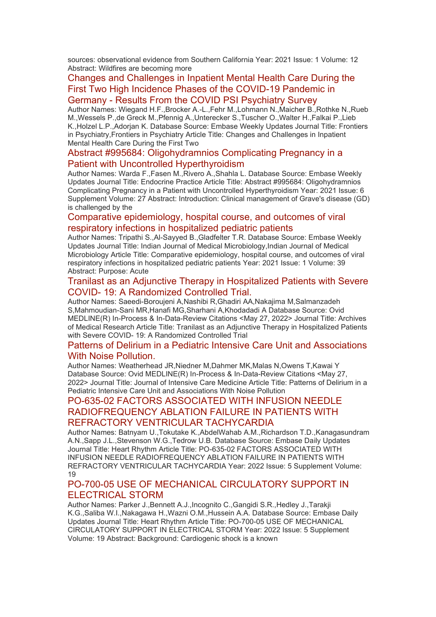sources: observational evidence from Southern California Year: 2021 Issue: 1 Volume: 12 Abstract: Wildfires are becoming more

### [Changes and Challenges in Inpatient Mental Health Care During the](https://eur01.safelinks.protection.outlook.com/?url=http%3A%2F%2Ftransit.linexsystems.com%2Ftrack%2Fclick%2F30370861%2Fca.linexsystems.com%3Fp%3DeyJzIjoiX1hacER6ajZyOUdMeGFXQ2xDYVQ1bkhVYTVNIiwidiI6MSwicCI6IntcInVcIjozMDM3MDg2MSxcInZcIjoxLFwidXJsXCI6XCJodHRwOlxcXC9cXFwvY2EubGluZXhzeXN0ZW1zLmNvbVxcXC9jb250ZW50c1xcXC90cmFuc2l0XFxcLzM3ODMxODI1NTU_dXNlcl9pZD00NDM1MTUmbG9nPWY5N2ViNmUzMjE5YTcyMWVlZDE3NTIyOTNmZmJlY2E3JnA9OTU5Njc2NDgmbT0xJnM9Mzk5MDU0Jm9yZ19pZD0yNjI4NzVcIixcImlkXCI6XCJjMWY3ZGMyMzZiZTA0YjY0YmU3YTNhYjQ0MmI4MWY2ZVwiLFwidXJsX2lkc1wiOltcIjA1ZTliM2YxZjk4OTA1NGZlM2JjODI0YWQ4ZmExYjhmMWYyMzVkMTNcIl19In0&data=05%7C01%7Ccaroline.debrun%40phe.gov.uk%7Ca6f00f6bef614d07b97908da43b32f98%7Cee4e14994a354b2ead475f3cf9de8666%7C0%7C0%7C637896735149202359%7CUnknown%7CTWFpbGZsb3d8eyJWIjoiMC4wLjAwMDAiLCJQIjoiV2luMzIiLCJBTiI6Ik1haWwiLCJXVCI6Mn0%3D%7C3000%7C%7C%7C&sdata=eS%2BX10TIEcGEESmZhmfvb3v%2B6TiiT50fvX10lWIcKvk%3D&reserved=0)  [First Two High Incidence Phases of the COVID-19 Pandemic in](https://eur01.safelinks.protection.outlook.com/?url=http%3A%2F%2Ftransit.linexsystems.com%2Ftrack%2Fclick%2F30370861%2Fca.linexsystems.com%3Fp%3DeyJzIjoiX1hacER6ajZyOUdMeGFXQ2xDYVQ1bkhVYTVNIiwidiI6MSwicCI6IntcInVcIjozMDM3MDg2MSxcInZcIjoxLFwidXJsXCI6XCJodHRwOlxcXC9cXFwvY2EubGluZXhzeXN0ZW1zLmNvbVxcXC9jb250ZW50c1xcXC90cmFuc2l0XFxcLzM3ODMxODI1NTU_dXNlcl9pZD00NDM1MTUmbG9nPWY5N2ViNmUzMjE5YTcyMWVlZDE3NTIyOTNmZmJlY2E3JnA9OTU5Njc2NDgmbT0xJnM9Mzk5MDU0Jm9yZ19pZD0yNjI4NzVcIixcImlkXCI6XCJjMWY3ZGMyMzZiZTA0YjY0YmU3YTNhYjQ0MmI4MWY2ZVwiLFwidXJsX2lkc1wiOltcIjA1ZTliM2YxZjk4OTA1NGZlM2JjODI0YWQ4ZmExYjhmMWYyMzVkMTNcIl19In0&data=05%7C01%7Ccaroline.debrun%40phe.gov.uk%7Ca6f00f6bef614d07b97908da43b32f98%7Cee4e14994a354b2ead475f3cf9de8666%7C0%7C0%7C637896735149202359%7CUnknown%7CTWFpbGZsb3d8eyJWIjoiMC4wLjAwMDAiLCJQIjoiV2luMzIiLCJBTiI6Ik1haWwiLCJXVCI6Mn0%3D%7C3000%7C%7C%7C&sdata=eS%2BX10TIEcGEESmZhmfvb3v%2B6TiiT50fvX10lWIcKvk%3D&reserved=0)  Germany - [Results From the COVID PSI Psychiatry Survey](https://eur01.safelinks.protection.outlook.com/?url=http%3A%2F%2Ftransit.linexsystems.com%2Ftrack%2Fclick%2F30370861%2Fca.linexsystems.com%3Fp%3DeyJzIjoiX1hacER6ajZyOUdMeGFXQ2xDYVQ1bkhVYTVNIiwidiI6MSwicCI6IntcInVcIjozMDM3MDg2MSxcInZcIjoxLFwidXJsXCI6XCJodHRwOlxcXC9cXFwvY2EubGluZXhzeXN0ZW1zLmNvbVxcXC9jb250ZW50c1xcXC90cmFuc2l0XFxcLzM3ODMxODI1NTU_dXNlcl9pZD00NDM1MTUmbG9nPWY5N2ViNmUzMjE5YTcyMWVlZDE3NTIyOTNmZmJlY2E3JnA9OTU5Njc2NDgmbT0xJnM9Mzk5MDU0Jm9yZ19pZD0yNjI4NzVcIixcImlkXCI6XCJjMWY3ZGMyMzZiZTA0YjY0YmU3YTNhYjQ0MmI4MWY2ZVwiLFwidXJsX2lkc1wiOltcIjA1ZTliM2YxZjk4OTA1NGZlM2JjODI0YWQ4ZmExYjhmMWYyMzVkMTNcIl19In0&data=05%7C01%7Ccaroline.debrun%40phe.gov.uk%7Ca6f00f6bef614d07b97908da43b32f98%7Cee4e14994a354b2ead475f3cf9de8666%7C0%7C0%7C637896735149202359%7CUnknown%7CTWFpbGZsb3d8eyJWIjoiMC4wLjAwMDAiLCJQIjoiV2luMzIiLCJBTiI6Ik1haWwiLCJXVCI6Mn0%3D%7C3000%7C%7C%7C&sdata=eS%2BX10TIEcGEESmZhmfvb3v%2B6TiiT50fvX10lWIcKvk%3D&reserved=0)

Author Names: Wiegand H.F.,Brocker A.-L.,Fehr M.,Lohmann N.,Maicher B.,Rothke N.,Rueb M.,Wessels P.,de Greck M.,Pfennig A.,Unterecker S.,Tuscher O.,Walter H.,Falkai P.,Lieb K.,Holzel L.P.,Adorjan K. Database Source: Embase Weekly Updates Journal Title: Frontiers in Psychiatry,Frontiers in Psychiatry Article Title: Changes and Challenges in Inpatient Mental Health Care During the First Two

#### [Abstract #995684: Oligohydramnios Complicating Pregnancy in a](https://eur01.safelinks.protection.outlook.com/?url=http%3A%2F%2Ftransit.linexsystems.com%2Ftrack%2Fclick%2F30370861%2Fca.linexsystems.com%3Fp%3DeyJzIjoiZzhlU1FaRHdzYVpRcTRvdGhJaGQ4X1N0cEZJIiwidiI6MSwicCI6IntcInVcIjozMDM3MDg2MSxcInZcIjoxLFwidXJsXCI6XCJodHRwOlxcXC9cXFwvY2EubGluZXhzeXN0ZW1zLmNvbVxcXC9jb250ZW50c1xcXC90cmFuc2l0XFxcLzM3ODMxODI1NTY_dXNlcl9pZD00NDM1MTUmbG9nPWY5N2ViNmUzMjE5YTcyMWVlZDE3NTIyOTNmZmJlY2E3JnA9OTU5Njc2NDgmbT0xJnM9Mzk5MDU0Jm9yZ19pZD0yNjI4NzVcIixcImlkXCI6XCJjMWY3ZGMyMzZiZTA0YjY0YmU3YTNhYjQ0MmI4MWY2ZVwiLFwidXJsX2lkc1wiOltcIjA1ZTliM2YxZjk4OTA1NGZlM2JjODI0YWQ4ZmExYjhmMWYyMzVkMTNcIl19In0&data=05%7C01%7Ccaroline.debrun%40phe.gov.uk%7Ca6f00f6bef614d07b97908da43b32f98%7Cee4e14994a354b2ead475f3cf9de8666%7C0%7C0%7C637896735149202359%7CUnknown%7CTWFpbGZsb3d8eyJWIjoiMC4wLjAwMDAiLCJQIjoiV2luMzIiLCJBTiI6Ik1haWwiLCJXVCI6Mn0%3D%7C3000%7C%7C%7C&sdata=x4NFQ7ubErTV0si92R2GLp%2B3E3UFtF%2B2c%2FQHm1mognQ%3D&reserved=0)  [Patient with Uncontrolled Hyperthyroidism](https://eur01.safelinks.protection.outlook.com/?url=http%3A%2F%2Ftransit.linexsystems.com%2Ftrack%2Fclick%2F30370861%2Fca.linexsystems.com%3Fp%3DeyJzIjoiZzhlU1FaRHdzYVpRcTRvdGhJaGQ4X1N0cEZJIiwidiI6MSwicCI6IntcInVcIjozMDM3MDg2MSxcInZcIjoxLFwidXJsXCI6XCJodHRwOlxcXC9cXFwvY2EubGluZXhzeXN0ZW1zLmNvbVxcXC9jb250ZW50c1xcXC90cmFuc2l0XFxcLzM3ODMxODI1NTY_dXNlcl9pZD00NDM1MTUmbG9nPWY5N2ViNmUzMjE5YTcyMWVlZDE3NTIyOTNmZmJlY2E3JnA9OTU5Njc2NDgmbT0xJnM9Mzk5MDU0Jm9yZ19pZD0yNjI4NzVcIixcImlkXCI6XCJjMWY3ZGMyMzZiZTA0YjY0YmU3YTNhYjQ0MmI4MWY2ZVwiLFwidXJsX2lkc1wiOltcIjA1ZTliM2YxZjk4OTA1NGZlM2JjODI0YWQ4ZmExYjhmMWYyMzVkMTNcIl19In0&data=05%7C01%7Ccaroline.debrun%40phe.gov.uk%7Ca6f00f6bef614d07b97908da43b32f98%7Cee4e14994a354b2ead475f3cf9de8666%7C0%7C0%7C637896735149202359%7CUnknown%7CTWFpbGZsb3d8eyJWIjoiMC4wLjAwMDAiLCJQIjoiV2luMzIiLCJBTiI6Ik1haWwiLCJXVCI6Mn0%3D%7C3000%7C%7C%7C&sdata=x4NFQ7ubErTV0si92R2GLp%2B3E3UFtF%2B2c%2FQHm1mognQ%3D&reserved=0)

Author Names: Warda F.,Fasen M.,Rivero A.,Shahla L. Database Source: Embase Weekly Updates Journal Title: Endocrine Practice Article Title: Abstract #995684: Oligohydramnios Complicating Pregnancy in a Patient with Uncontrolled Hyperthyroidism Year: 2021 Issue: 6 Supplement Volume: 27 Abstract: Introduction: Clinical management of Grave's disease (GD) is challenged by the

#### [Comparative epidemiology, hospital course, and outcomes of viral](https://eur01.safelinks.protection.outlook.com/?url=http%3A%2F%2Ftransit.linexsystems.com%2Ftrack%2Fclick%2F30370861%2Fca.linexsystems.com%3Fp%3DeyJzIjoiSWROMVdzWnMxWUh6UjVPVmlQaHo2NlNVYzFNIiwidiI6MSwicCI6IntcInVcIjozMDM3MDg2MSxcInZcIjoxLFwidXJsXCI6XCJodHRwOlxcXC9cXFwvY2EubGluZXhzeXN0ZW1zLmNvbVxcXC9jb250ZW50c1xcXC90cmFuc2l0XFxcLzM3ODMxODI1NTc_dXNlcl9pZD00NDM1MTUmbG9nPWY5N2ViNmUzMjE5YTcyMWVlZDE3NTIyOTNmZmJlY2E3JnA9OTU5Njc2NDgmbT0xJnM9Mzk5MDU0Jm9yZ19pZD0yNjI4NzVcIixcImlkXCI6XCJjMWY3ZGMyMzZiZTA0YjY0YmU3YTNhYjQ0MmI4MWY2ZVwiLFwidXJsX2lkc1wiOltcIjA1ZTliM2YxZjk4OTA1NGZlM2JjODI0YWQ4ZmExYjhmMWYyMzVkMTNcIl19In0&data=05%7C01%7Ccaroline.debrun%40phe.gov.uk%7Ca6f00f6bef614d07b97908da43b32f98%7Cee4e14994a354b2ead475f3cf9de8666%7C0%7C0%7C637896735149202359%7CUnknown%7CTWFpbGZsb3d8eyJWIjoiMC4wLjAwMDAiLCJQIjoiV2luMzIiLCJBTiI6Ik1haWwiLCJXVCI6Mn0%3D%7C3000%7C%7C%7C&sdata=O1bPB0MUrxf%2BB6CvZ46YvHgBq5GeaL3EU72Ufk%2FF1cA%3D&reserved=0)  [respiratory infections in hospitalized pediatric patients](https://eur01.safelinks.protection.outlook.com/?url=http%3A%2F%2Ftransit.linexsystems.com%2Ftrack%2Fclick%2F30370861%2Fca.linexsystems.com%3Fp%3DeyJzIjoiSWROMVdzWnMxWUh6UjVPVmlQaHo2NlNVYzFNIiwidiI6MSwicCI6IntcInVcIjozMDM3MDg2MSxcInZcIjoxLFwidXJsXCI6XCJodHRwOlxcXC9cXFwvY2EubGluZXhzeXN0ZW1zLmNvbVxcXC9jb250ZW50c1xcXC90cmFuc2l0XFxcLzM3ODMxODI1NTc_dXNlcl9pZD00NDM1MTUmbG9nPWY5N2ViNmUzMjE5YTcyMWVlZDE3NTIyOTNmZmJlY2E3JnA9OTU5Njc2NDgmbT0xJnM9Mzk5MDU0Jm9yZ19pZD0yNjI4NzVcIixcImlkXCI6XCJjMWY3ZGMyMzZiZTA0YjY0YmU3YTNhYjQ0MmI4MWY2ZVwiLFwidXJsX2lkc1wiOltcIjA1ZTliM2YxZjk4OTA1NGZlM2JjODI0YWQ4ZmExYjhmMWYyMzVkMTNcIl19In0&data=05%7C01%7Ccaroline.debrun%40phe.gov.uk%7Ca6f00f6bef614d07b97908da43b32f98%7Cee4e14994a354b2ead475f3cf9de8666%7C0%7C0%7C637896735149202359%7CUnknown%7CTWFpbGZsb3d8eyJWIjoiMC4wLjAwMDAiLCJQIjoiV2luMzIiLCJBTiI6Ik1haWwiLCJXVCI6Mn0%3D%7C3000%7C%7C%7C&sdata=O1bPB0MUrxf%2BB6CvZ46YvHgBq5GeaL3EU72Ufk%2FF1cA%3D&reserved=0)

Author Names: Tripathi S.,Al-Sayyed B.,Gladfelter T.R. Database Source: Embase Weekly Updates Journal Title: Indian Journal of Medical Microbiology,Indian Journal of Medical Microbiology Article Title: Comparative epidemiology, hospital course, and outcomes of viral respiratory infections in hospitalized pediatric patients Year: 2021 Issue: 1 Volume: 39 Abstract: Purpose: Acute

#### [Tranilast as an Adjunctive Therapy in Hospitalized Patients with Severe](https://eur01.safelinks.protection.outlook.com/?url=http%3A%2F%2Ftransit.linexsystems.com%2Ftrack%2Fclick%2F30370861%2Fca.linexsystems.com%3Fp%3DeyJzIjoidnVGa0E0UzZ4bUp4elRzSGF4Y1FtVUpGMUtvIiwidiI6MSwicCI6IntcInVcIjozMDM3MDg2MSxcInZcIjoxLFwidXJsXCI6XCJodHRwOlxcXC9cXFwvY2EubGluZXhzeXN0ZW1zLmNvbVxcXC9jb250ZW50c1xcXC90cmFuc2l0XFxcLzM3ODMxODA0NTU_dXNlcl9pZD00NDM1MTUmbG9nPWY5N2ViNmUzMjE5YTcyMWVlZDE3NTIyOTNmZmJlY2E3JnA9OTU5Njc2NDgmbT0xJnM9Mzk5MDU0Jm9yZ19pZD0yNjI4NzVcIixcImlkXCI6XCJjMWY3ZGMyMzZiZTA0YjY0YmU3YTNhYjQ0MmI4MWY2ZVwiLFwidXJsX2lkc1wiOltcIjA1ZTliM2YxZjk4OTA1NGZlM2JjODI0YWQ4ZmExYjhmMWYyMzVkMTNcIl19In0&data=05%7C01%7Ccaroline.debrun%40phe.gov.uk%7Ca6f00f6bef614d07b97908da43b32f98%7Cee4e14994a354b2ead475f3cf9de8666%7C0%7C0%7C637896735149202359%7CUnknown%7CTWFpbGZsb3d8eyJWIjoiMC4wLjAwMDAiLCJQIjoiV2luMzIiLCJBTiI6Ik1haWwiLCJXVCI6Mn0%3D%7C3000%7C%7C%7C&sdata=RtiBIRlX074T9DOE5dZ%2FlQwg%2B7uwOEMsZct3owVjaXg%3D&reserved=0)  COVID- [19: A Randomized Controlled Trial.](https://eur01.safelinks.protection.outlook.com/?url=http%3A%2F%2Ftransit.linexsystems.com%2Ftrack%2Fclick%2F30370861%2Fca.linexsystems.com%3Fp%3DeyJzIjoidnVGa0E0UzZ4bUp4elRzSGF4Y1FtVUpGMUtvIiwidiI6MSwicCI6IntcInVcIjozMDM3MDg2MSxcInZcIjoxLFwidXJsXCI6XCJodHRwOlxcXC9cXFwvY2EubGluZXhzeXN0ZW1zLmNvbVxcXC9jb250ZW50c1xcXC90cmFuc2l0XFxcLzM3ODMxODA0NTU_dXNlcl9pZD00NDM1MTUmbG9nPWY5N2ViNmUzMjE5YTcyMWVlZDE3NTIyOTNmZmJlY2E3JnA9OTU5Njc2NDgmbT0xJnM9Mzk5MDU0Jm9yZ19pZD0yNjI4NzVcIixcImlkXCI6XCJjMWY3ZGMyMzZiZTA0YjY0YmU3YTNhYjQ0MmI4MWY2ZVwiLFwidXJsX2lkc1wiOltcIjA1ZTliM2YxZjk4OTA1NGZlM2JjODI0YWQ4ZmExYjhmMWYyMzVkMTNcIl19In0&data=05%7C01%7Ccaroline.debrun%40phe.gov.uk%7Ca6f00f6bef614d07b97908da43b32f98%7Cee4e14994a354b2ead475f3cf9de8666%7C0%7C0%7C637896735149202359%7CUnknown%7CTWFpbGZsb3d8eyJWIjoiMC4wLjAwMDAiLCJQIjoiV2luMzIiLCJBTiI6Ik1haWwiLCJXVCI6Mn0%3D%7C3000%7C%7C%7C&sdata=RtiBIRlX074T9DOE5dZ%2FlQwg%2B7uwOEMsZct3owVjaXg%3D&reserved=0)

Author Names: Saeedi-Boroujeni A,Nashibi R,Ghadiri AA,Nakajima M,Salmanzadeh S,Mahmoudian-Sani MR,Hanafi MG,Sharhani A,Khodadadi A Database Source: Ovid MEDLINE(R) In-Process & In-Data-Review Citations <May 27, 2022> Journal Title: Archives of Medical Research Article Title: Tranilast as an Adjunctive Therapy in Hospitalized Patients with Severe COVID- 19: A Randomized Controlled Trial

#### [Patterns of Delirium in a Pediatric Intensive Care Unit and Associations](https://eur01.safelinks.protection.outlook.com/?url=http%3A%2F%2Ftransit.linexsystems.com%2Ftrack%2Fclick%2F30370861%2Fca.linexsystems.com%3Fp%3DeyJzIjoiTWc3SVROc09uYkFqNUlmTUdmb1dGYm5PTUFNIiwidiI6MSwicCI6IntcInVcIjozMDM3MDg2MSxcInZcIjoxLFwidXJsXCI6XCJodHRwOlxcXC9cXFwvY2EubGluZXhzeXN0ZW1zLmNvbVxcXC9jb250ZW50c1xcXC90cmFuc2l0XFxcLzM3ODMxODA3Njc_dXNlcl9pZD00NDM1MTUmbG9nPWY5N2ViNmUzMjE5YTcyMWVlZDE3NTIyOTNmZmJlY2E3JnA9OTU5Njc2NDgmbT0xJnM9Mzk5MDU0Jm9yZ19pZD0yNjI4NzVcIixcImlkXCI6XCJjMWY3ZGMyMzZiZTA0YjY0YmU3YTNhYjQ0MmI4MWY2ZVwiLFwidXJsX2lkc1wiOltcIjA1ZTliM2YxZjk4OTA1NGZlM2JjODI0YWQ4ZmExYjhmMWYyMzVkMTNcIl19In0&data=05%7C01%7Ccaroline.debrun%40phe.gov.uk%7Ca6f00f6bef614d07b97908da43b32f98%7Cee4e14994a354b2ead475f3cf9de8666%7C0%7C0%7C637896735149202359%7CUnknown%7CTWFpbGZsb3d8eyJWIjoiMC4wLjAwMDAiLCJQIjoiV2luMzIiLCJBTiI6Ik1haWwiLCJXVCI6Mn0%3D%7C3000%7C%7C%7C&sdata=SqHsPe%2FlVYBN7MJmNeMBaUYHoPntIi7797PXFi51uKg%3D&reserved=0)  [With Noise Pollution.](https://eur01.safelinks.protection.outlook.com/?url=http%3A%2F%2Ftransit.linexsystems.com%2Ftrack%2Fclick%2F30370861%2Fca.linexsystems.com%3Fp%3DeyJzIjoiTWc3SVROc09uYkFqNUlmTUdmb1dGYm5PTUFNIiwidiI6MSwicCI6IntcInVcIjozMDM3MDg2MSxcInZcIjoxLFwidXJsXCI6XCJodHRwOlxcXC9cXFwvY2EubGluZXhzeXN0ZW1zLmNvbVxcXC9jb250ZW50c1xcXC90cmFuc2l0XFxcLzM3ODMxODA3Njc_dXNlcl9pZD00NDM1MTUmbG9nPWY5N2ViNmUzMjE5YTcyMWVlZDE3NTIyOTNmZmJlY2E3JnA9OTU5Njc2NDgmbT0xJnM9Mzk5MDU0Jm9yZ19pZD0yNjI4NzVcIixcImlkXCI6XCJjMWY3ZGMyMzZiZTA0YjY0YmU3YTNhYjQ0MmI4MWY2ZVwiLFwidXJsX2lkc1wiOltcIjA1ZTliM2YxZjk4OTA1NGZlM2JjODI0YWQ4ZmExYjhmMWYyMzVkMTNcIl19In0&data=05%7C01%7Ccaroline.debrun%40phe.gov.uk%7Ca6f00f6bef614d07b97908da43b32f98%7Cee4e14994a354b2ead475f3cf9de8666%7C0%7C0%7C637896735149202359%7CUnknown%7CTWFpbGZsb3d8eyJWIjoiMC4wLjAwMDAiLCJQIjoiV2luMzIiLCJBTiI6Ik1haWwiLCJXVCI6Mn0%3D%7C3000%7C%7C%7C&sdata=SqHsPe%2FlVYBN7MJmNeMBaUYHoPntIi7797PXFi51uKg%3D&reserved=0)

Author Names: Weatherhead JR,Niedner M,Dahmer MK,Malas N,Owens T,Kawai Y Database Source: Ovid MEDLINE(R) In-Process & In-Data-Review Citations <May 27, 2022> Journal Title: Journal of Intensive Care Medicine Article Title: Patterns of Delirium in a Pediatric Intensive Care Unit and Associations With Noise Pollution

# [PO-635-02 FACTORS ASSOCIATED WITH INFUSION NEEDLE](https://eur01.safelinks.protection.outlook.com/?url=http%3A%2F%2Ftransit.linexsystems.com%2Ftrack%2Fclick%2F30370861%2Fca.linexsystems.com%3Fp%3DeyJzIjoiUXFScnJTUUF3RWNobFBhdW9tVTR6WkxyX2ZJIiwidiI6MSwicCI6IntcInVcIjozMDM3MDg2MSxcInZcIjoxLFwidXJsXCI6XCJodHRwOlxcXC9cXFwvY2EubGluZXhzeXN0ZW1zLmNvbVxcXC9jb250ZW50c1xcXC90cmFuc2l0XFxcLzM3ODMxMDMwMjk_dXNlcl9pZD00NDM1MTUmbG9nPWY5N2ViNmUzMjE5YTcyMWVlZDE3NTIyOTNmZmJlY2E3JnA9OTU5Njc2NDgmbT0xJnM9Mzk5MDU0Jm9yZ19pZD0yNjI4NzVcIixcImlkXCI6XCJjMWY3ZGMyMzZiZTA0YjY0YmU3YTNhYjQ0MmI4MWY2ZVwiLFwidXJsX2lkc1wiOltcIjA1ZTliM2YxZjk4OTA1NGZlM2JjODI0YWQ4ZmExYjhmMWYyMzVkMTNcIl19In0&data=05%7C01%7Ccaroline.debrun%40phe.gov.uk%7Ca6f00f6bef614d07b97908da43b32f98%7Cee4e14994a354b2ead475f3cf9de8666%7C0%7C0%7C637896735149202359%7CUnknown%7CTWFpbGZsb3d8eyJWIjoiMC4wLjAwMDAiLCJQIjoiV2luMzIiLCJBTiI6Ik1haWwiLCJXVCI6Mn0%3D%7C3000%7C%7C%7C&sdata=%2FwcG2fO%2FWWqpRpc8oW27Wc853IHmLJ1vDAB4etQ9kvk%3D&reserved=0)  [RADIOFREQUENCY ABLATION FAILURE IN PATIENTS WITH](https://eur01.safelinks.protection.outlook.com/?url=http%3A%2F%2Ftransit.linexsystems.com%2Ftrack%2Fclick%2F30370861%2Fca.linexsystems.com%3Fp%3DeyJzIjoiUXFScnJTUUF3RWNobFBhdW9tVTR6WkxyX2ZJIiwidiI6MSwicCI6IntcInVcIjozMDM3MDg2MSxcInZcIjoxLFwidXJsXCI6XCJodHRwOlxcXC9cXFwvY2EubGluZXhzeXN0ZW1zLmNvbVxcXC9jb250ZW50c1xcXC90cmFuc2l0XFxcLzM3ODMxMDMwMjk_dXNlcl9pZD00NDM1MTUmbG9nPWY5N2ViNmUzMjE5YTcyMWVlZDE3NTIyOTNmZmJlY2E3JnA9OTU5Njc2NDgmbT0xJnM9Mzk5MDU0Jm9yZ19pZD0yNjI4NzVcIixcImlkXCI6XCJjMWY3ZGMyMzZiZTA0YjY0YmU3YTNhYjQ0MmI4MWY2ZVwiLFwidXJsX2lkc1wiOltcIjA1ZTliM2YxZjk4OTA1NGZlM2JjODI0YWQ4ZmExYjhmMWYyMzVkMTNcIl19In0&data=05%7C01%7Ccaroline.debrun%40phe.gov.uk%7Ca6f00f6bef614d07b97908da43b32f98%7Cee4e14994a354b2ead475f3cf9de8666%7C0%7C0%7C637896735149202359%7CUnknown%7CTWFpbGZsb3d8eyJWIjoiMC4wLjAwMDAiLCJQIjoiV2luMzIiLCJBTiI6Ik1haWwiLCJXVCI6Mn0%3D%7C3000%7C%7C%7C&sdata=%2FwcG2fO%2FWWqpRpc8oW27Wc853IHmLJ1vDAB4etQ9kvk%3D&reserved=0)  [REFRACTORY VENTRICULAR TACHYCARDIA](https://eur01.safelinks.protection.outlook.com/?url=http%3A%2F%2Ftransit.linexsystems.com%2Ftrack%2Fclick%2F30370861%2Fca.linexsystems.com%3Fp%3DeyJzIjoiUXFScnJTUUF3RWNobFBhdW9tVTR6WkxyX2ZJIiwidiI6MSwicCI6IntcInVcIjozMDM3MDg2MSxcInZcIjoxLFwidXJsXCI6XCJodHRwOlxcXC9cXFwvY2EubGluZXhzeXN0ZW1zLmNvbVxcXC9jb250ZW50c1xcXC90cmFuc2l0XFxcLzM3ODMxMDMwMjk_dXNlcl9pZD00NDM1MTUmbG9nPWY5N2ViNmUzMjE5YTcyMWVlZDE3NTIyOTNmZmJlY2E3JnA9OTU5Njc2NDgmbT0xJnM9Mzk5MDU0Jm9yZ19pZD0yNjI4NzVcIixcImlkXCI6XCJjMWY3ZGMyMzZiZTA0YjY0YmU3YTNhYjQ0MmI4MWY2ZVwiLFwidXJsX2lkc1wiOltcIjA1ZTliM2YxZjk4OTA1NGZlM2JjODI0YWQ4ZmExYjhmMWYyMzVkMTNcIl19In0&data=05%7C01%7Ccaroline.debrun%40phe.gov.uk%7Ca6f00f6bef614d07b97908da43b32f98%7Cee4e14994a354b2ead475f3cf9de8666%7C0%7C0%7C637896735149202359%7CUnknown%7CTWFpbGZsb3d8eyJWIjoiMC4wLjAwMDAiLCJQIjoiV2luMzIiLCJBTiI6Ik1haWwiLCJXVCI6Mn0%3D%7C3000%7C%7C%7C&sdata=%2FwcG2fO%2FWWqpRpc8oW27Wc853IHmLJ1vDAB4etQ9kvk%3D&reserved=0)

Author Names: Batnyam U.,Tokutake K.,AbdelWahab A.M.,Richardson T.D.,Kanagasundram A.N.,Sapp J.L.,Stevenson W.G.,Tedrow U.B. Database Source: Embase Daily Updates Journal Title: Heart Rhythm Article Title: PO-635-02 FACTORS ASSOCIATED WITH INFUSION NEEDLE RADIOFREQUENCY ABLATION FAILURE IN PATIENTS WITH REFRACTORY VENTRICULAR TACHYCARDIA Year: 2022 Issue: 5 Supplement Volume: 19

# [PO-700-05 USE OF MECHANICAL CIRCULATORY SUPPORT IN](https://eur01.safelinks.protection.outlook.com/?url=http%3A%2F%2Ftransit.linexsystems.com%2Ftrack%2Fclick%2F30370861%2Fca.linexsystems.com%3Fp%3DeyJzIjoiUGdmcU5zRGxYdW95TWlXRW1Jbm5aaGxxQXQwIiwidiI6MSwicCI6IntcInVcIjozMDM3MDg2MSxcInZcIjoxLFwidXJsXCI6XCJodHRwOlxcXC9cXFwvY2EubGluZXhzeXN0ZW1zLmNvbVxcXC9jb250ZW50c1xcXC90cmFuc2l0XFxcLzM3ODMxMDMxODk_dXNlcl9pZD00NDM1MTUmbG9nPWY5N2ViNmUzMjE5YTcyMWVlZDE3NTIyOTNmZmJlY2E3JnA9OTU5Njc2NDgmbT0xJnM9Mzk5MDU0Jm9yZ19pZD0yNjI4NzVcIixcImlkXCI6XCJjMWY3ZGMyMzZiZTA0YjY0YmU3YTNhYjQ0MmI4MWY2ZVwiLFwidXJsX2lkc1wiOltcIjA1ZTliM2YxZjk4OTA1NGZlM2JjODI0YWQ4ZmExYjhmMWYyMzVkMTNcIl19In0&data=05%7C01%7Ccaroline.debrun%40phe.gov.uk%7Ca6f00f6bef614d07b97908da43b32f98%7Cee4e14994a354b2ead475f3cf9de8666%7C0%7C0%7C637896735149202359%7CUnknown%7CTWFpbGZsb3d8eyJWIjoiMC4wLjAwMDAiLCJQIjoiV2luMzIiLCJBTiI6Ik1haWwiLCJXVCI6Mn0%3D%7C3000%7C%7C%7C&sdata=i4xlEaU9SUldyr2DoqVCqf7Q3gMHdLK8sJjNyn%2FkYfk%3D&reserved=0)  [ELECTRICAL STORM](https://eur01.safelinks.protection.outlook.com/?url=http%3A%2F%2Ftransit.linexsystems.com%2Ftrack%2Fclick%2F30370861%2Fca.linexsystems.com%3Fp%3DeyJzIjoiUGdmcU5zRGxYdW95TWlXRW1Jbm5aaGxxQXQwIiwidiI6MSwicCI6IntcInVcIjozMDM3MDg2MSxcInZcIjoxLFwidXJsXCI6XCJodHRwOlxcXC9cXFwvY2EubGluZXhzeXN0ZW1zLmNvbVxcXC9jb250ZW50c1xcXC90cmFuc2l0XFxcLzM3ODMxMDMxODk_dXNlcl9pZD00NDM1MTUmbG9nPWY5N2ViNmUzMjE5YTcyMWVlZDE3NTIyOTNmZmJlY2E3JnA9OTU5Njc2NDgmbT0xJnM9Mzk5MDU0Jm9yZ19pZD0yNjI4NzVcIixcImlkXCI6XCJjMWY3ZGMyMzZiZTA0YjY0YmU3YTNhYjQ0MmI4MWY2ZVwiLFwidXJsX2lkc1wiOltcIjA1ZTliM2YxZjk4OTA1NGZlM2JjODI0YWQ4ZmExYjhmMWYyMzVkMTNcIl19In0&data=05%7C01%7Ccaroline.debrun%40phe.gov.uk%7Ca6f00f6bef614d07b97908da43b32f98%7Cee4e14994a354b2ead475f3cf9de8666%7C0%7C0%7C637896735149202359%7CUnknown%7CTWFpbGZsb3d8eyJWIjoiMC4wLjAwMDAiLCJQIjoiV2luMzIiLCJBTiI6Ik1haWwiLCJXVCI6Mn0%3D%7C3000%7C%7C%7C&sdata=i4xlEaU9SUldyr2DoqVCqf7Q3gMHdLK8sJjNyn%2FkYfk%3D&reserved=0)

Author Names: Parker J.,Bennett A.J.,Incognito C.,Gangidi S.R.,Hedley J.,Tarakji K.G.,Saliba W.I.,Nakagawa H.,Wazni O.M.,Hussein A.A. Database Source: Embase Daily Updates Journal Title: Heart Rhythm Article Title: PO-700-05 USE OF MECHANICAL CIRCULATORY SUPPORT IN ELECTRICAL STORM Year: 2022 Issue: 5 Supplement Volume: 19 Abstract: Background: Cardiogenic shock is a known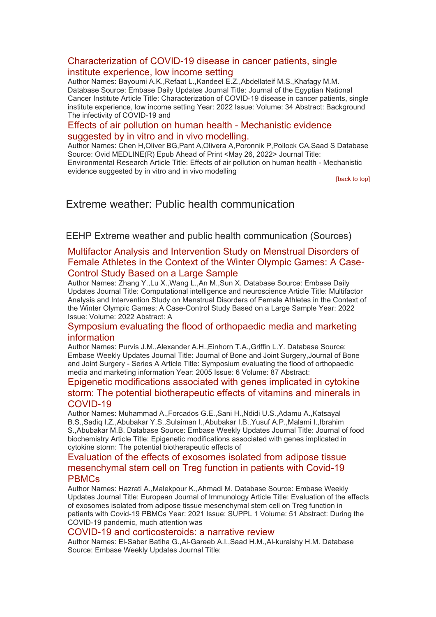#### [Characterization of COVID-19 disease in cancer patients, single](https://eur01.safelinks.protection.outlook.com/?url=http%3A%2F%2Ftransit.linexsystems.com%2Ftrack%2Fclick%2F30370861%2Fca.linexsystems.com%3Fp%3DeyJzIjoiTHoxT2JLVjhLMFpYMDJkWkRHV3NUM2dVS01FIiwidiI6MSwicCI6IntcInVcIjozMDM3MDg2MSxcInZcIjoxLFwidXJsXCI6XCJodHRwOlxcXC9cXFwvY2EubGluZXhzeXN0ZW1zLmNvbVxcXC9jb250ZW50c1xcXC90cmFuc2l0XFxcLzM3ODMxMDM0MDk_dXNlcl9pZD00NDM1MTUmbG9nPWY5N2ViNmUzMjE5YTcyMWVlZDE3NTIyOTNmZmJlY2E3JnA9OTU5Njc2NDgmbT0xJnM9Mzk5MDU0Jm9yZ19pZD0yNjI4NzVcIixcImlkXCI6XCJjMWY3ZGMyMzZiZTA0YjY0YmU3YTNhYjQ0MmI4MWY2ZVwiLFwidXJsX2lkc1wiOltcIjA1ZTliM2YxZjk4OTA1NGZlM2JjODI0YWQ4ZmExYjhmMWYyMzVkMTNcIl19In0&data=05%7C01%7Ccaroline.debrun%40phe.gov.uk%7Ca6f00f6bef614d07b97908da43b32f98%7Cee4e14994a354b2ead475f3cf9de8666%7C0%7C0%7C637896735149202359%7CUnknown%7CTWFpbGZsb3d8eyJWIjoiMC4wLjAwMDAiLCJQIjoiV2luMzIiLCJBTiI6Ik1haWwiLCJXVCI6Mn0%3D%7C3000%7C%7C%7C&sdata=BaxpWiSqHKW6hFG55q8ZjlL1r4%2Ff4L3L016ptDlVN7k%3D&reserved=0)  [institute experience, low income setting](https://eur01.safelinks.protection.outlook.com/?url=http%3A%2F%2Ftransit.linexsystems.com%2Ftrack%2Fclick%2F30370861%2Fca.linexsystems.com%3Fp%3DeyJzIjoiTHoxT2JLVjhLMFpYMDJkWkRHV3NUM2dVS01FIiwidiI6MSwicCI6IntcInVcIjozMDM3MDg2MSxcInZcIjoxLFwidXJsXCI6XCJodHRwOlxcXC9cXFwvY2EubGluZXhzeXN0ZW1zLmNvbVxcXC9jb250ZW50c1xcXC90cmFuc2l0XFxcLzM3ODMxMDM0MDk_dXNlcl9pZD00NDM1MTUmbG9nPWY5N2ViNmUzMjE5YTcyMWVlZDE3NTIyOTNmZmJlY2E3JnA9OTU5Njc2NDgmbT0xJnM9Mzk5MDU0Jm9yZ19pZD0yNjI4NzVcIixcImlkXCI6XCJjMWY3ZGMyMzZiZTA0YjY0YmU3YTNhYjQ0MmI4MWY2ZVwiLFwidXJsX2lkc1wiOltcIjA1ZTliM2YxZjk4OTA1NGZlM2JjODI0YWQ4ZmExYjhmMWYyMzVkMTNcIl19In0&data=05%7C01%7Ccaroline.debrun%40phe.gov.uk%7Ca6f00f6bef614d07b97908da43b32f98%7Cee4e14994a354b2ead475f3cf9de8666%7C0%7C0%7C637896735149202359%7CUnknown%7CTWFpbGZsb3d8eyJWIjoiMC4wLjAwMDAiLCJQIjoiV2luMzIiLCJBTiI6Ik1haWwiLCJXVCI6Mn0%3D%7C3000%7C%7C%7C&sdata=BaxpWiSqHKW6hFG55q8ZjlL1r4%2Ff4L3L016ptDlVN7k%3D&reserved=0)

Author Names: Bayoumi A.K.,Refaat L.,Kandeel E.Z.,Abdellateif M.S.,Khafagy M.M. Database Source: Embase Daily Updates Journal Title: Journal of the Egyptian National Cancer Institute Article Title: Characterization of COVID-19 disease in cancer patients, single institute experience, low income setting Year: 2022 Issue: Volume: 34 Abstract: Background The infectivity of COVID-19 and

[Effects of air pollution on human health -](https://eur01.safelinks.protection.outlook.com/?url=http%3A%2F%2Ftransit.linexsystems.com%2Ftrack%2Fclick%2F30370861%2Fca.linexsystems.com%3Fp%3DeyJzIjoiNExKajJLZ0FTWkhvMjBnQ1paclBQaV9QclpjIiwidiI6MSwicCI6IntcInVcIjozMDM3MDg2MSxcInZcIjoxLFwidXJsXCI6XCJodHRwOlxcXC9cXFwvY2EubGluZXhzeXN0ZW1zLmNvbVxcXC9jb250ZW50c1xcXC90cmFuc2l0XFxcLzM3ODMxMDM1OTg_dXNlcl9pZD00NDM1MTUmbG9nPWY5N2ViNmUzMjE5YTcyMWVlZDE3NTIyOTNmZmJlY2E3JnA9OTU5Njc2NDgmbT0xJnM9Mzk5MDU0Jm9yZ19pZD0yNjI4NzVcIixcImlkXCI6XCJjMWY3ZGMyMzZiZTA0YjY0YmU3YTNhYjQ0MmI4MWY2ZVwiLFwidXJsX2lkc1wiOltcIjA1ZTliM2YxZjk4OTA1NGZlM2JjODI0YWQ4ZmExYjhmMWYyMzVkMTNcIl19In0&data=05%7C01%7Ccaroline.debrun%40phe.gov.uk%7Ca6f00f6bef614d07b97908da43b32f98%7Cee4e14994a354b2ead475f3cf9de8666%7C0%7C0%7C637896735149358563%7CUnknown%7CTWFpbGZsb3d8eyJWIjoiMC4wLjAwMDAiLCJQIjoiV2luMzIiLCJBTiI6Ik1haWwiLCJXVCI6Mn0%3D%7C3000%7C%7C%7C&sdata=2FRPcBd0FacgnA1uemn%2B9PciQ0%2FO4kFRVt13PsjSpG4%3D&reserved=0) Mechanistic evidence [suggested by in vitro and in vivo modelling.](https://eur01.safelinks.protection.outlook.com/?url=http%3A%2F%2Ftransit.linexsystems.com%2Ftrack%2Fclick%2F30370861%2Fca.linexsystems.com%3Fp%3DeyJzIjoiNExKajJLZ0FTWkhvMjBnQ1paclBQaV9QclpjIiwidiI6MSwicCI6IntcInVcIjozMDM3MDg2MSxcInZcIjoxLFwidXJsXCI6XCJodHRwOlxcXC9cXFwvY2EubGluZXhzeXN0ZW1zLmNvbVxcXC9jb250ZW50c1xcXC90cmFuc2l0XFxcLzM3ODMxMDM1OTg_dXNlcl9pZD00NDM1MTUmbG9nPWY5N2ViNmUzMjE5YTcyMWVlZDE3NTIyOTNmZmJlY2E3JnA9OTU5Njc2NDgmbT0xJnM9Mzk5MDU0Jm9yZ19pZD0yNjI4NzVcIixcImlkXCI6XCJjMWY3ZGMyMzZiZTA0YjY0YmU3YTNhYjQ0MmI4MWY2ZVwiLFwidXJsX2lkc1wiOltcIjA1ZTliM2YxZjk4OTA1NGZlM2JjODI0YWQ4ZmExYjhmMWYyMzVkMTNcIl19In0&data=05%7C01%7Ccaroline.debrun%40phe.gov.uk%7Ca6f00f6bef614d07b97908da43b32f98%7Cee4e14994a354b2ead475f3cf9de8666%7C0%7C0%7C637896735149358563%7CUnknown%7CTWFpbGZsb3d8eyJWIjoiMC4wLjAwMDAiLCJQIjoiV2luMzIiLCJBTiI6Ik1haWwiLCJXVCI6Mn0%3D%7C3000%7C%7C%7C&sdata=2FRPcBd0FacgnA1uemn%2B9PciQ0%2FO4kFRVt13PsjSpG4%3D&reserved=0)

Author Names: Chen H,Oliver BG,Pant A,Olivera A,Poronnik P,Pollock CA,Saad S Database Source: Ovid MEDLINE(R) Epub Ahead of Print <May 26, 2022> Journal Title: Environmental Research Article Title: Effects of air pollution on human health - Mechanistic evidence suggested by in vitro and in vivo modelling

[back to top]

# <span id="page-9-0"></span>Extreme weather: Public health communication

<span id="page-9-1"></span>EEHP Extreme weather and public health communication (Sources)

# [Multifactor Analysis and Intervention Study on Menstrual Disorders of](https://eur01.safelinks.protection.outlook.com/?url=http%3A%2F%2Ftransit.linexsystems.com%2Ftrack%2Fclick%2F30370861%2Fca.linexsystems.com%3Fp%3DeyJzIjoicWFab2tUaXNuY2hPQnM3SkxyRjNSb3Yzbnc4IiwidiI6MSwicCI6IntcInVcIjozMDM3MDg2MSxcInZcIjoxLFwidXJsXCI6XCJodHRwOlxcXC9cXFwvY2EubGluZXhzeXN0ZW1zLmNvbVxcXC9jb250ZW50c1xcXC90cmFuc2l0XFxcLzM3ODMxNzgwMTk_dXNlcl9pZD00NDM1MTUmbG9nPWY5N2ViNmUzMjE5YTcyMWVlZDE3NTIyOTNmZmJlY2E3JnA9OTU5Njc2NDgmbT0xJnM9Mzk5MDU1Jm9yZ19pZD0yNjI4NzVcIixcImlkXCI6XCJjMWY3ZGMyMzZiZTA0YjY0YmU3YTNhYjQ0MmI4MWY2ZVwiLFwidXJsX2lkc1wiOltcIjA1ZTliM2YxZjk4OTA1NGZlM2JjODI0YWQ4ZmExYjhmMWYyMzVkMTNcIl19In0&data=05%7C01%7Ccaroline.debrun%40phe.gov.uk%7Ca6f00f6bef614d07b97908da43b32f98%7Cee4e14994a354b2ead475f3cf9de8666%7C0%7C0%7C637896735149358563%7CUnknown%7CTWFpbGZsb3d8eyJWIjoiMC4wLjAwMDAiLCJQIjoiV2luMzIiLCJBTiI6Ik1haWwiLCJXVCI6Mn0%3D%7C3000%7C%7C%7C&sdata=yYiXPfVGBMan4k6eixtZM8oaaPnxbefrhJNO3yGs4UA%3D&reserved=0)  [Female Athletes in the Context of the Winter Olympic Games: A Case-](https://eur01.safelinks.protection.outlook.com/?url=http%3A%2F%2Ftransit.linexsystems.com%2Ftrack%2Fclick%2F30370861%2Fca.linexsystems.com%3Fp%3DeyJzIjoicWFab2tUaXNuY2hPQnM3SkxyRjNSb3Yzbnc4IiwidiI6MSwicCI6IntcInVcIjozMDM3MDg2MSxcInZcIjoxLFwidXJsXCI6XCJodHRwOlxcXC9cXFwvY2EubGluZXhzeXN0ZW1zLmNvbVxcXC9jb250ZW50c1xcXC90cmFuc2l0XFxcLzM3ODMxNzgwMTk_dXNlcl9pZD00NDM1MTUmbG9nPWY5N2ViNmUzMjE5YTcyMWVlZDE3NTIyOTNmZmJlY2E3JnA9OTU5Njc2NDgmbT0xJnM9Mzk5MDU1Jm9yZ19pZD0yNjI4NzVcIixcImlkXCI6XCJjMWY3ZGMyMzZiZTA0YjY0YmU3YTNhYjQ0MmI4MWY2ZVwiLFwidXJsX2lkc1wiOltcIjA1ZTliM2YxZjk4OTA1NGZlM2JjODI0YWQ4ZmExYjhmMWYyMzVkMTNcIl19In0&data=05%7C01%7Ccaroline.debrun%40phe.gov.uk%7Ca6f00f6bef614d07b97908da43b32f98%7Cee4e14994a354b2ead475f3cf9de8666%7C0%7C0%7C637896735149358563%7CUnknown%7CTWFpbGZsb3d8eyJWIjoiMC4wLjAwMDAiLCJQIjoiV2luMzIiLCJBTiI6Ik1haWwiLCJXVCI6Mn0%3D%7C3000%7C%7C%7C&sdata=yYiXPfVGBMan4k6eixtZM8oaaPnxbefrhJNO3yGs4UA%3D&reserved=0)[Control Study Based on a Large Sample](https://eur01.safelinks.protection.outlook.com/?url=http%3A%2F%2Ftransit.linexsystems.com%2Ftrack%2Fclick%2F30370861%2Fca.linexsystems.com%3Fp%3DeyJzIjoicWFab2tUaXNuY2hPQnM3SkxyRjNSb3Yzbnc4IiwidiI6MSwicCI6IntcInVcIjozMDM3MDg2MSxcInZcIjoxLFwidXJsXCI6XCJodHRwOlxcXC9cXFwvY2EubGluZXhzeXN0ZW1zLmNvbVxcXC9jb250ZW50c1xcXC90cmFuc2l0XFxcLzM3ODMxNzgwMTk_dXNlcl9pZD00NDM1MTUmbG9nPWY5N2ViNmUzMjE5YTcyMWVlZDE3NTIyOTNmZmJlY2E3JnA9OTU5Njc2NDgmbT0xJnM9Mzk5MDU1Jm9yZ19pZD0yNjI4NzVcIixcImlkXCI6XCJjMWY3ZGMyMzZiZTA0YjY0YmU3YTNhYjQ0MmI4MWY2ZVwiLFwidXJsX2lkc1wiOltcIjA1ZTliM2YxZjk4OTA1NGZlM2JjODI0YWQ4ZmExYjhmMWYyMzVkMTNcIl19In0&data=05%7C01%7Ccaroline.debrun%40phe.gov.uk%7Ca6f00f6bef614d07b97908da43b32f98%7Cee4e14994a354b2ead475f3cf9de8666%7C0%7C0%7C637896735149358563%7CUnknown%7CTWFpbGZsb3d8eyJWIjoiMC4wLjAwMDAiLCJQIjoiV2luMzIiLCJBTiI6Ik1haWwiLCJXVCI6Mn0%3D%7C3000%7C%7C%7C&sdata=yYiXPfVGBMan4k6eixtZM8oaaPnxbefrhJNO3yGs4UA%3D&reserved=0)

Author Names: Zhang Y.,Lu X.,Wang L.,An M.,Sun X. Database Source: Embase Daily Updates Journal Title: Computational intelligence and neuroscience Article Title: Multifactor Analysis and Intervention Study on Menstrual Disorders of Female Athletes in the Context of the Winter Olympic Games: A Case-Control Study Based on a Large Sample Year: 2022 Issue: Volume: 2022 Abstract: A

#### [Symposium evaluating the flood of orthopaedic media and marketing](https://eur01.safelinks.protection.outlook.com/?url=http%3A%2F%2Ftransit.linexsystems.com%2Ftrack%2Fclick%2F30370861%2Fca.linexsystems.com%3Fp%3DeyJzIjoicjZOM1dTQ2Q3cTM2MnNqNXRkUFFXN1F4QzNJIiwidiI6MSwicCI6IntcInVcIjozMDM3MDg2MSxcInZcIjoxLFwidXJsXCI6XCJodHRwOlxcXC9cXFwvY2EubGluZXhzeXN0ZW1zLmNvbVxcXC9jb250ZW50c1xcXC90cmFuc2l0XFxcLzM3ODMxNzgwMjA_dXNlcl9pZD00NDM1MTUmbG9nPWY5N2ViNmUzMjE5YTcyMWVlZDE3NTIyOTNmZmJlY2E3JnA9OTU5Njc2NDgmbT0xJnM9Mzk5MDU1Jm9yZ19pZD0yNjI4NzVcIixcImlkXCI6XCJjMWY3ZGMyMzZiZTA0YjY0YmU3YTNhYjQ0MmI4MWY2ZVwiLFwidXJsX2lkc1wiOltcIjA1ZTliM2YxZjk4OTA1NGZlM2JjODI0YWQ4ZmExYjhmMWYyMzVkMTNcIl19In0&data=05%7C01%7Ccaroline.debrun%40phe.gov.uk%7Ca6f00f6bef614d07b97908da43b32f98%7Cee4e14994a354b2ead475f3cf9de8666%7C0%7C0%7C637896735149358563%7CUnknown%7CTWFpbGZsb3d8eyJWIjoiMC4wLjAwMDAiLCJQIjoiV2luMzIiLCJBTiI6Ik1haWwiLCJXVCI6Mn0%3D%7C3000%7C%7C%7C&sdata=3ZObes9dG4U9jxB1YQHebvnzux2UJLXZcBFDUSgUQ8Q%3D&reserved=0)  [information](https://eur01.safelinks.protection.outlook.com/?url=http%3A%2F%2Ftransit.linexsystems.com%2Ftrack%2Fclick%2F30370861%2Fca.linexsystems.com%3Fp%3DeyJzIjoicjZOM1dTQ2Q3cTM2MnNqNXRkUFFXN1F4QzNJIiwidiI6MSwicCI6IntcInVcIjozMDM3MDg2MSxcInZcIjoxLFwidXJsXCI6XCJodHRwOlxcXC9cXFwvY2EubGluZXhzeXN0ZW1zLmNvbVxcXC9jb250ZW50c1xcXC90cmFuc2l0XFxcLzM3ODMxNzgwMjA_dXNlcl9pZD00NDM1MTUmbG9nPWY5N2ViNmUzMjE5YTcyMWVlZDE3NTIyOTNmZmJlY2E3JnA9OTU5Njc2NDgmbT0xJnM9Mzk5MDU1Jm9yZ19pZD0yNjI4NzVcIixcImlkXCI6XCJjMWY3ZGMyMzZiZTA0YjY0YmU3YTNhYjQ0MmI4MWY2ZVwiLFwidXJsX2lkc1wiOltcIjA1ZTliM2YxZjk4OTA1NGZlM2JjODI0YWQ4ZmExYjhmMWYyMzVkMTNcIl19In0&data=05%7C01%7Ccaroline.debrun%40phe.gov.uk%7Ca6f00f6bef614d07b97908da43b32f98%7Cee4e14994a354b2ead475f3cf9de8666%7C0%7C0%7C637896735149358563%7CUnknown%7CTWFpbGZsb3d8eyJWIjoiMC4wLjAwMDAiLCJQIjoiV2luMzIiLCJBTiI6Ik1haWwiLCJXVCI6Mn0%3D%7C3000%7C%7C%7C&sdata=3ZObes9dG4U9jxB1YQHebvnzux2UJLXZcBFDUSgUQ8Q%3D&reserved=0)

Author Names: Purvis J.M.,Alexander A.H.,Einhorn T.A.,Griffin L.Y. Database Source: Embase Weekly Updates Journal Title: Journal of Bone and Joint Surgery,Journal of Bone and Joint Surgery - Series A Article Title: Symposium evaluating the flood of orthopaedic media and marketing information Year: 2005 Issue: 6 Volume: 87 Abstract:

## [Epigenetic modifications associated with genes implicated in cytokine](https://eur01.safelinks.protection.outlook.com/?url=http%3A%2F%2Ftransit.linexsystems.com%2Ftrack%2Fclick%2F30370861%2Fca.linexsystems.com%3Fp%3DeyJzIjoiNUYwaVFRa0dhRDFMYnVRelNJbEJzb1lDbUlBIiwidiI6MSwicCI6IntcInVcIjozMDM3MDg2MSxcInZcIjoxLFwidXJsXCI6XCJodHRwOlxcXC9cXFwvY2EubGluZXhzeXN0ZW1zLmNvbVxcXC9jb250ZW50c1xcXC90cmFuc2l0XFxcLzM3ODMxNzgwMjE_dXNlcl9pZD00NDM1MTUmbG9nPWY5N2ViNmUzMjE5YTcyMWVlZDE3NTIyOTNmZmJlY2E3JnA9OTU5Njc2NDgmbT0xJnM9Mzk5MDU1Jm9yZ19pZD0yNjI4NzVcIixcImlkXCI6XCJjMWY3ZGMyMzZiZTA0YjY0YmU3YTNhYjQ0MmI4MWY2ZVwiLFwidXJsX2lkc1wiOltcIjA1ZTliM2YxZjk4OTA1NGZlM2JjODI0YWQ4ZmExYjhmMWYyMzVkMTNcIl19In0&data=05%7C01%7Ccaroline.debrun%40phe.gov.uk%7Ca6f00f6bef614d07b97908da43b32f98%7Cee4e14994a354b2ead475f3cf9de8666%7C0%7C0%7C637896735149358563%7CUnknown%7CTWFpbGZsb3d8eyJWIjoiMC4wLjAwMDAiLCJQIjoiV2luMzIiLCJBTiI6Ik1haWwiLCJXVCI6Mn0%3D%7C3000%7C%7C%7C&sdata=eKJnoTFpX3MPy4LKnV2D5NV78gPHfdCQK3CvqEhpGlc%3D&reserved=0)  [storm: The potential biotherapeutic effects of vitamins and minerals in](https://eur01.safelinks.protection.outlook.com/?url=http%3A%2F%2Ftransit.linexsystems.com%2Ftrack%2Fclick%2F30370861%2Fca.linexsystems.com%3Fp%3DeyJzIjoiNUYwaVFRa0dhRDFMYnVRelNJbEJzb1lDbUlBIiwidiI6MSwicCI6IntcInVcIjozMDM3MDg2MSxcInZcIjoxLFwidXJsXCI6XCJodHRwOlxcXC9cXFwvY2EubGluZXhzeXN0ZW1zLmNvbVxcXC9jb250ZW50c1xcXC90cmFuc2l0XFxcLzM3ODMxNzgwMjE_dXNlcl9pZD00NDM1MTUmbG9nPWY5N2ViNmUzMjE5YTcyMWVlZDE3NTIyOTNmZmJlY2E3JnA9OTU5Njc2NDgmbT0xJnM9Mzk5MDU1Jm9yZ19pZD0yNjI4NzVcIixcImlkXCI6XCJjMWY3ZGMyMzZiZTA0YjY0YmU3YTNhYjQ0MmI4MWY2ZVwiLFwidXJsX2lkc1wiOltcIjA1ZTliM2YxZjk4OTA1NGZlM2JjODI0YWQ4ZmExYjhmMWYyMzVkMTNcIl19In0&data=05%7C01%7Ccaroline.debrun%40phe.gov.uk%7Ca6f00f6bef614d07b97908da43b32f98%7Cee4e14994a354b2ead475f3cf9de8666%7C0%7C0%7C637896735149358563%7CUnknown%7CTWFpbGZsb3d8eyJWIjoiMC4wLjAwMDAiLCJQIjoiV2luMzIiLCJBTiI6Ik1haWwiLCJXVCI6Mn0%3D%7C3000%7C%7C%7C&sdata=eKJnoTFpX3MPy4LKnV2D5NV78gPHfdCQK3CvqEhpGlc%3D&reserved=0)  [COVID-19](https://eur01.safelinks.protection.outlook.com/?url=http%3A%2F%2Ftransit.linexsystems.com%2Ftrack%2Fclick%2F30370861%2Fca.linexsystems.com%3Fp%3DeyJzIjoiNUYwaVFRa0dhRDFMYnVRelNJbEJzb1lDbUlBIiwidiI6MSwicCI6IntcInVcIjozMDM3MDg2MSxcInZcIjoxLFwidXJsXCI6XCJodHRwOlxcXC9cXFwvY2EubGluZXhzeXN0ZW1zLmNvbVxcXC9jb250ZW50c1xcXC90cmFuc2l0XFxcLzM3ODMxNzgwMjE_dXNlcl9pZD00NDM1MTUmbG9nPWY5N2ViNmUzMjE5YTcyMWVlZDE3NTIyOTNmZmJlY2E3JnA9OTU5Njc2NDgmbT0xJnM9Mzk5MDU1Jm9yZ19pZD0yNjI4NzVcIixcImlkXCI6XCJjMWY3ZGMyMzZiZTA0YjY0YmU3YTNhYjQ0MmI4MWY2ZVwiLFwidXJsX2lkc1wiOltcIjA1ZTliM2YxZjk4OTA1NGZlM2JjODI0YWQ4ZmExYjhmMWYyMzVkMTNcIl19In0&data=05%7C01%7Ccaroline.debrun%40phe.gov.uk%7Ca6f00f6bef614d07b97908da43b32f98%7Cee4e14994a354b2ead475f3cf9de8666%7C0%7C0%7C637896735149358563%7CUnknown%7CTWFpbGZsb3d8eyJWIjoiMC4wLjAwMDAiLCJQIjoiV2luMzIiLCJBTiI6Ik1haWwiLCJXVCI6Mn0%3D%7C3000%7C%7C%7C&sdata=eKJnoTFpX3MPy4LKnV2D5NV78gPHfdCQK3CvqEhpGlc%3D&reserved=0)

Author Names: Muhammad A.,Forcados G.E.,Sani H.,Ndidi U.S.,Adamu A.,Katsayal B.S.,Sadiq I.Z.,Abubakar Y.S.,Sulaiman I.,Abubakar I.B.,Yusuf A.P.,Malami I.,Ibrahim S.,Abubakar M.B. Database Source: Embase Weekly Updates Journal Title: Journal of food biochemistry Article Title: Epigenetic modifications associated with genes implicated in cytokine storm: The potential biotherapeutic effects of

#### [Evaluation of the effects of exosomes isolated from adipose tissue](https://eur01.safelinks.protection.outlook.com/?url=http%3A%2F%2Ftransit.linexsystems.com%2Ftrack%2Fclick%2F30370861%2Fca.linexsystems.com%3Fp%3DeyJzIjoiT2Z0UjVNWUVWc3ZDZUpiX21mZklzVUtSZDRNIiwidiI6MSwicCI6IntcInVcIjozMDM3MDg2MSxcInZcIjoxLFwidXJsXCI6XCJodHRwOlxcXC9cXFwvY2EubGluZXhzeXN0ZW1zLmNvbVxcXC9jb250ZW50c1xcXC90cmFuc2l0XFxcLzM3ODMxNzgwMjI_dXNlcl9pZD00NDM1MTUmbG9nPWY5N2ViNmUzMjE5YTcyMWVlZDE3NTIyOTNmZmJlY2E3JnA9OTU5Njc2NDgmbT0xJnM9Mzk5MDU1Jm9yZ19pZD0yNjI4NzVcIixcImlkXCI6XCJjMWY3ZGMyMzZiZTA0YjY0YmU3YTNhYjQ0MmI4MWY2ZVwiLFwidXJsX2lkc1wiOltcIjA1ZTliM2YxZjk4OTA1NGZlM2JjODI0YWQ4ZmExYjhmMWYyMzVkMTNcIl19In0&data=05%7C01%7Ccaroline.debrun%40phe.gov.uk%7Ca6f00f6bef614d07b97908da43b32f98%7Cee4e14994a354b2ead475f3cf9de8666%7C0%7C0%7C637896735149358563%7CUnknown%7CTWFpbGZsb3d8eyJWIjoiMC4wLjAwMDAiLCJQIjoiV2luMzIiLCJBTiI6Ik1haWwiLCJXVCI6Mn0%3D%7C3000%7C%7C%7C&sdata=uXZS8MLfe5TVJT1RFwqNYDAeqxdQY7W6fhcKZscbsnI%3D&reserved=0)  [mesenchymal stem cell on Treg function in patients with Covid-19](https://eur01.safelinks.protection.outlook.com/?url=http%3A%2F%2Ftransit.linexsystems.com%2Ftrack%2Fclick%2F30370861%2Fca.linexsystems.com%3Fp%3DeyJzIjoiT2Z0UjVNWUVWc3ZDZUpiX21mZklzVUtSZDRNIiwidiI6MSwicCI6IntcInVcIjozMDM3MDg2MSxcInZcIjoxLFwidXJsXCI6XCJodHRwOlxcXC9cXFwvY2EubGluZXhzeXN0ZW1zLmNvbVxcXC9jb250ZW50c1xcXC90cmFuc2l0XFxcLzM3ODMxNzgwMjI_dXNlcl9pZD00NDM1MTUmbG9nPWY5N2ViNmUzMjE5YTcyMWVlZDE3NTIyOTNmZmJlY2E3JnA9OTU5Njc2NDgmbT0xJnM9Mzk5MDU1Jm9yZ19pZD0yNjI4NzVcIixcImlkXCI6XCJjMWY3ZGMyMzZiZTA0YjY0YmU3YTNhYjQ0MmI4MWY2ZVwiLFwidXJsX2lkc1wiOltcIjA1ZTliM2YxZjk4OTA1NGZlM2JjODI0YWQ4ZmExYjhmMWYyMzVkMTNcIl19In0&data=05%7C01%7Ccaroline.debrun%40phe.gov.uk%7Ca6f00f6bef614d07b97908da43b32f98%7Cee4e14994a354b2ead475f3cf9de8666%7C0%7C0%7C637896735149358563%7CUnknown%7CTWFpbGZsb3d8eyJWIjoiMC4wLjAwMDAiLCJQIjoiV2luMzIiLCJBTiI6Ik1haWwiLCJXVCI6Mn0%3D%7C3000%7C%7C%7C&sdata=uXZS8MLfe5TVJT1RFwqNYDAeqxdQY7W6fhcKZscbsnI%3D&reserved=0)  [PBMCs](https://eur01.safelinks.protection.outlook.com/?url=http%3A%2F%2Ftransit.linexsystems.com%2Ftrack%2Fclick%2F30370861%2Fca.linexsystems.com%3Fp%3DeyJzIjoiT2Z0UjVNWUVWc3ZDZUpiX21mZklzVUtSZDRNIiwidiI6MSwicCI6IntcInVcIjozMDM3MDg2MSxcInZcIjoxLFwidXJsXCI6XCJodHRwOlxcXC9cXFwvY2EubGluZXhzeXN0ZW1zLmNvbVxcXC9jb250ZW50c1xcXC90cmFuc2l0XFxcLzM3ODMxNzgwMjI_dXNlcl9pZD00NDM1MTUmbG9nPWY5N2ViNmUzMjE5YTcyMWVlZDE3NTIyOTNmZmJlY2E3JnA9OTU5Njc2NDgmbT0xJnM9Mzk5MDU1Jm9yZ19pZD0yNjI4NzVcIixcImlkXCI6XCJjMWY3ZGMyMzZiZTA0YjY0YmU3YTNhYjQ0MmI4MWY2ZVwiLFwidXJsX2lkc1wiOltcIjA1ZTliM2YxZjk4OTA1NGZlM2JjODI0YWQ4ZmExYjhmMWYyMzVkMTNcIl19In0&data=05%7C01%7Ccaroline.debrun%40phe.gov.uk%7Ca6f00f6bef614d07b97908da43b32f98%7Cee4e14994a354b2ead475f3cf9de8666%7C0%7C0%7C637896735149358563%7CUnknown%7CTWFpbGZsb3d8eyJWIjoiMC4wLjAwMDAiLCJQIjoiV2luMzIiLCJBTiI6Ik1haWwiLCJXVCI6Mn0%3D%7C3000%7C%7C%7C&sdata=uXZS8MLfe5TVJT1RFwqNYDAeqxdQY7W6fhcKZscbsnI%3D&reserved=0)

Author Names: Hazrati A.,Malekpour K.,Ahmadi M. Database Source: Embase Weekly Updates Journal Title: European Journal of Immunology Article Title: Evaluation of the effects of exosomes isolated from adipose tissue mesenchymal stem cell on Treg function in patients with Covid-19 PBMCs Year: 2021 Issue: SUPPL 1 Volume: 51 Abstract: During the COVID-19 pandemic, much attention was

#### [COVID-19 and corticosteroids: a narrative review](https://eur01.safelinks.protection.outlook.com/?url=http%3A%2F%2Ftransit.linexsystems.com%2Ftrack%2Fclick%2F30370861%2Fca.linexsystems.com%3Fp%3DeyJzIjoib2N6cVNfb04wcGNqWll5d1lIR1RtbXZmMDBJIiwidiI6MSwicCI6IntcInVcIjozMDM3MDg2MSxcInZcIjoxLFwidXJsXCI6XCJodHRwOlxcXC9cXFwvY2EubGluZXhzeXN0ZW1zLmNvbVxcXC9jb250ZW50c1xcXC90cmFuc2l0XFxcLzM3ODMxNzgwMjM_dXNlcl9pZD00NDM1MTUmbG9nPWY5N2ViNmUzMjE5YTcyMWVlZDE3NTIyOTNmZmJlY2E3JnA9OTU5Njc2NDgmbT0xJnM9Mzk5MDU1Jm9yZ19pZD0yNjI4NzVcIixcImlkXCI6XCJjMWY3ZGMyMzZiZTA0YjY0YmU3YTNhYjQ0MmI4MWY2ZVwiLFwidXJsX2lkc1wiOltcIjA1ZTliM2YxZjk4OTA1NGZlM2JjODI0YWQ4ZmExYjhmMWYyMzVkMTNcIl19In0&data=05%7C01%7Ccaroline.debrun%40phe.gov.uk%7Ca6f00f6bef614d07b97908da43b32f98%7Cee4e14994a354b2ead475f3cf9de8666%7C0%7C0%7C637896735149358563%7CUnknown%7CTWFpbGZsb3d8eyJWIjoiMC4wLjAwMDAiLCJQIjoiV2luMzIiLCJBTiI6Ik1haWwiLCJXVCI6Mn0%3D%7C3000%7C%7C%7C&sdata=%2Bp78Q9D721qpW4MqLBGdOQ%2FjnGKP3A7oEwdqiXznkq0%3D&reserved=0)

Author Names: El-Saber Batiha G.,Al-Gareeb A.I.,Saad H.M.,Al-kuraishy H.M. Database Source: Embase Weekly Updates Journal Title: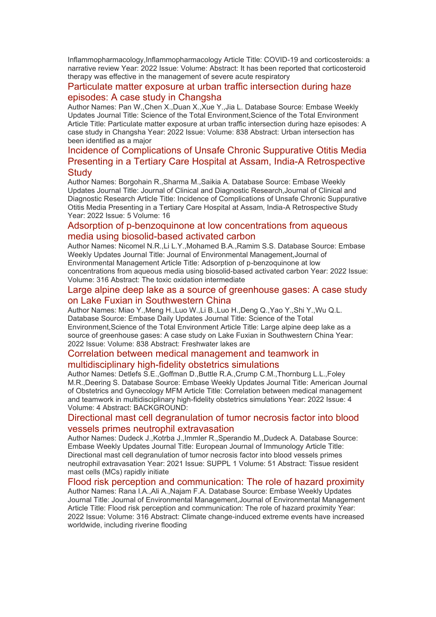Inflammopharmacology,Inflammopharmacology Article Title: COVID-19 and corticosteroids: a narrative review Year: 2022 Issue: Volume: Abstract: It has been reported that corticosteroid therapy was effective in the management of severe acute respiratory

#### [Particulate matter exposure at urban traffic intersection during haze](https://eur01.safelinks.protection.outlook.com/?url=http%3A%2F%2Ftransit.linexsystems.com%2Ftrack%2Fclick%2F30370861%2Fca.linexsystems.com%3Fp%3DeyJzIjoiUmNwYjBPaDZuMlk2UHhCOXZ3b29tQmZndFVnIiwidiI6MSwicCI6IntcInVcIjozMDM3MDg2MSxcInZcIjoxLFwidXJsXCI6XCJodHRwOlxcXC9cXFwvY2EubGluZXhzeXN0ZW1zLmNvbVxcXC9jb250ZW50c1xcXC90cmFuc2l0XFxcLzM3ODMxNzgwMjQ_dXNlcl9pZD00NDM1MTUmbG9nPWY5N2ViNmUzMjE5YTcyMWVlZDE3NTIyOTNmZmJlY2E3JnA9OTU5Njc2NDgmbT0xJnM9Mzk5MDU1Jm9yZ19pZD0yNjI4NzVcIixcImlkXCI6XCJjMWY3ZGMyMzZiZTA0YjY0YmU3YTNhYjQ0MmI4MWY2ZVwiLFwidXJsX2lkc1wiOltcIjA1ZTliM2YxZjk4OTA1NGZlM2JjODI0YWQ4ZmExYjhmMWYyMzVkMTNcIl19In0&data=05%7C01%7Ccaroline.debrun%40phe.gov.uk%7Ca6f00f6bef614d07b97908da43b32f98%7Cee4e14994a354b2ead475f3cf9de8666%7C0%7C0%7C637896735149358563%7CUnknown%7CTWFpbGZsb3d8eyJWIjoiMC4wLjAwMDAiLCJQIjoiV2luMzIiLCJBTiI6Ik1haWwiLCJXVCI6Mn0%3D%7C3000%7C%7C%7C&sdata=2WBQJnAOUqy43BAol2ROP2gKPUedwdVwXwNtvyFtg10%3D&reserved=0)  [episodes: A case study in Changsha](https://eur01.safelinks.protection.outlook.com/?url=http%3A%2F%2Ftransit.linexsystems.com%2Ftrack%2Fclick%2F30370861%2Fca.linexsystems.com%3Fp%3DeyJzIjoiUmNwYjBPaDZuMlk2UHhCOXZ3b29tQmZndFVnIiwidiI6MSwicCI6IntcInVcIjozMDM3MDg2MSxcInZcIjoxLFwidXJsXCI6XCJodHRwOlxcXC9cXFwvY2EubGluZXhzeXN0ZW1zLmNvbVxcXC9jb250ZW50c1xcXC90cmFuc2l0XFxcLzM3ODMxNzgwMjQ_dXNlcl9pZD00NDM1MTUmbG9nPWY5N2ViNmUzMjE5YTcyMWVlZDE3NTIyOTNmZmJlY2E3JnA9OTU5Njc2NDgmbT0xJnM9Mzk5MDU1Jm9yZ19pZD0yNjI4NzVcIixcImlkXCI6XCJjMWY3ZGMyMzZiZTA0YjY0YmU3YTNhYjQ0MmI4MWY2ZVwiLFwidXJsX2lkc1wiOltcIjA1ZTliM2YxZjk4OTA1NGZlM2JjODI0YWQ4ZmExYjhmMWYyMzVkMTNcIl19In0&data=05%7C01%7Ccaroline.debrun%40phe.gov.uk%7Ca6f00f6bef614d07b97908da43b32f98%7Cee4e14994a354b2ead475f3cf9de8666%7C0%7C0%7C637896735149358563%7CUnknown%7CTWFpbGZsb3d8eyJWIjoiMC4wLjAwMDAiLCJQIjoiV2luMzIiLCJBTiI6Ik1haWwiLCJXVCI6Mn0%3D%7C3000%7C%7C%7C&sdata=2WBQJnAOUqy43BAol2ROP2gKPUedwdVwXwNtvyFtg10%3D&reserved=0)

Author Names: Pan W.,Chen X.,Duan X.,Xue Y.,Jia L. Database Source: Embase Weekly Updates Journal Title: Science of the Total Environment,Science of the Total Environment Article Title: Particulate matter exposure at urban traffic intersection during haze episodes: A case study in Changsha Year: 2022 Issue: Volume: 838 Abstract: Urban intersection has been identified as a major

# [Incidence of Complications of Unsafe Chronic Suppurative Otitis Media](https://eur01.safelinks.protection.outlook.com/?url=http%3A%2F%2Ftransit.linexsystems.com%2Ftrack%2Fclick%2F30370861%2Fca.linexsystems.com%3Fp%3DeyJzIjoiUUMyVXdiT1dlc2V1NWNGT0hDWUxzTFZ1S1BnIiwidiI6MSwicCI6IntcInVcIjozMDM3MDg2MSxcInZcIjoxLFwidXJsXCI6XCJodHRwOlxcXC9cXFwvY2EubGluZXhzeXN0ZW1zLmNvbVxcXC9jb250ZW50c1xcXC90cmFuc2l0XFxcLzM3ODMxNzgyMjY_dXNlcl9pZD00NDM1MTUmbG9nPWY5N2ViNmUzMjE5YTcyMWVlZDE3NTIyOTNmZmJlY2E3JnA9OTU5Njc2NDgmbT0xJnM9Mzk5MDU1Jm9yZ19pZD0yNjI4NzVcIixcImlkXCI6XCJjMWY3ZGMyMzZiZTA0YjY0YmU3YTNhYjQ0MmI4MWY2ZVwiLFwidXJsX2lkc1wiOltcIjA1ZTliM2YxZjk4OTA1NGZlM2JjODI0YWQ4ZmExYjhmMWYyMzVkMTNcIl19In0&data=05%7C01%7Ccaroline.debrun%40phe.gov.uk%7Ca6f00f6bef614d07b97908da43b32f98%7Cee4e14994a354b2ead475f3cf9de8666%7C0%7C0%7C637896735149358563%7CUnknown%7CTWFpbGZsb3d8eyJWIjoiMC4wLjAwMDAiLCJQIjoiV2luMzIiLCJBTiI6Ik1haWwiLCJXVCI6Mn0%3D%7C3000%7C%7C%7C&sdata=2k6wKi%2FE9lWYOYofaw3wEP9zdbSNjvMzebLgZdhWG1w%3D&reserved=0)  [Presenting in a Tertiary Care Hospital at Assam, India-A Retrospective](https://eur01.safelinks.protection.outlook.com/?url=http%3A%2F%2Ftransit.linexsystems.com%2Ftrack%2Fclick%2F30370861%2Fca.linexsystems.com%3Fp%3DeyJzIjoiUUMyVXdiT1dlc2V1NWNGT0hDWUxzTFZ1S1BnIiwidiI6MSwicCI6IntcInVcIjozMDM3MDg2MSxcInZcIjoxLFwidXJsXCI6XCJodHRwOlxcXC9cXFwvY2EubGluZXhzeXN0ZW1zLmNvbVxcXC9jb250ZW50c1xcXC90cmFuc2l0XFxcLzM3ODMxNzgyMjY_dXNlcl9pZD00NDM1MTUmbG9nPWY5N2ViNmUzMjE5YTcyMWVlZDE3NTIyOTNmZmJlY2E3JnA9OTU5Njc2NDgmbT0xJnM9Mzk5MDU1Jm9yZ19pZD0yNjI4NzVcIixcImlkXCI6XCJjMWY3ZGMyMzZiZTA0YjY0YmU3YTNhYjQ0MmI4MWY2ZVwiLFwidXJsX2lkc1wiOltcIjA1ZTliM2YxZjk4OTA1NGZlM2JjODI0YWQ4ZmExYjhmMWYyMzVkMTNcIl19In0&data=05%7C01%7Ccaroline.debrun%40phe.gov.uk%7Ca6f00f6bef614d07b97908da43b32f98%7Cee4e14994a354b2ead475f3cf9de8666%7C0%7C0%7C637896735149358563%7CUnknown%7CTWFpbGZsb3d8eyJWIjoiMC4wLjAwMDAiLCJQIjoiV2luMzIiLCJBTiI6Ik1haWwiLCJXVCI6Mn0%3D%7C3000%7C%7C%7C&sdata=2k6wKi%2FE9lWYOYofaw3wEP9zdbSNjvMzebLgZdhWG1w%3D&reserved=0)  **[Study](https://eur01.safelinks.protection.outlook.com/?url=http%3A%2F%2Ftransit.linexsystems.com%2Ftrack%2Fclick%2F30370861%2Fca.linexsystems.com%3Fp%3DeyJzIjoiUUMyVXdiT1dlc2V1NWNGT0hDWUxzTFZ1S1BnIiwidiI6MSwicCI6IntcInVcIjozMDM3MDg2MSxcInZcIjoxLFwidXJsXCI6XCJodHRwOlxcXC9cXFwvY2EubGluZXhzeXN0ZW1zLmNvbVxcXC9jb250ZW50c1xcXC90cmFuc2l0XFxcLzM3ODMxNzgyMjY_dXNlcl9pZD00NDM1MTUmbG9nPWY5N2ViNmUzMjE5YTcyMWVlZDE3NTIyOTNmZmJlY2E3JnA9OTU5Njc2NDgmbT0xJnM9Mzk5MDU1Jm9yZ19pZD0yNjI4NzVcIixcImlkXCI6XCJjMWY3ZGMyMzZiZTA0YjY0YmU3YTNhYjQ0MmI4MWY2ZVwiLFwidXJsX2lkc1wiOltcIjA1ZTliM2YxZjk4OTA1NGZlM2JjODI0YWQ4ZmExYjhmMWYyMzVkMTNcIl19In0&data=05%7C01%7Ccaroline.debrun%40phe.gov.uk%7Ca6f00f6bef614d07b97908da43b32f98%7Cee4e14994a354b2ead475f3cf9de8666%7C0%7C0%7C637896735149358563%7CUnknown%7CTWFpbGZsb3d8eyJWIjoiMC4wLjAwMDAiLCJQIjoiV2luMzIiLCJBTiI6Ik1haWwiLCJXVCI6Mn0%3D%7C3000%7C%7C%7C&sdata=2k6wKi%2FE9lWYOYofaw3wEP9zdbSNjvMzebLgZdhWG1w%3D&reserved=0)**

Author Names: Borgohain R.,Sharma M.,Saikia A. Database Source: Embase Weekly Updates Journal Title: Journal of Clinical and Diagnostic Research,Journal of Clinical and Diagnostic Research Article Title: Incidence of Complications of Unsafe Chronic Suppurative Otitis Media Presenting in a Tertiary Care Hospital at Assam, India-A Retrospective Study Year: 2022 Issue: 5 Volume: 16

#### [Adsorption of p-benzoquinone at low concentrations from aqueous](https://eur01.safelinks.protection.outlook.com/?url=http%3A%2F%2Ftransit.linexsystems.com%2Ftrack%2Fclick%2F30370861%2Fca.linexsystems.com%3Fp%3DeyJzIjoiU05hNVRpM0NmUDlQZ05TZl8xSlVlekEzMmhzIiwidiI6MSwicCI6IntcInVcIjozMDM3MDg2MSxcInZcIjoxLFwidXJsXCI6XCJodHRwOlxcXC9cXFwvY2EubGluZXhzeXN0ZW1zLmNvbVxcXC9jb250ZW50c1xcXC90cmFuc2l0XFxcLzM3ODMxNzgyMjc_dXNlcl9pZD00NDM1MTUmbG9nPWY5N2ViNmUzMjE5YTcyMWVlZDE3NTIyOTNmZmJlY2E3JnA9OTU5Njc2NDgmbT0xJnM9Mzk5MDU1Jm9yZ19pZD0yNjI4NzVcIixcImlkXCI6XCJjMWY3ZGMyMzZiZTA0YjY0YmU3YTNhYjQ0MmI4MWY2ZVwiLFwidXJsX2lkc1wiOltcIjA1ZTliM2YxZjk4OTA1NGZlM2JjODI0YWQ4ZmExYjhmMWYyMzVkMTNcIl19In0&data=05%7C01%7Ccaroline.debrun%40phe.gov.uk%7Ca6f00f6bef614d07b97908da43b32f98%7Cee4e14994a354b2ead475f3cf9de8666%7C0%7C0%7C637896735149514785%7CUnknown%7CTWFpbGZsb3d8eyJWIjoiMC4wLjAwMDAiLCJQIjoiV2luMzIiLCJBTiI6Ik1haWwiLCJXVCI6Mn0%3D%7C3000%7C%7C%7C&sdata=AVDGna3H7mR7Benr8ImWZL7smTh565iJQB2BOsJhUFI%3D&reserved=0)  [media using biosolid-based activated carbon](https://eur01.safelinks.protection.outlook.com/?url=http%3A%2F%2Ftransit.linexsystems.com%2Ftrack%2Fclick%2F30370861%2Fca.linexsystems.com%3Fp%3DeyJzIjoiU05hNVRpM0NmUDlQZ05TZl8xSlVlekEzMmhzIiwidiI6MSwicCI6IntcInVcIjozMDM3MDg2MSxcInZcIjoxLFwidXJsXCI6XCJodHRwOlxcXC9cXFwvY2EubGluZXhzeXN0ZW1zLmNvbVxcXC9jb250ZW50c1xcXC90cmFuc2l0XFxcLzM3ODMxNzgyMjc_dXNlcl9pZD00NDM1MTUmbG9nPWY5N2ViNmUzMjE5YTcyMWVlZDE3NTIyOTNmZmJlY2E3JnA9OTU5Njc2NDgmbT0xJnM9Mzk5MDU1Jm9yZ19pZD0yNjI4NzVcIixcImlkXCI6XCJjMWY3ZGMyMzZiZTA0YjY0YmU3YTNhYjQ0MmI4MWY2ZVwiLFwidXJsX2lkc1wiOltcIjA1ZTliM2YxZjk4OTA1NGZlM2JjODI0YWQ4ZmExYjhmMWYyMzVkMTNcIl19In0&data=05%7C01%7Ccaroline.debrun%40phe.gov.uk%7Ca6f00f6bef614d07b97908da43b32f98%7Cee4e14994a354b2ead475f3cf9de8666%7C0%7C0%7C637896735149514785%7CUnknown%7CTWFpbGZsb3d8eyJWIjoiMC4wLjAwMDAiLCJQIjoiV2luMzIiLCJBTiI6Ik1haWwiLCJXVCI6Mn0%3D%7C3000%7C%7C%7C&sdata=AVDGna3H7mR7Benr8ImWZL7smTh565iJQB2BOsJhUFI%3D&reserved=0)

Author Names: Nicomel N.R.,Li L.Y.,Mohamed B.A.,Ramim S.S. Database Source: Embase Weekly Updates Journal Title: Journal of Environmental Management,Journal of Environmental Management Article Title: Adsorption of p-benzoquinone at low concentrations from aqueous media using biosolid-based activated carbon Year: 2022 Issue: Volume: 316 Abstract: The toxic oxidation intermediate

#### [Large alpine deep lake as a source of greenhouse gases: A case study](https://eur01.safelinks.protection.outlook.com/?url=http%3A%2F%2Ftransit.linexsystems.com%2Ftrack%2Fclick%2F30370861%2Fca.linexsystems.com%3Fp%3DeyJzIjoiN0ZLY0ZNNEEyWnFfdmZTV1k0SnllaEtuTUdFIiwidiI6MSwicCI6IntcInVcIjozMDM3MDg2MSxcInZcIjoxLFwidXJsXCI6XCJodHRwOlxcXC9cXFwvY2EubGluZXhzeXN0ZW1zLmNvbVxcXC9jb250ZW50c1xcXC90cmFuc2l0XFxcLzM3ODMxNzgyMjg_dXNlcl9pZD00NDM1MTUmbG9nPWY5N2ViNmUzMjE5YTcyMWVlZDE3NTIyOTNmZmJlY2E3JnA9OTU5Njc2NDgmbT0xJnM9Mzk5MDU1Jm9yZ19pZD0yNjI4NzVcIixcImlkXCI6XCJjMWY3ZGMyMzZiZTA0YjY0YmU3YTNhYjQ0MmI4MWY2ZVwiLFwidXJsX2lkc1wiOltcIjA1ZTliM2YxZjk4OTA1NGZlM2JjODI0YWQ4ZmExYjhmMWYyMzVkMTNcIl19In0&data=05%7C01%7Ccaroline.debrun%40phe.gov.uk%7Ca6f00f6bef614d07b97908da43b32f98%7Cee4e14994a354b2ead475f3cf9de8666%7C0%7C0%7C637896735149514785%7CUnknown%7CTWFpbGZsb3d8eyJWIjoiMC4wLjAwMDAiLCJQIjoiV2luMzIiLCJBTiI6Ik1haWwiLCJXVCI6Mn0%3D%7C3000%7C%7C%7C&sdata=TdtUOrmUzpqX7m36q81oSLwEkacXmCiNUGhjZ9hmV%2B4%3D&reserved=0)  [on Lake Fuxian in Southwestern China](https://eur01.safelinks.protection.outlook.com/?url=http%3A%2F%2Ftransit.linexsystems.com%2Ftrack%2Fclick%2F30370861%2Fca.linexsystems.com%3Fp%3DeyJzIjoiN0ZLY0ZNNEEyWnFfdmZTV1k0SnllaEtuTUdFIiwidiI6MSwicCI6IntcInVcIjozMDM3MDg2MSxcInZcIjoxLFwidXJsXCI6XCJodHRwOlxcXC9cXFwvY2EubGluZXhzeXN0ZW1zLmNvbVxcXC9jb250ZW50c1xcXC90cmFuc2l0XFxcLzM3ODMxNzgyMjg_dXNlcl9pZD00NDM1MTUmbG9nPWY5N2ViNmUzMjE5YTcyMWVlZDE3NTIyOTNmZmJlY2E3JnA9OTU5Njc2NDgmbT0xJnM9Mzk5MDU1Jm9yZ19pZD0yNjI4NzVcIixcImlkXCI6XCJjMWY3ZGMyMzZiZTA0YjY0YmU3YTNhYjQ0MmI4MWY2ZVwiLFwidXJsX2lkc1wiOltcIjA1ZTliM2YxZjk4OTA1NGZlM2JjODI0YWQ4ZmExYjhmMWYyMzVkMTNcIl19In0&data=05%7C01%7Ccaroline.debrun%40phe.gov.uk%7Ca6f00f6bef614d07b97908da43b32f98%7Cee4e14994a354b2ead475f3cf9de8666%7C0%7C0%7C637896735149514785%7CUnknown%7CTWFpbGZsb3d8eyJWIjoiMC4wLjAwMDAiLCJQIjoiV2luMzIiLCJBTiI6Ik1haWwiLCJXVCI6Mn0%3D%7C3000%7C%7C%7C&sdata=TdtUOrmUzpqX7m36q81oSLwEkacXmCiNUGhjZ9hmV%2B4%3D&reserved=0)

Author Names: Miao Y.,Meng H.,Luo W.,Li B.,Luo H.,Deng Q.,Yao Y.,Shi Y.,Wu Q.L. Database Source: Embase Daily Updates Journal Title: Science of the Total Environment,Science of the Total Environment Article Title: Large alpine deep lake as a source of greenhouse gases: A case study on Lake Fuxian in Southwestern China Year: 2022 Issue: Volume: 838 Abstract: Freshwater lakes are

# [Correlation between medical management and teamwork in](https://eur01.safelinks.protection.outlook.com/?url=http%3A%2F%2Ftransit.linexsystems.com%2Ftrack%2Fclick%2F30370861%2Fca.linexsystems.com%3Fp%3DeyJzIjoicjFieEhZZ1MxcUJxNlFyMFJTa01nUmlLVTdvIiwidiI6MSwicCI6IntcInVcIjozMDM3MDg2MSxcInZcIjoxLFwidXJsXCI6XCJodHRwOlxcXC9cXFwvY2EubGluZXhzeXN0ZW1zLmNvbVxcXC9jb250ZW50c1xcXC90cmFuc2l0XFxcLzM3ODMxNzgyMjk_dXNlcl9pZD00NDM1MTUmbG9nPWY5N2ViNmUzMjE5YTcyMWVlZDE3NTIyOTNmZmJlY2E3JnA9OTU5Njc2NDgmbT0xJnM9Mzk5MDU1Jm9yZ19pZD0yNjI4NzVcIixcImlkXCI6XCJjMWY3ZGMyMzZiZTA0YjY0YmU3YTNhYjQ0MmI4MWY2ZVwiLFwidXJsX2lkc1wiOltcIjA1ZTliM2YxZjk4OTA1NGZlM2JjODI0YWQ4ZmExYjhmMWYyMzVkMTNcIl19In0&data=05%7C01%7Ccaroline.debrun%40phe.gov.uk%7Ca6f00f6bef614d07b97908da43b32f98%7Cee4e14994a354b2ead475f3cf9de8666%7C0%7C0%7C637896735149514785%7CUnknown%7CTWFpbGZsb3d8eyJWIjoiMC4wLjAwMDAiLCJQIjoiV2luMzIiLCJBTiI6Ik1haWwiLCJXVCI6Mn0%3D%7C3000%7C%7C%7C&sdata=Ps78UBZpHLYzII3XygoGSt%2B4YKI%2BkKcN22pbKIoNASc%3D&reserved=0)  [multidisciplinary high-fidelity obstetrics simulations](https://eur01.safelinks.protection.outlook.com/?url=http%3A%2F%2Ftransit.linexsystems.com%2Ftrack%2Fclick%2F30370861%2Fca.linexsystems.com%3Fp%3DeyJzIjoicjFieEhZZ1MxcUJxNlFyMFJTa01nUmlLVTdvIiwidiI6MSwicCI6IntcInVcIjozMDM3MDg2MSxcInZcIjoxLFwidXJsXCI6XCJodHRwOlxcXC9cXFwvY2EubGluZXhzeXN0ZW1zLmNvbVxcXC9jb250ZW50c1xcXC90cmFuc2l0XFxcLzM3ODMxNzgyMjk_dXNlcl9pZD00NDM1MTUmbG9nPWY5N2ViNmUzMjE5YTcyMWVlZDE3NTIyOTNmZmJlY2E3JnA9OTU5Njc2NDgmbT0xJnM9Mzk5MDU1Jm9yZ19pZD0yNjI4NzVcIixcImlkXCI6XCJjMWY3ZGMyMzZiZTA0YjY0YmU3YTNhYjQ0MmI4MWY2ZVwiLFwidXJsX2lkc1wiOltcIjA1ZTliM2YxZjk4OTA1NGZlM2JjODI0YWQ4ZmExYjhmMWYyMzVkMTNcIl19In0&data=05%7C01%7Ccaroline.debrun%40phe.gov.uk%7Ca6f00f6bef614d07b97908da43b32f98%7Cee4e14994a354b2ead475f3cf9de8666%7C0%7C0%7C637896735149514785%7CUnknown%7CTWFpbGZsb3d8eyJWIjoiMC4wLjAwMDAiLCJQIjoiV2luMzIiLCJBTiI6Ik1haWwiLCJXVCI6Mn0%3D%7C3000%7C%7C%7C&sdata=Ps78UBZpHLYzII3XygoGSt%2B4YKI%2BkKcN22pbKIoNASc%3D&reserved=0)

Author Names: Detlefs S.E.,Goffman D.,Buttle R.A.,Crump C.M.,Thornburg L.L.,Foley M.R.,Deering S. Database Source: Embase Weekly Updates Journal Title: American Journal of Obstetrics and Gynecology MFM Article Title: Correlation between medical management and teamwork in multidisciplinary high-fidelity obstetrics simulations Year: 2022 Issue: 4 Volume: 4 Abstract: BACKGROUND:

#### [Directional mast cell degranulation of tumor necrosis factor into blood](https://eur01.safelinks.protection.outlook.com/?url=http%3A%2F%2Ftransit.linexsystems.com%2Ftrack%2Fclick%2F30370861%2Fca.linexsystems.com%3Fp%3DeyJzIjoieDRjclF4eW5TZDdYMmR6V0M4Q0U5U0tmanZnIiwidiI6MSwicCI6IntcInVcIjozMDM3MDg2MSxcInZcIjoxLFwidXJsXCI6XCJodHRwOlxcXC9cXFwvY2EubGluZXhzeXN0ZW1zLmNvbVxcXC9jb250ZW50c1xcXC90cmFuc2l0XFxcLzM3ODMxNzgyMzA_dXNlcl9pZD00NDM1MTUmbG9nPWY5N2ViNmUzMjE5YTcyMWVlZDE3NTIyOTNmZmJlY2E3JnA9OTU5Njc2NDgmbT0xJnM9Mzk5MDU1Jm9yZ19pZD0yNjI4NzVcIixcImlkXCI6XCJjMWY3ZGMyMzZiZTA0YjY0YmU3YTNhYjQ0MmI4MWY2ZVwiLFwidXJsX2lkc1wiOltcIjA1ZTliM2YxZjk4OTA1NGZlM2JjODI0YWQ4ZmExYjhmMWYyMzVkMTNcIl19In0&data=05%7C01%7Ccaroline.debrun%40phe.gov.uk%7Ca6f00f6bef614d07b97908da43b32f98%7Cee4e14994a354b2ead475f3cf9de8666%7C0%7C0%7C637896735149514785%7CUnknown%7CTWFpbGZsb3d8eyJWIjoiMC4wLjAwMDAiLCJQIjoiV2luMzIiLCJBTiI6Ik1haWwiLCJXVCI6Mn0%3D%7C3000%7C%7C%7C&sdata=69RlJnj3uWDmQcufnP0CfC%2BX%2BxC%2B%2B%2FtFAYMHKtxRlFM%3D&reserved=0)  [vessels primes neutrophil extravasation](https://eur01.safelinks.protection.outlook.com/?url=http%3A%2F%2Ftransit.linexsystems.com%2Ftrack%2Fclick%2F30370861%2Fca.linexsystems.com%3Fp%3DeyJzIjoieDRjclF4eW5TZDdYMmR6V0M4Q0U5U0tmanZnIiwidiI6MSwicCI6IntcInVcIjozMDM3MDg2MSxcInZcIjoxLFwidXJsXCI6XCJodHRwOlxcXC9cXFwvY2EubGluZXhzeXN0ZW1zLmNvbVxcXC9jb250ZW50c1xcXC90cmFuc2l0XFxcLzM3ODMxNzgyMzA_dXNlcl9pZD00NDM1MTUmbG9nPWY5N2ViNmUzMjE5YTcyMWVlZDE3NTIyOTNmZmJlY2E3JnA9OTU5Njc2NDgmbT0xJnM9Mzk5MDU1Jm9yZ19pZD0yNjI4NzVcIixcImlkXCI6XCJjMWY3ZGMyMzZiZTA0YjY0YmU3YTNhYjQ0MmI4MWY2ZVwiLFwidXJsX2lkc1wiOltcIjA1ZTliM2YxZjk4OTA1NGZlM2JjODI0YWQ4ZmExYjhmMWYyMzVkMTNcIl19In0&data=05%7C01%7Ccaroline.debrun%40phe.gov.uk%7Ca6f00f6bef614d07b97908da43b32f98%7Cee4e14994a354b2ead475f3cf9de8666%7C0%7C0%7C637896735149514785%7CUnknown%7CTWFpbGZsb3d8eyJWIjoiMC4wLjAwMDAiLCJQIjoiV2luMzIiLCJBTiI6Ik1haWwiLCJXVCI6Mn0%3D%7C3000%7C%7C%7C&sdata=69RlJnj3uWDmQcufnP0CfC%2BX%2BxC%2B%2B%2FtFAYMHKtxRlFM%3D&reserved=0)

Author Names: Dudeck J.,Kotrba J.,Immler R.,Sperandio M.,Dudeck A. Database Source: Embase Weekly Updates Journal Title: European Journal of Immunology Article Title: Directional mast cell degranulation of tumor necrosis factor into blood vessels primes neutrophil extravasation Year: 2021 Issue: SUPPL 1 Volume: 51 Abstract: Tissue resident mast cells (MCs) rapidly initiate

[Flood risk perception and communication: The role of hazard proximity](https://eur01.safelinks.protection.outlook.com/?url=http%3A%2F%2Ftransit.linexsystems.com%2Ftrack%2Fclick%2F30370861%2Fca.linexsystems.com%3Fp%3DeyJzIjoiRjMycjF2cmJXSFhuUlQzV1ZBVU05Qm1MeEIwIiwidiI6MSwicCI6IntcInVcIjozMDM3MDg2MSxcInZcIjoxLFwidXJsXCI6XCJodHRwOlxcXC9cXFwvY2EubGluZXhzeXN0ZW1zLmNvbVxcXC9jb250ZW50c1xcXC90cmFuc2l0XFxcLzM3ODMxNzgyMzE_dXNlcl9pZD00NDM1MTUmbG9nPWY5N2ViNmUzMjE5YTcyMWVlZDE3NTIyOTNmZmJlY2E3JnA9OTU5Njc2NDgmbT0xJnM9Mzk5MDU1Jm9yZ19pZD0yNjI4NzVcIixcImlkXCI6XCJjMWY3ZGMyMzZiZTA0YjY0YmU3YTNhYjQ0MmI4MWY2ZVwiLFwidXJsX2lkc1wiOltcIjA1ZTliM2YxZjk4OTA1NGZlM2JjODI0YWQ4ZmExYjhmMWYyMzVkMTNcIl19In0&data=05%7C01%7Ccaroline.debrun%40phe.gov.uk%7Ca6f00f6bef614d07b97908da43b32f98%7Cee4e14994a354b2ead475f3cf9de8666%7C0%7C0%7C637896735149514785%7CUnknown%7CTWFpbGZsb3d8eyJWIjoiMC4wLjAwMDAiLCJQIjoiV2luMzIiLCJBTiI6Ik1haWwiLCJXVCI6Mn0%3D%7C3000%7C%7C%7C&sdata=0%2BOeHnNElSEetjmF0Hq10n8%2FqXrz8u5D36Crgz8sjmA%3D&reserved=0) Author Names: Rana I.A.,Ali A.,Najam F.A. Database Source: Embase Weekly Updates Journal Title: Journal of Environmental Management,Journal of Environmental Management Article Title: Flood risk perception and communication: The role of hazard proximity Year: 2022 Issue: Volume: 316 Abstract: Climate change-induced extreme events have increased worldwide, including riverine flooding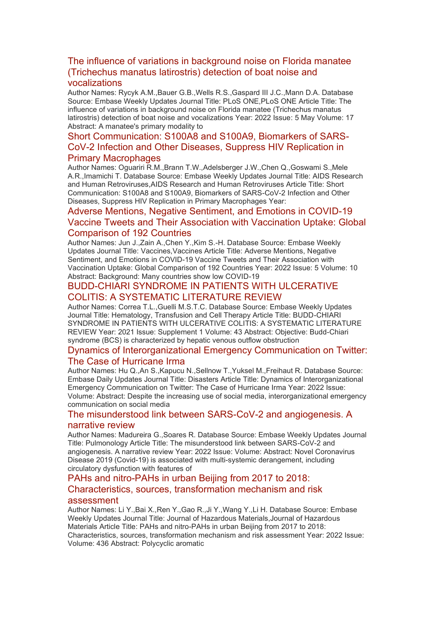# [The influence of variations in background noise on Florida manatee](https://eur01.safelinks.protection.outlook.com/?url=http%3A%2F%2Ftransit.linexsystems.com%2Ftrack%2Fclick%2F30370861%2Fca.linexsystems.com%3Fp%3DeyJzIjoiSXpSWFp0OGs0bEdzN1hLVTM0alFKNExpeVYwIiwidiI6MSwicCI6IntcInVcIjozMDM3MDg2MSxcInZcIjoxLFwidXJsXCI6XCJodHRwOlxcXC9cXFwvY2EubGluZXhzeXN0ZW1zLmNvbVxcXC9jb250ZW50c1xcXC90cmFuc2l0XFxcLzM3ODMxODAyNTk_dXNlcl9pZD00NDM1MTUmbG9nPWY5N2ViNmUzMjE5YTcyMWVlZDE3NTIyOTNmZmJlY2E3JnA9OTU5Njc2NDgmbT0xJnM9Mzk5MDU1Jm9yZ19pZD0yNjI4NzVcIixcImlkXCI6XCJjMWY3ZGMyMzZiZTA0YjY0YmU3YTNhYjQ0MmI4MWY2ZVwiLFwidXJsX2lkc1wiOltcIjA1ZTliM2YxZjk4OTA1NGZlM2JjODI0YWQ4ZmExYjhmMWYyMzVkMTNcIl19In0&data=05%7C01%7Ccaroline.debrun%40phe.gov.uk%7Ca6f00f6bef614d07b97908da43b32f98%7Cee4e14994a354b2ead475f3cf9de8666%7C0%7C0%7C637896735149514785%7CUnknown%7CTWFpbGZsb3d8eyJWIjoiMC4wLjAwMDAiLCJQIjoiV2luMzIiLCJBTiI6Ik1haWwiLCJXVCI6Mn0%3D%7C3000%7C%7C%7C&sdata=d9WJreCESGF69HwAoX5zMW1rKMkgyc%2BBmuAqrEF8jHw%3D&reserved=0)  [\(Trichechus manatus latirostris\) detection of boat noise and](https://eur01.safelinks.protection.outlook.com/?url=http%3A%2F%2Ftransit.linexsystems.com%2Ftrack%2Fclick%2F30370861%2Fca.linexsystems.com%3Fp%3DeyJzIjoiSXpSWFp0OGs0bEdzN1hLVTM0alFKNExpeVYwIiwidiI6MSwicCI6IntcInVcIjozMDM3MDg2MSxcInZcIjoxLFwidXJsXCI6XCJodHRwOlxcXC9cXFwvY2EubGluZXhzeXN0ZW1zLmNvbVxcXC9jb250ZW50c1xcXC90cmFuc2l0XFxcLzM3ODMxODAyNTk_dXNlcl9pZD00NDM1MTUmbG9nPWY5N2ViNmUzMjE5YTcyMWVlZDE3NTIyOTNmZmJlY2E3JnA9OTU5Njc2NDgmbT0xJnM9Mzk5MDU1Jm9yZ19pZD0yNjI4NzVcIixcImlkXCI6XCJjMWY3ZGMyMzZiZTA0YjY0YmU3YTNhYjQ0MmI4MWY2ZVwiLFwidXJsX2lkc1wiOltcIjA1ZTliM2YxZjk4OTA1NGZlM2JjODI0YWQ4ZmExYjhmMWYyMzVkMTNcIl19In0&data=05%7C01%7Ccaroline.debrun%40phe.gov.uk%7Ca6f00f6bef614d07b97908da43b32f98%7Cee4e14994a354b2ead475f3cf9de8666%7C0%7C0%7C637896735149514785%7CUnknown%7CTWFpbGZsb3d8eyJWIjoiMC4wLjAwMDAiLCJQIjoiV2luMzIiLCJBTiI6Ik1haWwiLCJXVCI6Mn0%3D%7C3000%7C%7C%7C&sdata=d9WJreCESGF69HwAoX5zMW1rKMkgyc%2BBmuAqrEF8jHw%3D&reserved=0)  [vocalizations](https://eur01.safelinks.protection.outlook.com/?url=http%3A%2F%2Ftransit.linexsystems.com%2Ftrack%2Fclick%2F30370861%2Fca.linexsystems.com%3Fp%3DeyJzIjoiSXpSWFp0OGs0bEdzN1hLVTM0alFKNExpeVYwIiwidiI6MSwicCI6IntcInVcIjozMDM3MDg2MSxcInZcIjoxLFwidXJsXCI6XCJodHRwOlxcXC9cXFwvY2EubGluZXhzeXN0ZW1zLmNvbVxcXC9jb250ZW50c1xcXC90cmFuc2l0XFxcLzM3ODMxODAyNTk_dXNlcl9pZD00NDM1MTUmbG9nPWY5N2ViNmUzMjE5YTcyMWVlZDE3NTIyOTNmZmJlY2E3JnA9OTU5Njc2NDgmbT0xJnM9Mzk5MDU1Jm9yZ19pZD0yNjI4NzVcIixcImlkXCI6XCJjMWY3ZGMyMzZiZTA0YjY0YmU3YTNhYjQ0MmI4MWY2ZVwiLFwidXJsX2lkc1wiOltcIjA1ZTliM2YxZjk4OTA1NGZlM2JjODI0YWQ4ZmExYjhmMWYyMzVkMTNcIl19In0&data=05%7C01%7Ccaroline.debrun%40phe.gov.uk%7Ca6f00f6bef614d07b97908da43b32f98%7Cee4e14994a354b2ead475f3cf9de8666%7C0%7C0%7C637896735149514785%7CUnknown%7CTWFpbGZsb3d8eyJWIjoiMC4wLjAwMDAiLCJQIjoiV2luMzIiLCJBTiI6Ik1haWwiLCJXVCI6Mn0%3D%7C3000%7C%7C%7C&sdata=d9WJreCESGF69HwAoX5zMW1rKMkgyc%2BBmuAqrEF8jHw%3D&reserved=0)

Author Names: Rycyk A.M.,Bauer G.B.,Wells R.S.,Gaspard III J.C.,Mann D.A. Database Source: Embase Weekly Updates Journal Title: PLoS ONE,PLoS ONE Article Title: The influence of variations in background noise on Florida manatee (Trichechus manatus latirostris) detection of boat noise and vocalizations Year: 2022 Issue: 5 May Volume: 17 Abstract: A manatee's primary modality to

# [Short Communication: S100A8 and S100A9, Biomarkers of SARS-](https://eur01.safelinks.protection.outlook.com/?url=http%3A%2F%2Ftransit.linexsystems.com%2Ftrack%2Fclick%2F30370861%2Fca.linexsystems.com%3Fp%3DeyJzIjoiaW9uUHVRQ1AzMU5Fb2hHM0VibTc3X2NmUEVJIiwidiI6MSwicCI6IntcInVcIjozMDM3MDg2MSxcInZcIjoxLFwidXJsXCI6XCJodHRwOlxcXC9cXFwvY2EubGluZXhzeXN0ZW1zLmNvbVxcXC9jb250ZW50c1xcXC90cmFuc2l0XFxcLzM3ODMxODAyNjA_dXNlcl9pZD00NDM1MTUmbG9nPWY5N2ViNmUzMjE5YTcyMWVlZDE3NTIyOTNmZmJlY2E3JnA9OTU5Njc2NDgmbT0xJnM9Mzk5MDU1Jm9yZ19pZD0yNjI4NzVcIixcImlkXCI6XCJjMWY3ZGMyMzZiZTA0YjY0YmU3YTNhYjQ0MmI4MWY2ZVwiLFwidXJsX2lkc1wiOltcIjA1ZTliM2YxZjk4OTA1NGZlM2JjODI0YWQ4ZmExYjhmMWYyMzVkMTNcIl19In0&data=05%7C01%7Ccaroline.debrun%40phe.gov.uk%7Ca6f00f6bef614d07b97908da43b32f98%7Cee4e14994a354b2ead475f3cf9de8666%7C0%7C0%7C637896735149514785%7CUnknown%7CTWFpbGZsb3d8eyJWIjoiMC4wLjAwMDAiLCJQIjoiV2luMzIiLCJBTiI6Ik1haWwiLCJXVCI6Mn0%3D%7C3000%7C%7C%7C&sdata=V6DdhDB4qwZK3g45Ey6fBrgunoPnmrmnPZOQlLEkM1E%3D&reserved=0)[CoV-2 Infection and Other Diseases, Suppress HIV Replication in](https://eur01.safelinks.protection.outlook.com/?url=http%3A%2F%2Ftransit.linexsystems.com%2Ftrack%2Fclick%2F30370861%2Fca.linexsystems.com%3Fp%3DeyJzIjoiaW9uUHVRQ1AzMU5Fb2hHM0VibTc3X2NmUEVJIiwidiI6MSwicCI6IntcInVcIjozMDM3MDg2MSxcInZcIjoxLFwidXJsXCI6XCJodHRwOlxcXC9cXFwvY2EubGluZXhzeXN0ZW1zLmNvbVxcXC9jb250ZW50c1xcXC90cmFuc2l0XFxcLzM3ODMxODAyNjA_dXNlcl9pZD00NDM1MTUmbG9nPWY5N2ViNmUzMjE5YTcyMWVlZDE3NTIyOTNmZmJlY2E3JnA9OTU5Njc2NDgmbT0xJnM9Mzk5MDU1Jm9yZ19pZD0yNjI4NzVcIixcImlkXCI6XCJjMWY3ZGMyMzZiZTA0YjY0YmU3YTNhYjQ0MmI4MWY2ZVwiLFwidXJsX2lkc1wiOltcIjA1ZTliM2YxZjk4OTA1NGZlM2JjODI0YWQ4ZmExYjhmMWYyMzVkMTNcIl19In0&data=05%7C01%7Ccaroline.debrun%40phe.gov.uk%7Ca6f00f6bef614d07b97908da43b32f98%7Cee4e14994a354b2ead475f3cf9de8666%7C0%7C0%7C637896735149514785%7CUnknown%7CTWFpbGZsb3d8eyJWIjoiMC4wLjAwMDAiLCJQIjoiV2luMzIiLCJBTiI6Ik1haWwiLCJXVCI6Mn0%3D%7C3000%7C%7C%7C&sdata=V6DdhDB4qwZK3g45Ey6fBrgunoPnmrmnPZOQlLEkM1E%3D&reserved=0)  [Primary Macrophages](https://eur01.safelinks.protection.outlook.com/?url=http%3A%2F%2Ftransit.linexsystems.com%2Ftrack%2Fclick%2F30370861%2Fca.linexsystems.com%3Fp%3DeyJzIjoiaW9uUHVRQ1AzMU5Fb2hHM0VibTc3X2NmUEVJIiwidiI6MSwicCI6IntcInVcIjozMDM3MDg2MSxcInZcIjoxLFwidXJsXCI6XCJodHRwOlxcXC9cXFwvY2EubGluZXhzeXN0ZW1zLmNvbVxcXC9jb250ZW50c1xcXC90cmFuc2l0XFxcLzM3ODMxODAyNjA_dXNlcl9pZD00NDM1MTUmbG9nPWY5N2ViNmUzMjE5YTcyMWVlZDE3NTIyOTNmZmJlY2E3JnA9OTU5Njc2NDgmbT0xJnM9Mzk5MDU1Jm9yZ19pZD0yNjI4NzVcIixcImlkXCI6XCJjMWY3ZGMyMzZiZTA0YjY0YmU3YTNhYjQ0MmI4MWY2ZVwiLFwidXJsX2lkc1wiOltcIjA1ZTliM2YxZjk4OTA1NGZlM2JjODI0YWQ4ZmExYjhmMWYyMzVkMTNcIl19In0&data=05%7C01%7Ccaroline.debrun%40phe.gov.uk%7Ca6f00f6bef614d07b97908da43b32f98%7Cee4e14994a354b2ead475f3cf9de8666%7C0%7C0%7C637896735149514785%7CUnknown%7CTWFpbGZsb3d8eyJWIjoiMC4wLjAwMDAiLCJQIjoiV2luMzIiLCJBTiI6Ik1haWwiLCJXVCI6Mn0%3D%7C3000%7C%7C%7C&sdata=V6DdhDB4qwZK3g45Ey6fBrgunoPnmrmnPZOQlLEkM1E%3D&reserved=0)

Author Names: Oguariri R.M.,Brann T.W.,Adelsberger J.W.,Chen Q.,Goswami S.,Mele A.R.,Imamichi T. Database Source: Embase Weekly Updates Journal Title: AIDS Research and Human Retroviruses,AIDS Research and Human Retroviruses Article Title: Short Communication: S100A8 and S100A9, Biomarkers of SARS-CoV-2 Infection and Other Diseases, Suppress HIV Replication in Primary Macrophages Year:

# [Adverse Mentions, Negative Sentiment, and Emotions in COVID-19](https://eur01.safelinks.protection.outlook.com/?url=http%3A%2F%2Ftransit.linexsystems.com%2Ftrack%2Fclick%2F30370861%2Fca.linexsystems.com%3Fp%3DeyJzIjoiZXhRQWRMN25hQTVJckdDUGRnb0FZWjNQb2xBIiwidiI6MSwicCI6IntcInVcIjozMDM3MDg2MSxcInZcIjoxLFwidXJsXCI6XCJodHRwOlxcXC9cXFwvY2EubGluZXhzeXN0ZW1zLmNvbVxcXC9jb250ZW50c1xcXC90cmFuc2l0XFxcLzM3ODMxODAyNjE_dXNlcl9pZD00NDM1MTUmbG9nPWY5N2ViNmUzMjE5YTcyMWVlZDE3NTIyOTNmZmJlY2E3JnA9OTU5Njc2NDgmbT0xJnM9Mzk5MDU1Jm9yZ19pZD0yNjI4NzVcIixcImlkXCI6XCJjMWY3ZGMyMzZiZTA0YjY0YmU3YTNhYjQ0MmI4MWY2ZVwiLFwidXJsX2lkc1wiOltcIjA1ZTliM2YxZjk4OTA1NGZlM2JjODI0YWQ4ZmExYjhmMWYyMzVkMTNcIl19In0&data=05%7C01%7Ccaroline.debrun%40phe.gov.uk%7Ca6f00f6bef614d07b97908da43b32f98%7Cee4e14994a354b2ead475f3cf9de8666%7C0%7C0%7C637896735149514785%7CUnknown%7CTWFpbGZsb3d8eyJWIjoiMC4wLjAwMDAiLCJQIjoiV2luMzIiLCJBTiI6Ik1haWwiLCJXVCI6Mn0%3D%7C3000%7C%7C%7C&sdata=EOD4gF7ZGR2p9sop7Fxs6Ftvy8QKP7YZVWjdPB0oq7c%3D&reserved=0)  [Vaccine Tweets and Their Association with Vaccination Uptake: Global](https://eur01.safelinks.protection.outlook.com/?url=http%3A%2F%2Ftransit.linexsystems.com%2Ftrack%2Fclick%2F30370861%2Fca.linexsystems.com%3Fp%3DeyJzIjoiZXhRQWRMN25hQTVJckdDUGRnb0FZWjNQb2xBIiwidiI6MSwicCI6IntcInVcIjozMDM3MDg2MSxcInZcIjoxLFwidXJsXCI6XCJodHRwOlxcXC9cXFwvY2EubGluZXhzeXN0ZW1zLmNvbVxcXC9jb250ZW50c1xcXC90cmFuc2l0XFxcLzM3ODMxODAyNjE_dXNlcl9pZD00NDM1MTUmbG9nPWY5N2ViNmUzMjE5YTcyMWVlZDE3NTIyOTNmZmJlY2E3JnA9OTU5Njc2NDgmbT0xJnM9Mzk5MDU1Jm9yZ19pZD0yNjI4NzVcIixcImlkXCI6XCJjMWY3ZGMyMzZiZTA0YjY0YmU3YTNhYjQ0MmI4MWY2ZVwiLFwidXJsX2lkc1wiOltcIjA1ZTliM2YxZjk4OTA1NGZlM2JjODI0YWQ4ZmExYjhmMWYyMzVkMTNcIl19In0&data=05%7C01%7Ccaroline.debrun%40phe.gov.uk%7Ca6f00f6bef614d07b97908da43b32f98%7Cee4e14994a354b2ead475f3cf9de8666%7C0%7C0%7C637896735149514785%7CUnknown%7CTWFpbGZsb3d8eyJWIjoiMC4wLjAwMDAiLCJQIjoiV2luMzIiLCJBTiI6Ik1haWwiLCJXVCI6Mn0%3D%7C3000%7C%7C%7C&sdata=EOD4gF7ZGR2p9sop7Fxs6Ftvy8QKP7YZVWjdPB0oq7c%3D&reserved=0)  [Comparison of 192 Countries](https://eur01.safelinks.protection.outlook.com/?url=http%3A%2F%2Ftransit.linexsystems.com%2Ftrack%2Fclick%2F30370861%2Fca.linexsystems.com%3Fp%3DeyJzIjoiZXhRQWRMN25hQTVJckdDUGRnb0FZWjNQb2xBIiwidiI6MSwicCI6IntcInVcIjozMDM3MDg2MSxcInZcIjoxLFwidXJsXCI6XCJodHRwOlxcXC9cXFwvY2EubGluZXhzeXN0ZW1zLmNvbVxcXC9jb250ZW50c1xcXC90cmFuc2l0XFxcLzM3ODMxODAyNjE_dXNlcl9pZD00NDM1MTUmbG9nPWY5N2ViNmUzMjE5YTcyMWVlZDE3NTIyOTNmZmJlY2E3JnA9OTU5Njc2NDgmbT0xJnM9Mzk5MDU1Jm9yZ19pZD0yNjI4NzVcIixcImlkXCI6XCJjMWY3ZGMyMzZiZTA0YjY0YmU3YTNhYjQ0MmI4MWY2ZVwiLFwidXJsX2lkc1wiOltcIjA1ZTliM2YxZjk4OTA1NGZlM2JjODI0YWQ4ZmExYjhmMWYyMzVkMTNcIl19In0&data=05%7C01%7Ccaroline.debrun%40phe.gov.uk%7Ca6f00f6bef614d07b97908da43b32f98%7Cee4e14994a354b2ead475f3cf9de8666%7C0%7C0%7C637896735149514785%7CUnknown%7CTWFpbGZsb3d8eyJWIjoiMC4wLjAwMDAiLCJQIjoiV2luMzIiLCJBTiI6Ik1haWwiLCJXVCI6Mn0%3D%7C3000%7C%7C%7C&sdata=EOD4gF7ZGR2p9sop7Fxs6Ftvy8QKP7YZVWjdPB0oq7c%3D&reserved=0)

Author Names: Jun J.,Zain A.,Chen Y.,Kim S.-H. Database Source: Embase Weekly Updates Journal Title: Vaccines,Vaccines Article Title: Adverse Mentions, Negative Sentiment, and Emotions in COVID-19 Vaccine Tweets and Their Association with Vaccination Uptake: Global Comparison of 192 Countries Year: 2022 Issue: 5 Volume: 10 Abstract: Background: Many countries show low COVID-19

# [BUDD-CHIARI SYNDROME IN PATIENTS WITH ULCERATIVE](https://eur01.safelinks.protection.outlook.com/?url=http%3A%2F%2Ftransit.linexsystems.com%2Ftrack%2Fclick%2F30370861%2Fca.linexsystems.com%3Fp%3DeyJzIjoiWGZyR1kzeWRlREhkU0hNZkxmeE9mVk9oQnlZIiwidiI6MSwicCI6IntcInVcIjozMDM3MDg2MSxcInZcIjoxLFwidXJsXCI6XCJodHRwOlxcXC9cXFwvY2EubGluZXhzeXN0ZW1zLmNvbVxcXC9jb250ZW50c1xcXC90cmFuc2l0XFxcLzM3ODMxODAyNjI_dXNlcl9pZD00NDM1MTUmbG9nPWY5N2ViNmUzMjE5YTcyMWVlZDE3NTIyOTNmZmJlY2E3JnA9OTU5Njc2NDgmbT0xJnM9Mzk5MDU1Jm9yZ19pZD0yNjI4NzVcIixcImlkXCI6XCJjMWY3ZGMyMzZiZTA0YjY0YmU3YTNhYjQ0MmI4MWY2ZVwiLFwidXJsX2lkc1wiOltcIjA1ZTliM2YxZjk4OTA1NGZlM2JjODI0YWQ4ZmExYjhmMWYyMzVkMTNcIl19In0&data=05%7C01%7Ccaroline.debrun%40phe.gov.uk%7Ca6f00f6bef614d07b97908da43b32f98%7Cee4e14994a354b2ead475f3cf9de8666%7C0%7C0%7C637896735149514785%7CUnknown%7CTWFpbGZsb3d8eyJWIjoiMC4wLjAwMDAiLCJQIjoiV2luMzIiLCJBTiI6Ik1haWwiLCJXVCI6Mn0%3D%7C3000%7C%7C%7C&sdata=OWlcHJPRZbVzci%2FyQIbh7033bsstWPnTXcN5I7jSNjQ%3D&reserved=0)  [COLITIS: A SYSTEMATIC LITERATURE REVIEW](https://eur01.safelinks.protection.outlook.com/?url=http%3A%2F%2Ftransit.linexsystems.com%2Ftrack%2Fclick%2F30370861%2Fca.linexsystems.com%3Fp%3DeyJzIjoiWGZyR1kzeWRlREhkU0hNZkxmeE9mVk9oQnlZIiwidiI6MSwicCI6IntcInVcIjozMDM3MDg2MSxcInZcIjoxLFwidXJsXCI6XCJodHRwOlxcXC9cXFwvY2EubGluZXhzeXN0ZW1zLmNvbVxcXC9jb250ZW50c1xcXC90cmFuc2l0XFxcLzM3ODMxODAyNjI_dXNlcl9pZD00NDM1MTUmbG9nPWY5N2ViNmUzMjE5YTcyMWVlZDE3NTIyOTNmZmJlY2E3JnA9OTU5Njc2NDgmbT0xJnM9Mzk5MDU1Jm9yZ19pZD0yNjI4NzVcIixcImlkXCI6XCJjMWY3ZGMyMzZiZTA0YjY0YmU3YTNhYjQ0MmI4MWY2ZVwiLFwidXJsX2lkc1wiOltcIjA1ZTliM2YxZjk4OTA1NGZlM2JjODI0YWQ4ZmExYjhmMWYyMzVkMTNcIl19In0&data=05%7C01%7Ccaroline.debrun%40phe.gov.uk%7Ca6f00f6bef614d07b97908da43b32f98%7Cee4e14994a354b2ead475f3cf9de8666%7C0%7C0%7C637896735149514785%7CUnknown%7CTWFpbGZsb3d8eyJWIjoiMC4wLjAwMDAiLCJQIjoiV2luMzIiLCJBTiI6Ik1haWwiLCJXVCI6Mn0%3D%7C3000%7C%7C%7C&sdata=OWlcHJPRZbVzci%2FyQIbh7033bsstWPnTXcN5I7jSNjQ%3D&reserved=0)

Author Names: Correa T.L.,Guelli M.S.T.C. Database Source: Embase Weekly Updates Journal Title: Hematology, Transfusion and Cell Therapy Article Title: BUDD-CHIARI SYNDROME IN PATIENTS WITH ULCERATIVE COLITIS: A SYSTEMATIC LITERATURE REVIEW Year: 2021 Issue: Supplement 1 Volume: 43 Abstract: Objective: Budd-Chiari syndrome (BCS) is characterized by hepatic venous outflow obstruction

#### [Dynamics of Interorganizational Emergency Communication on Twitter:](https://eur01.safelinks.protection.outlook.com/?url=http%3A%2F%2Ftransit.linexsystems.com%2Ftrack%2Fclick%2F30370861%2Fca.linexsystems.com%3Fp%3DeyJzIjoidDNoc1kzSU5uRjdUVGluRTNLSHM4bUdrdFZ3IiwidiI6MSwicCI6IntcInVcIjozMDM3MDg2MSxcInZcIjoxLFwidXJsXCI6XCJodHRwOlxcXC9cXFwvY2EubGluZXhzeXN0ZW1zLmNvbVxcXC9jb250ZW50c1xcXC90cmFuc2l0XFxcLzM3ODMxODAyNjM_dXNlcl9pZD00NDM1MTUmbG9nPWY5N2ViNmUzMjE5YTcyMWVlZDE3NTIyOTNmZmJlY2E3JnA9OTU5Njc2NDgmbT0xJnM9Mzk5MDU1Jm9yZ19pZD0yNjI4NzVcIixcImlkXCI6XCJjMWY3ZGMyMzZiZTA0YjY0YmU3YTNhYjQ0MmI4MWY2ZVwiLFwidXJsX2lkc1wiOltcIjA1ZTliM2YxZjk4OTA1NGZlM2JjODI0YWQ4ZmExYjhmMWYyMzVkMTNcIl19In0&data=05%7C01%7Ccaroline.debrun%40phe.gov.uk%7Ca6f00f6bef614d07b97908da43b32f98%7Cee4e14994a354b2ead475f3cf9de8666%7C0%7C0%7C637896735149514785%7CUnknown%7CTWFpbGZsb3d8eyJWIjoiMC4wLjAwMDAiLCJQIjoiV2luMzIiLCJBTiI6Ik1haWwiLCJXVCI6Mn0%3D%7C3000%7C%7C%7C&sdata=vw4ZDcGcdKfs%2BQVRLQ%2Fyqj86MTtUE%2BzWjCald6G5qRU%3D&reserved=0) [The Case of Hurricane Irma](https://eur01.safelinks.protection.outlook.com/?url=http%3A%2F%2Ftransit.linexsystems.com%2Ftrack%2Fclick%2F30370861%2Fca.linexsystems.com%3Fp%3DeyJzIjoidDNoc1kzSU5uRjdUVGluRTNLSHM4bUdrdFZ3IiwidiI6MSwicCI6IntcInVcIjozMDM3MDg2MSxcInZcIjoxLFwidXJsXCI6XCJodHRwOlxcXC9cXFwvY2EubGluZXhzeXN0ZW1zLmNvbVxcXC9jb250ZW50c1xcXC90cmFuc2l0XFxcLzM3ODMxODAyNjM_dXNlcl9pZD00NDM1MTUmbG9nPWY5N2ViNmUzMjE5YTcyMWVlZDE3NTIyOTNmZmJlY2E3JnA9OTU5Njc2NDgmbT0xJnM9Mzk5MDU1Jm9yZ19pZD0yNjI4NzVcIixcImlkXCI6XCJjMWY3ZGMyMzZiZTA0YjY0YmU3YTNhYjQ0MmI4MWY2ZVwiLFwidXJsX2lkc1wiOltcIjA1ZTliM2YxZjk4OTA1NGZlM2JjODI0YWQ4ZmExYjhmMWYyMzVkMTNcIl19In0&data=05%7C01%7Ccaroline.debrun%40phe.gov.uk%7Ca6f00f6bef614d07b97908da43b32f98%7Cee4e14994a354b2ead475f3cf9de8666%7C0%7C0%7C637896735149514785%7CUnknown%7CTWFpbGZsb3d8eyJWIjoiMC4wLjAwMDAiLCJQIjoiV2luMzIiLCJBTiI6Ik1haWwiLCJXVCI6Mn0%3D%7C3000%7C%7C%7C&sdata=vw4ZDcGcdKfs%2BQVRLQ%2Fyqj86MTtUE%2BzWjCald6G5qRU%3D&reserved=0)

Author Names: Hu Q.,An S.,Kapucu N.,Sellnow T.,Yuksel M.,Freihaut R. Database Source: Embase Daily Updates Journal Title: Disasters Article Title: Dynamics of Interorganizational Emergency Communication on Twitter: The Case of Hurricane Irma Year: 2022 Issue: Volume: Abstract: Despite the increasing use of social media, interorganizational emergency communication on social media

#### [The misunderstood link between SARS-CoV-2 and angiogenesis. A](https://eur01.safelinks.protection.outlook.com/?url=http%3A%2F%2Ftransit.linexsystems.com%2Ftrack%2Fclick%2F30370861%2Fca.linexsystems.com%3Fp%3DeyJzIjoiVHA2SExOTVByN2R1ZXJzVE10STl4UURWWHpvIiwidiI6MSwicCI6IntcInVcIjozMDM3MDg2MSxcInZcIjoxLFwidXJsXCI6XCJodHRwOlxcXC9cXFwvY2EubGluZXhzeXN0ZW1zLmNvbVxcXC9jb250ZW50c1xcXC90cmFuc2l0XFxcLzM3ODMxODAyNjQ_dXNlcl9pZD00NDM1MTUmbG9nPWY5N2ViNmUzMjE5YTcyMWVlZDE3NTIyOTNmZmJlY2E3JnA9OTU5Njc2NDgmbT0xJnM9Mzk5MDU1Jm9yZ19pZD0yNjI4NzVcIixcImlkXCI6XCJjMWY3ZGMyMzZiZTA0YjY0YmU3YTNhYjQ0MmI4MWY2ZVwiLFwidXJsX2lkc1wiOltcIjA1ZTliM2YxZjk4OTA1NGZlM2JjODI0YWQ4ZmExYjhmMWYyMzVkMTNcIl19In0&data=05%7C01%7Ccaroline.debrun%40phe.gov.uk%7Ca6f00f6bef614d07b97908da43b32f98%7Cee4e14994a354b2ead475f3cf9de8666%7C0%7C0%7C637896735149514785%7CUnknown%7CTWFpbGZsb3d8eyJWIjoiMC4wLjAwMDAiLCJQIjoiV2luMzIiLCJBTiI6Ik1haWwiLCJXVCI6Mn0%3D%7C3000%7C%7C%7C&sdata=DwAAmSLV7VxDQbu%2FXWCkD%2BgDw2pFBJ0qPIT6Pm0Hl%2BU%3D&reserved=0)

#### [narrative review](https://eur01.safelinks.protection.outlook.com/?url=http%3A%2F%2Ftransit.linexsystems.com%2Ftrack%2Fclick%2F30370861%2Fca.linexsystems.com%3Fp%3DeyJzIjoiVHA2SExOTVByN2R1ZXJzVE10STl4UURWWHpvIiwidiI6MSwicCI6IntcInVcIjozMDM3MDg2MSxcInZcIjoxLFwidXJsXCI6XCJodHRwOlxcXC9cXFwvY2EubGluZXhzeXN0ZW1zLmNvbVxcXC9jb250ZW50c1xcXC90cmFuc2l0XFxcLzM3ODMxODAyNjQ_dXNlcl9pZD00NDM1MTUmbG9nPWY5N2ViNmUzMjE5YTcyMWVlZDE3NTIyOTNmZmJlY2E3JnA9OTU5Njc2NDgmbT0xJnM9Mzk5MDU1Jm9yZ19pZD0yNjI4NzVcIixcImlkXCI6XCJjMWY3ZGMyMzZiZTA0YjY0YmU3YTNhYjQ0MmI4MWY2ZVwiLFwidXJsX2lkc1wiOltcIjA1ZTliM2YxZjk4OTA1NGZlM2JjODI0YWQ4ZmExYjhmMWYyMzVkMTNcIl19In0&data=05%7C01%7Ccaroline.debrun%40phe.gov.uk%7Ca6f00f6bef614d07b97908da43b32f98%7Cee4e14994a354b2ead475f3cf9de8666%7C0%7C0%7C637896735149514785%7CUnknown%7CTWFpbGZsb3d8eyJWIjoiMC4wLjAwMDAiLCJQIjoiV2luMzIiLCJBTiI6Ik1haWwiLCJXVCI6Mn0%3D%7C3000%7C%7C%7C&sdata=DwAAmSLV7VxDQbu%2FXWCkD%2BgDw2pFBJ0qPIT6Pm0Hl%2BU%3D&reserved=0)

Author Names: Madureira G.,Soares R. Database Source: Embase Weekly Updates Journal Title: Pulmonology Article Title: The misunderstood link between SARS-CoV-2 and angiogenesis. A narrative review Year: 2022 Issue: Volume: Abstract: Novel Coronavirus Disease 2019 (Covid-19) is associated with multi-systemic derangement, including circulatory dysfunction with features of

# [PAHs and nitro-PAHs in urban Beijing](https://eur01.safelinks.protection.outlook.com/?url=http%3A%2F%2Ftransit.linexsystems.com%2Ftrack%2Fclick%2F30370861%2Fca.linexsystems.com%3Fp%3DeyJzIjoibU5yZGZJMzBvbDJXMnJORkVjWnF3VDhPQlc0IiwidiI6MSwicCI6IntcInVcIjozMDM3MDg2MSxcInZcIjoxLFwidXJsXCI6XCJodHRwOlxcXC9cXFwvY2EubGluZXhzeXN0ZW1zLmNvbVxcXC9jb250ZW50c1xcXC90cmFuc2l0XFxcLzM3ODMxODAyNjU_dXNlcl9pZD00NDM1MTUmbG9nPWY5N2ViNmUzMjE5YTcyMWVlZDE3NTIyOTNmZmJlY2E3JnA9OTU5Njc2NDgmbT0xJnM9Mzk5MDU1Jm9yZ19pZD0yNjI4NzVcIixcImlkXCI6XCJjMWY3ZGMyMzZiZTA0YjY0YmU3YTNhYjQ0MmI4MWY2ZVwiLFwidXJsX2lkc1wiOltcIjA1ZTliM2YxZjk4OTA1NGZlM2JjODI0YWQ4ZmExYjhmMWYyMzVkMTNcIl19In0&data=05%7C01%7Ccaroline.debrun%40phe.gov.uk%7Ca6f00f6bef614d07b97908da43b32f98%7Cee4e14994a354b2ead475f3cf9de8666%7C0%7C0%7C637896735149514785%7CUnknown%7CTWFpbGZsb3d8eyJWIjoiMC4wLjAwMDAiLCJQIjoiV2luMzIiLCJBTiI6Ik1haWwiLCJXVCI6Mn0%3D%7C3000%7C%7C%7C&sdata=davsyfwatwik9YwQRpU6NoZIunl6Vtx11wj8%2BDjan6I%3D&reserved=0) from 2017 to 2018: [Characteristics, sources, transformation mechanism and risk](https://eur01.safelinks.protection.outlook.com/?url=http%3A%2F%2Ftransit.linexsystems.com%2Ftrack%2Fclick%2F30370861%2Fca.linexsystems.com%3Fp%3DeyJzIjoibU5yZGZJMzBvbDJXMnJORkVjWnF3VDhPQlc0IiwidiI6MSwicCI6IntcInVcIjozMDM3MDg2MSxcInZcIjoxLFwidXJsXCI6XCJodHRwOlxcXC9cXFwvY2EubGluZXhzeXN0ZW1zLmNvbVxcXC9jb250ZW50c1xcXC90cmFuc2l0XFxcLzM3ODMxODAyNjU_dXNlcl9pZD00NDM1MTUmbG9nPWY5N2ViNmUzMjE5YTcyMWVlZDE3NTIyOTNmZmJlY2E3JnA9OTU5Njc2NDgmbT0xJnM9Mzk5MDU1Jm9yZ19pZD0yNjI4NzVcIixcImlkXCI6XCJjMWY3ZGMyMzZiZTA0YjY0YmU3YTNhYjQ0MmI4MWY2ZVwiLFwidXJsX2lkc1wiOltcIjA1ZTliM2YxZjk4OTA1NGZlM2JjODI0YWQ4ZmExYjhmMWYyMzVkMTNcIl19In0&data=05%7C01%7Ccaroline.debrun%40phe.gov.uk%7Ca6f00f6bef614d07b97908da43b32f98%7Cee4e14994a354b2ead475f3cf9de8666%7C0%7C0%7C637896735149514785%7CUnknown%7CTWFpbGZsb3d8eyJWIjoiMC4wLjAwMDAiLCJQIjoiV2luMzIiLCJBTiI6Ik1haWwiLCJXVCI6Mn0%3D%7C3000%7C%7C%7C&sdata=davsyfwatwik9YwQRpU6NoZIunl6Vtx11wj8%2BDjan6I%3D&reserved=0)

## [assessment](https://eur01.safelinks.protection.outlook.com/?url=http%3A%2F%2Ftransit.linexsystems.com%2Ftrack%2Fclick%2F30370861%2Fca.linexsystems.com%3Fp%3DeyJzIjoibU5yZGZJMzBvbDJXMnJORkVjWnF3VDhPQlc0IiwidiI6MSwicCI6IntcInVcIjozMDM3MDg2MSxcInZcIjoxLFwidXJsXCI6XCJodHRwOlxcXC9cXFwvY2EubGluZXhzeXN0ZW1zLmNvbVxcXC9jb250ZW50c1xcXC90cmFuc2l0XFxcLzM3ODMxODAyNjU_dXNlcl9pZD00NDM1MTUmbG9nPWY5N2ViNmUzMjE5YTcyMWVlZDE3NTIyOTNmZmJlY2E3JnA9OTU5Njc2NDgmbT0xJnM9Mzk5MDU1Jm9yZ19pZD0yNjI4NzVcIixcImlkXCI6XCJjMWY3ZGMyMzZiZTA0YjY0YmU3YTNhYjQ0MmI4MWY2ZVwiLFwidXJsX2lkc1wiOltcIjA1ZTliM2YxZjk4OTA1NGZlM2JjODI0YWQ4ZmExYjhmMWYyMzVkMTNcIl19In0&data=05%7C01%7Ccaroline.debrun%40phe.gov.uk%7Ca6f00f6bef614d07b97908da43b32f98%7Cee4e14994a354b2ead475f3cf9de8666%7C0%7C0%7C637896735149514785%7CUnknown%7CTWFpbGZsb3d8eyJWIjoiMC4wLjAwMDAiLCJQIjoiV2luMzIiLCJBTiI6Ik1haWwiLCJXVCI6Mn0%3D%7C3000%7C%7C%7C&sdata=davsyfwatwik9YwQRpU6NoZIunl6Vtx11wj8%2BDjan6I%3D&reserved=0)

Author Names: Li Y.,Bai X.,Ren Y.,Gao R.,Ji Y.,Wang Y.,Li H. Database Source: Embase Weekly Updates Journal Title: Journal of Hazardous Materials,Journal of Hazardous Materials Article Title: PAHs and nitro-PAHs in urban Beijing from 2017 to 2018: Characteristics, sources, transformation mechanism and risk assessment Year: 2022 Issue: Volume: 436 Abstract: Polycyclic aromatic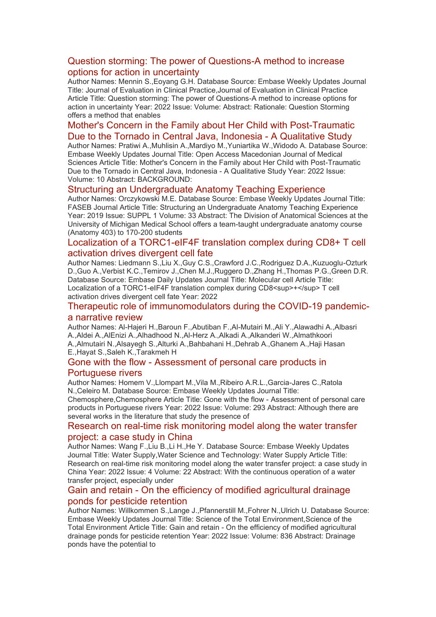#### [Question storming: The power of Questions-A method to increase](https://eur01.safelinks.protection.outlook.com/?url=http%3A%2F%2Ftransit.linexsystems.com%2Ftrack%2Fclick%2F30370861%2Fca.linexsystems.com%3Fp%3DeyJzIjoibDJnbEY2elR5XzdOaXZPZTk0S0U4VGhLWG9BIiwidiI6MSwicCI6IntcInVcIjozMDM3MDg2MSxcInZcIjoxLFwidXJsXCI6XCJodHRwOlxcXC9cXFwvY2EubGluZXhzeXN0ZW1zLmNvbVxcXC9jb250ZW50c1xcXC90cmFuc2l0XFxcLzM3ODMxODAzODc_dXNlcl9pZD00NDM1MTUmbG9nPWY5N2ViNmUzMjE5YTcyMWVlZDE3NTIyOTNmZmJlY2E3JnA9OTU5Njc2NDgmbT0xJnM9Mzk5MDU1Jm9yZ19pZD0yNjI4NzVcIixcImlkXCI6XCJjMWY3ZGMyMzZiZTA0YjY0YmU3YTNhYjQ0MmI4MWY2ZVwiLFwidXJsX2lkc1wiOltcIjA1ZTliM2YxZjk4OTA1NGZlM2JjODI0YWQ4ZmExYjhmMWYyMzVkMTNcIl19In0&data=05%7C01%7Ccaroline.debrun%40phe.gov.uk%7Ca6f00f6bef614d07b97908da43b32f98%7Cee4e14994a354b2ead475f3cf9de8666%7C0%7C0%7C637896735149514785%7CUnknown%7CTWFpbGZsb3d8eyJWIjoiMC4wLjAwMDAiLCJQIjoiV2luMzIiLCJBTiI6Ik1haWwiLCJXVCI6Mn0%3D%7C3000%7C%7C%7C&sdata=WesQWixGtgXxRzOB81mfGVxCwOyt83rPbCWjjc%2BOIwY%3D&reserved=0)  [options for action in uncertainty](https://eur01.safelinks.protection.outlook.com/?url=http%3A%2F%2Ftransit.linexsystems.com%2Ftrack%2Fclick%2F30370861%2Fca.linexsystems.com%3Fp%3DeyJzIjoibDJnbEY2elR5XzdOaXZPZTk0S0U4VGhLWG9BIiwidiI6MSwicCI6IntcInVcIjozMDM3MDg2MSxcInZcIjoxLFwidXJsXCI6XCJodHRwOlxcXC9cXFwvY2EubGluZXhzeXN0ZW1zLmNvbVxcXC9jb250ZW50c1xcXC90cmFuc2l0XFxcLzM3ODMxODAzODc_dXNlcl9pZD00NDM1MTUmbG9nPWY5N2ViNmUzMjE5YTcyMWVlZDE3NTIyOTNmZmJlY2E3JnA9OTU5Njc2NDgmbT0xJnM9Mzk5MDU1Jm9yZ19pZD0yNjI4NzVcIixcImlkXCI6XCJjMWY3ZGMyMzZiZTA0YjY0YmU3YTNhYjQ0MmI4MWY2ZVwiLFwidXJsX2lkc1wiOltcIjA1ZTliM2YxZjk4OTA1NGZlM2JjODI0YWQ4ZmExYjhmMWYyMzVkMTNcIl19In0&data=05%7C01%7Ccaroline.debrun%40phe.gov.uk%7Ca6f00f6bef614d07b97908da43b32f98%7Cee4e14994a354b2ead475f3cf9de8666%7C0%7C0%7C637896735149514785%7CUnknown%7CTWFpbGZsb3d8eyJWIjoiMC4wLjAwMDAiLCJQIjoiV2luMzIiLCJBTiI6Ik1haWwiLCJXVCI6Mn0%3D%7C3000%7C%7C%7C&sdata=WesQWixGtgXxRzOB81mfGVxCwOyt83rPbCWjjc%2BOIwY%3D&reserved=0)

Author Names: Mennin S.,Eoyang G.H. Database Source: Embase Weekly Updates Journal Title: Journal of Evaluation in Clinical Practice,Journal of Evaluation in Clinical Practice Article Title: Question storming: The power of Questions-A method to increase options for action in uncertainty Year: 2022 Issue: Volume: Abstract: Rationale: Question Storming offers a method that enables

#### [Mother's Concern in the Family about Her Child with Post-Traumatic](https://eur01.safelinks.protection.outlook.com/?url=http%3A%2F%2Ftransit.linexsystems.com%2Ftrack%2Fclick%2F30370861%2Fca.linexsystems.com%3Fp%3DeyJzIjoiaHBtUEctMHg4Tm81cl8zZG1TcXVNcmNRZVFnIiwidiI6MSwicCI6IntcInVcIjozMDM3MDg2MSxcInZcIjoxLFwidXJsXCI6XCJodHRwOlxcXC9cXFwvY2EubGluZXhzeXN0ZW1zLmNvbVxcXC9jb250ZW50c1xcXC90cmFuc2l0XFxcLzM3ODMxODAzODk_dXNlcl9pZD00NDM1MTUmbG9nPWY5N2ViNmUzMjE5YTcyMWVlZDE3NTIyOTNmZmJlY2E3JnA9OTU5Njc2NDgmbT0xJnM9Mzk5MDU1Jm9yZ19pZD0yNjI4NzVcIixcImlkXCI6XCJjMWY3ZGMyMzZiZTA0YjY0YmU3YTNhYjQ0MmI4MWY2ZVwiLFwidXJsX2lkc1wiOltcIjA1ZTliM2YxZjk4OTA1NGZlM2JjODI0YWQ4ZmExYjhmMWYyMzVkMTNcIl19In0&data=05%7C01%7Ccaroline.debrun%40phe.gov.uk%7Ca6f00f6bef614d07b97908da43b32f98%7Cee4e14994a354b2ead475f3cf9de8666%7C0%7C0%7C637896735149514785%7CUnknown%7CTWFpbGZsb3d8eyJWIjoiMC4wLjAwMDAiLCJQIjoiV2luMzIiLCJBTiI6Ik1haWwiLCJXVCI6Mn0%3D%7C3000%7C%7C%7C&sdata=pFfleezeWk99Gi22T942NCh9AaDD%2Fu9b4MfchgJhvxM%3D&reserved=0)  [Due to the Tornado in Central Java, Indonesia -](https://eur01.safelinks.protection.outlook.com/?url=http%3A%2F%2Ftransit.linexsystems.com%2Ftrack%2Fclick%2F30370861%2Fca.linexsystems.com%3Fp%3DeyJzIjoiaHBtUEctMHg4Tm81cl8zZG1TcXVNcmNRZVFnIiwidiI6MSwicCI6IntcInVcIjozMDM3MDg2MSxcInZcIjoxLFwidXJsXCI6XCJodHRwOlxcXC9cXFwvY2EubGluZXhzeXN0ZW1zLmNvbVxcXC9jb250ZW50c1xcXC90cmFuc2l0XFxcLzM3ODMxODAzODk_dXNlcl9pZD00NDM1MTUmbG9nPWY5N2ViNmUzMjE5YTcyMWVlZDE3NTIyOTNmZmJlY2E3JnA9OTU5Njc2NDgmbT0xJnM9Mzk5MDU1Jm9yZ19pZD0yNjI4NzVcIixcImlkXCI6XCJjMWY3ZGMyMzZiZTA0YjY0YmU3YTNhYjQ0MmI4MWY2ZVwiLFwidXJsX2lkc1wiOltcIjA1ZTliM2YxZjk4OTA1NGZlM2JjODI0YWQ4ZmExYjhmMWYyMzVkMTNcIl19In0&data=05%7C01%7Ccaroline.debrun%40phe.gov.uk%7Ca6f00f6bef614d07b97908da43b32f98%7Cee4e14994a354b2ead475f3cf9de8666%7C0%7C0%7C637896735149514785%7CUnknown%7CTWFpbGZsb3d8eyJWIjoiMC4wLjAwMDAiLCJQIjoiV2luMzIiLCJBTiI6Ik1haWwiLCJXVCI6Mn0%3D%7C3000%7C%7C%7C&sdata=pFfleezeWk99Gi22T942NCh9AaDD%2Fu9b4MfchgJhvxM%3D&reserved=0) A Qualitative Study

Author Names: Pratiwi A.,Muhlisin A.,Mardiyo M.,Yuniartika W.,Widodo A. Database Source: Embase Weekly Updates Journal Title: Open Access Macedonian Journal of Medical Sciences Article Title: Mother's Concern in the Family about Her Child with Post-Traumatic Due to the Tornado in Central Java, Indonesia - A Qualitative Study Year: 2022 Issue: Volume: 10 Abstract: BACKGROUND:

#### [Structuring an Undergraduate Anatomy Teaching Experience](https://eur01.safelinks.protection.outlook.com/?url=http%3A%2F%2Ftransit.linexsystems.com%2Ftrack%2Fclick%2F30370861%2Fca.linexsystems.com%3Fp%3DeyJzIjoiX19PQ0NWa3JUNWljdkRXVEd1T0EyWDlYbU9VIiwidiI6MSwicCI6IntcInVcIjozMDM3MDg2MSxcInZcIjoxLFwidXJsXCI6XCJodHRwOlxcXC9cXFwvY2EubGluZXhzeXN0ZW1zLmNvbVxcXC9jb250ZW50c1xcXC90cmFuc2l0XFxcLzM3ODMxODAzOTA_dXNlcl9pZD00NDM1MTUmbG9nPWY5N2ViNmUzMjE5YTcyMWVlZDE3NTIyOTNmZmJlY2E3JnA9OTU5Njc2NDgmbT0xJnM9Mzk5MDU1Jm9yZ19pZD0yNjI4NzVcIixcImlkXCI6XCJjMWY3ZGMyMzZiZTA0YjY0YmU3YTNhYjQ0MmI4MWY2ZVwiLFwidXJsX2lkc1wiOltcIjA1ZTliM2YxZjk4OTA1NGZlM2JjODI0YWQ4ZmExYjhmMWYyMzVkMTNcIl19In0&data=05%7C01%7Ccaroline.debrun%40phe.gov.uk%7Ca6f00f6bef614d07b97908da43b32f98%7Cee4e14994a354b2ead475f3cf9de8666%7C0%7C0%7C637896735149514785%7CUnknown%7CTWFpbGZsb3d8eyJWIjoiMC4wLjAwMDAiLCJQIjoiV2luMzIiLCJBTiI6Ik1haWwiLCJXVCI6Mn0%3D%7C3000%7C%7C%7C&sdata=v7RjmNb%2BUtEV5m8cjA1Nkh3ez7J4ijym%2FbKXgItX2O8%3D&reserved=0)

Author Names: Orczykowski M.E. Database Source: Embase Weekly Updates Journal Title: FASEB Journal Article Title: Structuring an Undergraduate Anatomy Teaching Experience Year: 2019 Issue: SUPPL 1 Volume: 33 Abstract: The Division of Anatomical Sciences at the University of Michigan Medical School offers a team-taught undergraduate anatomy course (Anatomy 403) to 170-200 students

#### [Localization of a TORC1-eIF4F translation complex during CD8+ T cell](https://eur01.safelinks.protection.outlook.com/?url=http%3A%2F%2Ftransit.linexsystems.com%2Ftrack%2Fclick%2F30370861%2Fca.linexsystems.com%3Fp%3DeyJzIjoiT09HU0dlQ1lDN2l4YXFhYlAzc24tTTFpcTFRIiwidiI6MSwicCI6IntcInVcIjozMDM3MDg2MSxcInZcIjoxLFwidXJsXCI6XCJodHRwOlxcXC9cXFwvY2EubGluZXhzeXN0ZW1zLmNvbVxcXC9jb250ZW50c1xcXC90cmFuc2l0XFxcLzM3ODMxODAzOTE_dXNlcl9pZD00NDM1MTUmbG9nPWY5N2ViNmUzMjE5YTcyMWVlZDE3NTIyOTNmZmJlY2E3JnA9OTU5Njc2NDgmbT0xJnM9Mzk5MDU1Jm9yZ19pZD0yNjI4NzVcIixcImlkXCI6XCJjMWY3ZGMyMzZiZTA0YjY0YmU3YTNhYjQ0MmI4MWY2ZVwiLFwidXJsX2lkc1wiOltcIjA1ZTliM2YxZjk4OTA1NGZlM2JjODI0YWQ4ZmExYjhmMWYyMzVkMTNcIl19In0&data=05%7C01%7Ccaroline.debrun%40phe.gov.uk%7Ca6f00f6bef614d07b97908da43b32f98%7Cee4e14994a354b2ead475f3cf9de8666%7C0%7C0%7C637896735149514785%7CUnknown%7CTWFpbGZsb3d8eyJWIjoiMC4wLjAwMDAiLCJQIjoiV2luMzIiLCJBTiI6Ik1haWwiLCJXVCI6Mn0%3D%7C3000%7C%7C%7C&sdata=2QqhI1cP%2FpFNzHFe3JgScdeP9tRvpPEva%2BuIj0VWolU%3D&reserved=0)  [activation drives divergent cell fate](https://eur01.safelinks.protection.outlook.com/?url=http%3A%2F%2Ftransit.linexsystems.com%2Ftrack%2Fclick%2F30370861%2Fca.linexsystems.com%3Fp%3DeyJzIjoiT09HU0dlQ1lDN2l4YXFhYlAzc24tTTFpcTFRIiwidiI6MSwicCI6IntcInVcIjozMDM3MDg2MSxcInZcIjoxLFwidXJsXCI6XCJodHRwOlxcXC9cXFwvY2EubGluZXhzeXN0ZW1zLmNvbVxcXC9jb250ZW50c1xcXC90cmFuc2l0XFxcLzM3ODMxODAzOTE_dXNlcl9pZD00NDM1MTUmbG9nPWY5N2ViNmUzMjE5YTcyMWVlZDE3NTIyOTNmZmJlY2E3JnA9OTU5Njc2NDgmbT0xJnM9Mzk5MDU1Jm9yZ19pZD0yNjI4NzVcIixcImlkXCI6XCJjMWY3ZGMyMzZiZTA0YjY0YmU3YTNhYjQ0MmI4MWY2ZVwiLFwidXJsX2lkc1wiOltcIjA1ZTliM2YxZjk4OTA1NGZlM2JjODI0YWQ4ZmExYjhmMWYyMzVkMTNcIl19In0&data=05%7C01%7Ccaroline.debrun%40phe.gov.uk%7Ca6f00f6bef614d07b97908da43b32f98%7Cee4e14994a354b2ead475f3cf9de8666%7C0%7C0%7C637896735149514785%7CUnknown%7CTWFpbGZsb3d8eyJWIjoiMC4wLjAwMDAiLCJQIjoiV2luMzIiLCJBTiI6Ik1haWwiLCJXVCI6Mn0%3D%7C3000%7C%7C%7C&sdata=2QqhI1cP%2FpFNzHFe3JgScdeP9tRvpPEva%2BuIj0VWolU%3D&reserved=0)

Author Names: Liedmann S.,Liu X.,Guy C.S.,Crawford J.C.,Rodriguez D.A.,Kuzuoglu-Ozturk D.,Guo A.,Verbist K.C.,Temirov J.,Chen M.J.,Ruggero D.,Zhang H.,Thomas P.G.,Green D.R. Database Source: Embase Daily Updates Journal Title: Molecular cell Article Title: Localization of a TORC1-eIF4F translation complex during CD8<sup>+</sup> T cell activation drives divergent cell fate Year: 2022

#### [Therapeutic role of immunomodulators during the COVID-19 pandemic](https://eur01.safelinks.protection.outlook.com/?url=http%3A%2F%2Ftransit.linexsystems.com%2Ftrack%2Fclick%2F30370861%2Fca.linexsystems.com%3Fp%3DeyJzIjoiN0pYdXdiM3UxcDBadlRCYmtYeFdMWXpPT2JJIiwidiI6MSwicCI6IntcInVcIjozMDM3MDg2MSxcInZcIjoxLFwidXJsXCI6XCJodHRwOlxcXC9cXFwvY2EubGluZXhzeXN0ZW1zLmNvbVxcXC9jb250ZW50c1xcXC90cmFuc2l0XFxcLzM3ODMxODAzOTI_dXNlcl9pZD00NDM1MTUmbG9nPWY5N2ViNmUzMjE5YTcyMWVlZDE3NTIyOTNmZmJlY2E3JnA9OTU5Njc2NDgmbT0xJnM9Mzk5MDU1Jm9yZ19pZD0yNjI4NzVcIixcImlkXCI6XCJjMWY3ZGMyMzZiZTA0YjY0YmU3YTNhYjQ0MmI4MWY2ZVwiLFwidXJsX2lkc1wiOltcIjA1ZTliM2YxZjk4OTA1NGZlM2JjODI0YWQ4ZmExYjhmMWYyMzVkMTNcIl19In0&data=05%7C01%7Ccaroline.debrun%40phe.gov.uk%7Ca6f00f6bef614d07b97908da43b32f98%7Cee4e14994a354b2ead475f3cf9de8666%7C0%7C0%7C637896735149514785%7CUnknown%7CTWFpbGZsb3d8eyJWIjoiMC4wLjAwMDAiLCJQIjoiV2luMzIiLCJBTiI6Ik1haWwiLCJXVCI6Mn0%3D%7C3000%7C%7C%7C&sdata=KS5VozUx8%2BP7ZA68%2F%2Fb781m4vhEMX%2Fj8qFbAm3nsLD0%3D&reserved=0)[a narrative review](https://eur01.safelinks.protection.outlook.com/?url=http%3A%2F%2Ftransit.linexsystems.com%2Ftrack%2Fclick%2F30370861%2Fca.linexsystems.com%3Fp%3DeyJzIjoiN0pYdXdiM3UxcDBadlRCYmtYeFdMWXpPT2JJIiwidiI6MSwicCI6IntcInVcIjozMDM3MDg2MSxcInZcIjoxLFwidXJsXCI6XCJodHRwOlxcXC9cXFwvY2EubGluZXhzeXN0ZW1zLmNvbVxcXC9jb250ZW50c1xcXC90cmFuc2l0XFxcLzM3ODMxODAzOTI_dXNlcl9pZD00NDM1MTUmbG9nPWY5N2ViNmUzMjE5YTcyMWVlZDE3NTIyOTNmZmJlY2E3JnA9OTU5Njc2NDgmbT0xJnM9Mzk5MDU1Jm9yZ19pZD0yNjI4NzVcIixcImlkXCI6XCJjMWY3ZGMyMzZiZTA0YjY0YmU3YTNhYjQ0MmI4MWY2ZVwiLFwidXJsX2lkc1wiOltcIjA1ZTliM2YxZjk4OTA1NGZlM2JjODI0YWQ4ZmExYjhmMWYyMzVkMTNcIl19In0&data=05%7C01%7Ccaroline.debrun%40phe.gov.uk%7Ca6f00f6bef614d07b97908da43b32f98%7Cee4e14994a354b2ead475f3cf9de8666%7C0%7C0%7C637896735149514785%7CUnknown%7CTWFpbGZsb3d8eyJWIjoiMC4wLjAwMDAiLCJQIjoiV2luMzIiLCJBTiI6Ik1haWwiLCJXVCI6Mn0%3D%7C3000%7C%7C%7C&sdata=KS5VozUx8%2BP7ZA68%2F%2Fb781m4vhEMX%2Fj8qFbAm3nsLD0%3D&reserved=0)

Author Names: Al-Hajeri H.,Baroun F.,Abutiban F.,Al-Mutairi M.,Ali Y.,Alawadhi A.,Albasri A.,Aldei A.,AlEnizi A.,Alhadhood N.,Al-Herz A.,Alkadi A.,Alkanderi W.,Almathkoori A.,Almutairi N.,Alsayegh S.,Alturki A.,Bahbahani H.,Dehrab A.,Ghanem A.,Haji Hasan E.,Hayat S.,Saleh K.,Tarakmeh H

#### Gone with the flow - [Assessment of personal care products in](https://eur01.safelinks.protection.outlook.com/?url=http%3A%2F%2Ftransit.linexsystems.com%2Ftrack%2Fclick%2F30370861%2Fca.linexsystems.com%3Fp%3DeyJzIjoiQnJOS2FpX1NTS2cyREdhU1Vhc1pWbGRqR3RZIiwidiI6MSwicCI6IntcInVcIjozMDM3MDg2MSxcInZcIjoxLFwidXJsXCI6XCJodHRwOlxcXC9cXFwvY2EubGluZXhzeXN0ZW1zLmNvbVxcXC9jb250ZW50c1xcXC90cmFuc2l0XFxcLzM3ODMxODI1NDY_dXNlcl9pZD00NDM1MTUmbG9nPWY5N2ViNmUzMjE5YTcyMWVlZDE3NTIyOTNmZmJlY2E3JnA9OTU5Njc2NDgmbT0xJnM9Mzk5MDU1Jm9yZ19pZD0yNjI4NzVcIixcImlkXCI6XCJjMWY3ZGMyMzZiZTA0YjY0YmU3YTNhYjQ0MmI4MWY2ZVwiLFwidXJsX2lkc1wiOltcIjA1ZTliM2YxZjk4OTA1NGZlM2JjODI0YWQ4ZmExYjhmMWYyMzVkMTNcIl19In0&data=05%7C01%7Ccaroline.debrun%40phe.gov.uk%7Ca6f00f6bef614d07b97908da43b32f98%7Cee4e14994a354b2ead475f3cf9de8666%7C0%7C0%7C637896735149514785%7CUnknown%7CTWFpbGZsb3d8eyJWIjoiMC4wLjAwMDAiLCJQIjoiV2luMzIiLCJBTiI6Ik1haWwiLCJXVCI6Mn0%3D%7C3000%7C%7C%7C&sdata=%2FGIrB%2BV34OwvFgQ7jvfP7cLh8K8yTMIzCDu2k3x7YVc%3D&reserved=0)  [Portuguese rivers](https://eur01.safelinks.protection.outlook.com/?url=http%3A%2F%2Ftransit.linexsystems.com%2Ftrack%2Fclick%2F30370861%2Fca.linexsystems.com%3Fp%3DeyJzIjoiQnJOS2FpX1NTS2cyREdhU1Vhc1pWbGRqR3RZIiwidiI6MSwicCI6IntcInVcIjozMDM3MDg2MSxcInZcIjoxLFwidXJsXCI6XCJodHRwOlxcXC9cXFwvY2EubGluZXhzeXN0ZW1zLmNvbVxcXC9jb250ZW50c1xcXC90cmFuc2l0XFxcLzM3ODMxODI1NDY_dXNlcl9pZD00NDM1MTUmbG9nPWY5N2ViNmUzMjE5YTcyMWVlZDE3NTIyOTNmZmJlY2E3JnA9OTU5Njc2NDgmbT0xJnM9Mzk5MDU1Jm9yZ19pZD0yNjI4NzVcIixcImlkXCI6XCJjMWY3ZGMyMzZiZTA0YjY0YmU3YTNhYjQ0MmI4MWY2ZVwiLFwidXJsX2lkc1wiOltcIjA1ZTliM2YxZjk4OTA1NGZlM2JjODI0YWQ4ZmExYjhmMWYyMzVkMTNcIl19In0&data=05%7C01%7Ccaroline.debrun%40phe.gov.uk%7Ca6f00f6bef614d07b97908da43b32f98%7Cee4e14994a354b2ead475f3cf9de8666%7C0%7C0%7C637896735149514785%7CUnknown%7CTWFpbGZsb3d8eyJWIjoiMC4wLjAwMDAiLCJQIjoiV2luMzIiLCJBTiI6Ik1haWwiLCJXVCI6Mn0%3D%7C3000%7C%7C%7C&sdata=%2FGIrB%2BV34OwvFgQ7jvfP7cLh8K8yTMIzCDu2k3x7YVc%3D&reserved=0)

Author Names: Homem V.,Llompart M.,Vila M.,Ribeiro A.R.L.,Garcia-Jares C.,Ratola N.,Celeiro M. Database Source: Embase Weekly Updates Journal Title:

Chemosphere,Chemosphere Article Title: Gone with the flow - Assessment of personal care products in Portuguese rivers Year: 2022 Issue: Volume: 293 Abstract: Although there are several works in the literature that study the presence of

#### [Research on real-time risk monitoring model along the water transfer](https://eur01.safelinks.protection.outlook.com/?url=http%3A%2F%2Ftransit.linexsystems.com%2Ftrack%2Fclick%2F30370861%2Fca.linexsystems.com%3Fp%3DeyJzIjoiaGlCeVRaTF80dW5YNVBnNldiUGQ1VTU3NlpZIiwidiI6MSwicCI6IntcInVcIjozMDM3MDg2MSxcInZcIjoxLFwidXJsXCI6XCJodHRwOlxcXC9cXFwvY2EubGluZXhzeXN0ZW1zLmNvbVxcXC9jb250ZW50c1xcXC90cmFuc2l0XFxcLzM3ODMxODI1NDc_dXNlcl9pZD00NDM1MTUmbG9nPWY5N2ViNmUzMjE5YTcyMWVlZDE3NTIyOTNmZmJlY2E3JnA9OTU5Njc2NDgmbT0xJnM9Mzk5MDU1Jm9yZ19pZD0yNjI4NzVcIixcImlkXCI6XCJjMWY3ZGMyMzZiZTA0YjY0YmU3YTNhYjQ0MmI4MWY2ZVwiLFwidXJsX2lkc1wiOltcIjA1ZTliM2YxZjk4OTA1NGZlM2JjODI0YWQ4ZmExYjhmMWYyMzVkMTNcIl19In0&data=05%7C01%7Ccaroline.debrun%40phe.gov.uk%7Ca6f00f6bef614d07b97908da43b32f98%7Cee4e14994a354b2ead475f3cf9de8666%7C0%7C0%7C637896735149514785%7CUnknown%7CTWFpbGZsb3d8eyJWIjoiMC4wLjAwMDAiLCJQIjoiV2luMzIiLCJBTiI6Ik1haWwiLCJXVCI6Mn0%3D%7C3000%7C%7C%7C&sdata=NcKufXi0iz%2FgJ7fhwZOPjn6xvYctXka4n0K08CWuH8Q%3D&reserved=0)  [project: a case study in China](https://eur01.safelinks.protection.outlook.com/?url=http%3A%2F%2Ftransit.linexsystems.com%2Ftrack%2Fclick%2F30370861%2Fca.linexsystems.com%3Fp%3DeyJzIjoiaGlCeVRaTF80dW5YNVBnNldiUGQ1VTU3NlpZIiwidiI6MSwicCI6IntcInVcIjozMDM3MDg2MSxcInZcIjoxLFwidXJsXCI6XCJodHRwOlxcXC9cXFwvY2EubGluZXhzeXN0ZW1zLmNvbVxcXC9jb250ZW50c1xcXC90cmFuc2l0XFxcLzM3ODMxODI1NDc_dXNlcl9pZD00NDM1MTUmbG9nPWY5N2ViNmUzMjE5YTcyMWVlZDE3NTIyOTNmZmJlY2E3JnA9OTU5Njc2NDgmbT0xJnM9Mzk5MDU1Jm9yZ19pZD0yNjI4NzVcIixcImlkXCI6XCJjMWY3ZGMyMzZiZTA0YjY0YmU3YTNhYjQ0MmI4MWY2ZVwiLFwidXJsX2lkc1wiOltcIjA1ZTliM2YxZjk4OTA1NGZlM2JjODI0YWQ4ZmExYjhmMWYyMzVkMTNcIl19In0&data=05%7C01%7Ccaroline.debrun%40phe.gov.uk%7Ca6f00f6bef614d07b97908da43b32f98%7Cee4e14994a354b2ead475f3cf9de8666%7C0%7C0%7C637896735149514785%7CUnknown%7CTWFpbGZsb3d8eyJWIjoiMC4wLjAwMDAiLCJQIjoiV2luMzIiLCJBTiI6Ik1haWwiLCJXVCI6Mn0%3D%7C3000%7C%7C%7C&sdata=NcKufXi0iz%2FgJ7fhwZOPjn6xvYctXka4n0K08CWuH8Q%3D&reserved=0)

Author Names: Wang F.,Liu B.,Li H.,He Y. Database Source: Embase Weekly Updates Journal Title: Water Supply,Water Science and Technology: Water Supply Article Title: Research on real-time risk monitoring model along the water transfer project: a case study in China Year: 2022 Issue: 4 Volume: 22 Abstract: With the continuous operation of a water transfer project, especially under

#### Gain and retain - [On the efficiency of modified agricultural drainage](https://eur01.safelinks.protection.outlook.com/?url=http%3A%2F%2Ftransit.linexsystems.com%2Ftrack%2Fclick%2F30370861%2Fca.linexsystems.com%3Fp%3DeyJzIjoiYkc1YnRzMEEyUTViZGgtRV9ySXo5NWJqNW84IiwidiI6MSwicCI6IntcInVcIjozMDM3MDg2MSxcInZcIjoxLFwidXJsXCI6XCJodHRwOlxcXC9cXFwvY2EubGluZXhzeXN0ZW1zLmNvbVxcXC9jb250ZW50c1xcXC90cmFuc2l0XFxcLzM3ODMxODI1NDk_dXNlcl9pZD00NDM1MTUmbG9nPWY5N2ViNmUzMjE5YTcyMWVlZDE3NTIyOTNmZmJlY2E3JnA9OTU5Njc2NDgmbT0xJnM9Mzk5MDU1Jm9yZ19pZD0yNjI4NzVcIixcImlkXCI6XCJjMWY3ZGMyMzZiZTA0YjY0YmU3YTNhYjQ0MmI4MWY2ZVwiLFwidXJsX2lkc1wiOltcIjA1ZTliM2YxZjk4OTA1NGZlM2JjODI0YWQ4ZmExYjhmMWYyMzVkMTNcIl19In0&data=05%7C01%7Ccaroline.debrun%40phe.gov.uk%7Ca6f00f6bef614d07b97908da43b32f98%7Cee4e14994a354b2ead475f3cf9de8666%7C0%7C0%7C637896735149514785%7CUnknown%7CTWFpbGZsb3d8eyJWIjoiMC4wLjAwMDAiLCJQIjoiV2luMzIiLCJBTiI6Ik1haWwiLCJXVCI6Mn0%3D%7C3000%7C%7C%7C&sdata=1TYbgrVHBFtOb66OB6wHjobieDwQg7FM2RPf0A3IIb0%3D&reserved=0)  [ponds for pesticide retention](https://eur01.safelinks.protection.outlook.com/?url=http%3A%2F%2Ftransit.linexsystems.com%2Ftrack%2Fclick%2F30370861%2Fca.linexsystems.com%3Fp%3DeyJzIjoiYkc1YnRzMEEyUTViZGgtRV9ySXo5NWJqNW84IiwidiI6MSwicCI6IntcInVcIjozMDM3MDg2MSxcInZcIjoxLFwidXJsXCI6XCJodHRwOlxcXC9cXFwvY2EubGluZXhzeXN0ZW1zLmNvbVxcXC9jb250ZW50c1xcXC90cmFuc2l0XFxcLzM3ODMxODI1NDk_dXNlcl9pZD00NDM1MTUmbG9nPWY5N2ViNmUzMjE5YTcyMWVlZDE3NTIyOTNmZmJlY2E3JnA9OTU5Njc2NDgmbT0xJnM9Mzk5MDU1Jm9yZ19pZD0yNjI4NzVcIixcImlkXCI6XCJjMWY3ZGMyMzZiZTA0YjY0YmU3YTNhYjQ0MmI4MWY2ZVwiLFwidXJsX2lkc1wiOltcIjA1ZTliM2YxZjk4OTA1NGZlM2JjODI0YWQ4ZmExYjhmMWYyMzVkMTNcIl19In0&data=05%7C01%7Ccaroline.debrun%40phe.gov.uk%7Ca6f00f6bef614d07b97908da43b32f98%7Cee4e14994a354b2ead475f3cf9de8666%7C0%7C0%7C637896735149514785%7CUnknown%7CTWFpbGZsb3d8eyJWIjoiMC4wLjAwMDAiLCJQIjoiV2luMzIiLCJBTiI6Ik1haWwiLCJXVCI6Mn0%3D%7C3000%7C%7C%7C&sdata=1TYbgrVHBFtOb66OB6wHjobieDwQg7FM2RPf0A3IIb0%3D&reserved=0)

Author Names: Willkommen S.,Lange J.,Pfannerstill M.,Fohrer N.,Ulrich U. Database Source: Embase Weekly Updates Journal Title: Science of the Total Environment,Science of the Total Environment Article Title: Gain and retain - On the efficiency of modified agricultural drainage ponds for pesticide retention Year: 2022 Issue: Volume: 836 Abstract: Drainage ponds have the potential to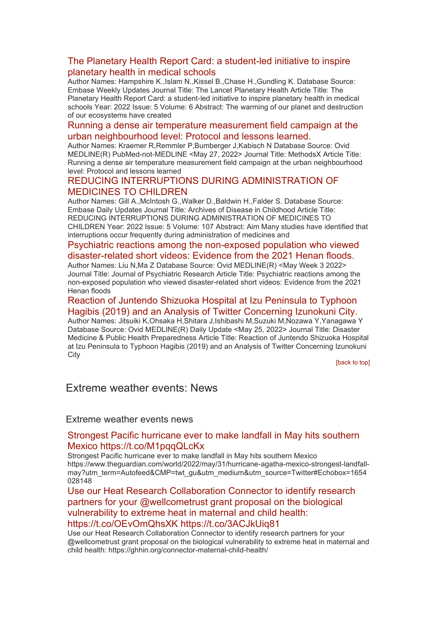#### [The Planetary Health Report Card: a student-led initiative to inspire](https://eur01.safelinks.protection.outlook.com/?url=http%3A%2F%2Ftransit.linexsystems.com%2Ftrack%2Fclick%2F30370861%2Fca.linexsystems.com%3Fp%3DeyJzIjoiaEcxZFFLQm1hMzZUQkEzalcwMFZwVm56bDVZIiwidiI6MSwicCI6IntcInVcIjozMDM3MDg2MSxcInZcIjoxLFwidXJsXCI6XCJodHRwOlxcXC9cXFwvY2EubGluZXhzeXN0ZW1zLmNvbVxcXC9jb250ZW50c1xcXC90cmFuc2l0XFxcLzM3ODMxODI1NTA_dXNlcl9pZD00NDM1MTUmbG9nPWY5N2ViNmUzMjE5YTcyMWVlZDE3NTIyOTNmZmJlY2E3JnA9OTU5Njc2NDgmbT0xJnM9Mzk5MDU1Jm9yZ19pZD0yNjI4NzVcIixcImlkXCI6XCJjMWY3ZGMyMzZiZTA0YjY0YmU3YTNhYjQ0MmI4MWY2ZVwiLFwidXJsX2lkc1wiOltcIjA1ZTliM2YxZjk4OTA1NGZlM2JjODI0YWQ4ZmExYjhmMWYyMzVkMTNcIl19In0&data=05%7C01%7Ccaroline.debrun%40phe.gov.uk%7Ca6f00f6bef614d07b97908da43b32f98%7Cee4e14994a354b2ead475f3cf9de8666%7C0%7C0%7C637896735149514785%7CUnknown%7CTWFpbGZsb3d8eyJWIjoiMC4wLjAwMDAiLCJQIjoiV2luMzIiLCJBTiI6Ik1haWwiLCJXVCI6Mn0%3D%7C3000%7C%7C%7C&sdata=9TAUdhjIinMyzoLJzxKQQQ8tANUtmIYSqhdmvIqsCgg%3D&reserved=0)  [planetary health in medical schools](https://eur01.safelinks.protection.outlook.com/?url=http%3A%2F%2Ftransit.linexsystems.com%2Ftrack%2Fclick%2F30370861%2Fca.linexsystems.com%3Fp%3DeyJzIjoiaEcxZFFLQm1hMzZUQkEzalcwMFZwVm56bDVZIiwidiI6MSwicCI6IntcInVcIjozMDM3MDg2MSxcInZcIjoxLFwidXJsXCI6XCJodHRwOlxcXC9cXFwvY2EubGluZXhzeXN0ZW1zLmNvbVxcXC9jb250ZW50c1xcXC90cmFuc2l0XFxcLzM3ODMxODI1NTA_dXNlcl9pZD00NDM1MTUmbG9nPWY5N2ViNmUzMjE5YTcyMWVlZDE3NTIyOTNmZmJlY2E3JnA9OTU5Njc2NDgmbT0xJnM9Mzk5MDU1Jm9yZ19pZD0yNjI4NzVcIixcImlkXCI6XCJjMWY3ZGMyMzZiZTA0YjY0YmU3YTNhYjQ0MmI4MWY2ZVwiLFwidXJsX2lkc1wiOltcIjA1ZTliM2YxZjk4OTA1NGZlM2JjODI0YWQ4ZmExYjhmMWYyMzVkMTNcIl19In0&data=05%7C01%7Ccaroline.debrun%40phe.gov.uk%7Ca6f00f6bef614d07b97908da43b32f98%7Cee4e14994a354b2ead475f3cf9de8666%7C0%7C0%7C637896735149514785%7CUnknown%7CTWFpbGZsb3d8eyJWIjoiMC4wLjAwMDAiLCJQIjoiV2luMzIiLCJBTiI6Ik1haWwiLCJXVCI6Mn0%3D%7C3000%7C%7C%7C&sdata=9TAUdhjIinMyzoLJzxKQQQ8tANUtmIYSqhdmvIqsCgg%3D&reserved=0)

Author Names: Hampshire K.,Islam N.,Kissel B.,Chase H.,Gundling K. Database Source: Embase Weekly Updates Journal Title: The Lancet Planetary Health Article Title: The Planetary Health Report Card: a student-led initiative to inspire planetary health in medical schools Year: 2022 Issue: 5 Volume: 6 Abstract: The warming of our planet and destruction of our ecosystems have created

#### [Running a dense air temperature measurement field campaign at the](https://eur01.safelinks.protection.outlook.com/?url=http%3A%2F%2Ftransit.linexsystems.com%2Ftrack%2Fclick%2F30370861%2Fca.linexsystems.com%3Fp%3DeyJzIjoiQWE3X1h1Mzl5N0txSEZtSmVaUF9wRjF4LVk4IiwidiI6MSwicCI6IntcInVcIjozMDM3MDg2MSxcInZcIjoxLFwidXJsXCI6XCJodHRwOlxcXC9cXFwvY2EubGluZXhzeXN0ZW1zLmNvbVxcXC9jb250ZW50c1xcXC90cmFuc2l0XFxcLzM3ODMyODkzMTc_dXNlcl9pZD00NDM1MTUmbG9nPWY5N2ViNmUzMjE5YTcyMWVlZDE3NTIyOTNmZmJlY2E3JnA9OTU5Njc2NDgmbT0xJnM9Mzk5MDU1Jm9yZ19pZD0yNjI4NzVcIixcImlkXCI6XCJjMWY3ZGMyMzZiZTA0YjY0YmU3YTNhYjQ0MmI4MWY2ZVwiLFwidXJsX2lkc1wiOltcIjA1ZTliM2YxZjk4OTA1NGZlM2JjODI0YWQ4ZmExYjhmMWYyMzVkMTNcIl19In0&data=05%7C01%7Ccaroline.debrun%40phe.gov.uk%7Ca6f00f6bef614d07b97908da43b32f98%7Cee4e14994a354b2ead475f3cf9de8666%7C0%7C0%7C637896735149514785%7CUnknown%7CTWFpbGZsb3d8eyJWIjoiMC4wLjAwMDAiLCJQIjoiV2luMzIiLCJBTiI6Ik1haWwiLCJXVCI6Mn0%3D%7C3000%7C%7C%7C&sdata=n2tac3hgeNvIRiFpQkpJTLBEOjCj3Bdlh6BGRAzK2gQ%3D&reserved=0)  [urban neighbourhood level: Protocol and lessons learned.](https://eur01.safelinks.protection.outlook.com/?url=http%3A%2F%2Ftransit.linexsystems.com%2Ftrack%2Fclick%2F30370861%2Fca.linexsystems.com%3Fp%3DeyJzIjoiQWE3X1h1Mzl5N0txSEZtSmVaUF9wRjF4LVk4IiwidiI6MSwicCI6IntcInVcIjozMDM3MDg2MSxcInZcIjoxLFwidXJsXCI6XCJodHRwOlxcXC9cXFwvY2EubGluZXhzeXN0ZW1zLmNvbVxcXC9jb250ZW50c1xcXC90cmFuc2l0XFxcLzM3ODMyODkzMTc_dXNlcl9pZD00NDM1MTUmbG9nPWY5N2ViNmUzMjE5YTcyMWVlZDE3NTIyOTNmZmJlY2E3JnA9OTU5Njc2NDgmbT0xJnM9Mzk5MDU1Jm9yZ19pZD0yNjI4NzVcIixcImlkXCI6XCJjMWY3ZGMyMzZiZTA0YjY0YmU3YTNhYjQ0MmI4MWY2ZVwiLFwidXJsX2lkc1wiOltcIjA1ZTliM2YxZjk4OTA1NGZlM2JjODI0YWQ4ZmExYjhmMWYyMzVkMTNcIl19In0&data=05%7C01%7Ccaroline.debrun%40phe.gov.uk%7Ca6f00f6bef614d07b97908da43b32f98%7Cee4e14994a354b2ead475f3cf9de8666%7C0%7C0%7C637896735149514785%7CUnknown%7CTWFpbGZsb3d8eyJWIjoiMC4wLjAwMDAiLCJQIjoiV2luMzIiLCJBTiI6Ik1haWwiLCJXVCI6Mn0%3D%7C3000%7C%7C%7C&sdata=n2tac3hgeNvIRiFpQkpJTLBEOjCj3Bdlh6BGRAzK2gQ%3D&reserved=0)

Author Names: Kraemer R,Remmler P,Bumberger J,Kabisch N Database Source: Ovid MEDLINE(R) PubMed-not-MEDLINE <May 27, 2022> Journal Title: MethodsX Article Title: Running a dense air temperature measurement field campaign at the urban neighbourhood level: Protocol and lessons learned

#### [REDUCING INTERRUPTIONS DURING ADMINISTRATION OF](https://eur01.safelinks.protection.outlook.com/?url=http%3A%2F%2Ftransit.linexsystems.com%2Ftrack%2Fclick%2F30370861%2Fca.linexsystems.com%3Fp%3DeyJzIjoieUNHZXF1MzZrQTJhLVhYMlJwQzMzS0llbEtFIiwidiI6MSwicCI6IntcInVcIjozMDM3MDg2MSxcInZcIjoxLFwidXJsXCI6XCJodHRwOlxcXC9cXFwvY2EubGluZXhzeXN0ZW1zLmNvbVxcXC9jb250ZW50c1xcXC90cmFuc2l0XFxcLzM3ODMxMDMxODg_dXNlcl9pZD00NDM1MTUmbG9nPWY5N2ViNmUzMjE5YTcyMWVlZDE3NTIyOTNmZmJlY2E3JnA9OTU5Njc2NDgmbT0xJnM9Mzk5MDU1Jm9yZ19pZD0yNjI4NzVcIixcImlkXCI6XCJjMWY3ZGMyMzZiZTA0YjY0YmU3YTNhYjQ0MmI4MWY2ZVwiLFwidXJsX2lkc1wiOltcIjA1ZTliM2YxZjk4OTA1NGZlM2JjODI0YWQ4ZmExYjhmMWYyMzVkMTNcIl19In0&data=05%7C01%7Ccaroline.debrun%40phe.gov.uk%7Ca6f00f6bef614d07b97908da43b32f98%7Cee4e14994a354b2ead475f3cf9de8666%7C0%7C0%7C637896735149514785%7CUnknown%7CTWFpbGZsb3d8eyJWIjoiMC4wLjAwMDAiLCJQIjoiV2luMzIiLCJBTiI6Ik1haWwiLCJXVCI6Mn0%3D%7C3000%7C%7C%7C&sdata=KVC8AE%2B4XrcoqQgAzQaxE6u2XDctoRnUuwDdjo4tvV4%3D&reserved=0)  [MEDICINES TO CHILDREN](https://eur01.safelinks.protection.outlook.com/?url=http%3A%2F%2Ftransit.linexsystems.com%2Ftrack%2Fclick%2F30370861%2Fca.linexsystems.com%3Fp%3DeyJzIjoieUNHZXF1MzZrQTJhLVhYMlJwQzMzS0llbEtFIiwidiI6MSwicCI6IntcInVcIjozMDM3MDg2MSxcInZcIjoxLFwidXJsXCI6XCJodHRwOlxcXC9cXFwvY2EubGluZXhzeXN0ZW1zLmNvbVxcXC9jb250ZW50c1xcXC90cmFuc2l0XFxcLzM3ODMxMDMxODg_dXNlcl9pZD00NDM1MTUmbG9nPWY5N2ViNmUzMjE5YTcyMWVlZDE3NTIyOTNmZmJlY2E3JnA9OTU5Njc2NDgmbT0xJnM9Mzk5MDU1Jm9yZ19pZD0yNjI4NzVcIixcImlkXCI6XCJjMWY3ZGMyMzZiZTA0YjY0YmU3YTNhYjQ0MmI4MWY2ZVwiLFwidXJsX2lkc1wiOltcIjA1ZTliM2YxZjk4OTA1NGZlM2JjODI0YWQ4ZmExYjhmMWYyMzVkMTNcIl19In0&data=05%7C01%7Ccaroline.debrun%40phe.gov.uk%7Ca6f00f6bef614d07b97908da43b32f98%7Cee4e14994a354b2ead475f3cf9de8666%7C0%7C0%7C637896735149514785%7CUnknown%7CTWFpbGZsb3d8eyJWIjoiMC4wLjAwMDAiLCJQIjoiV2luMzIiLCJBTiI6Ik1haWwiLCJXVCI6Mn0%3D%7C3000%7C%7C%7C&sdata=KVC8AE%2B4XrcoqQgAzQaxE6u2XDctoRnUuwDdjo4tvV4%3D&reserved=0)

Author Names: Gill A.,McIntosh G.,Walker D.,Baldwin H.,Falder S. Database Source: Embase Daily Updates Journal Title: Archives of Disease in Childhood Article Title: REDUCING INTERRUPTIONS DURING ADMINISTRATION OF MEDICINES TO CHILDREN Year: 2022 Issue: 5 Volume: 107 Abstract: Aim Many studies have identified that interruptions occur frequently during administration of medicines and

[Psychiatric reactions among the non-exposed population who viewed](https://eur01.safelinks.protection.outlook.com/?url=http%3A%2F%2Ftransit.linexsystems.com%2Ftrack%2Fclick%2F30370861%2Fca.linexsystems.com%3Fp%3DeyJzIjoiNE5MZDEzSzdpTzVBVXhrQTQweV81UWdqODgwIiwidiI6MSwicCI6IntcInVcIjozMDM3MDg2MSxcInZcIjoxLFwidXJsXCI6XCJodHRwOlxcXC9cXFwvY2EubGluZXhzeXN0ZW1zLmNvbVxcXC9jb250ZW50c1xcXC90cmFuc2l0XFxcLzM3ODMwMTkxMzE_dXNlcl9pZD00NDM1MTUmbG9nPWY5N2ViNmUzMjE5YTcyMWVlZDE3NTIyOTNmZmJlY2E3JnA9OTU5Njc2NDgmbT0xJnM9Mzk5MDU1Jm9yZ19pZD0yNjI4NzVcIixcImlkXCI6XCJjMWY3ZGMyMzZiZTA0YjY0YmU3YTNhYjQ0MmI4MWY2ZVwiLFwidXJsX2lkc1wiOltcIjA1ZTliM2YxZjk4OTA1NGZlM2JjODI0YWQ4ZmExYjhmMWYyMzVkMTNcIl19In0&data=05%7C01%7Ccaroline.debrun%40phe.gov.uk%7Ca6f00f6bef614d07b97908da43b32f98%7Cee4e14994a354b2ead475f3cf9de8666%7C0%7C0%7C637896735149514785%7CUnknown%7CTWFpbGZsb3d8eyJWIjoiMC4wLjAwMDAiLCJQIjoiV2luMzIiLCJBTiI6Ik1haWwiLCJXVCI6Mn0%3D%7C3000%7C%7C%7C&sdata=XDGiDahgIQkxAosOSNRJrj5H2HgMDV%2FAjmjMKJck0iA%3D&reserved=0)  [disaster-related short videos: Evidence from the 2021 Henan floods.](https://eur01.safelinks.protection.outlook.com/?url=http%3A%2F%2Ftransit.linexsystems.com%2Ftrack%2Fclick%2F30370861%2Fca.linexsystems.com%3Fp%3DeyJzIjoiNE5MZDEzSzdpTzVBVXhrQTQweV81UWdqODgwIiwidiI6MSwicCI6IntcInVcIjozMDM3MDg2MSxcInZcIjoxLFwidXJsXCI6XCJodHRwOlxcXC9cXFwvY2EubGluZXhzeXN0ZW1zLmNvbVxcXC9jb250ZW50c1xcXC90cmFuc2l0XFxcLzM3ODMwMTkxMzE_dXNlcl9pZD00NDM1MTUmbG9nPWY5N2ViNmUzMjE5YTcyMWVlZDE3NTIyOTNmZmJlY2E3JnA9OTU5Njc2NDgmbT0xJnM9Mzk5MDU1Jm9yZ19pZD0yNjI4NzVcIixcImlkXCI6XCJjMWY3ZGMyMzZiZTA0YjY0YmU3YTNhYjQ0MmI4MWY2ZVwiLFwidXJsX2lkc1wiOltcIjA1ZTliM2YxZjk4OTA1NGZlM2JjODI0YWQ4ZmExYjhmMWYyMzVkMTNcIl19In0&data=05%7C01%7Ccaroline.debrun%40phe.gov.uk%7Ca6f00f6bef614d07b97908da43b32f98%7Cee4e14994a354b2ead475f3cf9de8666%7C0%7C0%7C637896735149514785%7CUnknown%7CTWFpbGZsb3d8eyJWIjoiMC4wLjAwMDAiLCJQIjoiV2luMzIiLCJBTiI6Ik1haWwiLCJXVCI6Mn0%3D%7C3000%7C%7C%7C&sdata=XDGiDahgIQkxAosOSNRJrj5H2HgMDV%2FAjmjMKJck0iA%3D&reserved=0)

Author Names: Liu N,Ma Z Database Source: Ovid MEDLINE(R) <May Week 3 2022> Journal Title: Journal of Psychiatric Research Article Title: Psychiatric reactions among the non-exposed population who viewed disaster-related short videos: Evidence from the 2021 Henan floods

# [Reaction of Juntendo Shizuoka Hospital at Izu Peninsula to Typhoon](https://eur01.safelinks.protection.outlook.com/?url=http%3A%2F%2Ftransit.linexsystems.com%2Ftrack%2Fclick%2F30370861%2Fca.linexsystems.com%3Fp%3DeyJzIjoibnU4QUZEd3oyci1yd1h3M0tTOW9SaGxGZXBFIiwidiI6MSwicCI6IntcInVcIjozMDM3MDg2MSxcInZcIjoxLFwidXJsXCI6XCJodHRwOlxcXC9cXFwvY2EubGluZXhzeXN0ZW1zLmNvbVxcXC9jb250ZW50c1xcXC90cmFuc2l0XFxcLzM3ODMwMTkyOTU_dXNlcl9pZD00NDM1MTUmbG9nPWY5N2ViNmUzMjE5YTcyMWVlZDE3NTIyOTNmZmJlY2E3JnA9OTU5Njc2NDgmbT0xJnM9Mzk5MDU1Jm9yZ19pZD0yNjI4NzVcIixcImlkXCI6XCJjMWY3ZGMyMzZiZTA0YjY0YmU3YTNhYjQ0MmI4MWY2ZVwiLFwidXJsX2lkc1wiOltcIjA1ZTliM2YxZjk4OTA1NGZlM2JjODI0YWQ4ZmExYjhmMWYyMzVkMTNcIl19In0&data=05%7C01%7Ccaroline.debrun%40phe.gov.uk%7Ca6f00f6bef614d07b97908da43b32f98%7Cee4e14994a354b2ead475f3cf9de8666%7C0%7C0%7C637896735149514785%7CUnknown%7CTWFpbGZsb3d8eyJWIjoiMC4wLjAwMDAiLCJQIjoiV2luMzIiLCJBTiI6Ik1haWwiLCJXVCI6Mn0%3D%7C3000%7C%7C%7C&sdata=wsI3uT%2BclmgQz4tQ9ZAlD59eyDJHieKtNpqW3A4njJM%3D&reserved=0)  [Hagibis \(2019\) and an Analysis of Twitter Concerning Izunokuni City.](https://eur01.safelinks.protection.outlook.com/?url=http%3A%2F%2Ftransit.linexsystems.com%2Ftrack%2Fclick%2F30370861%2Fca.linexsystems.com%3Fp%3DeyJzIjoibnU4QUZEd3oyci1yd1h3M0tTOW9SaGxGZXBFIiwidiI6MSwicCI6IntcInVcIjozMDM3MDg2MSxcInZcIjoxLFwidXJsXCI6XCJodHRwOlxcXC9cXFwvY2EubGluZXhzeXN0ZW1zLmNvbVxcXC9jb250ZW50c1xcXC90cmFuc2l0XFxcLzM3ODMwMTkyOTU_dXNlcl9pZD00NDM1MTUmbG9nPWY5N2ViNmUzMjE5YTcyMWVlZDE3NTIyOTNmZmJlY2E3JnA9OTU5Njc2NDgmbT0xJnM9Mzk5MDU1Jm9yZ19pZD0yNjI4NzVcIixcImlkXCI6XCJjMWY3ZGMyMzZiZTA0YjY0YmU3YTNhYjQ0MmI4MWY2ZVwiLFwidXJsX2lkc1wiOltcIjA1ZTliM2YxZjk4OTA1NGZlM2JjODI0YWQ4ZmExYjhmMWYyMzVkMTNcIl19In0&data=05%7C01%7Ccaroline.debrun%40phe.gov.uk%7Ca6f00f6bef614d07b97908da43b32f98%7Cee4e14994a354b2ead475f3cf9de8666%7C0%7C0%7C637896735149514785%7CUnknown%7CTWFpbGZsb3d8eyJWIjoiMC4wLjAwMDAiLCJQIjoiV2luMzIiLCJBTiI6Ik1haWwiLCJXVCI6Mn0%3D%7C3000%7C%7C%7C&sdata=wsI3uT%2BclmgQz4tQ9ZAlD59eyDJHieKtNpqW3A4njJM%3D&reserved=0)

Author Names: Jitsuiki K,Ohsaka H,Shitara J,Ishibashi M,Suzuki M,Nozawa Y,Yanagawa Y Database Source: Ovid MEDLINE(R) Daily Update <May 25, 2022> Journal Title: Disaster Medicine & Public Health Preparedness Article Title: Reaction of Juntendo Shizuoka Hospital at Izu Peninsula to Typhoon Hagibis (2019) and an Analysis of Twitter Concerning Izunokuni **City** 

[back to top]

# <span id="page-13-0"></span>Extreme weather events: News

#### <span id="page-13-1"></span>Extreme weather events news

#### [Strongest Pacific hurricane ever to make landfall in May hits southern](https://eur01.safelinks.protection.outlook.com/?url=http%3A%2F%2Ftransit.linexsystems.com%2Ftrack%2Fclick%2F30370861%2Fca.linexsystems.com%3Fp%3DeyJzIjoiREh0aHBUczlKR25tXzNlS09uNHAwdU9yNnNjIiwidiI6MSwicCI6IntcInVcIjozMDM3MDg2MSxcInZcIjoxLFwidXJsXCI6XCJodHRwOlxcXC9cXFwvY2EubGluZXhzeXN0ZW1zLmNvbVxcXC9jb250ZW50c1xcXC90cmFuc2l0XFxcLzM3ODMzOTM0MTE_dXNlcl9pZD00NDM1MTUmbG9nPWY5N2ViNmUzMjE5YTcyMWVlZDE3NTIyOTNmZmJlY2E3JnA9OTU5Njc2NDgmbT0xJnM9Mzk5MDc0Jm9yZ19pZD00MTMxOVwiLFwiaWRcIjpcImMxZjdkYzIzNmJlMDRiNjRiZTdhM2FiNDQyYjgxZjZlXCIsXCJ1cmxfaWRzXCI6W1wiMDVlOWIzZjFmOTg5MDU0ZmUzYmM4MjRhZDhmYTFiOGYxZjIzNWQxM1wiXX0ifQ&data=05%7C01%7Ccaroline.debrun%40phe.gov.uk%7Ca6f00f6bef614d07b97908da43b32f98%7Cee4e14994a354b2ead475f3cf9de8666%7C0%7C0%7C637896735149514785%7CUnknown%7CTWFpbGZsb3d8eyJWIjoiMC4wLjAwMDAiLCJQIjoiV2luMzIiLCJBTiI6Ik1haWwiLCJXVCI6Mn0%3D%7C3000%7C%7C%7C&sdata=n1PvkrFWKCuQvRY12VHdUj%2FZ8ekQWKWj5ZLPOheoLj4%3D&reserved=0)  [Mexico https://t.co/M1pqqQLcKx](https://eur01.safelinks.protection.outlook.com/?url=http%3A%2F%2Ftransit.linexsystems.com%2Ftrack%2Fclick%2F30370861%2Fca.linexsystems.com%3Fp%3DeyJzIjoiREh0aHBUczlKR25tXzNlS09uNHAwdU9yNnNjIiwidiI6MSwicCI6IntcInVcIjozMDM3MDg2MSxcInZcIjoxLFwidXJsXCI6XCJodHRwOlxcXC9cXFwvY2EubGluZXhzeXN0ZW1zLmNvbVxcXC9jb250ZW50c1xcXC90cmFuc2l0XFxcLzM3ODMzOTM0MTE_dXNlcl9pZD00NDM1MTUmbG9nPWY5N2ViNmUzMjE5YTcyMWVlZDE3NTIyOTNmZmJlY2E3JnA9OTU5Njc2NDgmbT0xJnM9Mzk5MDc0Jm9yZ19pZD00MTMxOVwiLFwiaWRcIjpcImMxZjdkYzIzNmJlMDRiNjRiZTdhM2FiNDQyYjgxZjZlXCIsXCJ1cmxfaWRzXCI6W1wiMDVlOWIzZjFmOTg5MDU0ZmUzYmM4MjRhZDhmYTFiOGYxZjIzNWQxM1wiXX0ifQ&data=05%7C01%7Ccaroline.debrun%40phe.gov.uk%7Ca6f00f6bef614d07b97908da43b32f98%7Cee4e14994a354b2ead475f3cf9de8666%7C0%7C0%7C637896735149514785%7CUnknown%7CTWFpbGZsb3d8eyJWIjoiMC4wLjAwMDAiLCJQIjoiV2luMzIiLCJBTiI6Ik1haWwiLCJXVCI6Mn0%3D%7C3000%7C%7C%7C&sdata=n1PvkrFWKCuQvRY12VHdUj%2FZ8ekQWKWj5ZLPOheoLj4%3D&reserved=0)

Strongest Pacific hurricane ever to make landfall in May hits southern Mexico https://www.theguardian.com/world/2022/may/31/hurricane-agatha-mexico-strongest-landfallmay?utm\_term=Autofeed&CMP=twt\_gu&utm\_medium&utm\_source=Twitter#Echobox=1654 028148

[Use our Heat Research Collaboration Connector](https://eur01.safelinks.protection.outlook.com/?url=http%3A%2F%2Ftransit.linexsystems.com%2Ftrack%2Fclick%2F30370861%2Fca.linexsystems.com%3Fp%3DeyJzIjoia3F6V0VFN09TRmxlejN4bVhVU2FPVXV3SUVNIiwidiI6MSwicCI6IntcInVcIjozMDM3MDg2MSxcInZcIjoxLFwidXJsXCI6XCJodHRwOlxcXC9cXFwvY2EubGluZXhzeXN0ZW1zLmNvbVxcXC9jb250ZW50c1xcXC90cmFuc2l0XFxcLzM3ODMzOTMzMzc_dXNlcl9pZD00NDM1MTUmbG9nPWY5N2ViNmUzMjE5YTcyMWVlZDE3NTIyOTNmZmJlY2E3JnA9OTU5Njc2NDgmbT0xJnM9Mzk5MDc0Jm9yZ19pZD00MTMxOVwiLFwiaWRcIjpcImMxZjdkYzIzNmJlMDRiNjRiZTdhM2FiNDQyYjgxZjZlXCIsXCJ1cmxfaWRzXCI6W1wiMDVlOWIzZjFmOTg5MDU0ZmUzYmM4MjRhZDhmYTFiOGYxZjIzNWQxM1wiXX0ifQ&data=05%7C01%7Ccaroline.debrun%40phe.gov.uk%7Ca6f00f6bef614d07b97908da43b32f98%7Cee4e14994a354b2ead475f3cf9de8666%7C0%7C0%7C637896735149514785%7CUnknown%7CTWFpbGZsb3d8eyJWIjoiMC4wLjAwMDAiLCJQIjoiV2luMzIiLCJBTiI6Ik1haWwiLCJXVCI6Mn0%3D%7C3000%7C%7C%7C&sdata=lN%2Bud8gkdg8fYPQ1LIH4oeHI3l8VOX0giHIsShTTQpU%3D&reserved=0) to identify research [partners for your @wellcometrust grant proposal on the biological](https://eur01.safelinks.protection.outlook.com/?url=http%3A%2F%2Ftransit.linexsystems.com%2Ftrack%2Fclick%2F30370861%2Fca.linexsystems.com%3Fp%3DeyJzIjoia3F6V0VFN09TRmxlejN4bVhVU2FPVXV3SUVNIiwidiI6MSwicCI6IntcInVcIjozMDM3MDg2MSxcInZcIjoxLFwidXJsXCI6XCJodHRwOlxcXC9cXFwvY2EubGluZXhzeXN0ZW1zLmNvbVxcXC9jb250ZW50c1xcXC90cmFuc2l0XFxcLzM3ODMzOTMzMzc_dXNlcl9pZD00NDM1MTUmbG9nPWY5N2ViNmUzMjE5YTcyMWVlZDE3NTIyOTNmZmJlY2E3JnA9OTU5Njc2NDgmbT0xJnM9Mzk5MDc0Jm9yZ19pZD00MTMxOVwiLFwiaWRcIjpcImMxZjdkYzIzNmJlMDRiNjRiZTdhM2FiNDQyYjgxZjZlXCIsXCJ1cmxfaWRzXCI6W1wiMDVlOWIzZjFmOTg5MDU0ZmUzYmM4MjRhZDhmYTFiOGYxZjIzNWQxM1wiXX0ifQ&data=05%7C01%7Ccaroline.debrun%40phe.gov.uk%7Ca6f00f6bef614d07b97908da43b32f98%7Cee4e14994a354b2ead475f3cf9de8666%7C0%7C0%7C637896735149514785%7CUnknown%7CTWFpbGZsb3d8eyJWIjoiMC4wLjAwMDAiLCJQIjoiV2luMzIiLCJBTiI6Ik1haWwiLCJXVCI6Mn0%3D%7C3000%7C%7C%7C&sdata=lN%2Bud8gkdg8fYPQ1LIH4oeHI3l8VOX0giHIsShTTQpU%3D&reserved=0)  [vulnerability to extreme heat in maternal and child health:](https://eur01.safelinks.protection.outlook.com/?url=http%3A%2F%2Ftransit.linexsystems.com%2Ftrack%2Fclick%2F30370861%2Fca.linexsystems.com%3Fp%3DeyJzIjoia3F6V0VFN09TRmxlejN4bVhVU2FPVXV3SUVNIiwidiI6MSwicCI6IntcInVcIjozMDM3MDg2MSxcInZcIjoxLFwidXJsXCI6XCJodHRwOlxcXC9cXFwvY2EubGluZXhzeXN0ZW1zLmNvbVxcXC9jb250ZW50c1xcXC90cmFuc2l0XFxcLzM3ODMzOTMzMzc_dXNlcl9pZD00NDM1MTUmbG9nPWY5N2ViNmUzMjE5YTcyMWVlZDE3NTIyOTNmZmJlY2E3JnA9OTU5Njc2NDgmbT0xJnM9Mzk5MDc0Jm9yZ19pZD00MTMxOVwiLFwiaWRcIjpcImMxZjdkYzIzNmJlMDRiNjRiZTdhM2FiNDQyYjgxZjZlXCIsXCJ1cmxfaWRzXCI6W1wiMDVlOWIzZjFmOTg5MDU0ZmUzYmM4MjRhZDhmYTFiOGYxZjIzNWQxM1wiXX0ifQ&data=05%7C01%7Ccaroline.debrun%40phe.gov.uk%7Ca6f00f6bef614d07b97908da43b32f98%7Cee4e14994a354b2ead475f3cf9de8666%7C0%7C0%7C637896735149514785%7CUnknown%7CTWFpbGZsb3d8eyJWIjoiMC4wLjAwMDAiLCJQIjoiV2luMzIiLCJBTiI6Ik1haWwiLCJXVCI6Mn0%3D%7C3000%7C%7C%7C&sdata=lN%2Bud8gkdg8fYPQ1LIH4oeHI3l8VOX0giHIsShTTQpU%3D&reserved=0)  [https://t.co/OEvOmQhsXK https://t.co/3ACJkUiq81](https://eur01.safelinks.protection.outlook.com/?url=http%3A%2F%2Ftransit.linexsystems.com%2Ftrack%2Fclick%2F30370861%2Fca.linexsystems.com%3Fp%3DeyJzIjoia3F6V0VFN09TRmxlejN4bVhVU2FPVXV3SUVNIiwidiI6MSwicCI6IntcInVcIjozMDM3MDg2MSxcInZcIjoxLFwidXJsXCI6XCJodHRwOlxcXC9cXFwvY2EubGluZXhzeXN0ZW1zLmNvbVxcXC9jb250ZW50c1xcXC90cmFuc2l0XFxcLzM3ODMzOTMzMzc_dXNlcl9pZD00NDM1MTUmbG9nPWY5N2ViNmUzMjE5YTcyMWVlZDE3NTIyOTNmZmJlY2E3JnA9OTU5Njc2NDgmbT0xJnM9Mzk5MDc0Jm9yZ19pZD00MTMxOVwiLFwiaWRcIjpcImMxZjdkYzIzNmJlMDRiNjRiZTdhM2FiNDQyYjgxZjZlXCIsXCJ1cmxfaWRzXCI6W1wiMDVlOWIzZjFmOTg5MDU0ZmUzYmM4MjRhZDhmYTFiOGYxZjIzNWQxM1wiXX0ifQ&data=05%7C01%7Ccaroline.debrun%40phe.gov.uk%7Ca6f00f6bef614d07b97908da43b32f98%7Cee4e14994a354b2ead475f3cf9de8666%7C0%7C0%7C637896735149514785%7CUnknown%7CTWFpbGZsb3d8eyJWIjoiMC4wLjAwMDAiLCJQIjoiV2luMzIiLCJBTiI6Ik1haWwiLCJXVCI6Mn0%3D%7C3000%7C%7C%7C&sdata=lN%2Bud8gkdg8fYPQ1LIH4oeHI3l8VOX0giHIsShTTQpU%3D&reserved=0)

Use our Heat Research Collaboration Connector to identify research partners for your @wellcometrust grant proposal on the biological vulnerability to extreme heat in maternal and child health: https://ghhin.org/connector-maternal-child-health/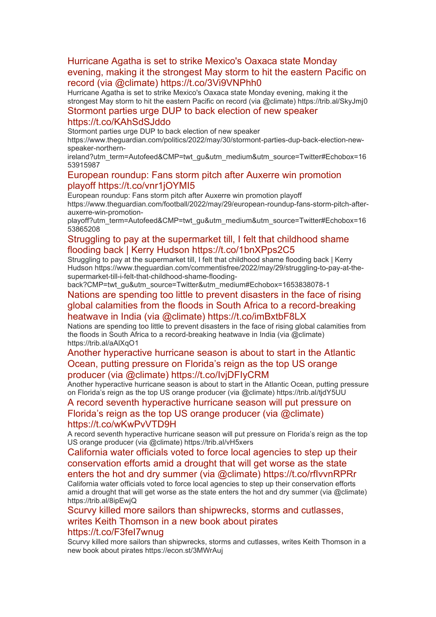# [Hurricane Agatha is set to strike Mexico's Oaxaca state Monday](https://eur01.safelinks.protection.outlook.com/?url=http%3A%2F%2Ftransit.linexsystems.com%2Ftrack%2Fclick%2F30370861%2Fca.linexsystems.com%3Fp%3DeyJzIjoiVzRubmh2bDBYWjJGTzZoeENPSWhSaXBBTHE4IiwidiI6MSwicCI6IntcInVcIjozMDM3MDg2MSxcInZcIjoxLFwidXJsXCI6XCJodHRwOlxcXC9cXFwvY2EubGluZXhzeXN0ZW1zLmNvbVxcXC9jb250ZW50c1xcXC90cmFuc2l0XFxcLzM3ODMyODkzMDU_dXNlcl9pZD00NDM1MTUmbG9nPWY5N2ViNmUzMjE5YTcyMWVlZDE3NTIyOTNmZmJlY2E3JnA9OTU5Njc2NDgmbT0xJnM9Mzk5MDc0Jm9yZ19pZD00MTMxOVwiLFwiaWRcIjpcImMxZjdkYzIzNmJlMDRiNjRiZTdhM2FiNDQyYjgxZjZlXCIsXCJ1cmxfaWRzXCI6W1wiMDVlOWIzZjFmOTg5MDU0ZmUzYmM4MjRhZDhmYTFiOGYxZjIzNWQxM1wiXX0ifQ&data=05%7C01%7Ccaroline.debrun%40phe.gov.uk%7Ca6f00f6bef614d07b97908da43b32f98%7Cee4e14994a354b2ead475f3cf9de8666%7C0%7C0%7C637896735149514785%7CUnknown%7CTWFpbGZsb3d8eyJWIjoiMC4wLjAwMDAiLCJQIjoiV2luMzIiLCJBTiI6Ik1haWwiLCJXVCI6Mn0%3D%7C3000%7C%7C%7C&sdata=n%2BWLyhdnKJsoOgN772BLZA2lbsNnOxENY5crO6axbZs%3D&reserved=0)  [evening, making it the strongest May storm to hit the eastern Pacific on](https://eur01.safelinks.protection.outlook.com/?url=http%3A%2F%2Ftransit.linexsystems.com%2Ftrack%2Fclick%2F30370861%2Fca.linexsystems.com%3Fp%3DeyJzIjoiVzRubmh2bDBYWjJGTzZoeENPSWhSaXBBTHE4IiwidiI6MSwicCI6IntcInVcIjozMDM3MDg2MSxcInZcIjoxLFwidXJsXCI6XCJodHRwOlxcXC9cXFwvY2EubGluZXhzeXN0ZW1zLmNvbVxcXC9jb250ZW50c1xcXC90cmFuc2l0XFxcLzM3ODMyODkzMDU_dXNlcl9pZD00NDM1MTUmbG9nPWY5N2ViNmUzMjE5YTcyMWVlZDE3NTIyOTNmZmJlY2E3JnA9OTU5Njc2NDgmbT0xJnM9Mzk5MDc0Jm9yZ19pZD00MTMxOVwiLFwiaWRcIjpcImMxZjdkYzIzNmJlMDRiNjRiZTdhM2FiNDQyYjgxZjZlXCIsXCJ1cmxfaWRzXCI6W1wiMDVlOWIzZjFmOTg5MDU0ZmUzYmM4MjRhZDhmYTFiOGYxZjIzNWQxM1wiXX0ifQ&data=05%7C01%7Ccaroline.debrun%40phe.gov.uk%7Ca6f00f6bef614d07b97908da43b32f98%7Cee4e14994a354b2ead475f3cf9de8666%7C0%7C0%7C637896735149514785%7CUnknown%7CTWFpbGZsb3d8eyJWIjoiMC4wLjAwMDAiLCJQIjoiV2luMzIiLCJBTiI6Ik1haWwiLCJXVCI6Mn0%3D%7C3000%7C%7C%7C&sdata=n%2BWLyhdnKJsoOgN772BLZA2lbsNnOxENY5crO6axbZs%3D&reserved=0)  [record \(via @climate\) https://t.co/3Vi9VNPhh0](https://eur01.safelinks.protection.outlook.com/?url=http%3A%2F%2Ftransit.linexsystems.com%2Ftrack%2Fclick%2F30370861%2Fca.linexsystems.com%3Fp%3DeyJzIjoiVzRubmh2bDBYWjJGTzZoeENPSWhSaXBBTHE4IiwidiI6MSwicCI6IntcInVcIjozMDM3MDg2MSxcInZcIjoxLFwidXJsXCI6XCJodHRwOlxcXC9cXFwvY2EubGluZXhzeXN0ZW1zLmNvbVxcXC9jb250ZW50c1xcXC90cmFuc2l0XFxcLzM3ODMyODkzMDU_dXNlcl9pZD00NDM1MTUmbG9nPWY5N2ViNmUzMjE5YTcyMWVlZDE3NTIyOTNmZmJlY2E3JnA9OTU5Njc2NDgmbT0xJnM9Mzk5MDc0Jm9yZ19pZD00MTMxOVwiLFwiaWRcIjpcImMxZjdkYzIzNmJlMDRiNjRiZTdhM2FiNDQyYjgxZjZlXCIsXCJ1cmxfaWRzXCI6W1wiMDVlOWIzZjFmOTg5MDU0ZmUzYmM4MjRhZDhmYTFiOGYxZjIzNWQxM1wiXX0ifQ&data=05%7C01%7Ccaroline.debrun%40phe.gov.uk%7Ca6f00f6bef614d07b97908da43b32f98%7Cee4e14994a354b2ead475f3cf9de8666%7C0%7C0%7C637896735149514785%7CUnknown%7CTWFpbGZsb3d8eyJWIjoiMC4wLjAwMDAiLCJQIjoiV2luMzIiLCJBTiI6Ik1haWwiLCJXVCI6Mn0%3D%7C3000%7C%7C%7C&sdata=n%2BWLyhdnKJsoOgN772BLZA2lbsNnOxENY5crO6axbZs%3D&reserved=0)

Hurricane Agatha is set to strike Mexico's Oaxaca state Monday evening, making it the strongest May storm to hit the eastern Pacific on record (via @climate) https://trib.al/SkyJmj0

# [Stormont parties urge DUP to back election of new speaker](https://eur01.safelinks.protection.outlook.com/?url=http%3A%2F%2Ftransit.linexsystems.com%2Ftrack%2Fclick%2F30370861%2Fca.linexsystems.com%3Fp%3DeyJzIjoiNTFRRUZqOUdqczlaYm12VUZYaVd0MTlEQWlnIiwidiI6MSwicCI6IntcInVcIjozMDM3MDg2MSxcInZcIjoxLFwidXJsXCI6XCJodHRwOlxcXC9cXFwvY2EubGluZXhzeXN0ZW1zLmNvbVxcXC9jb250ZW50c1xcXC90cmFuc2l0XFxcLzM3ODMyODAyNzA_dXNlcl9pZD00NDM1MTUmbG9nPWY5N2ViNmUzMjE5YTcyMWVlZDE3NTIyOTNmZmJlY2E3JnA9OTU5Njc2NDgmbT0xJnM9Mzk5MDc0Jm9yZ19pZD00MTMxOVwiLFwiaWRcIjpcImMxZjdkYzIzNmJlMDRiNjRiZTdhM2FiNDQyYjgxZjZlXCIsXCJ1cmxfaWRzXCI6W1wiMDVlOWIzZjFmOTg5MDU0ZmUzYmM4MjRhZDhmYTFiOGYxZjIzNWQxM1wiXX0ifQ&data=05%7C01%7Ccaroline.debrun%40phe.gov.uk%7Ca6f00f6bef614d07b97908da43b32f98%7Cee4e14994a354b2ead475f3cf9de8666%7C0%7C0%7C637896735149514785%7CUnknown%7CTWFpbGZsb3d8eyJWIjoiMC4wLjAwMDAiLCJQIjoiV2luMzIiLCJBTiI6Ik1haWwiLCJXVCI6Mn0%3D%7C3000%7C%7C%7C&sdata=yf9naBRI1TQYtCAoRvtZi1HAjmvtAN3f%2BbmDhBydYCM%3D&reserved=0)

#### [https://t.co/KAhSdSJddo](https://eur01.safelinks.protection.outlook.com/?url=http%3A%2F%2Ftransit.linexsystems.com%2Ftrack%2Fclick%2F30370861%2Fca.linexsystems.com%3Fp%3DeyJzIjoiNTFRRUZqOUdqczlaYm12VUZYaVd0MTlEQWlnIiwidiI6MSwicCI6IntcInVcIjozMDM3MDg2MSxcInZcIjoxLFwidXJsXCI6XCJodHRwOlxcXC9cXFwvY2EubGluZXhzeXN0ZW1zLmNvbVxcXC9jb250ZW50c1xcXC90cmFuc2l0XFxcLzM3ODMyODAyNzA_dXNlcl9pZD00NDM1MTUmbG9nPWY5N2ViNmUzMjE5YTcyMWVlZDE3NTIyOTNmZmJlY2E3JnA9OTU5Njc2NDgmbT0xJnM9Mzk5MDc0Jm9yZ19pZD00MTMxOVwiLFwiaWRcIjpcImMxZjdkYzIzNmJlMDRiNjRiZTdhM2FiNDQyYjgxZjZlXCIsXCJ1cmxfaWRzXCI6W1wiMDVlOWIzZjFmOTg5MDU0ZmUzYmM4MjRhZDhmYTFiOGYxZjIzNWQxM1wiXX0ifQ&data=05%7C01%7Ccaroline.debrun%40phe.gov.uk%7Ca6f00f6bef614d07b97908da43b32f98%7Cee4e14994a354b2ead475f3cf9de8666%7C0%7C0%7C637896735149514785%7CUnknown%7CTWFpbGZsb3d8eyJWIjoiMC4wLjAwMDAiLCJQIjoiV2luMzIiLCJBTiI6Ik1haWwiLCJXVCI6Mn0%3D%7C3000%7C%7C%7C&sdata=yf9naBRI1TQYtCAoRvtZi1HAjmvtAN3f%2BbmDhBydYCM%3D&reserved=0)

Stormont parties urge DUP to back election of new speaker

https://www.theguardian.com/politics/2022/may/30/stormont-parties-dup-back-election-newspeaker-northern-

ireland?utm\_term=Autofeed&CMP=twt\_gu&utm\_medium&utm\_source=Twitter#Echobox=16 53915987

#### [European roundup: Fans storm pitch after Auxerre win promotion](https://eur01.safelinks.protection.outlook.com/?url=http%3A%2F%2Ftransit.linexsystems.com%2Ftrack%2Fclick%2F30370861%2Fca.linexsystems.com%3Fp%3DeyJzIjoiS3ctZk1SdUR2QnktbkEtLWt0OXpINi1JbEN3IiwidiI6MSwicCI6IntcInVcIjozMDM3MDg2MSxcInZcIjoxLFwidXJsXCI6XCJodHRwOlxcXC9cXFwvY2EubGluZXhzeXN0ZW1zLmNvbVxcXC9jb250ZW50c1xcXC90cmFuc2l0XFxcLzM3ODMyMzkyNzY_dXNlcl9pZD00NDM1MTUmbG9nPWY5N2ViNmUzMjE5YTcyMWVlZDE3NTIyOTNmZmJlY2E3JnA9OTU5Njc2NDgmbT0xJnM9Mzk5MDc0Jm9yZ19pZD00MTMxOVwiLFwiaWRcIjpcImMxZjdkYzIzNmJlMDRiNjRiZTdhM2FiNDQyYjgxZjZlXCIsXCJ1cmxfaWRzXCI6W1wiMDVlOWIzZjFmOTg5MDU0ZmUzYmM4MjRhZDhmYTFiOGYxZjIzNWQxM1wiXX0ifQ&data=05%7C01%7Ccaroline.debrun%40phe.gov.uk%7Ca6f00f6bef614d07b97908da43b32f98%7Cee4e14994a354b2ead475f3cf9de8666%7C0%7C0%7C637896735149514785%7CUnknown%7CTWFpbGZsb3d8eyJWIjoiMC4wLjAwMDAiLCJQIjoiV2luMzIiLCJBTiI6Ik1haWwiLCJXVCI6Mn0%3D%7C3000%7C%7C%7C&sdata=HGFdEHC7rW%2FF2Iylb4w8Bq6LtrexBHXlbwvBCnXG1PQ%3D&reserved=0)  [playoff https://t.co/vnr1jOYMI5](https://eur01.safelinks.protection.outlook.com/?url=http%3A%2F%2Ftransit.linexsystems.com%2Ftrack%2Fclick%2F30370861%2Fca.linexsystems.com%3Fp%3DeyJzIjoiS3ctZk1SdUR2QnktbkEtLWt0OXpINi1JbEN3IiwidiI6MSwicCI6IntcInVcIjozMDM3MDg2MSxcInZcIjoxLFwidXJsXCI6XCJodHRwOlxcXC9cXFwvY2EubGluZXhzeXN0ZW1zLmNvbVxcXC9jb250ZW50c1xcXC90cmFuc2l0XFxcLzM3ODMyMzkyNzY_dXNlcl9pZD00NDM1MTUmbG9nPWY5N2ViNmUzMjE5YTcyMWVlZDE3NTIyOTNmZmJlY2E3JnA9OTU5Njc2NDgmbT0xJnM9Mzk5MDc0Jm9yZ19pZD00MTMxOVwiLFwiaWRcIjpcImMxZjdkYzIzNmJlMDRiNjRiZTdhM2FiNDQyYjgxZjZlXCIsXCJ1cmxfaWRzXCI6W1wiMDVlOWIzZjFmOTg5MDU0ZmUzYmM4MjRhZDhmYTFiOGYxZjIzNWQxM1wiXX0ifQ&data=05%7C01%7Ccaroline.debrun%40phe.gov.uk%7Ca6f00f6bef614d07b97908da43b32f98%7Cee4e14994a354b2ead475f3cf9de8666%7C0%7C0%7C637896735149514785%7CUnknown%7CTWFpbGZsb3d8eyJWIjoiMC4wLjAwMDAiLCJQIjoiV2luMzIiLCJBTiI6Ik1haWwiLCJXVCI6Mn0%3D%7C3000%7C%7C%7C&sdata=HGFdEHC7rW%2FF2Iylb4w8Bq6LtrexBHXlbwvBCnXG1PQ%3D&reserved=0)

European roundup: Fans storm pitch after Auxerre win promotion playoff

https://www.theguardian.com/football/2022/may/29/european-roundup-fans-storm-pitch-afterauxerre-win-promotion-

playoff?utm\_term=Autofeed&CMP=twt\_gu&utm\_medium&utm\_source=Twitter#Echobox=16 53865208

#### [Struggling to pay at the supermarket till, I felt that childhood shame](https://eur01.safelinks.protection.outlook.com/?url=http%3A%2F%2Ftransit.linexsystems.com%2Ftrack%2Fclick%2F30370861%2Fca.linexsystems.com%3Fp%3DeyJzIjoiNUZBaGhKWXlLY1paSUluX2dRbWplb3hLZVRVIiwidiI6MSwicCI6IntcInVcIjozMDM3MDg2MSxcInZcIjoxLFwidXJsXCI6XCJodHRwOlxcXC9cXFwvY2EubGluZXhzeXN0ZW1zLmNvbVxcXC9jb250ZW50c1xcXC90cmFuc2l0XFxcLzM3ODMyMjg0NTY_dXNlcl9pZD00NDM1MTUmbG9nPWY5N2ViNmUzMjE5YTcyMWVlZDE3NTIyOTNmZmJlY2E3JnA9OTU5Njc2NDgmbT0xJnM9Mzk5MDc0Jm9yZ19pZD00MTMxOVwiLFwiaWRcIjpcImMxZjdkYzIzNmJlMDRiNjRiZTdhM2FiNDQyYjgxZjZlXCIsXCJ1cmxfaWRzXCI6W1wiMDVlOWIzZjFmOTg5MDU0ZmUzYmM4MjRhZDhmYTFiOGYxZjIzNWQxM1wiXX0ifQ&data=05%7C01%7Ccaroline.debrun%40phe.gov.uk%7Ca6f00f6bef614d07b97908da43b32f98%7Cee4e14994a354b2ead475f3cf9de8666%7C0%7C0%7C637896735149514785%7CUnknown%7CTWFpbGZsb3d8eyJWIjoiMC4wLjAwMDAiLCJQIjoiV2luMzIiLCJBTiI6Ik1haWwiLCJXVCI6Mn0%3D%7C3000%7C%7C%7C&sdata=sjQZyiKN2oNLcWafLe0XauFc4YzJ4pSVZ1IDB76MIy4%3D&reserved=0)  [flooding back | Kerry Hudson https://t.co/1bnXPps2C5](https://eur01.safelinks.protection.outlook.com/?url=http%3A%2F%2Ftransit.linexsystems.com%2Ftrack%2Fclick%2F30370861%2Fca.linexsystems.com%3Fp%3DeyJzIjoiNUZBaGhKWXlLY1paSUluX2dRbWplb3hLZVRVIiwidiI6MSwicCI6IntcInVcIjozMDM3MDg2MSxcInZcIjoxLFwidXJsXCI6XCJodHRwOlxcXC9cXFwvY2EubGluZXhzeXN0ZW1zLmNvbVxcXC9jb250ZW50c1xcXC90cmFuc2l0XFxcLzM3ODMyMjg0NTY_dXNlcl9pZD00NDM1MTUmbG9nPWY5N2ViNmUzMjE5YTcyMWVlZDE3NTIyOTNmZmJlY2E3JnA9OTU5Njc2NDgmbT0xJnM9Mzk5MDc0Jm9yZ19pZD00MTMxOVwiLFwiaWRcIjpcImMxZjdkYzIzNmJlMDRiNjRiZTdhM2FiNDQyYjgxZjZlXCIsXCJ1cmxfaWRzXCI6W1wiMDVlOWIzZjFmOTg5MDU0ZmUzYmM4MjRhZDhmYTFiOGYxZjIzNWQxM1wiXX0ifQ&data=05%7C01%7Ccaroline.debrun%40phe.gov.uk%7Ca6f00f6bef614d07b97908da43b32f98%7Cee4e14994a354b2ead475f3cf9de8666%7C0%7C0%7C637896735149514785%7CUnknown%7CTWFpbGZsb3d8eyJWIjoiMC4wLjAwMDAiLCJQIjoiV2luMzIiLCJBTiI6Ik1haWwiLCJXVCI6Mn0%3D%7C3000%7C%7C%7C&sdata=sjQZyiKN2oNLcWafLe0XauFc4YzJ4pSVZ1IDB76MIy4%3D&reserved=0)

Struggling to pay at the supermarket till, I felt that childhood shame flooding back | Kerry Hudson https://www.theguardian.com/commentisfree/2022/may/29/struggling-to-pay-at-thesupermarket-till-i-felt-that-childhood-shame-flooding-

back?CMP=twt\_gu&utm\_source=Twitter&utm\_medium#Echobox=1653838078-1

# [Nations are spending too little to prevent disasters in the face of rising](https://eur01.safelinks.protection.outlook.com/?url=http%3A%2F%2Ftransit.linexsystems.com%2Ftrack%2Fclick%2F30370861%2Fca.linexsystems.com%3Fp%3DeyJzIjoiQlE0ZFBQQ3RhdEJEWTdBamE0SVBQMjhGRU5VIiwidiI6MSwicCI6IntcInVcIjozMDM3MDg2MSxcInZcIjoxLFwidXJsXCI6XCJodHRwOlxcXC9cXFwvY2EubGluZXhzeXN0ZW1zLmNvbVxcXC9jb250ZW50c1xcXC90cmFuc2l0XFxcLzM3ODMxODE2MjQ_dXNlcl9pZD00NDM1MTUmbG9nPWY5N2ViNmUzMjE5YTcyMWVlZDE3NTIyOTNmZmJlY2E3JnA9OTU5Njc2NDgmbT0xJnM9Mzk5MDc0Jm9yZ19pZD00MTMxOVwiLFwiaWRcIjpcImMxZjdkYzIzNmJlMDRiNjRiZTdhM2FiNDQyYjgxZjZlXCIsXCJ1cmxfaWRzXCI6W1wiMDVlOWIzZjFmOTg5MDU0ZmUzYmM4MjRhZDhmYTFiOGYxZjIzNWQxM1wiXX0ifQ&data=05%7C01%7Ccaroline.debrun%40phe.gov.uk%7Ca6f00f6bef614d07b97908da43b32f98%7Cee4e14994a354b2ead475f3cf9de8666%7C0%7C0%7C637896735149514785%7CUnknown%7CTWFpbGZsb3d8eyJWIjoiMC4wLjAwMDAiLCJQIjoiV2luMzIiLCJBTiI6Ik1haWwiLCJXVCI6Mn0%3D%7C3000%7C%7C%7C&sdata=WV%2FYW6KGirDYXElANDBoV3UM7FQnGa8DkvyJ%2BuHTPJc%3D&reserved=0)  [global calamities from the floods in South Africa to a record-breaking](https://eur01.safelinks.protection.outlook.com/?url=http%3A%2F%2Ftransit.linexsystems.com%2Ftrack%2Fclick%2F30370861%2Fca.linexsystems.com%3Fp%3DeyJzIjoiQlE0ZFBQQ3RhdEJEWTdBamE0SVBQMjhGRU5VIiwidiI6MSwicCI6IntcInVcIjozMDM3MDg2MSxcInZcIjoxLFwidXJsXCI6XCJodHRwOlxcXC9cXFwvY2EubGluZXhzeXN0ZW1zLmNvbVxcXC9jb250ZW50c1xcXC90cmFuc2l0XFxcLzM3ODMxODE2MjQ_dXNlcl9pZD00NDM1MTUmbG9nPWY5N2ViNmUzMjE5YTcyMWVlZDE3NTIyOTNmZmJlY2E3JnA9OTU5Njc2NDgmbT0xJnM9Mzk5MDc0Jm9yZ19pZD00MTMxOVwiLFwiaWRcIjpcImMxZjdkYzIzNmJlMDRiNjRiZTdhM2FiNDQyYjgxZjZlXCIsXCJ1cmxfaWRzXCI6W1wiMDVlOWIzZjFmOTg5MDU0ZmUzYmM4MjRhZDhmYTFiOGYxZjIzNWQxM1wiXX0ifQ&data=05%7C01%7Ccaroline.debrun%40phe.gov.uk%7Ca6f00f6bef614d07b97908da43b32f98%7Cee4e14994a354b2ead475f3cf9de8666%7C0%7C0%7C637896735149514785%7CUnknown%7CTWFpbGZsb3d8eyJWIjoiMC4wLjAwMDAiLCJQIjoiV2luMzIiLCJBTiI6Ik1haWwiLCJXVCI6Mn0%3D%7C3000%7C%7C%7C&sdata=WV%2FYW6KGirDYXElANDBoV3UM7FQnGa8DkvyJ%2BuHTPJc%3D&reserved=0)  [heatwave in India \(via @climate\) https://t.co/imBxtbF8LX](https://eur01.safelinks.protection.outlook.com/?url=http%3A%2F%2Ftransit.linexsystems.com%2Ftrack%2Fclick%2F30370861%2Fca.linexsystems.com%3Fp%3DeyJzIjoiQlE0ZFBQQ3RhdEJEWTdBamE0SVBQMjhGRU5VIiwidiI6MSwicCI6IntcInVcIjozMDM3MDg2MSxcInZcIjoxLFwidXJsXCI6XCJodHRwOlxcXC9cXFwvY2EubGluZXhzeXN0ZW1zLmNvbVxcXC9jb250ZW50c1xcXC90cmFuc2l0XFxcLzM3ODMxODE2MjQ_dXNlcl9pZD00NDM1MTUmbG9nPWY5N2ViNmUzMjE5YTcyMWVlZDE3NTIyOTNmZmJlY2E3JnA9OTU5Njc2NDgmbT0xJnM9Mzk5MDc0Jm9yZ19pZD00MTMxOVwiLFwiaWRcIjpcImMxZjdkYzIzNmJlMDRiNjRiZTdhM2FiNDQyYjgxZjZlXCIsXCJ1cmxfaWRzXCI6W1wiMDVlOWIzZjFmOTg5MDU0ZmUzYmM4MjRhZDhmYTFiOGYxZjIzNWQxM1wiXX0ifQ&data=05%7C01%7Ccaroline.debrun%40phe.gov.uk%7Ca6f00f6bef614d07b97908da43b32f98%7Cee4e14994a354b2ead475f3cf9de8666%7C0%7C0%7C637896735149514785%7CUnknown%7CTWFpbGZsb3d8eyJWIjoiMC4wLjAwMDAiLCJQIjoiV2luMzIiLCJBTiI6Ik1haWwiLCJXVCI6Mn0%3D%7C3000%7C%7C%7C&sdata=WV%2FYW6KGirDYXElANDBoV3UM7FQnGa8DkvyJ%2BuHTPJc%3D&reserved=0)

Nations are spending too little to prevent disasters in the face of rising global calamities from the floods in South Africa to a record-breaking heatwave in India (via @climate) https://trib.al/aAlXqO1

#### [Another hyperactive hurricane season is about to start in the Atlantic](https://eur01.safelinks.protection.outlook.com/?url=http%3A%2F%2Ftransit.linexsystems.com%2Ftrack%2Fclick%2F30370861%2Fca.linexsystems.com%3Fp%3DeyJzIjoiZkxuX2N4bnJNVHVNSDdGVFhVWF9DdElSdGRjIiwidiI6MSwicCI6IntcInVcIjozMDM3MDg2MSxcInZcIjoxLFwidXJsXCI6XCJodHRwOlxcXC9cXFwvY2EubGluZXhzeXN0ZW1zLmNvbVxcXC9jb250ZW50c1xcXC90cmFuc2l0XFxcLzM3ODMxODMzNDc_dXNlcl9pZD00NDM1MTUmbG9nPWY5N2ViNmUzMjE5YTcyMWVlZDE3NTIyOTNmZmJlY2E3JnA9OTU5Njc2NDgmbT0xJnM9Mzk5MDc0Jm9yZ19pZD00MTMxOVwiLFwiaWRcIjpcImMxZjdkYzIzNmJlMDRiNjRiZTdhM2FiNDQyYjgxZjZlXCIsXCJ1cmxfaWRzXCI6W1wiMDVlOWIzZjFmOTg5MDU0ZmUzYmM4MjRhZDhmYTFiOGYxZjIzNWQxM1wiXX0ifQ&data=05%7C01%7Ccaroline.debrun%40phe.gov.uk%7Ca6f00f6bef614d07b97908da43b32f98%7Cee4e14994a354b2ead475f3cf9de8666%7C0%7C0%7C637896735149514785%7CUnknown%7CTWFpbGZsb3d8eyJWIjoiMC4wLjAwMDAiLCJQIjoiV2luMzIiLCJBTiI6Ik1haWwiLCJXVCI6Mn0%3D%7C3000%7C%7C%7C&sdata=9cO28wj4Nmnl1pwczYVybF1BRuhQ4p751SsqoEeLttw%3D&reserved=0)  Ocean, putting pressure on Flor[ida's reign as the top US orange](https://eur01.safelinks.protection.outlook.com/?url=http%3A%2F%2Ftransit.linexsystems.com%2Ftrack%2Fclick%2F30370861%2Fca.linexsystems.com%3Fp%3DeyJzIjoiZkxuX2N4bnJNVHVNSDdGVFhVWF9DdElSdGRjIiwidiI6MSwicCI6IntcInVcIjozMDM3MDg2MSxcInZcIjoxLFwidXJsXCI6XCJodHRwOlxcXC9cXFwvY2EubGluZXhzeXN0ZW1zLmNvbVxcXC9jb250ZW50c1xcXC90cmFuc2l0XFxcLzM3ODMxODMzNDc_dXNlcl9pZD00NDM1MTUmbG9nPWY5N2ViNmUzMjE5YTcyMWVlZDE3NTIyOTNmZmJlY2E3JnA9OTU5Njc2NDgmbT0xJnM9Mzk5MDc0Jm9yZ19pZD00MTMxOVwiLFwiaWRcIjpcImMxZjdkYzIzNmJlMDRiNjRiZTdhM2FiNDQyYjgxZjZlXCIsXCJ1cmxfaWRzXCI6W1wiMDVlOWIzZjFmOTg5MDU0ZmUzYmM4MjRhZDhmYTFiOGYxZjIzNWQxM1wiXX0ifQ&data=05%7C01%7Ccaroline.debrun%40phe.gov.uk%7Ca6f00f6bef614d07b97908da43b32f98%7Cee4e14994a354b2ead475f3cf9de8666%7C0%7C0%7C637896735149514785%7CUnknown%7CTWFpbGZsb3d8eyJWIjoiMC4wLjAwMDAiLCJQIjoiV2luMzIiLCJBTiI6Ik1haWwiLCJXVCI6Mn0%3D%7C3000%7C%7C%7C&sdata=9cO28wj4Nmnl1pwczYVybF1BRuhQ4p751SsqoEeLttw%3D&reserved=0)  [producer \(via @climate\) https://t.co/IvjDFIyCRM](https://eur01.safelinks.protection.outlook.com/?url=http%3A%2F%2Ftransit.linexsystems.com%2Ftrack%2Fclick%2F30370861%2Fca.linexsystems.com%3Fp%3DeyJzIjoiZkxuX2N4bnJNVHVNSDdGVFhVWF9DdElSdGRjIiwidiI6MSwicCI6IntcInVcIjozMDM3MDg2MSxcInZcIjoxLFwidXJsXCI6XCJodHRwOlxcXC9cXFwvY2EubGluZXhzeXN0ZW1zLmNvbVxcXC9jb250ZW50c1xcXC90cmFuc2l0XFxcLzM3ODMxODMzNDc_dXNlcl9pZD00NDM1MTUmbG9nPWY5N2ViNmUzMjE5YTcyMWVlZDE3NTIyOTNmZmJlY2E3JnA9OTU5Njc2NDgmbT0xJnM9Mzk5MDc0Jm9yZ19pZD00MTMxOVwiLFwiaWRcIjpcImMxZjdkYzIzNmJlMDRiNjRiZTdhM2FiNDQyYjgxZjZlXCIsXCJ1cmxfaWRzXCI6W1wiMDVlOWIzZjFmOTg5MDU0ZmUzYmM4MjRhZDhmYTFiOGYxZjIzNWQxM1wiXX0ifQ&data=05%7C01%7Ccaroline.debrun%40phe.gov.uk%7Ca6f00f6bef614d07b97908da43b32f98%7Cee4e14994a354b2ead475f3cf9de8666%7C0%7C0%7C637896735149514785%7CUnknown%7CTWFpbGZsb3d8eyJWIjoiMC4wLjAwMDAiLCJQIjoiV2luMzIiLCJBTiI6Ik1haWwiLCJXVCI6Mn0%3D%7C3000%7C%7C%7C&sdata=9cO28wj4Nmnl1pwczYVybF1BRuhQ4p751SsqoEeLttw%3D&reserved=0)

Another hyperactive hurricane season is about to start in the Atlantic Ocean, putting pressure on Florida's reign as the top US orange producer (via @climate) https://trib.al/tjdY5UU

[A record seventh hyperactive hurricane season will put pressure on](https://eur01.safelinks.protection.outlook.com/?url=http%3A%2F%2Ftransit.linexsystems.com%2Ftrack%2Fclick%2F30370861%2Fca.linexsystems.com%3Fp%3DeyJzIjoiQm9xRjRzd0pnbnVvNWVsT1llZm11YlI5WjhjIiwidiI6MSwicCI6IntcInVcIjozMDM3MDg2MSxcInZcIjoxLFwidXJsXCI6XCJodHRwOlxcXC9cXFwvY2EubGluZXhzeXN0ZW1zLmNvbVxcXC9jb250ZW50c1xcXC90cmFuc2l0XFxcLzM3ODMxNTI5NDE_dXNlcl9pZD00NDM1MTUmbG9nPWY5N2ViNmUzMjE5YTcyMWVlZDE3NTIyOTNmZmJlY2E3JnA9OTU5Njc2NDgmbT0xJnM9Mzk5MDc0Jm9yZ19pZD00MTMxOVwiLFwiaWRcIjpcImMxZjdkYzIzNmJlMDRiNjRiZTdhM2FiNDQyYjgxZjZlXCIsXCJ1cmxfaWRzXCI6W1wiMDVlOWIzZjFmOTg5MDU0ZmUzYmM4MjRhZDhmYTFiOGYxZjIzNWQxM1wiXX0ifQ&data=05%7C01%7Ccaroline.debrun%40phe.gov.uk%7Ca6f00f6bef614d07b97908da43b32f98%7Cee4e14994a354b2ead475f3cf9de8666%7C0%7C0%7C637896735149671002%7CUnknown%7CTWFpbGZsb3d8eyJWIjoiMC4wLjAwMDAiLCJQIjoiV2luMzIiLCJBTiI6Ik1haWwiLCJXVCI6Mn0%3D%7C3000%7C%7C%7C&sdata=hky1v%2Bv2hhUnvIvIv16XkGDqcHldEKmtHsx2Xohid1g%3D&reserved=0)  [Florida's reign as the top US orange producer \(via @climate\)](https://eur01.safelinks.protection.outlook.com/?url=http%3A%2F%2Ftransit.linexsystems.com%2Ftrack%2Fclick%2F30370861%2Fca.linexsystems.com%3Fp%3DeyJzIjoiQm9xRjRzd0pnbnVvNWVsT1llZm11YlI5WjhjIiwidiI6MSwicCI6IntcInVcIjozMDM3MDg2MSxcInZcIjoxLFwidXJsXCI6XCJodHRwOlxcXC9cXFwvY2EubGluZXhzeXN0ZW1zLmNvbVxcXC9jb250ZW50c1xcXC90cmFuc2l0XFxcLzM3ODMxNTI5NDE_dXNlcl9pZD00NDM1MTUmbG9nPWY5N2ViNmUzMjE5YTcyMWVlZDE3NTIyOTNmZmJlY2E3JnA9OTU5Njc2NDgmbT0xJnM9Mzk5MDc0Jm9yZ19pZD00MTMxOVwiLFwiaWRcIjpcImMxZjdkYzIzNmJlMDRiNjRiZTdhM2FiNDQyYjgxZjZlXCIsXCJ1cmxfaWRzXCI6W1wiMDVlOWIzZjFmOTg5MDU0ZmUzYmM4MjRhZDhmYTFiOGYxZjIzNWQxM1wiXX0ifQ&data=05%7C01%7Ccaroline.debrun%40phe.gov.uk%7Ca6f00f6bef614d07b97908da43b32f98%7Cee4e14994a354b2ead475f3cf9de8666%7C0%7C0%7C637896735149671002%7CUnknown%7CTWFpbGZsb3d8eyJWIjoiMC4wLjAwMDAiLCJQIjoiV2luMzIiLCJBTiI6Ik1haWwiLCJXVCI6Mn0%3D%7C3000%7C%7C%7C&sdata=hky1v%2Bv2hhUnvIvIv16XkGDqcHldEKmtHsx2Xohid1g%3D&reserved=0)  [https://t.co/wKwPvVTD9H](https://eur01.safelinks.protection.outlook.com/?url=http%3A%2F%2Ftransit.linexsystems.com%2Ftrack%2Fclick%2F30370861%2Fca.linexsystems.com%3Fp%3DeyJzIjoiQm9xRjRzd0pnbnVvNWVsT1llZm11YlI5WjhjIiwidiI6MSwicCI6IntcInVcIjozMDM3MDg2MSxcInZcIjoxLFwidXJsXCI6XCJodHRwOlxcXC9cXFwvY2EubGluZXhzeXN0ZW1zLmNvbVxcXC9jb250ZW50c1xcXC90cmFuc2l0XFxcLzM3ODMxNTI5NDE_dXNlcl9pZD00NDM1MTUmbG9nPWY5N2ViNmUzMjE5YTcyMWVlZDE3NTIyOTNmZmJlY2E3JnA9OTU5Njc2NDgmbT0xJnM9Mzk5MDc0Jm9yZ19pZD00MTMxOVwiLFwiaWRcIjpcImMxZjdkYzIzNmJlMDRiNjRiZTdhM2FiNDQyYjgxZjZlXCIsXCJ1cmxfaWRzXCI6W1wiMDVlOWIzZjFmOTg5MDU0ZmUzYmM4MjRhZDhmYTFiOGYxZjIzNWQxM1wiXX0ifQ&data=05%7C01%7Ccaroline.debrun%40phe.gov.uk%7Ca6f00f6bef614d07b97908da43b32f98%7Cee4e14994a354b2ead475f3cf9de8666%7C0%7C0%7C637896735149671002%7CUnknown%7CTWFpbGZsb3d8eyJWIjoiMC4wLjAwMDAiLCJQIjoiV2luMzIiLCJBTiI6Ik1haWwiLCJXVCI6Mn0%3D%7C3000%7C%7C%7C&sdata=hky1v%2Bv2hhUnvIvIv16XkGDqcHldEKmtHsx2Xohid1g%3D&reserved=0)

A record seventh hyperactive hurricane season will put pressure on Florida's reign as the top US orange producer (via @climate) https://trib.al/vH5xers

[California water officials voted to force local agencies to step up their](https://eur01.safelinks.protection.outlook.com/?url=http%3A%2F%2Ftransit.linexsystems.com%2Ftrack%2Fclick%2F30370861%2Fca.linexsystems.com%3Fp%3DeyJzIjoiMFprMVVGY2cyTWVMQUVXV2M5aWRSQV9VcDdFIiwidiI6MSwicCI6IntcInVcIjozMDM3MDg2MSxcInZcIjoxLFwidXJsXCI6XCJodHRwOlxcXC9cXFwvY2EubGluZXhzeXN0ZW1zLmNvbVxcXC9jb250ZW50c1xcXC90cmFuc2l0XFxcLzM3ODMwNzA2NjE_dXNlcl9pZD00NDM1MTUmbG9nPWY5N2ViNmUzMjE5YTcyMWVlZDE3NTIyOTNmZmJlY2E3JnA9OTU5Njc2NDgmbT0xJnM9Mzk5MDc0Jm9yZ19pZD00MTMxOVwiLFwiaWRcIjpcImMxZjdkYzIzNmJlMDRiNjRiZTdhM2FiNDQyYjgxZjZlXCIsXCJ1cmxfaWRzXCI6W1wiMDVlOWIzZjFmOTg5MDU0ZmUzYmM4MjRhZDhmYTFiOGYxZjIzNWQxM1wiXX0ifQ&data=05%7C01%7Ccaroline.debrun%40phe.gov.uk%7Ca6f00f6bef614d07b97908da43b32f98%7Cee4e14994a354b2ead475f3cf9de8666%7C0%7C0%7C637896735149671002%7CUnknown%7CTWFpbGZsb3d8eyJWIjoiMC4wLjAwMDAiLCJQIjoiV2luMzIiLCJBTiI6Ik1haWwiLCJXVCI6Mn0%3D%7C3000%7C%7C%7C&sdata=TaY3qus7578b89aFxkMNlugVfYDb8Jbe2B%2BHsq27OhI%3D&reserved=0)  [conservation efforts amid a drought that will get worse as the state](https://eur01.safelinks.protection.outlook.com/?url=http%3A%2F%2Ftransit.linexsystems.com%2Ftrack%2Fclick%2F30370861%2Fca.linexsystems.com%3Fp%3DeyJzIjoiMFprMVVGY2cyTWVMQUVXV2M5aWRSQV9VcDdFIiwidiI6MSwicCI6IntcInVcIjozMDM3MDg2MSxcInZcIjoxLFwidXJsXCI6XCJodHRwOlxcXC9cXFwvY2EubGluZXhzeXN0ZW1zLmNvbVxcXC9jb250ZW50c1xcXC90cmFuc2l0XFxcLzM3ODMwNzA2NjE_dXNlcl9pZD00NDM1MTUmbG9nPWY5N2ViNmUzMjE5YTcyMWVlZDE3NTIyOTNmZmJlY2E3JnA9OTU5Njc2NDgmbT0xJnM9Mzk5MDc0Jm9yZ19pZD00MTMxOVwiLFwiaWRcIjpcImMxZjdkYzIzNmJlMDRiNjRiZTdhM2FiNDQyYjgxZjZlXCIsXCJ1cmxfaWRzXCI6W1wiMDVlOWIzZjFmOTg5MDU0ZmUzYmM4MjRhZDhmYTFiOGYxZjIzNWQxM1wiXX0ifQ&data=05%7C01%7Ccaroline.debrun%40phe.gov.uk%7Ca6f00f6bef614d07b97908da43b32f98%7Cee4e14994a354b2ead475f3cf9de8666%7C0%7C0%7C637896735149671002%7CUnknown%7CTWFpbGZsb3d8eyJWIjoiMC4wLjAwMDAiLCJQIjoiV2luMzIiLCJBTiI6Ik1haWwiLCJXVCI6Mn0%3D%7C3000%7C%7C%7C&sdata=TaY3qus7578b89aFxkMNlugVfYDb8Jbe2B%2BHsq27OhI%3D&reserved=0) 

[enters the hot and dry summer \(via @climate\) https://t.co/rfIvvnRPRr](https://eur01.safelinks.protection.outlook.com/?url=http%3A%2F%2Ftransit.linexsystems.com%2Ftrack%2Fclick%2F30370861%2Fca.linexsystems.com%3Fp%3DeyJzIjoiMFprMVVGY2cyTWVMQUVXV2M5aWRSQV9VcDdFIiwidiI6MSwicCI6IntcInVcIjozMDM3MDg2MSxcInZcIjoxLFwidXJsXCI6XCJodHRwOlxcXC9cXFwvY2EubGluZXhzeXN0ZW1zLmNvbVxcXC9jb250ZW50c1xcXC90cmFuc2l0XFxcLzM3ODMwNzA2NjE_dXNlcl9pZD00NDM1MTUmbG9nPWY5N2ViNmUzMjE5YTcyMWVlZDE3NTIyOTNmZmJlY2E3JnA9OTU5Njc2NDgmbT0xJnM9Mzk5MDc0Jm9yZ19pZD00MTMxOVwiLFwiaWRcIjpcImMxZjdkYzIzNmJlMDRiNjRiZTdhM2FiNDQyYjgxZjZlXCIsXCJ1cmxfaWRzXCI6W1wiMDVlOWIzZjFmOTg5MDU0ZmUzYmM4MjRhZDhmYTFiOGYxZjIzNWQxM1wiXX0ifQ&data=05%7C01%7Ccaroline.debrun%40phe.gov.uk%7Ca6f00f6bef614d07b97908da43b32f98%7Cee4e14994a354b2ead475f3cf9de8666%7C0%7C0%7C637896735149671002%7CUnknown%7CTWFpbGZsb3d8eyJWIjoiMC4wLjAwMDAiLCJQIjoiV2luMzIiLCJBTiI6Ik1haWwiLCJXVCI6Mn0%3D%7C3000%7C%7C%7C&sdata=TaY3qus7578b89aFxkMNlugVfYDb8Jbe2B%2BHsq27OhI%3D&reserved=0) California water officials voted to force local agencies to step up their conservation efforts amid a drought that will get worse as the state enters the hot and dry summer (via @climate) https://trib.al/8ipEwjQ

[Scurvy killed more sailors than shipwrecks, storms and cutlasses,](https://eur01.safelinks.protection.outlook.com/?url=http%3A%2F%2Ftransit.linexsystems.com%2Ftrack%2Fclick%2F30370861%2Fca.linexsystems.com%3Fp%3DeyJzIjoiUkEySDFuYUE2VTUzMjVwSHVGdVhrTjBVNGtRIiwidiI6MSwicCI6IntcInVcIjozMDM3MDg2MSxcInZcIjoxLFwidXJsXCI6XCJodHRwOlxcXC9cXFwvY2EubGluZXhzeXN0ZW1zLmNvbVxcXC9jb250ZW50c1xcXC90cmFuc2l0XFxcLzM3ODMwNTg2Nzg_dXNlcl9pZD00NDM1MTUmbG9nPWY5N2ViNmUzMjE5YTcyMWVlZDE3NTIyOTNmZmJlY2E3JnA9OTU5Njc2NDgmbT0xJnM9Mzk5MDc0Jm9yZ19pZD00MTMxOVwiLFwiaWRcIjpcImMxZjdkYzIzNmJlMDRiNjRiZTdhM2FiNDQyYjgxZjZlXCIsXCJ1cmxfaWRzXCI6W1wiMDVlOWIzZjFmOTg5MDU0ZmUzYmM4MjRhZDhmYTFiOGYxZjIzNWQxM1wiXX0ifQ&data=05%7C01%7Ccaroline.debrun%40phe.gov.uk%7Ca6f00f6bef614d07b97908da43b32f98%7Cee4e14994a354b2ead475f3cf9de8666%7C0%7C0%7C637896735149671002%7CUnknown%7CTWFpbGZsb3d8eyJWIjoiMC4wLjAwMDAiLCJQIjoiV2luMzIiLCJBTiI6Ik1haWwiLCJXVCI6Mn0%3D%7C3000%7C%7C%7C&sdata=AtlwdmLyX6Eo8RW345ychYQtFrHrwDJpqIT1Yqwj80w%3D&reserved=0)  [writes Keith Thomson in a new book about pirates](https://eur01.safelinks.protection.outlook.com/?url=http%3A%2F%2Ftransit.linexsystems.com%2Ftrack%2Fclick%2F30370861%2Fca.linexsystems.com%3Fp%3DeyJzIjoiUkEySDFuYUE2VTUzMjVwSHVGdVhrTjBVNGtRIiwidiI6MSwicCI6IntcInVcIjozMDM3MDg2MSxcInZcIjoxLFwidXJsXCI6XCJodHRwOlxcXC9cXFwvY2EubGluZXhzeXN0ZW1zLmNvbVxcXC9jb250ZW50c1xcXC90cmFuc2l0XFxcLzM3ODMwNTg2Nzg_dXNlcl9pZD00NDM1MTUmbG9nPWY5N2ViNmUzMjE5YTcyMWVlZDE3NTIyOTNmZmJlY2E3JnA9OTU5Njc2NDgmbT0xJnM9Mzk5MDc0Jm9yZ19pZD00MTMxOVwiLFwiaWRcIjpcImMxZjdkYzIzNmJlMDRiNjRiZTdhM2FiNDQyYjgxZjZlXCIsXCJ1cmxfaWRzXCI6W1wiMDVlOWIzZjFmOTg5MDU0ZmUzYmM4MjRhZDhmYTFiOGYxZjIzNWQxM1wiXX0ifQ&data=05%7C01%7Ccaroline.debrun%40phe.gov.uk%7Ca6f00f6bef614d07b97908da43b32f98%7Cee4e14994a354b2ead475f3cf9de8666%7C0%7C0%7C637896735149671002%7CUnknown%7CTWFpbGZsb3d8eyJWIjoiMC4wLjAwMDAiLCJQIjoiV2luMzIiLCJBTiI6Ik1haWwiLCJXVCI6Mn0%3D%7C3000%7C%7C%7C&sdata=AtlwdmLyX6Eo8RW345ychYQtFrHrwDJpqIT1Yqwj80w%3D&reserved=0) 

#### [https://t.co/F3feI7wnug](https://eur01.safelinks.protection.outlook.com/?url=http%3A%2F%2Ftransit.linexsystems.com%2Ftrack%2Fclick%2F30370861%2Fca.linexsystems.com%3Fp%3DeyJzIjoiUkEySDFuYUE2VTUzMjVwSHVGdVhrTjBVNGtRIiwidiI6MSwicCI6IntcInVcIjozMDM3MDg2MSxcInZcIjoxLFwidXJsXCI6XCJodHRwOlxcXC9cXFwvY2EubGluZXhzeXN0ZW1zLmNvbVxcXC9jb250ZW50c1xcXC90cmFuc2l0XFxcLzM3ODMwNTg2Nzg_dXNlcl9pZD00NDM1MTUmbG9nPWY5N2ViNmUzMjE5YTcyMWVlZDE3NTIyOTNmZmJlY2E3JnA9OTU5Njc2NDgmbT0xJnM9Mzk5MDc0Jm9yZ19pZD00MTMxOVwiLFwiaWRcIjpcImMxZjdkYzIzNmJlMDRiNjRiZTdhM2FiNDQyYjgxZjZlXCIsXCJ1cmxfaWRzXCI6W1wiMDVlOWIzZjFmOTg5MDU0ZmUzYmM4MjRhZDhmYTFiOGYxZjIzNWQxM1wiXX0ifQ&data=05%7C01%7Ccaroline.debrun%40phe.gov.uk%7Ca6f00f6bef614d07b97908da43b32f98%7Cee4e14994a354b2ead475f3cf9de8666%7C0%7C0%7C637896735149671002%7CUnknown%7CTWFpbGZsb3d8eyJWIjoiMC4wLjAwMDAiLCJQIjoiV2luMzIiLCJBTiI6Ik1haWwiLCJXVCI6Mn0%3D%7C3000%7C%7C%7C&sdata=AtlwdmLyX6Eo8RW345ychYQtFrHrwDJpqIT1Yqwj80w%3D&reserved=0)

Scurvy killed more sailors than shipwrecks, storms and cutlasses, writes Keith Thomson in a new book about pirates https://econ.st/3MWrAuj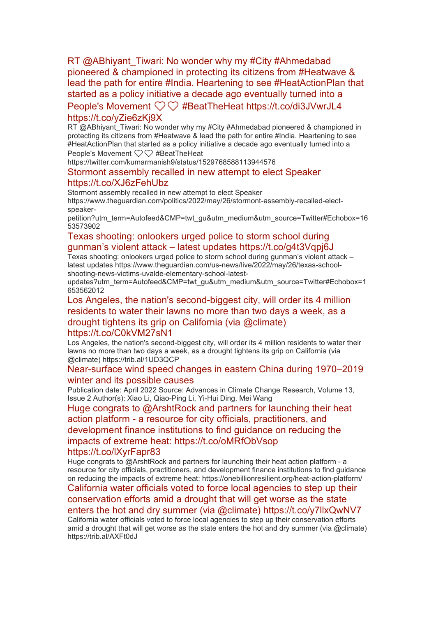RT @ABhiyant\_Tiwari: No wonder why my #City #Ahmedabad [pioneered & championed in protecting its citizens from #Heatwave &](https://eur01.safelinks.protection.outlook.com/?url=http%3A%2F%2Ftransit.linexsystems.com%2Ftrack%2Fclick%2F30370861%2Fca.linexsystems.com%3Fp%3DeyJzIjoiYXY4bnNNVGJfRXhsdXZkbVlHdWExZjJ1RUVRIiwidiI6MSwicCI6IntcInVcIjozMDM3MDg2MSxcInZcIjoxLFwidXJsXCI6XCJodHRwOlxcXC9cXFwvY2EubGluZXhzeXN0ZW1zLmNvbVxcXC9jb250ZW50c1xcXC90cmFuc2l0XFxcLzM3ODMwMzY5OTY_dXNlcl9pZD00NDM1MTUmbG9nPWY5N2ViNmUzMjE5YTcyMWVlZDE3NTIyOTNmZmJlY2E3JnA9OTU5Njc2NDgmbT0xJnM9Mzk5MDc0Jm9yZ19pZD00MTMxOVwiLFwiaWRcIjpcImMxZjdkYzIzNmJlMDRiNjRiZTdhM2FiNDQyYjgxZjZlXCIsXCJ1cmxfaWRzXCI6W1wiMDVlOWIzZjFmOTg5MDU0ZmUzYmM4MjRhZDhmYTFiOGYxZjIzNWQxM1wiXX0ifQ&data=05%7C01%7Ccaroline.debrun%40phe.gov.uk%7Ca6f00f6bef614d07b97908da43b32f98%7Cee4e14994a354b2ead475f3cf9de8666%7C0%7C0%7C637896735149671002%7CUnknown%7CTWFpbGZsb3d8eyJWIjoiMC4wLjAwMDAiLCJQIjoiV2luMzIiLCJBTiI6Ik1haWwiLCJXVCI6Mn0%3D%7C3000%7C%7C%7C&sdata=JrSJsM0aITVtJ%2BIMqbRZ3wKjhvMNAQE2fVUtoMKgG%2FA%3D&reserved=0)  [lead the path for entire #India. Heartening to see #HeatActionPlan that](https://eur01.safelinks.protection.outlook.com/?url=http%3A%2F%2Ftransit.linexsystems.com%2Ftrack%2Fclick%2F30370861%2Fca.linexsystems.com%3Fp%3DeyJzIjoiYXY4bnNNVGJfRXhsdXZkbVlHdWExZjJ1RUVRIiwidiI6MSwicCI6IntcInVcIjozMDM3MDg2MSxcInZcIjoxLFwidXJsXCI6XCJodHRwOlxcXC9cXFwvY2EubGluZXhzeXN0ZW1zLmNvbVxcXC9jb250ZW50c1xcXC90cmFuc2l0XFxcLzM3ODMwMzY5OTY_dXNlcl9pZD00NDM1MTUmbG9nPWY5N2ViNmUzMjE5YTcyMWVlZDE3NTIyOTNmZmJlY2E3JnA9OTU5Njc2NDgmbT0xJnM9Mzk5MDc0Jm9yZ19pZD00MTMxOVwiLFwiaWRcIjpcImMxZjdkYzIzNmJlMDRiNjRiZTdhM2FiNDQyYjgxZjZlXCIsXCJ1cmxfaWRzXCI6W1wiMDVlOWIzZjFmOTg5MDU0ZmUzYmM4MjRhZDhmYTFiOGYxZjIzNWQxM1wiXX0ifQ&data=05%7C01%7Ccaroline.debrun%40phe.gov.uk%7Ca6f00f6bef614d07b97908da43b32f98%7Cee4e14994a354b2ead475f3cf9de8666%7C0%7C0%7C637896735149671002%7CUnknown%7CTWFpbGZsb3d8eyJWIjoiMC4wLjAwMDAiLCJQIjoiV2luMzIiLCJBTiI6Ik1haWwiLCJXVCI6Mn0%3D%7C3000%7C%7C%7C&sdata=JrSJsM0aITVtJ%2BIMqbRZ3wKjhvMNAQE2fVUtoMKgG%2FA%3D&reserved=0)  [started as a policy initiative a decade ago eventually turned into a](https://eur01.safelinks.protection.outlook.com/?url=http%3A%2F%2Ftransit.linexsystems.com%2Ftrack%2Fclick%2F30370861%2Fca.linexsystems.com%3Fp%3DeyJzIjoiYXY4bnNNVGJfRXhsdXZkbVlHdWExZjJ1RUVRIiwidiI6MSwicCI6IntcInVcIjozMDM3MDg2MSxcInZcIjoxLFwidXJsXCI6XCJodHRwOlxcXC9cXFwvY2EubGluZXhzeXN0ZW1zLmNvbVxcXC9jb250ZW50c1xcXC90cmFuc2l0XFxcLzM3ODMwMzY5OTY_dXNlcl9pZD00NDM1MTUmbG9nPWY5N2ViNmUzMjE5YTcyMWVlZDE3NTIyOTNmZmJlY2E3JnA9OTU5Njc2NDgmbT0xJnM9Mzk5MDc0Jm9yZ19pZD00MTMxOVwiLFwiaWRcIjpcImMxZjdkYzIzNmJlMDRiNjRiZTdhM2FiNDQyYjgxZjZlXCIsXCJ1cmxfaWRzXCI6W1wiMDVlOWIzZjFmOTg5MDU0ZmUzYmM4MjRhZDhmYTFiOGYxZjIzNWQxM1wiXX0ifQ&data=05%7C01%7Ccaroline.debrun%40phe.gov.uk%7Ca6f00f6bef614d07b97908da43b32f98%7Cee4e14994a354b2ead475f3cf9de8666%7C0%7C0%7C637896735149671002%7CUnknown%7CTWFpbGZsb3d8eyJWIjoiMC4wLjAwMDAiLCJQIjoiV2luMzIiLCJBTiI6Ik1haWwiLCJXVCI6Mn0%3D%7C3000%7C%7C%7C&sdata=JrSJsM0aITVtJ%2BIMqbRZ3wKjhvMNAQE2fVUtoMKgG%2FA%3D&reserved=0) 

#### People's Movement ❤️❤️ [#BeatTheHeat https://t.co/di3JVwrJL4](https://eur01.safelinks.protection.outlook.com/?url=http%3A%2F%2Ftransit.linexsystems.com%2Ftrack%2Fclick%2F30370861%2Fca.linexsystems.com%3Fp%3DeyJzIjoiYXY4bnNNVGJfRXhsdXZkbVlHdWExZjJ1RUVRIiwidiI6MSwicCI6IntcInVcIjozMDM3MDg2MSxcInZcIjoxLFwidXJsXCI6XCJodHRwOlxcXC9cXFwvY2EubGluZXhzeXN0ZW1zLmNvbVxcXC9jb250ZW50c1xcXC90cmFuc2l0XFxcLzM3ODMwMzY5OTY_dXNlcl9pZD00NDM1MTUmbG9nPWY5N2ViNmUzMjE5YTcyMWVlZDE3NTIyOTNmZmJlY2E3JnA9OTU5Njc2NDgmbT0xJnM9Mzk5MDc0Jm9yZ19pZD00MTMxOVwiLFwiaWRcIjpcImMxZjdkYzIzNmJlMDRiNjRiZTdhM2FiNDQyYjgxZjZlXCIsXCJ1cmxfaWRzXCI6W1wiMDVlOWIzZjFmOTg5MDU0ZmUzYmM4MjRhZDhmYTFiOGYxZjIzNWQxM1wiXX0ifQ&data=05%7C01%7Ccaroline.debrun%40phe.gov.uk%7Ca6f00f6bef614d07b97908da43b32f98%7Cee4e14994a354b2ead475f3cf9de8666%7C0%7C0%7C637896735149671002%7CUnknown%7CTWFpbGZsb3d8eyJWIjoiMC4wLjAwMDAiLCJQIjoiV2luMzIiLCJBTiI6Ik1haWwiLCJXVCI6Mn0%3D%7C3000%7C%7C%7C&sdata=JrSJsM0aITVtJ%2BIMqbRZ3wKjhvMNAQE2fVUtoMKgG%2FA%3D&reserved=0)  [https://t.co/yZie6zKj9X](https://eur01.safelinks.protection.outlook.com/?url=http%3A%2F%2Ftransit.linexsystems.com%2Ftrack%2Fclick%2F30370861%2Fca.linexsystems.com%3Fp%3DeyJzIjoiYXY4bnNNVGJfRXhsdXZkbVlHdWExZjJ1RUVRIiwidiI6MSwicCI6IntcInVcIjozMDM3MDg2MSxcInZcIjoxLFwidXJsXCI6XCJodHRwOlxcXC9cXFwvY2EubGluZXhzeXN0ZW1zLmNvbVxcXC9jb250ZW50c1xcXC90cmFuc2l0XFxcLzM3ODMwMzY5OTY_dXNlcl9pZD00NDM1MTUmbG9nPWY5N2ViNmUzMjE5YTcyMWVlZDE3NTIyOTNmZmJlY2E3JnA9OTU5Njc2NDgmbT0xJnM9Mzk5MDc0Jm9yZ19pZD00MTMxOVwiLFwiaWRcIjpcImMxZjdkYzIzNmJlMDRiNjRiZTdhM2FiNDQyYjgxZjZlXCIsXCJ1cmxfaWRzXCI6W1wiMDVlOWIzZjFmOTg5MDU0ZmUzYmM4MjRhZDhmYTFiOGYxZjIzNWQxM1wiXX0ifQ&data=05%7C01%7Ccaroline.debrun%40phe.gov.uk%7Ca6f00f6bef614d07b97908da43b32f98%7Cee4e14994a354b2ead475f3cf9de8666%7C0%7C0%7C637896735149671002%7CUnknown%7CTWFpbGZsb3d8eyJWIjoiMC4wLjAwMDAiLCJQIjoiV2luMzIiLCJBTiI6Ik1haWwiLCJXVCI6Mn0%3D%7C3000%7C%7C%7C&sdata=JrSJsM0aITVtJ%2BIMqbRZ3wKjhvMNAQE2fVUtoMKgG%2FA%3D&reserved=0)

RT @ABhiyant\_Tiwari: No wonder why my #City #Ahmedabad pioneered & championed in protecting its citizens from #Heatwave & lead the path for entire #India. Heartening to see #HeatActionPlan that started as a policy initiative a decade ago eventually turned into a People's Movement ❤️❤️ #BeatTheHeat

https://twitter.com/kumarmanish9/status/1529768588113944576

#### [Stormont assembly recalled in new attempt to elect Speaker](https://eur01.safelinks.protection.outlook.com/?url=http%3A%2F%2Ftransit.linexsystems.com%2Ftrack%2Fclick%2F30370861%2Fca.linexsystems.com%3Fp%3DeyJzIjoieGdzZ3JMSGNtQTd1SFRCUGVBMTF1OHEwX3VzIiwidiI6MSwicCI6IntcInVcIjozMDM3MDg2MSxcInZcIjoxLFwidXJsXCI6XCJodHRwOlxcXC9cXFwvY2EubGluZXhzeXN0ZW1zLmNvbVxcXC9jb250ZW50c1xcXC90cmFuc2l0XFxcLzM3ODMwMjkxMjg_dXNlcl9pZD00NDM1MTUmbG9nPWY5N2ViNmUzMjE5YTcyMWVlZDE3NTIyOTNmZmJlY2E3JnA9OTU5Njc2NDgmbT0xJnM9Mzk5MDc0Jm9yZ19pZD00MTMxOVwiLFwiaWRcIjpcImMxZjdkYzIzNmJlMDRiNjRiZTdhM2FiNDQyYjgxZjZlXCIsXCJ1cmxfaWRzXCI6W1wiMDVlOWIzZjFmOTg5MDU0ZmUzYmM4MjRhZDhmYTFiOGYxZjIzNWQxM1wiXX0ifQ&data=05%7C01%7Ccaroline.debrun%40phe.gov.uk%7Ca6f00f6bef614d07b97908da43b32f98%7Cee4e14994a354b2ead475f3cf9de8666%7C0%7C0%7C637896735149671002%7CUnknown%7CTWFpbGZsb3d8eyJWIjoiMC4wLjAwMDAiLCJQIjoiV2luMzIiLCJBTiI6Ik1haWwiLCJXVCI6Mn0%3D%7C3000%7C%7C%7C&sdata=9odHPNJnEjXxFJa8hVcdybxHyCTWTzk19zLFC7vr8ZQ%3D&reserved=0)  [https://t.co/XJ6zFehUbz](https://eur01.safelinks.protection.outlook.com/?url=http%3A%2F%2Ftransit.linexsystems.com%2Ftrack%2Fclick%2F30370861%2Fca.linexsystems.com%3Fp%3DeyJzIjoieGdzZ3JMSGNtQTd1SFRCUGVBMTF1OHEwX3VzIiwidiI6MSwicCI6IntcInVcIjozMDM3MDg2MSxcInZcIjoxLFwidXJsXCI6XCJodHRwOlxcXC9cXFwvY2EubGluZXhzeXN0ZW1zLmNvbVxcXC9jb250ZW50c1xcXC90cmFuc2l0XFxcLzM3ODMwMjkxMjg_dXNlcl9pZD00NDM1MTUmbG9nPWY5N2ViNmUzMjE5YTcyMWVlZDE3NTIyOTNmZmJlY2E3JnA9OTU5Njc2NDgmbT0xJnM9Mzk5MDc0Jm9yZ19pZD00MTMxOVwiLFwiaWRcIjpcImMxZjdkYzIzNmJlMDRiNjRiZTdhM2FiNDQyYjgxZjZlXCIsXCJ1cmxfaWRzXCI6W1wiMDVlOWIzZjFmOTg5MDU0ZmUzYmM4MjRhZDhmYTFiOGYxZjIzNWQxM1wiXX0ifQ&data=05%7C01%7Ccaroline.debrun%40phe.gov.uk%7Ca6f00f6bef614d07b97908da43b32f98%7Cee4e14994a354b2ead475f3cf9de8666%7C0%7C0%7C637896735149671002%7CUnknown%7CTWFpbGZsb3d8eyJWIjoiMC4wLjAwMDAiLCJQIjoiV2luMzIiLCJBTiI6Ik1haWwiLCJXVCI6Mn0%3D%7C3000%7C%7C%7C&sdata=9odHPNJnEjXxFJa8hVcdybxHyCTWTzk19zLFC7vr8ZQ%3D&reserved=0)

Stormont assembly recalled in new attempt to elect Speaker https://www.theguardian.com/politics/2022/may/26/stormont-assembly-recalled-electspeaker-

petition?utm\_term=Autofeed&CMP=twt\_gu&utm\_medium&utm\_source=Twitter#Echobox=16 53573902

# [Texas shooting: onlookers urged police to storm school during](https://eur01.safelinks.protection.outlook.com/?url=http%3A%2F%2Ftransit.linexsystems.com%2Ftrack%2Fclick%2F30370861%2Fca.linexsystems.com%3Fp%3DeyJzIjoiVUZBSXpXQl9Jc0tVUThFM0NEMGowaGllVFBBIiwidiI6MSwicCI6IntcInVcIjozMDM3MDg2MSxcInZcIjoxLFwidXJsXCI6XCJodHRwOlxcXC9cXFwvY2EubGluZXhzeXN0ZW1zLmNvbVxcXC9jb250ZW50c1xcXC90cmFuc2l0XFxcLzM3ODMwMDkyNjE_dXNlcl9pZD00NDM1MTUmbG9nPWY5N2ViNmUzMjE5YTcyMWVlZDE3NTIyOTNmZmJlY2E3JnA9OTU5Njc2NDgmbT0xJnM9Mzk5MDc0Jm9yZ19pZD00MTMxOVwiLFwiaWRcIjpcImMxZjdkYzIzNmJlMDRiNjRiZTdhM2FiNDQyYjgxZjZlXCIsXCJ1cmxfaWRzXCI6W1wiMDVlOWIzZjFmOTg5MDU0ZmUzYmM4MjRhZDhmYTFiOGYxZjIzNWQxM1wiXX0ifQ&data=05%7C01%7Ccaroline.debrun%40phe.gov.uk%7Ca6f00f6bef614d07b97908da43b32f98%7Cee4e14994a354b2ead475f3cf9de8666%7C0%7C0%7C637896735149671002%7CUnknown%7CTWFpbGZsb3d8eyJWIjoiMC4wLjAwMDAiLCJQIjoiV2luMzIiLCJBTiI6Ik1haWwiLCJXVCI6Mn0%3D%7C3000%7C%7C%7C&sdata=pXuoryXGITIiCcc1kM7Y4N5X%2B5WJl2xB9VKEbeycdPk%3D&reserved=0)  gunman's violent attack – [latest updates https://t.co/g4t3Vqpj6J](https://eur01.safelinks.protection.outlook.com/?url=http%3A%2F%2Ftransit.linexsystems.com%2Ftrack%2Fclick%2F30370861%2Fca.linexsystems.com%3Fp%3DeyJzIjoiVUZBSXpXQl9Jc0tVUThFM0NEMGowaGllVFBBIiwidiI6MSwicCI6IntcInVcIjozMDM3MDg2MSxcInZcIjoxLFwidXJsXCI6XCJodHRwOlxcXC9cXFwvY2EubGluZXhzeXN0ZW1zLmNvbVxcXC9jb250ZW50c1xcXC90cmFuc2l0XFxcLzM3ODMwMDkyNjE_dXNlcl9pZD00NDM1MTUmbG9nPWY5N2ViNmUzMjE5YTcyMWVlZDE3NTIyOTNmZmJlY2E3JnA9OTU5Njc2NDgmbT0xJnM9Mzk5MDc0Jm9yZ19pZD00MTMxOVwiLFwiaWRcIjpcImMxZjdkYzIzNmJlMDRiNjRiZTdhM2FiNDQyYjgxZjZlXCIsXCJ1cmxfaWRzXCI6W1wiMDVlOWIzZjFmOTg5MDU0ZmUzYmM4MjRhZDhmYTFiOGYxZjIzNWQxM1wiXX0ifQ&data=05%7C01%7Ccaroline.debrun%40phe.gov.uk%7Ca6f00f6bef614d07b97908da43b32f98%7Cee4e14994a354b2ead475f3cf9de8666%7C0%7C0%7C637896735149671002%7CUnknown%7CTWFpbGZsb3d8eyJWIjoiMC4wLjAwMDAiLCJQIjoiV2luMzIiLCJBTiI6Ik1haWwiLCJXVCI6Mn0%3D%7C3000%7C%7C%7C&sdata=pXuoryXGITIiCcc1kM7Y4N5X%2B5WJl2xB9VKEbeycdPk%3D&reserved=0)

Texas shooting: onlookers urged police to storm school during gunman's violent attack – latest updates https://www.theguardian.com/us-news/live/2022/may/26/texas-schoolshooting-news-victims-uvalde-elementary-school-latest-

updates?utm\_term=Autofeed&CMP=twt\_gu&utm\_medium&utm\_source=Twitter#Echobox=1 653562012

[Los Angeles, the nation's second-biggest city, will order its 4 million](https://eur01.safelinks.protection.outlook.com/?url=http%3A%2F%2Ftransit.linexsystems.com%2Ftrack%2Fclick%2F30370861%2Fca.linexsystems.com%3Fp%3DeyJzIjoiOHUzT3FXUWNheWE2OHZVeXgwamxuZFVid3p3IiwidiI6MSwicCI6IntcInVcIjozMDM3MDg2MSxcInZcIjoxLFwidXJsXCI6XCJodHRwOlxcXC9cXFwvY2EubGluZXhzeXN0ZW1zLmNvbVxcXC9jb250ZW50c1xcXC90cmFuc2l0XFxcLzM3ODMwMDkwOTg_dXNlcl9pZD00NDM1MTUmbG9nPWY5N2ViNmUzMjE5YTcyMWVlZDE3NTIyOTNmZmJlY2E3JnA9OTU5Njc2NDgmbT0xJnM9Mzk5MDc0Jm9yZ19pZD00MTMxOVwiLFwiaWRcIjpcImMxZjdkYzIzNmJlMDRiNjRiZTdhM2FiNDQyYjgxZjZlXCIsXCJ1cmxfaWRzXCI6W1wiMDVlOWIzZjFmOTg5MDU0ZmUzYmM4MjRhZDhmYTFiOGYxZjIzNWQxM1wiXX0ifQ&data=05%7C01%7Ccaroline.debrun%40phe.gov.uk%7Ca6f00f6bef614d07b97908da43b32f98%7Cee4e14994a354b2ead475f3cf9de8666%7C0%7C0%7C637896735149671002%7CUnknown%7CTWFpbGZsb3d8eyJWIjoiMC4wLjAwMDAiLCJQIjoiV2luMzIiLCJBTiI6Ik1haWwiLCJXVCI6Mn0%3D%7C3000%7C%7C%7C&sdata=dAuJcM0Xal3WrreDLa20gp6Y%2BBWnuj%2FOc5YSLLL9vZc%3D&reserved=0)  [residents to water their lawns no more than two days a week, as a](https://eur01.safelinks.protection.outlook.com/?url=http%3A%2F%2Ftransit.linexsystems.com%2Ftrack%2Fclick%2F30370861%2Fca.linexsystems.com%3Fp%3DeyJzIjoiOHUzT3FXUWNheWE2OHZVeXgwamxuZFVid3p3IiwidiI6MSwicCI6IntcInVcIjozMDM3MDg2MSxcInZcIjoxLFwidXJsXCI6XCJodHRwOlxcXC9cXFwvY2EubGluZXhzeXN0ZW1zLmNvbVxcXC9jb250ZW50c1xcXC90cmFuc2l0XFxcLzM3ODMwMDkwOTg_dXNlcl9pZD00NDM1MTUmbG9nPWY5N2ViNmUzMjE5YTcyMWVlZDE3NTIyOTNmZmJlY2E3JnA9OTU5Njc2NDgmbT0xJnM9Mzk5MDc0Jm9yZ19pZD00MTMxOVwiLFwiaWRcIjpcImMxZjdkYzIzNmJlMDRiNjRiZTdhM2FiNDQyYjgxZjZlXCIsXCJ1cmxfaWRzXCI6W1wiMDVlOWIzZjFmOTg5MDU0ZmUzYmM4MjRhZDhmYTFiOGYxZjIzNWQxM1wiXX0ifQ&data=05%7C01%7Ccaroline.debrun%40phe.gov.uk%7Ca6f00f6bef614d07b97908da43b32f98%7Cee4e14994a354b2ead475f3cf9de8666%7C0%7C0%7C637896735149671002%7CUnknown%7CTWFpbGZsb3d8eyJWIjoiMC4wLjAwMDAiLCJQIjoiV2luMzIiLCJBTiI6Ik1haWwiLCJXVCI6Mn0%3D%7C3000%7C%7C%7C&sdata=dAuJcM0Xal3WrreDLa20gp6Y%2BBWnuj%2FOc5YSLLL9vZc%3D&reserved=0)  [drought tightens its grip on California \(via @climate\)](https://eur01.safelinks.protection.outlook.com/?url=http%3A%2F%2Ftransit.linexsystems.com%2Ftrack%2Fclick%2F30370861%2Fca.linexsystems.com%3Fp%3DeyJzIjoiOHUzT3FXUWNheWE2OHZVeXgwamxuZFVid3p3IiwidiI6MSwicCI6IntcInVcIjozMDM3MDg2MSxcInZcIjoxLFwidXJsXCI6XCJodHRwOlxcXC9cXFwvY2EubGluZXhzeXN0ZW1zLmNvbVxcXC9jb250ZW50c1xcXC90cmFuc2l0XFxcLzM3ODMwMDkwOTg_dXNlcl9pZD00NDM1MTUmbG9nPWY5N2ViNmUzMjE5YTcyMWVlZDE3NTIyOTNmZmJlY2E3JnA9OTU5Njc2NDgmbT0xJnM9Mzk5MDc0Jm9yZ19pZD00MTMxOVwiLFwiaWRcIjpcImMxZjdkYzIzNmJlMDRiNjRiZTdhM2FiNDQyYjgxZjZlXCIsXCJ1cmxfaWRzXCI6W1wiMDVlOWIzZjFmOTg5MDU0ZmUzYmM4MjRhZDhmYTFiOGYxZjIzNWQxM1wiXX0ifQ&data=05%7C01%7Ccaroline.debrun%40phe.gov.uk%7Ca6f00f6bef614d07b97908da43b32f98%7Cee4e14994a354b2ead475f3cf9de8666%7C0%7C0%7C637896735149671002%7CUnknown%7CTWFpbGZsb3d8eyJWIjoiMC4wLjAwMDAiLCJQIjoiV2luMzIiLCJBTiI6Ik1haWwiLCJXVCI6Mn0%3D%7C3000%7C%7C%7C&sdata=dAuJcM0Xal3WrreDLa20gp6Y%2BBWnuj%2FOc5YSLLL9vZc%3D&reserved=0)  [https://t.co/C0kVM27sN1](https://eur01.safelinks.protection.outlook.com/?url=http%3A%2F%2Ftransit.linexsystems.com%2Ftrack%2Fclick%2F30370861%2Fca.linexsystems.com%3Fp%3DeyJzIjoiOHUzT3FXUWNheWE2OHZVeXgwamxuZFVid3p3IiwidiI6MSwicCI6IntcInVcIjozMDM3MDg2MSxcInZcIjoxLFwidXJsXCI6XCJodHRwOlxcXC9cXFwvY2EubGluZXhzeXN0ZW1zLmNvbVxcXC9jb250ZW50c1xcXC90cmFuc2l0XFxcLzM3ODMwMDkwOTg_dXNlcl9pZD00NDM1MTUmbG9nPWY5N2ViNmUzMjE5YTcyMWVlZDE3NTIyOTNmZmJlY2E3JnA9OTU5Njc2NDgmbT0xJnM9Mzk5MDc0Jm9yZ19pZD00MTMxOVwiLFwiaWRcIjpcImMxZjdkYzIzNmJlMDRiNjRiZTdhM2FiNDQyYjgxZjZlXCIsXCJ1cmxfaWRzXCI6W1wiMDVlOWIzZjFmOTg5MDU0ZmUzYmM4MjRhZDhmYTFiOGYxZjIzNWQxM1wiXX0ifQ&data=05%7C01%7Ccaroline.debrun%40phe.gov.uk%7Ca6f00f6bef614d07b97908da43b32f98%7Cee4e14994a354b2ead475f3cf9de8666%7C0%7C0%7C637896735149671002%7CUnknown%7CTWFpbGZsb3d8eyJWIjoiMC4wLjAwMDAiLCJQIjoiV2luMzIiLCJBTiI6Ik1haWwiLCJXVCI6Mn0%3D%7C3000%7C%7C%7C&sdata=dAuJcM0Xal3WrreDLa20gp6Y%2BBWnuj%2FOc5YSLLL9vZc%3D&reserved=0)

# Los Angeles, the nation's second-biggest city, will order its 4 million residents to water their

lawns no more than two days a week, as a drought tightens its grip on California (via @climate) https://trib.al/1UD3QCP

### [Near-surface wind speed changes in eastern China during 1970](https://eur01.safelinks.protection.outlook.com/?url=http%3A%2F%2Ftransit.linexsystems.com%2Ftrack%2Fclick%2F30370861%2Fca.linexsystems.com%3Fp%3DeyJzIjoicXYxNFBhbmR0N1h6TWdITUdlQmdwUjFnbThvIiwidiI6MSwicCI6IntcInVcIjozMDM3MDg2MSxcInZcIjoxLFwidXJsXCI6XCJodHRwOlxcXC9cXFwvY2EubGluZXhzeXN0ZW1zLmNvbVxcXC9jb250ZW50c1xcXC90cmFuc2l0XFxcLzM3ODI5ODY2OTI_dXNlcl9pZD00NDM1MTUmbG9nPWY5N2ViNmUzMjE5YTcyMWVlZDE3NTIyOTNmZmJlY2E3JnA9OTU5Njc2NDgmbT0xJnM9Mzk5MDc0Jm9yZ19pZD0xMDA4M1wiLFwiaWRcIjpcImMxZjdkYzIzNmJlMDRiNjRiZTdhM2FiNDQyYjgxZjZlXCIsXCJ1cmxfaWRzXCI6W1wiMDVlOWIzZjFmOTg5MDU0ZmUzYmM4MjRhZDhmYTFiOGYxZjIzNWQxM1wiXX0ifQ&data=05%7C01%7Ccaroline.debrun%40phe.gov.uk%7Ca6f00f6bef614d07b97908da43b32f98%7Cee4e14994a354b2ead475f3cf9de8666%7C0%7C0%7C637896735149671002%7CUnknown%7CTWFpbGZsb3d8eyJWIjoiMC4wLjAwMDAiLCJQIjoiV2luMzIiLCJBTiI6Ik1haWwiLCJXVCI6Mn0%3D%7C3000%7C%7C%7C&sdata=Gb5kgyRJFMK%2F4rnxSoE%2FW1mN%2FyFwseZbEtOuT2Ap9EU%3D&reserved=0)–2019 [winter and its possible causes](https://eur01.safelinks.protection.outlook.com/?url=http%3A%2F%2Ftransit.linexsystems.com%2Ftrack%2Fclick%2F30370861%2Fca.linexsystems.com%3Fp%3DeyJzIjoicXYxNFBhbmR0N1h6TWdITUdlQmdwUjFnbThvIiwidiI6MSwicCI6IntcInVcIjozMDM3MDg2MSxcInZcIjoxLFwidXJsXCI6XCJodHRwOlxcXC9cXFwvY2EubGluZXhzeXN0ZW1zLmNvbVxcXC9jb250ZW50c1xcXC90cmFuc2l0XFxcLzM3ODI5ODY2OTI_dXNlcl9pZD00NDM1MTUmbG9nPWY5N2ViNmUzMjE5YTcyMWVlZDE3NTIyOTNmZmJlY2E3JnA9OTU5Njc2NDgmbT0xJnM9Mzk5MDc0Jm9yZ19pZD0xMDA4M1wiLFwiaWRcIjpcImMxZjdkYzIzNmJlMDRiNjRiZTdhM2FiNDQyYjgxZjZlXCIsXCJ1cmxfaWRzXCI6W1wiMDVlOWIzZjFmOTg5MDU0ZmUzYmM4MjRhZDhmYTFiOGYxZjIzNWQxM1wiXX0ifQ&data=05%7C01%7Ccaroline.debrun%40phe.gov.uk%7Ca6f00f6bef614d07b97908da43b32f98%7Cee4e14994a354b2ead475f3cf9de8666%7C0%7C0%7C637896735149671002%7CUnknown%7CTWFpbGZsb3d8eyJWIjoiMC4wLjAwMDAiLCJQIjoiV2luMzIiLCJBTiI6Ik1haWwiLCJXVCI6Mn0%3D%7C3000%7C%7C%7C&sdata=Gb5kgyRJFMK%2F4rnxSoE%2FW1mN%2FyFwseZbEtOuT2Ap9EU%3D&reserved=0)

Publication date: April 2022 Source: Advances in Climate Change Research, Volume 13, Issue 2 Author(s): Xiao Li, Qiao-Ping Li, Yi-Hui Ding, Mei Wang

[Huge congrats to @ArshtRock and partners for launching their heat](https://eur01.safelinks.protection.outlook.com/?url=http%3A%2F%2Ftransit.linexsystems.com%2Ftrack%2Fclick%2F30370861%2Fca.linexsystems.com%3Fp%3DeyJzIjoiM0EwVGIzRjFXN2FVMVNyYUJ4WUdSTnpvc2xrIiwidiI6MSwicCI6IntcInVcIjozMDM3MDg2MSxcInZcIjoxLFwidXJsXCI6XCJodHRwOlxcXC9cXFwvY2EubGluZXhzeXN0ZW1zLmNvbVxcXC9jb250ZW50c1xcXC90cmFuc2l0XFxcLzM3ODI5ODY5Njg_dXNlcl9pZD00NDM1MTUmbG9nPWY5N2ViNmUzMjE5YTcyMWVlZDE3NTIyOTNmZmJlY2E3JnA9OTU5Njc2NDgmbT0xJnM9Mzk5MDc0Jm9yZ19pZD00MTMxOVwiLFwiaWRcIjpcImMxZjdkYzIzNmJlMDRiNjRiZTdhM2FiNDQyYjgxZjZlXCIsXCJ1cmxfaWRzXCI6W1wiMDVlOWIzZjFmOTg5MDU0ZmUzYmM4MjRhZDhmYTFiOGYxZjIzNWQxM1wiXX0ifQ&data=05%7C01%7Ccaroline.debrun%40phe.gov.uk%7Ca6f00f6bef614d07b97908da43b32f98%7Cee4e14994a354b2ead475f3cf9de8666%7C0%7C0%7C637896735149671002%7CUnknown%7CTWFpbGZsb3d8eyJWIjoiMC4wLjAwMDAiLCJQIjoiV2luMzIiLCJBTiI6Ik1haWwiLCJXVCI6Mn0%3D%7C3000%7C%7C%7C&sdata=xSTZI435pxvCFqGzsc01t%2F127Y8vnCfoE%2BjThzSqhdw%3D&reserved=0)  action platform - [a resource for city officials, practitioners, and](https://eur01.safelinks.protection.outlook.com/?url=http%3A%2F%2Ftransit.linexsystems.com%2Ftrack%2Fclick%2F30370861%2Fca.linexsystems.com%3Fp%3DeyJzIjoiM0EwVGIzRjFXN2FVMVNyYUJ4WUdSTnpvc2xrIiwidiI6MSwicCI6IntcInVcIjozMDM3MDg2MSxcInZcIjoxLFwidXJsXCI6XCJodHRwOlxcXC9cXFwvY2EubGluZXhzeXN0ZW1zLmNvbVxcXC9jb250ZW50c1xcXC90cmFuc2l0XFxcLzM3ODI5ODY5Njg_dXNlcl9pZD00NDM1MTUmbG9nPWY5N2ViNmUzMjE5YTcyMWVlZDE3NTIyOTNmZmJlY2E3JnA9OTU5Njc2NDgmbT0xJnM9Mzk5MDc0Jm9yZ19pZD00MTMxOVwiLFwiaWRcIjpcImMxZjdkYzIzNmJlMDRiNjRiZTdhM2FiNDQyYjgxZjZlXCIsXCJ1cmxfaWRzXCI6W1wiMDVlOWIzZjFmOTg5MDU0ZmUzYmM4MjRhZDhmYTFiOGYxZjIzNWQxM1wiXX0ifQ&data=05%7C01%7Ccaroline.debrun%40phe.gov.uk%7Ca6f00f6bef614d07b97908da43b32f98%7Cee4e14994a354b2ead475f3cf9de8666%7C0%7C0%7C637896735149671002%7CUnknown%7CTWFpbGZsb3d8eyJWIjoiMC4wLjAwMDAiLCJQIjoiV2luMzIiLCJBTiI6Ik1haWwiLCJXVCI6Mn0%3D%7C3000%7C%7C%7C&sdata=xSTZI435pxvCFqGzsc01t%2F127Y8vnCfoE%2BjThzSqhdw%3D&reserved=0)  [development finance institutions to find guidance on reducing the](https://eur01.safelinks.protection.outlook.com/?url=http%3A%2F%2Ftransit.linexsystems.com%2Ftrack%2Fclick%2F30370861%2Fca.linexsystems.com%3Fp%3DeyJzIjoiM0EwVGIzRjFXN2FVMVNyYUJ4WUdSTnpvc2xrIiwidiI6MSwicCI6IntcInVcIjozMDM3MDg2MSxcInZcIjoxLFwidXJsXCI6XCJodHRwOlxcXC9cXFwvY2EubGluZXhzeXN0ZW1zLmNvbVxcXC9jb250ZW50c1xcXC90cmFuc2l0XFxcLzM3ODI5ODY5Njg_dXNlcl9pZD00NDM1MTUmbG9nPWY5N2ViNmUzMjE5YTcyMWVlZDE3NTIyOTNmZmJlY2E3JnA9OTU5Njc2NDgmbT0xJnM9Mzk5MDc0Jm9yZ19pZD00MTMxOVwiLFwiaWRcIjpcImMxZjdkYzIzNmJlMDRiNjRiZTdhM2FiNDQyYjgxZjZlXCIsXCJ1cmxfaWRzXCI6W1wiMDVlOWIzZjFmOTg5MDU0ZmUzYmM4MjRhZDhmYTFiOGYxZjIzNWQxM1wiXX0ifQ&data=05%7C01%7Ccaroline.debrun%40phe.gov.uk%7Ca6f00f6bef614d07b97908da43b32f98%7Cee4e14994a354b2ead475f3cf9de8666%7C0%7C0%7C637896735149671002%7CUnknown%7CTWFpbGZsb3d8eyJWIjoiMC4wLjAwMDAiLCJQIjoiV2luMzIiLCJBTiI6Ik1haWwiLCJXVCI6Mn0%3D%7C3000%7C%7C%7C&sdata=xSTZI435pxvCFqGzsc01t%2F127Y8vnCfoE%2BjThzSqhdw%3D&reserved=0)  [impacts of extreme heat: https://t.co/oMRfObVsop](https://eur01.safelinks.protection.outlook.com/?url=http%3A%2F%2Ftransit.linexsystems.com%2Ftrack%2Fclick%2F30370861%2Fca.linexsystems.com%3Fp%3DeyJzIjoiM0EwVGIzRjFXN2FVMVNyYUJ4WUdSTnpvc2xrIiwidiI6MSwicCI6IntcInVcIjozMDM3MDg2MSxcInZcIjoxLFwidXJsXCI6XCJodHRwOlxcXC9cXFwvY2EubGluZXhzeXN0ZW1zLmNvbVxcXC9jb250ZW50c1xcXC90cmFuc2l0XFxcLzM3ODI5ODY5Njg_dXNlcl9pZD00NDM1MTUmbG9nPWY5N2ViNmUzMjE5YTcyMWVlZDE3NTIyOTNmZmJlY2E3JnA9OTU5Njc2NDgmbT0xJnM9Mzk5MDc0Jm9yZ19pZD00MTMxOVwiLFwiaWRcIjpcImMxZjdkYzIzNmJlMDRiNjRiZTdhM2FiNDQyYjgxZjZlXCIsXCJ1cmxfaWRzXCI6W1wiMDVlOWIzZjFmOTg5MDU0ZmUzYmM4MjRhZDhmYTFiOGYxZjIzNWQxM1wiXX0ifQ&data=05%7C01%7Ccaroline.debrun%40phe.gov.uk%7Ca6f00f6bef614d07b97908da43b32f98%7Cee4e14994a354b2ead475f3cf9de8666%7C0%7C0%7C637896735149671002%7CUnknown%7CTWFpbGZsb3d8eyJWIjoiMC4wLjAwMDAiLCJQIjoiV2luMzIiLCJBTiI6Ik1haWwiLCJXVCI6Mn0%3D%7C3000%7C%7C%7C&sdata=xSTZI435pxvCFqGzsc01t%2F127Y8vnCfoE%2BjThzSqhdw%3D&reserved=0)  [https://t.co/lXyrFapr83](https://eur01.safelinks.protection.outlook.com/?url=http%3A%2F%2Ftransit.linexsystems.com%2Ftrack%2Fclick%2F30370861%2Fca.linexsystems.com%3Fp%3DeyJzIjoiM0EwVGIzRjFXN2FVMVNyYUJ4WUdSTnpvc2xrIiwidiI6MSwicCI6IntcInVcIjozMDM3MDg2MSxcInZcIjoxLFwidXJsXCI6XCJodHRwOlxcXC9cXFwvY2EubGluZXhzeXN0ZW1zLmNvbVxcXC9jb250ZW50c1xcXC90cmFuc2l0XFxcLzM3ODI5ODY5Njg_dXNlcl9pZD00NDM1MTUmbG9nPWY5N2ViNmUzMjE5YTcyMWVlZDE3NTIyOTNmZmJlY2E3JnA9OTU5Njc2NDgmbT0xJnM9Mzk5MDc0Jm9yZ19pZD00MTMxOVwiLFwiaWRcIjpcImMxZjdkYzIzNmJlMDRiNjRiZTdhM2FiNDQyYjgxZjZlXCIsXCJ1cmxfaWRzXCI6W1wiMDVlOWIzZjFmOTg5MDU0ZmUzYmM4MjRhZDhmYTFiOGYxZjIzNWQxM1wiXX0ifQ&data=05%7C01%7Ccaroline.debrun%40phe.gov.uk%7Ca6f00f6bef614d07b97908da43b32f98%7Cee4e14994a354b2ead475f3cf9de8666%7C0%7C0%7C637896735149671002%7CUnknown%7CTWFpbGZsb3d8eyJWIjoiMC4wLjAwMDAiLCJQIjoiV2luMzIiLCJBTiI6Ik1haWwiLCJXVCI6Mn0%3D%7C3000%7C%7C%7C&sdata=xSTZI435pxvCFqGzsc01t%2F127Y8vnCfoE%2BjThzSqhdw%3D&reserved=0)

Huge congrats to @ArshtRock and partners for launching their heat action platform - a resource for city officials, practitioners, and development finance institutions to find guidance on reducing the impacts of extreme heat: https://onebillionresilient.org/heat-action-platform/

[California water officials voted to force local agencies to step up their](https://eur01.safelinks.protection.outlook.com/?url=http%3A%2F%2Ftransit.linexsystems.com%2Ftrack%2Fclick%2F30370861%2Fca.linexsystems.com%3Fp%3DeyJzIjoib0JxM2x6enNoWFZJa3hHak5mRmxUMHBpQWtRIiwidiI6MSwicCI6IntcInVcIjozMDM3MDg2MSxcInZcIjoxLFwidXJsXCI6XCJodHRwOlxcXC9cXFwvY2EubGluZXhzeXN0ZW1zLmNvbVxcXC9jb250ZW50c1xcXC90cmFuc2l0XFxcLzM3ODI5ODY4NjU_dXNlcl9pZD00NDM1MTUmbG9nPWY5N2ViNmUzMjE5YTcyMWVlZDE3NTIyOTNmZmJlY2E3JnA9OTU5Njc2NDgmbT0xJnM9Mzk5MDc0Jm9yZ19pZD00MTMxOVwiLFwiaWRcIjpcImMxZjdkYzIzNmJlMDRiNjRiZTdhM2FiNDQyYjgxZjZlXCIsXCJ1cmxfaWRzXCI6W1wiMDVlOWIzZjFmOTg5MDU0ZmUzYmM4MjRhZDhmYTFiOGYxZjIzNWQxM1wiXX0ifQ&data=05%7C01%7Ccaroline.debrun%40phe.gov.uk%7Ca6f00f6bef614d07b97908da43b32f98%7Cee4e14994a354b2ead475f3cf9de8666%7C0%7C0%7C637896735149671002%7CUnknown%7CTWFpbGZsb3d8eyJWIjoiMC4wLjAwMDAiLCJQIjoiV2luMzIiLCJBTiI6Ik1haWwiLCJXVCI6Mn0%3D%7C3000%7C%7C%7C&sdata=n2%2BNOSjFHbgrXObsJKQzik5V%2FJW%2B6cFIUBtLiNnGi4U%3D&reserved=0)  [conservation efforts amid a drought that will get worse as the state](https://eur01.safelinks.protection.outlook.com/?url=http%3A%2F%2Ftransit.linexsystems.com%2Ftrack%2Fclick%2F30370861%2Fca.linexsystems.com%3Fp%3DeyJzIjoib0JxM2x6enNoWFZJa3hHak5mRmxUMHBpQWtRIiwidiI6MSwicCI6IntcInVcIjozMDM3MDg2MSxcInZcIjoxLFwidXJsXCI6XCJodHRwOlxcXC9cXFwvY2EubGluZXhzeXN0ZW1zLmNvbVxcXC9jb250ZW50c1xcXC90cmFuc2l0XFxcLzM3ODI5ODY4NjU_dXNlcl9pZD00NDM1MTUmbG9nPWY5N2ViNmUzMjE5YTcyMWVlZDE3NTIyOTNmZmJlY2E3JnA9OTU5Njc2NDgmbT0xJnM9Mzk5MDc0Jm9yZ19pZD00MTMxOVwiLFwiaWRcIjpcImMxZjdkYzIzNmJlMDRiNjRiZTdhM2FiNDQyYjgxZjZlXCIsXCJ1cmxfaWRzXCI6W1wiMDVlOWIzZjFmOTg5MDU0ZmUzYmM4MjRhZDhmYTFiOGYxZjIzNWQxM1wiXX0ifQ&data=05%7C01%7Ccaroline.debrun%40phe.gov.uk%7Ca6f00f6bef614d07b97908da43b32f98%7Cee4e14994a354b2ead475f3cf9de8666%7C0%7C0%7C637896735149671002%7CUnknown%7CTWFpbGZsb3d8eyJWIjoiMC4wLjAwMDAiLCJQIjoiV2luMzIiLCJBTiI6Ik1haWwiLCJXVCI6Mn0%3D%7C3000%7C%7C%7C&sdata=n2%2BNOSjFHbgrXObsJKQzik5V%2FJW%2B6cFIUBtLiNnGi4U%3D&reserved=0)  [enters the hot and dry summer \(via @climate\) https://t.co/y7llxQwNV7](https://eur01.safelinks.protection.outlook.com/?url=http%3A%2F%2Ftransit.linexsystems.com%2Ftrack%2Fclick%2F30370861%2Fca.linexsystems.com%3Fp%3DeyJzIjoib0JxM2x6enNoWFZJa3hHak5mRmxUMHBpQWtRIiwidiI6MSwicCI6IntcInVcIjozMDM3MDg2MSxcInZcIjoxLFwidXJsXCI6XCJodHRwOlxcXC9cXFwvY2EubGluZXhzeXN0ZW1zLmNvbVxcXC9jb250ZW50c1xcXC90cmFuc2l0XFxcLzM3ODI5ODY4NjU_dXNlcl9pZD00NDM1MTUmbG9nPWY5N2ViNmUzMjE5YTcyMWVlZDE3NTIyOTNmZmJlY2E3JnA9OTU5Njc2NDgmbT0xJnM9Mzk5MDc0Jm9yZ19pZD00MTMxOVwiLFwiaWRcIjpcImMxZjdkYzIzNmJlMDRiNjRiZTdhM2FiNDQyYjgxZjZlXCIsXCJ1cmxfaWRzXCI6W1wiMDVlOWIzZjFmOTg5MDU0ZmUzYmM4MjRhZDhmYTFiOGYxZjIzNWQxM1wiXX0ifQ&data=05%7C01%7Ccaroline.debrun%40phe.gov.uk%7Ca6f00f6bef614d07b97908da43b32f98%7Cee4e14994a354b2ead475f3cf9de8666%7C0%7C0%7C637896735149671002%7CUnknown%7CTWFpbGZsb3d8eyJWIjoiMC4wLjAwMDAiLCJQIjoiV2luMzIiLCJBTiI6Ik1haWwiLCJXVCI6Mn0%3D%7C3000%7C%7C%7C&sdata=n2%2BNOSjFHbgrXObsJKQzik5V%2FJW%2B6cFIUBtLiNnGi4U%3D&reserved=0) California water officials voted to force local agencies to step up their conservation efforts amid a drought that will get worse as the state enters the hot and dry summer (via @climate) https://trib.al/AXFt0dJ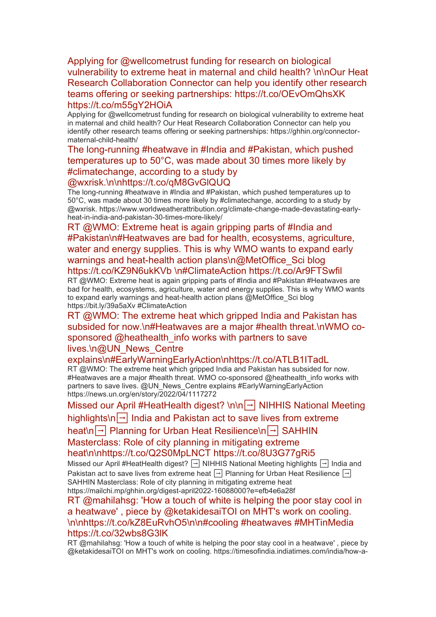[Applying for @wellcometrust funding for research on biological](https://eur01.safelinks.protection.outlook.com/?url=http%3A%2F%2Ftransit.linexsystems.com%2Ftrack%2Fclick%2F30370861%2Fca.linexsystems.com%3Fp%3DeyJzIjoiVmNNOEcyNUpUcEdUR3BTTGtPYUVJbE8tcWhjIiwidiI6MSwicCI6IntcInVcIjozMDM3MDg2MSxcInZcIjoxLFwidXJsXCI6XCJodHRwOlxcXC9cXFwvY2EubGluZXhzeXN0ZW1zLmNvbVxcXC9jb250ZW50c1xcXC90cmFuc2l0XFxcLzM3ODI5ODY5Njk_dXNlcl9pZD00NDM1MTUmbG9nPWY5N2ViNmUzMjE5YTcyMWVlZDE3NTIyOTNmZmJlY2E3JnA9OTU5Njc2NDgmbT0xJnM9Mzk5MDc0Jm9yZ19pZD00MTMxOVwiLFwiaWRcIjpcImMxZjdkYzIzNmJlMDRiNjRiZTdhM2FiNDQyYjgxZjZlXCIsXCJ1cmxfaWRzXCI6W1wiMDVlOWIzZjFmOTg5MDU0ZmUzYmM4MjRhZDhmYTFiOGYxZjIzNWQxM1wiXX0ifQ&data=05%7C01%7Ccaroline.debrun%40phe.gov.uk%7Ca6f00f6bef614d07b97908da43b32f98%7Cee4e14994a354b2ead475f3cf9de8666%7C0%7C0%7C637896735149671002%7CUnknown%7CTWFpbGZsb3d8eyJWIjoiMC4wLjAwMDAiLCJQIjoiV2luMzIiLCJBTiI6Ik1haWwiLCJXVCI6Mn0%3D%7C3000%7C%7C%7C&sdata=8qd9oszC2m3tTwN9YhxkHyR65BXgiZirmhjHz%2F7fdxQ%3D&reserved=0)  [vulnerability to extreme heat in maternal and child health? \n\nOur Heat](https://eur01.safelinks.protection.outlook.com/?url=http%3A%2F%2Ftransit.linexsystems.com%2Ftrack%2Fclick%2F30370861%2Fca.linexsystems.com%3Fp%3DeyJzIjoiVmNNOEcyNUpUcEdUR3BTTGtPYUVJbE8tcWhjIiwidiI6MSwicCI6IntcInVcIjozMDM3MDg2MSxcInZcIjoxLFwidXJsXCI6XCJodHRwOlxcXC9cXFwvY2EubGluZXhzeXN0ZW1zLmNvbVxcXC9jb250ZW50c1xcXC90cmFuc2l0XFxcLzM3ODI5ODY5Njk_dXNlcl9pZD00NDM1MTUmbG9nPWY5N2ViNmUzMjE5YTcyMWVlZDE3NTIyOTNmZmJlY2E3JnA9OTU5Njc2NDgmbT0xJnM9Mzk5MDc0Jm9yZ19pZD00MTMxOVwiLFwiaWRcIjpcImMxZjdkYzIzNmJlMDRiNjRiZTdhM2FiNDQyYjgxZjZlXCIsXCJ1cmxfaWRzXCI6W1wiMDVlOWIzZjFmOTg5MDU0ZmUzYmM4MjRhZDhmYTFiOGYxZjIzNWQxM1wiXX0ifQ&data=05%7C01%7Ccaroline.debrun%40phe.gov.uk%7Ca6f00f6bef614d07b97908da43b32f98%7Cee4e14994a354b2ead475f3cf9de8666%7C0%7C0%7C637896735149671002%7CUnknown%7CTWFpbGZsb3d8eyJWIjoiMC4wLjAwMDAiLCJQIjoiV2luMzIiLCJBTiI6Ik1haWwiLCJXVCI6Mn0%3D%7C3000%7C%7C%7C&sdata=8qd9oszC2m3tTwN9YhxkHyR65BXgiZirmhjHz%2F7fdxQ%3D&reserved=0)  [Research Collaboration Connector can help you identify other research](https://eur01.safelinks.protection.outlook.com/?url=http%3A%2F%2Ftransit.linexsystems.com%2Ftrack%2Fclick%2F30370861%2Fca.linexsystems.com%3Fp%3DeyJzIjoiVmNNOEcyNUpUcEdUR3BTTGtPYUVJbE8tcWhjIiwidiI6MSwicCI6IntcInVcIjozMDM3MDg2MSxcInZcIjoxLFwidXJsXCI6XCJodHRwOlxcXC9cXFwvY2EubGluZXhzeXN0ZW1zLmNvbVxcXC9jb250ZW50c1xcXC90cmFuc2l0XFxcLzM3ODI5ODY5Njk_dXNlcl9pZD00NDM1MTUmbG9nPWY5N2ViNmUzMjE5YTcyMWVlZDE3NTIyOTNmZmJlY2E3JnA9OTU5Njc2NDgmbT0xJnM9Mzk5MDc0Jm9yZ19pZD00MTMxOVwiLFwiaWRcIjpcImMxZjdkYzIzNmJlMDRiNjRiZTdhM2FiNDQyYjgxZjZlXCIsXCJ1cmxfaWRzXCI6W1wiMDVlOWIzZjFmOTg5MDU0ZmUzYmM4MjRhZDhmYTFiOGYxZjIzNWQxM1wiXX0ifQ&data=05%7C01%7Ccaroline.debrun%40phe.gov.uk%7Ca6f00f6bef614d07b97908da43b32f98%7Cee4e14994a354b2ead475f3cf9de8666%7C0%7C0%7C637896735149671002%7CUnknown%7CTWFpbGZsb3d8eyJWIjoiMC4wLjAwMDAiLCJQIjoiV2luMzIiLCJBTiI6Ik1haWwiLCJXVCI6Mn0%3D%7C3000%7C%7C%7C&sdata=8qd9oszC2m3tTwN9YhxkHyR65BXgiZirmhjHz%2F7fdxQ%3D&reserved=0)  [teams offering or seeking partnerships: https://t.co/OEvOmQhsXK](https://eur01.safelinks.protection.outlook.com/?url=http%3A%2F%2Ftransit.linexsystems.com%2Ftrack%2Fclick%2F30370861%2Fca.linexsystems.com%3Fp%3DeyJzIjoiVmNNOEcyNUpUcEdUR3BTTGtPYUVJbE8tcWhjIiwidiI6MSwicCI6IntcInVcIjozMDM3MDg2MSxcInZcIjoxLFwidXJsXCI6XCJodHRwOlxcXC9cXFwvY2EubGluZXhzeXN0ZW1zLmNvbVxcXC9jb250ZW50c1xcXC90cmFuc2l0XFxcLzM3ODI5ODY5Njk_dXNlcl9pZD00NDM1MTUmbG9nPWY5N2ViNmUzMjE5YTcyMWVlZDE3NTIyOTNmZmJlY2E3JnA9OTU5Njc2NDgmbT0xJnM9Mzk5MDc0Jm9yZ19pZD00MTMxOVwiLFwiaWRcIjpcImMxZjdkYzIzNmJlMDRiNjRiZTdhM2FiNDQyYjgxZjZlXCIsXCJ1cmxfaWRzXCI6W1wiMDVlOWIzZjFmOTg5MDU0ZmUzYmM4MjRhZDhmYTFiOGYxZjIzNWQxM1wiXX0ifQ&data=05%7C01%7Ccaroline.debrun%40phe.gov.uk%7Ca6f00f6bef614d07b97908da43b32f98%7Cee4e14994a354b2ead475f3cf9de8666%7C0%7C0%7C637896735149671002%7CUnknown%7CTWFpbGZsb3d8eyJWIjoiMC4wLjAwMDAiLCJQIjoiV2luMzIiLCJBTiI6Ik1haWwiLCJXVCI6Mn0%3D%7C3000%7C%7C%7C&sdata=8qd9oszC2m3tTwN9YhxkHyR65BXgiZirmhjHz%2F7fdxQ%3D&reserved=0)  [https://t.co/m55gY2HOiA](https://eur01.safelinks.protection.outlook.com/?url=http%3A%2F%2Ftransit.linexsystems.com%2Ftrack%2Fclick%2F30370861%2Fca.linexsystems.com%3Fp%3DeyJzIjoiVmNNOEcyNUpUcEdUR3BTTGtPYUVJbE8tcWhjIiwidiI6MSwicCI6IntcInVcIjozMDM3MDg2MSxcInZcIjoxLFwidXJsXCI6XCJodHRwOlxcXC9cXFwvY2EubGluZXhzeXN0ZW1zLmNvbVxcXC9jb250ZW50c1xcXC90cmFuc2l0XFxcLzM3ODI5ODY5Njk_dXNlcl9pZD00NDM1MTUmbG9nPWY5N2ViNmUzMjE5YTcyMWVlZDE3NTIyOTNmZmJlY2E3JnA9OTU5Njc2NDgmbT0xJnM9Mzk5MDc0Jm9yZ19pZD00MTMxOVwiLFwiaWRcIjpcImMxZjdkYzIzNmJlMDRiNjRiZTdhM2FiNDQyYjgxZjZlXCIsXCJ1cmxfaWRzXCI6W1wiMDVlOWIzZjFmOTg5MDU0ZmUzYmM4MjRhZDhmYTFiOGYxZjIzNWQxM1wiXX0ifQ&data=05%7C01%7Ccaroline.debrun%40phe.gov.uk%7Ca6f00f6bef614d07b97908da43b32f98%7Cee4e14994a354b2ead475f3cf9de8666%7C0%7C0%7C637896735149671002%7CUnknown%7CTWFpbGZsb3d8eyJWIjoiMC4wLjAwMDAiLCJQIjoiV2luMzIiLCJBTiI6Ik1haWwiLCJXVCI6Mn0%3D%7C3000%7C%7C%7C&sdata=8qd9oszC2m3tTwN9YhxkHyR65BXgiZirmhjHz%2F7fdxQ%3D&reserved=0)

Applying for @wellcometrust funding for research on biological vulnerability to extreme heat in maternal and child health? Our Heat Research Collaboration Connector can help you identify other research teams offering or seeking partnerships: https://ghhin.org/connectormaternal-child-health/

# [The long-running #heatwave in #India and #Pakistan, which pushed](https://eur01.safelinks.protection.outlook.com/?url=http%3A%2F%2Ftransit.linexsystems.com%2Ftrack%2Fclick%2F30370861%2Fca.linexsystems.com%3Fp%3DeyJzIjoiUDg4VjFsWGhEUkN4Tk85Z1ZUYWpRSERZR3BBIiwidiI6MSwicCI6IntcInVcIjozMDM3MDg2MSxcInZcIjoxLFwidXJsXCI6XCJodHRwOlxcXC9cXFwvY2EubGluZXhzeXN0ZW1zLmNvbVxcXC9jb250ZW50c1xcXC90cmFuc2l0XFxcLzM3ODI5ODY5NzM_dXNlcl9pZD00NDM1MTUmbG9nPWY5N2ViNmUzMjE5YTcyMWVlZDE3NTIyOTNmZmJlY2E3JnA9OTU5Njc2NDgmbT0xJnM9Mzk5MDc0Jm9yZ19pZD00MTMxOVwiLFwiaWRcIjpcImMxZjdkYzIzNmJlMDRiNjRiZTdhM2FiNDQyYjgxZjZlXCIsXCJ1cmxfaWRzXCI6W1wiMDVlOWIzZjFmOTg5MDU0ZmUzYmM4MjRhZDhmYTFiOGYxZjIzNWQxM1wiXX0ifQ&data=05%7C01%7Ccaroline.debrun%40phe.gov.uk%7Ca6f00f6bef614d07b97908da43b32f98%7Cee4e14994a354b2ead475f3cf9de8666%7C0%7C0%7C637896735149671002%7CUnknown%7CTWFpbGZsb3d8eyJWIjoiMC4wLjAwMDAiLCJQIjoiV2luMzIiLCJBTiI6Ik1haWwiLCJXVCI6Mn0%3D%7C3000%7C%7C%7C&sdata=p0veGGh5DKMYTgp3HGhST2QkgRmgeWgHi0e2DqRf%2Bm8%3D&reserved=0)  [temperatures up to 50°C, was made about 30 times more likely by](https://eur01.safelinks.protection.outlook.com/?url=http%3A%2F%2Ftransit.linexsystems.com%2Ftrack%2Fclick%2F30370861%2Fca.linexsystems.com%3Fp%3DeyJzIjoiUDg4VjFsWGhEUkN4Tk85Z1ZUYWpRSERZR3BBIiwidiI6MSwicCI6IntcInVcIjozMDM3MDg2MSxcInZcIjoxLFwidXJsXCI6XCJodHRwOlxcXC9cXFwvY2EubGluZXhzeXN0ZW1zLmNvbVxcXC9jb250ZW50c1xcXC90cmFuc2l0XFxcLzM3ODI5ODY5NzM_dXNlcl9pZD00NDM1MTUmbG9nPWY5N2ViNmUzMjE5YTcyMWVlZDE3NTIyOTNmZmJlY2E3JnA9OTU5Njc2NDgmbT0xJnM9Mzk5MDc0Jm9yZ19pZD00MTMxOVwiLFwiaWRcIjpcImMxZjdkYzIzNmJlMDRiNjRiZTdhM2FiNDQyYjgxZjZlXCIsXCJ1cmxfaWRzXCI6W1wiMDVlOWIzZjFmOTg5MDU0ZmUzYmM4MjRhZDhmYTFiOGYxZjIzNWQxM1wiXX0ifQ&data=05%7C01%7Ccaroline.debrun%40phe.gov.uk%7Ca6f00f6bef614d07b97908da43b32f98%7Cee4e14994a354b2ead475f3cf9de8666%7C0%7C0%7C637896735149671002%7CUnknown%7CTWFpbGZsb3d8eyJWIjoiMC4wLjAwMDAiLCJQIjoiV2luMzIiLCJBTiI6Ik1haWwiLCJXVCI6Mn0%3D%7C3000%7C%7C%7C&sdata=p0veGGh5DKMYTgp3HGhST2QkgRmgeWgHi0e2DqRf%2Bm8%3D&reserved=0)  [#climatechange, according to a study by](https://eur01.safelinks.protection.outlook.com/?url=http%3A%2F%2Ftransit.linexsystems.com%2Ftrack%2Fclick%2F30370861%2Fca.linexsystems.com%3Fp%3DeyJzIjoiUDg4VjFsWGhEUkN4Tk85Z1ZUYWpRSERZR3BBIiwidiI6MSwicCI6IntcInVcIjozMDM3MDg2MSxcInZcIjoxLFwidXJsXCI6XCJodHRwOlxcXC9cXFwvY2EubGluZXhzeXN0ZW1zLmNvbVxcXC9jb250ZW50c1xcXC90cmFuc2l0XFxcLzM3ODI5ODY5NzM_dXNlcl9pZD00NDM1MTUmbG9nPWY5N2ViNmUzMjE5YTcyMWVlZDE3NTIyOTNmZmJlY2E3JnA9OTU5Njc2NDgmbT0xJnM9Mzk5MDc0Jm9yZ19pZD00MTMxOVwiLFwiaWRcIjpcImMxZjdkYzIzNmJlMDRiNjRiZTdhM2FiNDQyYjgxZjZlXCIsXCJ1cmxfaWRzXCI6W1wiMDVlOWIzZjFmOTg5MDU0ZmUzYmM4MjRhZDhmYTFiOGYxZjIzNWQxM1wiXX0ifQ&data=05%7C01%7Ccaroline.debrun%40phe.gov.uk%7Ca6f00f6bef614d07b97908da43b32f98%7Cee4e14994a354b2ead475f3cf9de8666%7C0%7C0%7C637896735149671002%7CUnknown%7CTWFpbGZsb3d8eyJWIjoiMC4wLjAwMDAiLCJQIjoiV2luMzIiLCJBTiI6Ik1haWwiLCJXVCI6Mn0%3D%7C3000%7C%7C%7C&sdata=p0veGGh5DKMYTgp3HGhST2QkgRmgeWgHi0e2DqRf%2Bm8%3D&reserved=0)  [@wxrisk.\n\nhttps://t.co/qM8GvGlQUQ](https://eur01.safelinks.protection.outlook.com/?url=http%3A%2F%2Ftransit.linexsystems.com%2Ftrack%2Fclick%2F30370861%2Fca.linexsystems.com%3Fp%3DeyJzIjoiUDg4VjFsWGhEUkN4Tk85Z1ZUYWpRSERZR3BBIiwidiI6MSwicCI6IntcInVcIjozMDM3MDg2MSxcInZcIjoxLFwidXJsXCI6XCJodHRwOlxcXC9cXFwvY2EubGluZXhzeXN0ZW1zLmNvbVxcXC9jb250ZW50c1xcXC90cmFuc2l0XFxcLzM3ODI5ODY5NzM_dXNlcl9pZD00NDM1MTUmbG9nPWY5N2ViNmUzMjE5YTcyMWVlZDE3NTIyOTNmZmJlY2E3JnA9OTU5Njc2NDgmbT0xJnM9Mzk5MDc0Jm9yZ19pZD00MTMxOVwiLFwiaWRcIjpcImMxZjdkYzIzNmJlMDRiNjRiZTdhM2FiNDQyYjgxZjZlXCIsXCJ1cmxfaWRzXCI6W1wiMDVlOWIzZjFmOTg5MDU0ZmUzYmM4MjRhZDhmYTFiOGYxZjIzNWQxM1wiXX0ifQ&data=05%7C01%7Ccaroline.debrun%40phe.gov.uk%7Ca6f00f6bef614d07b97908da43b32f98%7Cee4e14994a354b2ead475f3cf9de8666%7C0%7C0%7C637896735149671002%7CUnknown%7CTWFpbGZsb3d8eyJWIjoiMC4wLjAwMDAiLCJQIjoiV2luMzIiLCJBTiI6Ik1haWwiLCJXVCI6Mn0%3D%7C3000%7C%7C%7C&sdata=p0veGGh5DKMYTgp3HGhST2QkgRmgeWgHi0e2DqRf%2Bm8%3D&reserved=0)

The long-running #heatwave in #India and #Pakistan, which pushed temperatures up to 50°C, was made about 30 times more likely by #climatechange, according to a study by @wxrisk. https://www.worldweatherattribution.org/climate-change-made-devastating-earlyheat-in-india-and-pakistan-30-times-more-likely/

RT @WMO: Extreme heat is again gripping parts of #India and [#Pakistan\n#Heatwaves are bad for health, ecosystems, agriculture,](https://eur01.safelinks.protection.outlook.com/?url=http%3A%2F%2Ftransit.linexsystems.com%2Ftrack%2Fclick%2F30370861%2Fca.linexsystems.com%3Fp%3DeyJzIjoiYVZNdlg4a3BrZzZJUkFkODAtVl80Vlc2UVJrIiwidiI6MSwicCI6IntcInVcIjozMDM3MDg2MSxcInZcIjoxLFwidXJsXCI6XCJodHRwOlxcXC9cXFwvY2EubGluZXhzeXN0ZW1zLmNvbVxcXC9jb250ZW50c1xcXC90cmFuc2l0XFxcLzM3ODI5ODY5Nzk_dXNlcl9pZD00NDM1MTUmbG9nPWY5N2ViNmUzMjE5YTcyMWVlZDE3NTIyOTNmZmJlY2E3JnA9OTU5Njc2NDgmbT0xJnM9Mzk5MDc0Jm9yZ19pZD00MTMxOVwiLFwiaWRcIjpcImMxZjdkYzIzNmJlMDRiNjRiZTdhM2FiNDQyYjgxZjZlXCIsXCJ1cmxfaWRzXCI6W1wiMDVlOWIzZjFmOTg5MDU0ZmUzYmM4MjRhZDhmYTFiOGYxZjIzNWQxM1wiXX0ifQ&data=05%7C01%7Ccaroline.debrun%40phe.gov.uk%7Ca6f00f6bef614d07b97908da43b32f98%7Cee4e14994a354b2ead475f3cf9de8666%7C0%7C0%7C637896735149671002%7CUnknown%7CTWFpbGZsb3d8eyJWIjoiMC4wLjAwMDAiLCJQIjoiV2luMzIiLCJBTiI6Ik1haWwiLCJXVCI6Mn0%3D%7C3000%7C%7C%7C&sdata=xJ2uu6INRUCEDDgLM%2FbWz0IzyoRFgBbVrR3vuBQgsm0%3D&reserved=0)  [water and energy supplies. This is why WMO wants to expand early](https://eur01.safelinks.protection.outlook.com/?url=http%3A%2F%2Ftransit.linexsystems.com%2Ftrack%2Fclick%2F30370861%2Fca.linexsystems.com%3Fp%3DeyJzIjoiYVZNdlg4a3BrZzZJUkFkODAtVl80Vlc2UVJrIiwidiI6MSwicCI6IntcInVcIjozMDM3MDg2MSxcInZcIjoxLFwidXJsXCI6XCJodHRwOlxcXC9cXFwvY2EubGluZXhzeXN0ZW1zLmNvbVxcXC9jb250ZW50c1xcXC90cmFuc2l0XFxcLzM3ODI5ODY5Nzk_dXNlcl9pZD00NDM1MTUmbG9nPWY5N2ViNmUzMjE5YTcyMWVlZDE3NTIyOTNmZmJlY2E3JnA9OTU5Njc2NDgmbT0xJnM9Mzk5MDc0Jm9yZ19pZD00MTMxOVwiLFwiaWRcIjpcImMxZjdkYzIzNmJlMDRiNjRiZTdhM2FiNDQyYjgxZjZlXCIsXCJ1cmxfaWRzXCI6W1wiMDVlOWIzZjFmOTg5MDU0ZmUzYmM4MjRhZDhmYTFiOGYxZjIzNWQxM1wiXX0ifQ&data=05%7C01%7Ccaroline.debrun%40phe.gov.uk%7Ca6f00f6bef614d07b97908da43b32f98%7Cee4e14994a354b2ead475f3cf9de8666%7C0%7C0%7C637896735149671002%7CUnknown%7CTWFpbGZsb3d8eyJWIjoiMC4wLjAwMDAiLCJQIjoiV2luMzIiLCJBTiI6Ik1haWwiLCJXVCI6Mn0%3D%7C3000%7C%7C%7C&sdata=xJ2uu6INRUCEDDgLM%2FbWz0IzyoRFgBbVrR3vuBQgsm0%3D&reserved=0)  warnings and heat-health action plans\n@MetOffice\_Sci blog [https://t.co/KZ9N6ukKVb \n#ClimateAction https://t.co/Ar9FTSwfil](https://eur01.safelinks.protection.outlook.com/?url=http%3A%2F%2Ftransit.linexsystems.com%2Ftrack%2Fclick%2F30370861%2Fca.linexsystems.com%3Fp%3DeyJzIjoiYVZNdlg4a3BrZzZJUkFkODAtVl80Vlc2UVJrIiwidiI6MSwicCI6IntcInVcIjozMDM3MDg2MSxcInZcIjoxLFwidXJsXCI6XCJodHRwOlxcXC9cXFwvY2EubGluZXhzeXN0ZW1zLmNvbVxcXC9jb250ZW50c1xcXC90cmFuc2l0XFxcLzM3ODI5ODY5Nzk_dXNlcl9pZD00NDM1MTUmbG9nPWY5N2ViNmUzMjE5YTcyMWVlZDE3NTIyOTNmZmJlY2E3JnA9OTU5Njc2NDgmbT0xJnM9Mzk5MDc0Jm9yZ19pZD00MTMxOVwiLFwiaWRcIjpcImMxZjdkYzIzNmJlMDRiNjRiZTdhM2FiNDQyYjgxZjZlXCIsXCJ1cmxfaWRzXCI6W1wiMDVlOWIzZjFmOTg5MDU0ZmUzYmM4MjRhZDhmYTFiOGYxZjIzNWQxM1wiXX0ifQ&data=05%7C01%7Ccaroline.debrun%40phe.gov.uk%7Ca6f00f6bef614d07b97908da43b32f98%7Cee4e14994a354b2ead475f3cf9de8666%7C0%7C0%7C637896735149671002%7CUnknown%7CTWFpbGZsb3d8eyJWIjoiMC4wLjAwMDAiLCJQIjoiV2luMzIiLCJBTiI6Ik1haWwiLCJXVCI6Mn0%3D%7C3000%7C%7C%7C&sdata=xJ2uu6INRUCEDDgLM%2FbWz0IzyoRFgBbVrR3vuBQgsm0%3D&reserved=0)

RT @WMO: Extreme heat is again gripping parts of #India and #Pakistan #Heatwaves are bad for health, ecosystems, agriculture, water and energy supplies. This is why WMO wants to expand early warnings and heat-health action plans @MetOffice\_Sci blog https://bit.ly/39a5aXv #ClimateAction

RT @WMO: The extreme heat which gripped India and Pakistan has [subsided for now.\n#Heatwaves are a major #health threat.\nWMO co](https://eur01.safelinks.protection.outlook.com/?url=http%3A%2F%2Ftransit.linexsystems.com%2Ftrack%2Fclick%2F30370861%2Fca.linexsystems.com%3Fp%3DeyJzIjoickhabjVYWGQxbnQtRXpTdmhseDQzN2E4WHhrIiwidiI6MSwicCI6IntcInVcIjozMDM3MDg2MSxcInZcIjoxLFwidXJsXCI6XCJodHRwOlxcXC9cXFwvY2EubGluZXhzeXN0ZW1zLmNvbVxcXC9jb250ZW50c1xcXC90cmFuc2l0XFxcLzM3ODI5ODY5ODI_dXNlcl9pZD00NDM1MTUmbG9nPWY5N2ViNmUzMjE5YTcyMWVlZDE3NTIyOTNmZmJlY2E3JnA9OTU5Njc2NDgmbT0xJnM9Mzk5MDc0Jm9yZ19pZD00MTMxOVwiLFwiaWRcIjpcImMxZjdkYzIzNmJlMDRiNjRiZTdhM2FiNDQyYjgxZjZlXCIsXCJ1cmxfaWRzXCI6W1wiMDVlOWIzZjFmOTg5MDU0ZmUzYmM4MjRhZDhmYTFiOGYxZjIzNWQxM1wiXX0ifQ&data=05%7C01%7Ccaroline.debrun%40phe.gov.uk%7Ca6f00f6bef614d07b97908da43b32f98%7Cee4e14994a354b2ead475f3cf9de8666%7C0%7C0%7C637896735149671002%7CUnknown%7CTWFpbGZsb3d8eyJWIjoiMC4wLjAwMDAiLCJQIjoiV2luMzIiLCJBTiI6Ik1haWwiLCJXVCI6Mn0%3D%7C3000%7C%7C%7C&sdata=2WisnryZIO3CJQc%2BZtD1V59Q1itl0RtWUVMEsNtZbWs%3D&reserved=0)sponsored @heathealth\_info works with partners to save lives.\n@UN\_News\_Centre

[explains\n#EarlyWarningEarlyAction\nhttps://t.co/ATLB1ITadL](https://eur01.safelinks.protection.outlook.com/?url=http%3A%2F%2Ftransit.linexsystems.com%2Ftrack%2Fclick%2F30370861%2Fca.linexsystems.com%3Fp%3DeyJzIjoickhabjVYWGQxbnQtRXpTdmhseDQzN2E4WHhrIiwidiI6MSwicCI6IntcInVcIjozMDM3MDg2MSxcInZcIjoxLFwidXJsXCI6XCJodHRwOlxcXC9cXFwvY2EubGluZXhzeXN0ZW1zLmNvbVxcXC9jb250ZW50c1xcXC90cmFuc2l0XFxcLzM3ODI5ODY5ODI_dXNlcl9pZD00NDM1MTUmbG9nPWY5N2ViNmUzMjE5YTcyMWVlZDE3NTIyOTNmZmJlY2E3JnA9OTU5Njc2NDgmbT0xJnM9Mzk5MDc0Jm9yZ19pZD00MTMxOVwiLFwiaWRcIjpcImMxZjdkYzIzNmJlMDRiNjRiZTdhM2FiNDQyYjgxZjZlXCIsXCJ1cmxfaWRzXCI6W1wiMDVlOWIzZjFmOTg5MDU0ZmUzYmM4MjRhZDhmYTFiOGYxZjIzNWQxM1wiXX0ifQ&data=05%7C01%7Ccaroline.debrun%40phe.gov.uk%7Ca6f00f6bef614d07b97908da43b32f98%7Cee4e14994a354b2ead475f3cf9de8666%7C0%7C0%7C637896735149671002%7CUnknown%7CTWFpbGZsb3d8eyJWIjoiMC4wLjAwMDAiLCJQIjoiV2luMzIiLCJBTiI6Ik1haWwiLCJXVCI6Mn0%3D%7C3000%7C%7C%7C&sdata=2WisnryZIO3CJQc%2BZtD1V59Q1itl0RtWUVMEsNtZbWs%3D&reserved=0)

RT @WMO: The extreme heat which gripped India and Pakistan has subsided for now. #Heatwaves are a major #health threat. WMO co-sponsored @heathealth info works with partners to save lives. @UN\_News\_Centre explains #EarlyWarningEarlyAction https://news.un.org/en/story/2022/04/1117272

[Missed our April #HeatHealth digest? \n\n](https://eur01.safelinks.protection.outlook.com/?url=http%3A%2F%2Ftransit.linexsystems.com%2Ftrack%2Fclick%2F30370861%2Fca.linexsystems.com%3Fp%3DeyJzIjoibDdPWkQta3ZLV0FBOUh1U0p0T0JTcElMX1FrIiwidiI6MSwicCI6IntcInVcIjozMDM3MDg2MSxcInZcIjoxLFwidXJsXCI6XCJodHRwOlxcXC9cXFwvY2EubGluZXhzeXN0ZW1zLmNvbVxcXC9jb250ZW50c1xcXC90cmFuc2l0XFxcLzM3ODI5ODY5ODU_dXNlcl9pZD00NDM1MTUmbG9nPWY5N2ViNmUzMjE5YTcyMWVlZDE3NTIyOTNmZmJlY2E3JnA9OTU5Njc2NDgmbT0xJnM9Mzk5MDc0Jm9yZ19pZD00MTMxOVwiLFwiaWRcIjpcImMxZjdkYzIzNmJlMDRiNjRiZTdhM2FiNDQyYjgxZjZlXCIsXCJ1cmxfaWRzXCI6W1wiMDVlOWIzZjFmOTg5MDU0ZmUzYmM4MjRhZDhmYTFiOGYxZjIzNWQxM1wiXX0ifQ&data=05%7C01%7Ccaroline.debrun%40phe.gov.uk%7Ca6f00f6bef614d07b97908da43b32f98%7Cee4e14994a354b2ead475f3cf9de8666%7C0%7C0%7C637896735149671002%7CUnknown%7CTWFpbGZsb3d8eyJWIjoiMC4wLjAwMDAiLCJQIjoiV2luMzIiLCJBTiI6Ik1haWwiLCJXVCI6Mn0%3D%7C3000%7C%7C%7C&sdata=7IdueaJV%2B9%2B06KruYBhscq6FT3o79%2FyiM4FRCP4OCnM%3D&reserved=0) → NIHHIS National Meeting highlights\n $\boxed{\rightarrow}$  India and Pakistan act to save lives from extreme heat\n → [Planning for Urban Heat Resilience\n](https://eur01.safelinks.protection.outlook.com/?url=http%3A%2F%2Ftransit.linexsystems.com%2Ftrack%2Fclick%2F30370861%2Fca.linexsystems.com%3Fp%3DeyJzIjoibDdPWkQta3ZLV0FBOUh1U0p0T0JTcElMX1FrIiwidiI6MSwicCI6IntcInVcIjozMDM3MDg2MSxcInZcIjoxLFwidXJsXCI6XCJodHRwOlxcXC9cXFwvY2EubGluZXhzeXN0ZW1zLmNvbVxcXC9jb250ZW50c1xcXC90cmFuc2l0XFxcLzM3ODI5ODY5ODU_dXNlcl9pZD00NDM1MTUmbG9nPWY5N2ViNmUzMjE5YTcyMWVlZDE3NTIyOTNmZmJlY2E3JnA9OTU5Njc2NDgmbT0xJnM9Mzk5MDc0Jm9yZ19pZD00MTMxOVwiLFwiaWRcIjpcImMxZjdkYzIzNmJlMDRiNjRiZTdhM2FiNDQyYjgxZjZlXCIsXCJ1cmxfaWRzXCI6W1wiMDVlOWIzZjFmOTg5MDU0ZmUzYmM4MjRhZDhmYTFiOGYxZjIzNWQxM1wiXX0ifQ&data=05%7C01%7Ccaroline.debrun%40phe.gov.uk%7Ca6f00f6bef614d07b97908da43b32f98%7Cee4e14994a354b2ead475f3cf9de8666%7C0%7C0%7C637896735149671002%7CUnknown%7CTWFpbGZsb3d8eyJWIjoiMC4wLjAwMDAiLCJQIjoiV2luMzIiLCJBTiI6Ik1haWwiLCJXVCI6Mn0%3D%7C3000%7C%7C%7C&sdata=7IdueaJV%2B9%2B06KruYBhscq6FT3o79%2FyiM4FRCP4OCnM%3D&reserved=0) → SAHHIN [Masterclass: Role of city planning in mitigating extreme](https://eur01.safelinks.protection.outlook.com/?url=http%3A%2F%2Ftransit.linexsystems.com%2Ftrack%2Fclick%2F30370861%2Fca.linexsystems.com%3Fp%3DeyJzIjoibDdPWkQta3ZLV0FBOUh1U0p0T0JTcElMX1FrIiwidiI6MSwicCI6IntcInVcIjozMDM3MDg2MSxcInZcIjoxLFwidXJsXCI6XCJodHRwOlxcXC9cXFwvY2EubGluZXhzeXN0ZW1zLmNvbVxcXC9jb250ZW50c1xcXC90cmFuc2l0XFxcLzM3ODI5ODY5ODU_dXNlcl9pZD00NDM1MTUmbG9nPWY5N2ViNmUzMjE5YTcyMWVlZDE3NTIyOTNmZmJlY2E3JnA9OTU5Njc2NDgmbT0xJnM9Mzk5MDc0Jm9yZ19pZD00MTMxOVwiLFwiaWRcIjpcImMxZjdkYzIzNmJlMDRiNjRiZTdhM2FiNDQyYjgxZjZlXCIsXCJ1cmxfaWRzXCI6W1wiMDVlOWIzZjFmOTg5MDU0ZmUzYmM4MjRhZDhmYTFiOGYxZjIzNWQxM1wiXX0ifQ&data=05%7C01%7Ccaroline.debrun%40phe.gov.uk%7Ca6f00f6bef614d07b97908da43b32f98%7Cee4e14994a354b2ead475f3cf9de8666%7C0%7C0%7C637896735149671002%7CUnknown%7CTWFpbGZsb3d8eyJWIjoiMC4wLjAwMDAiLCJQIjoiV2luMzIiLCJBTiI6Ik1haWwiLCJXVCI6Mn0%3D%7C3000%7C%7C%7C&sdata=7IdueaJV%2B9%2B06KruYBhscq6FT3o79%2FyiM4FRCP4OCnM%3D&reserved=0)  [heat\n\nhttps://t.co/Q2S0MpLNCT https://t.co/8U3G77gRi5](https://eur01.safelinks.protection.outlook.com/?url=http%3A%2F%2Ftransit.linexsystems.com%2Ftrack%2Fclick%2F30370861%2Fca.linexsystems.com%3Fp%3DeyJzIjoibDdPWkQta3ZLV0FBOUh1U0p0T0JTcElMX1FrIiwidiI6MSwicCI6IntcInVcIjozMDM3MDg2MSxcInZcIjoxLFwidXJsXCI6XCJodHRwOlxcXC9cXFwvY2EubGluZXhzeXN0ZW1zLmNvbVxcXC9jb250ZW50c1xcXC90cmFuc2l0XFxcLzM3ODI5ODY5ODU_dXNlcl9pZD00NDM1MTUmbG9nPWY5N2ViNmUzMjE5YTcyMWVlZDE3NTIyOTNmZmJlY2E3JnA9OTU5Njc2NDgmbT0xJnM9Mzk5MDc0Jm9yZ19pZD00MTMxOVwiLFwiaWRcIjpcImMxZjdkYzIzNmJlMDRiNjRiZTdhM2FiNDQyYjgxZjZlXCIsXCJ1cmxfaWRzXCI6W1wiMDVlOWIzZjFmOTg5MDU0ZmUzYmM4MjRhZDhmYTFiOGYxZjIzNWQxM1wiXX0ifQ&data=05%7C01%7Ccaroline.debrun%40phe.gov.uk%7Ca6f00f6bef614d07b97908da43b32f98%7Cee4e14994a354b2ead475f3cf9de8666%7C0%7C0%7C637896735149671002%7CUnknown%7CTWFpbGZsb3d8eyJWIjoiMC4wLjAwMDAiLCJQIjoiV2luMzIiLCJBTiI6Ik1haWwiLCJXVCI6Mn0%3D%7C3000%7C%7C%7C&sdata=7IdueaJV%2B9%2B06KruYBhscq6FT3o79%2FyiM4FRCP4OCnM%3D&reserved=0)

Missed our April #HeatHealth digest? → NIHHIS National Meeting highlights → India and Pakistan act to save lives from extreme heat  $\Box$  Planning for Urban Heat Resilience  $\Box$ SAHHIN Masterclass: Role of city planning in mitigating extreme heat https://mailchi.mp/ghhin.org/digest-april2022-16088000?e=efb4e6a28f

RT @mahilahsg: 'How a touch of white is helping the poor stay cool in [a heatwave' , piece by @ketakidesaiTOI on MHT's work on cooling.](https://eur01.safelinks.protection.outlook.com/?url=http%3A%2F%2Ftransit.linexsystems.com%2Ftrack%2Fclick%2F30370861%2Fca.linexsystems.com%3Fp%3DeyJzIjoiUzRqdU4tclJySzFsa1p0LWwyaDNKMlJoVGJBIiwidiI6MSwicCI6IntcInVcIjozMDM3MDg2MSxcInZcIjoxLFwidXJsXCI6XCJodHRwOlxcXC9cXFwvY2EubGluZXhzeXN0ZW1zLmNvbVxcXC9jb250ZW50c1xcXC90cmFuc2l0XFxcLzM3ODI5ODY5ODc_dXNlcl9pZD00NDM1MTUmbG9nPWY5N2ViNmUzMjE5YTcyMWVlZDE3NTIyOTNmZmJlY2E3JnA9OTU5Njc2NDgmbT0xJnM9Mzk5MDc0Jm9yZ19pZD00MTMxOVwiLFwiaWRcIjpcImMxZjdkYzIzNmJlMDRiNjRiZTdhM2FiNDQyYjgxZjZlXCIsXCJ1cmxfaWRzXCI6W1wiMDVlOWIzZjFmOTg5MDU0ZmUzYmM4MjRhZDhmYTFiOGYxZjIzNWQxM1wiXX0ifQ&data=05%7C01%7Ccaroline.debrun%40phe.gov.uk%7Ca6f00f6bef614d07b97908da43b32f98%7Cee4e14994a354b2ead475f3cf9de8666%7C0%7C0%7C637896735149671002%7CUnknown%7CTWFpbGZsb3d8eyJWIjoiMC4wLjAwMDAiLCJQIjoiV2luMzIiLCJBTiI6Ik1haWwiLCJXVCI6Mn0%3D%7C3000%7C%7C%7C&sdata=nH1A%2Fqd01cNMkbaVP1rTJlracqzfoutFKjVTA1DEh6U%3D&reserved=0)  [\n\nhttps://t.co/kZ8EuRvhO5\n\n#cooling #heatwaves #MHTinMedia](https://eur01.safelinks.protection.outlook.com/?url=http%3A%2F%2Ftransit.linexsystems.com%2Ftrack%2Fclick%2F30370861%2Fca.linexsystems.com%3Fp%3DeyJzIjoiUzRqdU4tclJySzFsa1p0LWwyaDNKMlJoVGJBIiwidiI6MSwicCI6IntcInVcIjozMDM3MDg2MSxcInZcIjoxLFwidXJsXCI6XCJodHRwOlxcXC9cXFwvY2EubGluZXhzeXN0ZW1zLmNvbVxcXC9jb250ZW50c1xcXC90cmFuc2l0XFxcLzM3ODI5ODY5ODc_dXNlcl9pZD00NDM1MTUmbG9nPWY5N2ViNmUzMjE5YTcyMWVlZDE3NTIyOTNmZmJlY2E3JnA9OTU5Njc2NDgmbT0xJnM9Mzk5MDc0Jm9yZ19pZD00MTMxOVwiLFwiaWRcIjpcImMxZjdkYzIzNmJlMDRiNjRiZTdhM2FiNDQyYjgxZjZlXCIsXCJ1cmxfaWRzXCI6W1wiMDVlOWIzZjFmOTg5MDU0ZmUzYmM4MjRhZDhmYTFiOGYxZjIzNWQxM1wiXX0ifQ&data=05%7C01%7Ccaroline.debrun%40phe.gov.uk%7Ca6f00f6bef614d07b97908da43b32f98%7Cee4e14994a354b2ead475f3cf9de8666%7C0%7C0%7C637896735149671002%7CUnknown%7CTWFpbGZsb3d8eyJWIjoiMC4wLjAwMDAiLCJQIjoiV2luMzIiLCJBTiI6Ik1haWwiLCJXVCI6Mn0%3D%7C3000%7C%7C%7C&sdata=nH1A%2Fqd01cNMkbaVP1rTJlracqzfoutFKjVTA1DEh6U%3D&reserved=0)  [https://t.co/32wbs8G3lK](https://eur01.safelinks.protection.outlook.com/?url=http%3A%2F%2Ftransit.linexsystems.com%2Ftrack%2Fclick%2F30370861%2Fca.linexsystems.com%3Fp%3DeyJzIjoiUzRqdU4tclJySzFsa1p0LWwyaDNKMlJoVGJBIiwidiI6MSwicCI6IntcInVcIjozMDM3MDg2MSxcInZcIjoxLFwidXJsXCI6XCJodHRwOlxcXC9cXFwvY2EubGluZXhzeXN0ZW1zLmNvbVxcXC9jb250ZW50c1xcXC90cmFuc2l0XFxcLzM3ODI5ODY5ODc_dXNlcl9pZD00NDM1MTUmbG9nPWY5N2ViNmUzMjE5YTcyMWVlZDE3NTIyOTNmZmJlY2E3JnA9OTU5Njc2NDgmbT0xJnM9Mzk5MDc0Jm9yZ19pZD00MTMxOVwiLFwiaWRcIjpcImMxZjdkYzIzNmJlMDRiNjRiZTdhM2FiNDQyYjgxZjZlXCIsXCJ1cmxfaWRzXCI6W1wiMDVlOWIzZjFmOTg5MDU0ZmUzYmM4MjRhZDhmYTFiOGYxZjIzNWQxM1wiXX0ifQ&data=05%7C01%7Ccaroline.debrun%40phe.gov.uk%7Ca6f00f6bef614d07b97908da43b32f98%7Cee4e14994a354b2ead475f3cf9de8666%7C0%7C0%7C637896735149671002%7CUnknown%7CTWFpbGZsb3d8eyJWIjoiMC4wLjAwMDAiLCJQIjoiV2luMzIiLCJBTiI6Ik1haWwiLCJXVCI6Mn0%3D%7C3000%7C%7C%7C&sdata=nH1A%2Fqd01cNMkbaVP1rTJlracqzfoutFKjVTA1DEh6U%3D&reserved=0)

RT @mahilahsg: 'How a touch of white is helping the poor stay cool in a heatwave' , piece by @ketakidesaiTOI on MHT's work on cooling. https://timesofindia.indiatimes.com/india/how-a